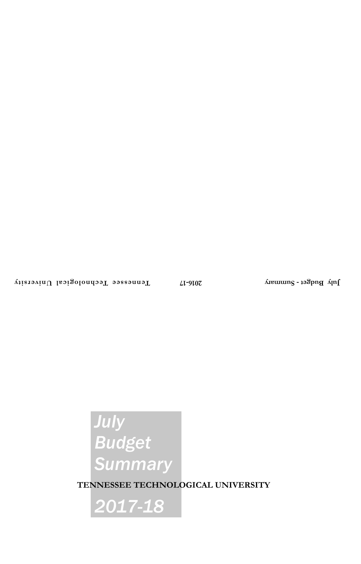# *July Budget Summary*

**TENNESSEE TECHNOLOGICAL UNIVERSITY**

*2017-18*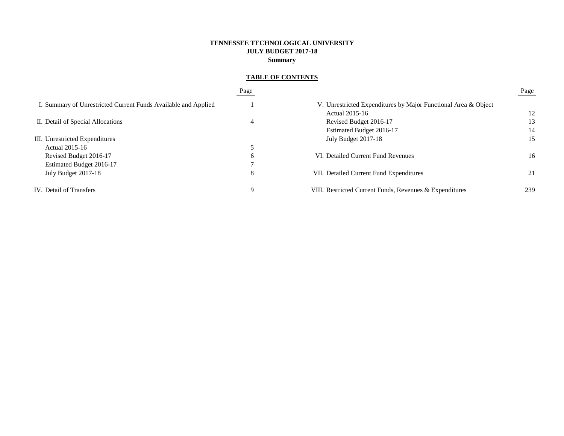# **TENNESSEE TECHNOLOGICAL UNIVERSITY JULY BUDGET 2017-18 Summary**

# **TABLE OF CONTENTS**

|                                                                | Page |                                                                | Page |  |  |  |
|----------------------------------------------------------------|------|----------------------------------------------------------------|------|--|--|--|
| I. Summary of Unrestricted Current Funds Available and Applied |      | V. Unrestricted Expenditures by Major Functional Area & Object |      |  |  |  |
|                                                                |      | Actual 2015-16                                                 | 12   |  |  |  |
| II. Detail of Special Allocations                              | 4    | Revised Budget 2016-17                                         | 13   |  |  |  |
|                                                                |      | Estimated Budget 2016-17                                       | 14   |  |  |  |
| III. Unrestricted Expenditures                                 |      | July Budget 2017-18                                            | 15   |  |  |  |
| Actual 2015-16                                                 |      |                                                                |      |  |  |  |
| Revised Budget 2016-17                                         | b    | VI. Detailed Current Fund Revenues                             | 16   |  |  |  |
| Estimated Budget 2016-17                                       |      |                                                                |      |  |  |  |
| July Budget 2017-18                                            | 8    | VII. Detailed Current Fund Expenditures                        | 21   |  |  |  |
| IV. Detail of Transfers                                        | q    | VIII. Restricted Current Funds, Revenues & Expenditures        | 239  |  |  |  |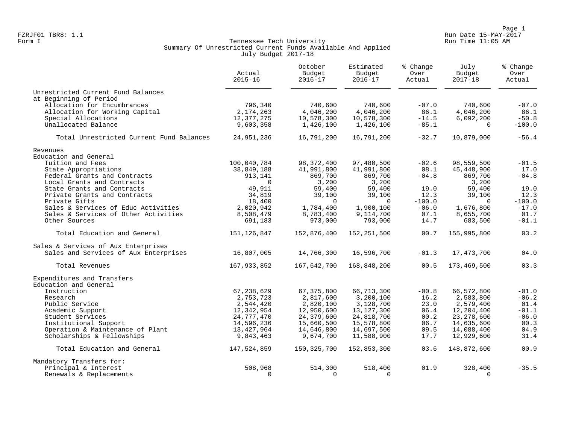Page 1 Page 1<br>Run Date 15-MAY-2017 Run Date 15-MAY-2017 FZRJF01 TBR8: 1.1 Run Date 15-MAY-2017

# Form I Georgian Communication of the Communication of Tennessee Tech University Communication Run Time 11:05 AM Summary Of Unrestricted Current Funds Available And Applied July Budget 2017-18

|                                          | Actual<br>$2015 - 16$ | October<br>Budget<br>$2016 - 17$ | Estimated<br>Budget<br>$2016 - 17$ | % Change<br>Over<br>Actual | July<br>Budget<br>$2017 - 18$ | % Change<br>Over<br>Actual |
|------------------------------------------|-----------------------|----------------------------------|------------------------------------|----------------------------|-------------------------------|----------------------------|
| Unrestricted Current Fund Balances       |                       |                                  |                                    |                            |                               |                            |
| at Beginning of Period                   |                       |                                  |                                    |                            |                               |                            |
| Allocation for Encumbrances              | 796,340               | 740,600                          | 740,600                            | $-07.0$                    | 740,600                       | $-07.0$                    |
| Allocation for Working Capital           | 2,174,263             | 4,046,200                        | 4,046,200                          | 86.1                       | 4,046,200                     | 86.1                       |
| Special Allocations                      | 12,377,275            | 10,578,300                       | 10,578,300                         | $-14.5$                    | 6,092,200                     | $-50.8$                    |
| Unallocated Balance                      | 9,603,358             | 1,426,100                        | 1,426,100                          | $-85.1$                    | $\Omega$                      | $-100.0$                   |
| Total Unrestricted Current Fund Balances | 24,951,236            | 16,791,200                       | 16,791,200                         | $-32.7$                    | 10,879,000                    | $-56.4$                    |
| Revenues                                 |                       |                                  |                                    |                            |                               |                            |
| Education and General                    |                       |                                  |                                    |                            |                               |                            |
| Tuition and Fees                         | 100,040,784           | 98, 372, 400                     | 97,480,500                         | $-02.6$                    | 98,559,500                    | $-01.5$                    |
| State Appropriations                     | 38,849,188            | 41,991,800                       | 41,991,800                         | 08.1                       | 45, 448, 900                  | 17.0                       |
| Federal Grants and Contracts             | 913,141               | 869,700                          | 869,700                            | $-04.8$                    | 869,700                       | $-04.8$                    |
| Local Grants and Contracts               | $\Omega$              | 3,200                            | 3,200                              |                            | 3,200                         |                            |
| State Grants and Contracts               | 49,911                | 59,400                           | 59,400                             | 19.0                       | 59,400                        | 19.0                       |
| Private Grants and Contracts             | 34,819                | 39,100                           | 39,100                             | 12.3                       | 39,100                        | 12.3                       |
| Private Gifts                            | 18,400                | $\Omega$                         | $\Omega$                           | $-100.0$                   | $\Omega$                      | $-100.0$                   |
| Sales & Services of Educ Activities      | 2,020,942             | 1,784,400                        | 1,900,100                          | $-06.0$                    | 1,676,800                     | $-17.0$                    |
| Sales & Services of Other Activities     | 8,508,479             | 8,783,400                        | 9,114,700                          | 07.1                       | 8,655,700                     | 01.7                       |
| Other Sources                            | 691,183               | 973,000                          | 793,000                            | 14.7                       | 683,500                       | $-01.1$                    |
| Total Education and General              | 151,126,847           | 152,876,400                      | 152,251,500                        | 00.7                       | 155,995,800                   | 03.2                       |
| Sales & Services of Aux Enterprises      |                       |                                  |                                    |                            |                               |                            |
| Sales and Services of Aux Enterprises    | 16,807,005            | 14,766,300                       | 16,596,700                         | $-01.3$                    | 17, 473, 700                  | 04.0                       |
| Total Revenues                           | 167,933,852           | 167,642,700                      | 168,848,200                        | 00.5                       | 173,469,500                   | 03.3                       |
| Expenditures and Transfers               |                       |                                  |                                    |                            |                               |                            |
| Education and General                    |                       |                                  |                                    |                            |                               |                            |
| Instruction                              | 67, 238, 629          | 67, 375, 800                     | 66,713,300                         | $-00.8$                    | 66,572,800                    | $-01.0$                    |
| Research                                 | 2,753,723             | 2,817,600                        | 3,200,100                          | 16.2                       | 2,583,800                     | $-06.2$                    |
| Public Service                           | 2,544,420             | 2,820,100                        | 3,128,700                          | 23.0                       | 2,579,400                     | 01.4                       |
| Academic Support                         | 12,342,954            | 12,950,600                       | 13, 127, 300                       | 06.4                       | 12,204,400                    | $-01.1$                    |
| Student Services                         | 24,777,470            | 24,379,600                       | 24,818,700                         | 00.2                       | 23, 278, 600                  | $-06.0$                    |
| Institutional Support                    | 14,596,236            | 15,660,500                       | 15,578,800                         | 06.7                       | 14,635,600                    | 00.3                       |
| Operation & Maintenance of Plant         | 13,427,964            | 14,646,800                       | 14,697,500                         | 09.5                       | 14,088,400                    | 04.9                       |
| Scholarships & Fellowships               | 9,843,463             | 9,674,700                        | 11,588,900                         | 17.7                       | 12,929,600                    | 31.4                       |
| Total Education and General              | 147,524,859           | 150,325,700                      | 152,853,300                        | 03.6                       | 148,872,600                   | 00.9                       |
| Mandatory Transfers for:                 |                       |                                  |                                    |                            |                               |                            |
| Principal & Interest                     | 508,968               | 514,300                          | 518,400                            | 01.9                       | 328,400                       | $-35.5$                    |
| Renewals & Replacements                  | $\Omega$              | $\Omega$                         | $\Omega$                           |                            | $\Omega$                      |                            |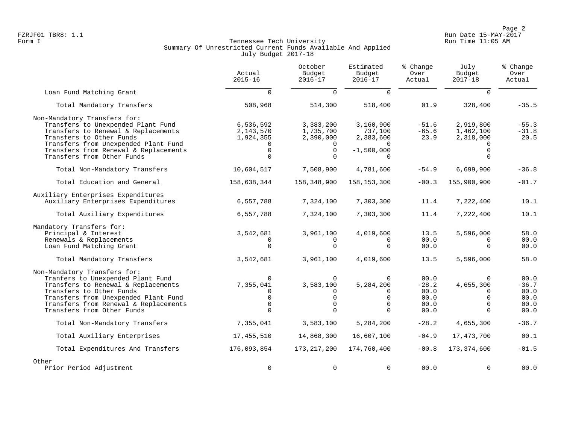Page 2<br>FZRJF01 TBR8: 1.1 Page 2 FZRJF01 TBR8: 1.1 Run Date 15-MAY-2017

# Form I Georgian Communication of the Communication of Tennessee Tech University Communication Run Time 11:05 AM Summary Of Unrestricted Current Funds Available And Applied July Budget 2017-18

|                                                                                                                                                                                                                                                      | Actual<br>$2015 - 16$                                                 | October<br>Budget<br>$2016 - 17$                                            | Estimated<br>Budget<br>$2016 - 17$                                | % Change<br>Over<br>Actual                      | July<br>Budget<br>$2017 - 18$                                         | % Change<br>Over<br>Actual                      |
|------------------------------------------------------------------------------------------------------------------------------------------------------------------------------------------------------------------------------------------------------|-----------------------------------------------------------------------|-----------------------------------------------------------------------------|-------------------------------------------------------------------|-------------------------------------------------|-----------------------------------------------------------------------|-------------------------------------------------|
| Loan Fund Matching Grant                                                                                                                                                                                                                             | $\Omega$                                                              | $\Omega$                                                                    | $\Omega$                                                          |                                                 | $\cap$                                                                |                                                 |
| Total Mandatory Transfers                                                                                                                                                                                                                            | 508,968                                                               | 514,300                                                                     | 518,400                                                           | 01.9                                            | 328,400                                                               | $-35.5$                                         |
| Non-Mandatory Transfers for:<br>Transfers to Unexpended Plant Fund<br>Transfers to Renewal & Replacements<br>Transfers to Other Funds<br>Transfers from Unexpended Plant Fund<br>Transfers from Renewal & Replacements<br>Transfers from Other Funds | 6,536,592<br>2,143,570<br>1,924,355<br>$\mathbf 0$<br>$\Omega$        | 3,383,200<br>1,735,700<br>2,390,000<br>$\Omega$<br>$\mathsf{O}$<br>$\Omega$ | 3,160,900<br>737,100<br>2,383,600<br>$-1,500,000$                 | $-51.6$<br>$-65.6$<br>23.9                      | 2,919,800<br>1,462,100<br>2,318,000<br>$\Omega$<br>$\Omega$           | $-55.3$<br>$-31.8$<br>20.5                      |
| Total Non-Mandatory Transfers                                                                                                                                                                                                                        | 10,604,517                                                            | 7,508,900                                                                   | 4,781,600                                                         | $-54.9$                                         | 6,699,900                                                             | $-36.8$                                         |
| Total Education and General                                                                                                                                                                                                                          | 158,638,344                                                           | 158,348,900                                                                 | 158, 153, 300                                                     | $-00.3$                                         | 155,900,900                                                           | $-01.7$                                         |
| Auxiliary Enterprises Expenditures<br>Auxiliary Enterprises Expenditures                                                                                                                                                                             | 6,557,788                                                             | 7,324,100                                                                   | 7,303,300                                                         | 11.4                                            | 7,222,400                                                             | 10.1                                            |
| Total Auxiliary Expenditures                                                                                                                                                                                                                         | 6,557,788                                                             | 7,324,100                                                                   | 7,303,300                                                         | 11.4                                            | 7,222,400                                                             | 10.1                                            |
| Mandatory Transfers for:<br>Principal & Interest<br>Renewals & Replacements<br>Loan Fund Matching Grant                                                                                                                                              | 3,542,681<br>$\Omega$<br>$\Omega$                                     | 3,961,100<br>$\Omega$<br>$\Omega$                                           | 4,019,600<br>0<br>$\Omega$                                        | 13.5<br>00.0<br>00.0                            | 5,596,000<br>$\Omega$<br>$\Omega$                                     | 58.0<br>00.0<br>00.0                            |
| Total Mandatory Transfers                                                                                                                                                                                                                            | 3,542,681                                                             | 3,961,100                                                                   | 4,019,600                                                         | 13.5                                            | 5,596,000                                                             | 58.0                                            |
| Non-Mandatory Transfers for:<br>Tranfers to Unexpended Plant Fund<br>Transfers to Renewal & Replacements<br>Transfers to Other Funds<br>Transfers from Unexpended Plant Fund<br>Transfers from Renewal & Replacements<br>Transfers from Other Funds  | $\Omega$<br>7,355,041<br>$\Omega$<br>$\Omega$<br>$\Omega$<br>$\Omega$ | $\Omega$<br>3,583,100<br>$\Omega$<br>$\mathbf 0$<br>$\Omega$<br>$\Omega$    | $\mathbf 0$<br>5,284,200<br>0<br>$\Omega$<br>$\Omega$<br>$\Omega$ | 00.0<br>$-28.2$<br>00.0<br>00.0<br>00.0<br>00.0 | $\Omega$<br>4,655,300<br>$\Omega$<br>$\Omega$<br>$\Omega$<br>$\Omega$ | 00.0<br>$-36.7$<br>00.0<br>00.0<br>00.0<br>00.0 |
| Total Non-Mandatory Transfers                                                                                                                                                                                                                        | 7,355,041                                                             | 3,583,100                                                                   | 5,284,200                                                         | $-28.2$                                         | 4,655,300                                                             | $-36.7$                                         |
| Total Auxiliary Enterprises                                                                                                                                                                                                                          | 17,455,510                                                            | 14,868,300                                                                  | 16,607,100                                                        | $-04.9$                                         | 17, 473, 700                                                          | 00.1                                            |
| Total Expenditures And Transfers                                                                                                                                                                                                                     | 176,093,854                                                           | 173, 217, 200                                                               | 174,760,400                                                       | $-00.8$                                         | 173,374,600                                                           | $-01.5$                                         |
| Other<br>Prior Period Adjustment                                                                                                                                                                                                                     | $\mathbf 0$                                                           | $\mathbf 0$                                                                 | $\mathbf 0$                                                       | 00.0                                            | $\Omega$                                                              | 00.0                                            |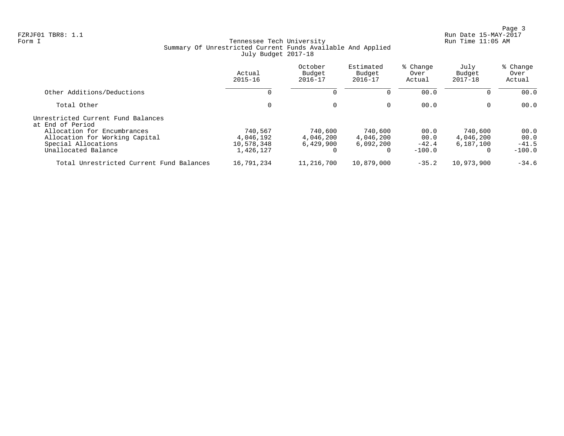Page 3<br>Run Date 15-MAY-2017 Run Date 15-MAY-2017

# Form I Georgian Communication of the Communication of Tennessee Tech University Communication Run Time 11:05 AM Summary Of Unrestricted Current Funds Available And Applied July Budget 2017-18

|                                                                                                             | Actual<br>$2015 - 16$                           | October<br>Budget<br>$2016 - 17$  | Estimated<br>Budget<br>$2016 - 17$            | % Change<br>Over<br>Actual          | July<br>Budget<br>$2017 - 18$          | % Change<br>Over<br>Actual          |
|-------------------------------------------------------------------------------------------------------------|-------------------------------------------------|-----------------------------------|-----------------------------------------------|-------------------------------------|----------------------------------------|-------------------------------------|
| Other Additions/Deductions                                                                                  |                                                 | $\Omega$                          |                                               | 00.0                                | 0                                      | 00.0                                |
| Total Other                                                                                                 | 0                                               | $\mathbf 0$                       | $\mathbf 0$                                   | 00.0                                | $\mathbf 0$                            | 00.0                                |
| Unrestricted Current Fund Balances<br>at End of Period                                                      |                                                 |                                   |                                               |                                     |                                        |                                     |
| Allocation for Encumbrances<br>Allocation for Working Capital<br>Special Allocations<br>Unallocated Balance | 740,567<br>4,046,192<br>10,578,348<br>1,426,127 | 740,600<br>4,046,200<br>6.429.900 | 740,600<br>4,046,200<br>6.092.200<br>$\Omega$ | 00.0<br>00.0<br>$-42.4$<br>$-100.0$ | 740,600<br>4,046,200<br>6,187,100<br>0 | 00.0<br>00.0<br>$-41.5$<br>$-100.0$ |
| Total Unrestricted Current Fund Balances                                                                    | 16,791,234                                      | 11,216,700                        | 10,879,000                                    | $-35.2$                             | 10,973,900                             | $-34.6$                             |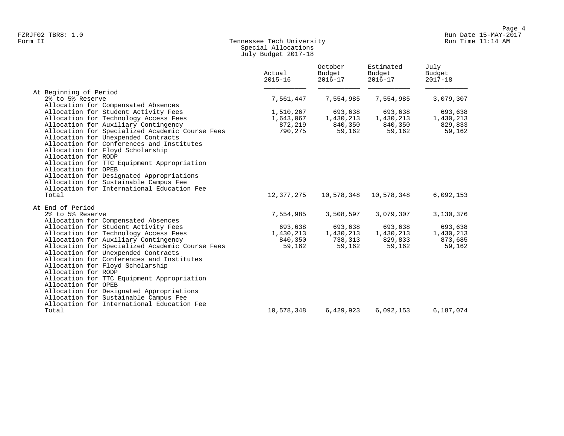# Form II Tennessee Tech University Run Time 11:14 AM Special Allocations July Budget 2017-18

|                                                                   | Actual<br>$2015 - 16$ | October<br>Budget<br>$2016 - 17$ | Estimated<br>Budget<br>$2016 - 17$ | July<br>Budget<br>$2017 - 18$ |
|-------------------------------------------------------------------|-----------------------|----------------------------------|------------------------------------|-------------------------------|
| At Beginning of Period                                            |                       |                                  |                                    |                               |
| 2% to 5% Reserve                                                  | 7,561,447             | 7,554,985                        | 7,554,985                          | 3,079,307                     |
| Allocation for Compensated Absences                               |                       |                                  |                                    |                               |
| Allocation for Student Activity Fees                              | 1,510,267             | 693,638                          | 693,638                            | 693,638                       |
| Allocation for Technology Access Fees                             | 1,643,067             | 1,430,213                        | 1,430,213                          | 1,430,213                     |
| Allocation for Auxiliary Contingency                              | 872,219               | 840,350                          | 840,350                            | 829,833                       |
| Allocation for Specialized Academic Course Fees                   | 790,275               | 59,162                           | 59,162                             | 59,162                        |
| Allocation for Unexpended Contracts                               |                       |                                  |                                    |                               |
| Allocation for Conferences and Institutes                         |                       |                                  |                                    |                               |
| Allocation for Floyd Scholarship                                  |                       |                                  |                                    |                               |
| Allocation for RODP                                               |                       |                                  |                                    |                               |
| Allocation for TTC Equipment Appropriation                        |                       |                                  |                                    |                               |
| Allocation for OPEB                                               |                       |                                  |                                    |                               |
| Allocation for Designated Appropriations                          |                       |                                  |                                    |                               |
| Allocation for Sustainable Campus Fee                             |                       |                                  |                                    |                               |
| Allocation for International Education Fee                        |                       |                                  |                                    |                               |
| Total                                                             | 12,377,275            | 10,578,348                       | 10,578,348                         | 6,092,153                     |
| At End of Period                                                  |                       |                                  |                                    |                               |
| 2% to 5% Reserve                                                  | 7,554,985             | 3,508,597                        | 3,079,307                          | 3,130,376                     |
| Allocation for Compensated Absences                               |                       |                                  |                                    |                               |
| Allocation for Student Activity Fees                              | 693,638               | 693,638                          | 693,638                            | 693,638                       |
| Allocation for Technology Access Fees                             | 1,430,213             | 1,430,213                        | 1,430,213                          | 1,430,213                     |
| Allocation for Auxiliary Contingency                              | 840,350               | 738,313                          | 829,833                            | 873,685                       |
| Allocation for Specialized Academic Course Fees                   | 59,162                | 59,162                           | 59,162                             | 59,162                        |
| Allocation for Unexpended Contracts                               |                       |                                  |                                    |                               |
| Allocation for Conferences and Institutes                         |                       |                                  |                                    |                               |
| Allocation for Floyd Scholarship<br>Allocation for RODP           |                       |                                  |                                    |                               |
|                                                                   |                       |                                  |                                    |                               |
| Allocation for TTC Equipment Appropriation<br>Allocation for OPEB |                       |                                  |                                    |                               |
| Allocation for Designated Appropriations                          |                       |                                  |                                    |                               |
| Allocation for Sustainable Campus Fee                             |                       |                                  |                                    |                               |
| Allocation for International Education Fee                        |                       |                                  |                                    |                               |
| Total                                                             | 10,578,348            | 6,429,923                        | 6,092,153                          | 6,187,074                     |
|                                                                   |                       |                                  |                                    |                               |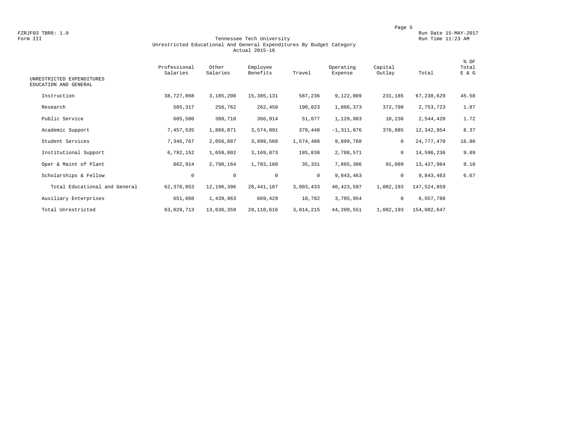### Form III Tennessee Tech University Run Time 11:23 AM Unrestricted Educational And General Expenditures By Budget Category Actual 2015-16

| UNRESTRICTED EXPENDITURES<br>EDUCATION AND GENERAL | Professional<br>Salaries | Other<br>Salaries | Employee<br>Benefits | Travel    | Operating<br>Expense | Capital<br>Outlay | Total       | % OF<br>Total<br>E & G |
|----------------------------------------------------|--------------------------|-------------------|----------------------|-----------|----------------------|-------------------|-------------|------------------------|
| Instruction                                        | 38,727,868               | 3,185,200         | 15, 385, 131         | 587,236   | 9,122,009            | 231,185           | 67,238,629  | 45.58                  |
| Research                                           | 585,317                  | 256,762           | 262,450              | 190,023   | 1,086,373            | 372,798           | 2,753,723   | 1.87                   |
| Public Service                                     | 605,500                  | 380,710           | 366,914              | 51,077    | 1,129,983            | 10,236            | 2,544,420   | 1.72                   |
| Academic Support                                   | 7,457,535                | 1,866,871         | 3,574,091            | 379,448   | $-1,311,876$         | 376,885           | 12,342,954  | 8.37                   |
| Student Services                                   | 7,346,767                | 2,056,887         | 3,899,568            | 1,574,480 | 9,899,768            | 0                 | 24,777,470  | 16.80                  |
| Institutional Support                              | 6,792,152                | 1,659,802         | 3,169,873            | 185,838   | 2,788,571            | 0                 | 14,596,236  | 9.89                   |
| Oper & Maint of Plant                              | 862,914                  | 2,790,164         | 1,783,160            | 35,331    | 7,865,306            | 91,089            | 13,427,964  | 9.10                   |
| Scholarships & Fellow                              | $\mathbf 0$              | $\mathsf 0$       | $\mathbf 0$          | $\circ$   | 9,843,463            | 0                 | 9,843,463   | 6.67                   |
| Total Educational and General                      | 62, 378, 053             | 12,196,396        | 28, 441, 187         | 3,003,433 | 40, 423, 597         | 1,082,193         | 147,524,859 |                        |
| Auxiliary Enterprises                              | 651,660                  | 1,439,963         | 669,429              | 10,782    | 3,785,954            | 0                 | 6,557,788   |                        |
| Total Unrestricted                                 | 63,029,713               | 13,636,359        | 29,110,616           | 3,014,215 | 44,209,551           | 1,082,193         | 154,082,647 |                        |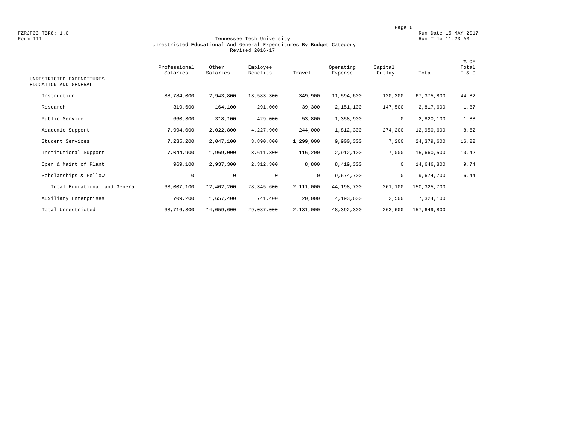### Form III Tennessee Tech University Run Time 11:23 AM Unrestricted Educational And General Expenditures By Budget Category Revised 2016-17

| UNRESTRICTED EXPENDITURES<br>EDUCATION AND GENERAL | Professional<br>Salaries | Other<br>Salaries | Employee<br>Benefits | Travel    | Operating<br>Expense | Capital<br>Outlay | Total         | % OF<br>Total<br>E & G |
|----------------------------------------------------|--------------------------|-------------------|----------------------|-----------|----------------------|-------------------|---------------|------------------------|
| Instruction                                        | 38,784,000               | 2,943,800         | 13,583,300           | 349,900   | 11,594,600           | 120,200           | 67, 375, 800  | 44.82                  |
| Research                                           | 319,600                  | 164,100           | 291,000              | 39,300    | 2,151,100            | $-147,500$        | 2,817,600     | 1.87                   |
| Public Service                                     | 660,300                  | 318,100           | 429,000              | 53,800    | 1,358,900            | 0                 | 2,820,100     | 1.88                   |
| Academic Support                                   | 7,994,000                | 2,022,800         | 4,227,900            | 244,000   | $-1,812,300$         | 274,200           | 12,950,600    | 8.62                   |
| Student Services                                   | 7,235,200                | 2,047,100         | 3,890,800            | 1,299,000 | 9,900,300            | 7,200             | 24,379,600    | 16.22                  |
| Institutional Support                              | 7,044,900                | 1,969,000         | 3,611,300            | 116,200   | 2,912,100            | 7,000             | 15,660,500    | 10.42                  |
| Oper & Maint of Plant                              | 969,100                  | 2,937,300         | 2,312,300            | 8,800     | 8,419,300            | $\mathbf 0$       | 14,646,800    | 9.74                   |
| Scholarships & Fellow                              | $\mathsf{O}$             | $\circ$           | $\mathbf 0$          | $\circ$   | 9,674,700            | $\mathbf 0$       | 9,674,700     | 6.44                   |
| Total Educational and General                      | 63,007,100               | 12,402,200        | 28, 345, 600         | 2,111,000 | 44,198,700           | 261,100           | 150, 325, 700 |                        |
| Auxiliary Enterprises                              | 709,200                  | 1,657,400         | 741,400              | 20,000    | 4,193,600            | 2,500             | 7,324,100     |                        |
| Total Unrestricted                                 | 63,716,300               | 14,059,600        | 29,087,000           | 2,131,000 | 48,392,300           | 263,600           | 157,649,800   |                        |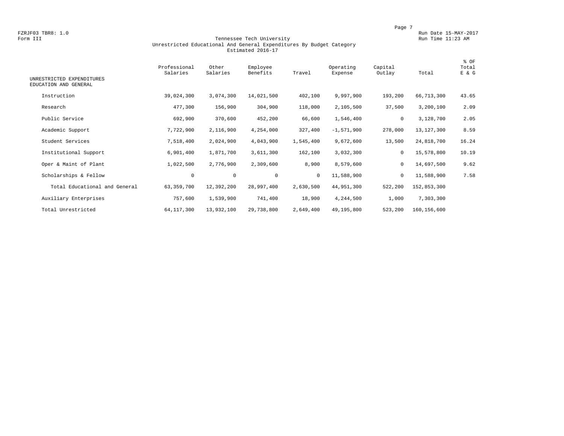### Form III Tennessee Tech University Run Time 11:23 AM Unrestricted Educational And General Expenditures By Budget Category Estimated 2016-17

| UNRESTRICTED EXPENDITURES     | Professional<br>Salaries | Other<br>Salaries | Employee<br>Benefits | Travel       | Operating<br>Expense | Capital<br>Outlay | Total         | % OF<br>Total<br>E & G |
|-------------------------------|--------------------------|-------------------|----------------------|--------------|----------------------|-------------------|---------------|------------------------|
| EDUCATION AND GENERAL         |                          |                   |                      |              |                      |                   |               |                        |
| Instruction                   | 39,024,300               | 3,074,300         | 14,021,500           | 402,100      | 9,997,900            | 193,200           | 66,713,300    | 43.65                  |
| Research                      | 477,300                  | 156,900           | 304,900              | 118,000      | 2,105,500            | 37,500            | 3,200,100     | 2.09                   |
| Public Service                | 692,900                  | 370,600           | 452,200              | 66,600       | 1,546,400            | 0                 | 3,128,700     | 2.05                   |
| Academic Support              | 7,722,900                | 2,116,900         | 4,254,000            | 327,400      | $-1,571,900$         | 278,000           | 13,127,300    | 8.59                   |
| Student Services              | 7,518,400                | 2,024,900         | 4,043,900            | 1,545,400    | 9,672,600            | 13,500            | 24,818,700    | 16.24                  |
| Institutional Support         | 6,901,400                | 1,871,700         | 3,611,300            | 162,100      | 3,032,300            | $\mathbf 0$       | 15,578,800    | 10.19                  |
| Oper & Maint of Plant         | 1,022,500                | 2,776,900         | 2,309,600            | 8,900        | 8,579,600            | 0                 | 14,697,500    | 9.62                   |
| Scholarships & Fellow         | 0                        | $\circ$           | $\mathbf 0$          | $\mathbf{0}$ | 11,588,900           | $\mathbf 0$       | 11,588,900    | 7.58                   |
| Total Educational and General | 63, 359, 700             | 12,392,200        | 28,997,400           | 2,630,500    | 44,951,300           | 522,200           | 152,853,300   |                        |
| Auxiliary Enterprises         | 757,600                  | 1,539,900         | 741,400              | 18,900       | 4,244,500            | 1,000             | 7,303,300     |                        |
| Total Unrestricted            | 64, 117, 300             | 13,932,100        | 29,738,800           | 2,649,400    | 49,195,800           | 523,200           | 160, 156, 600 |                        |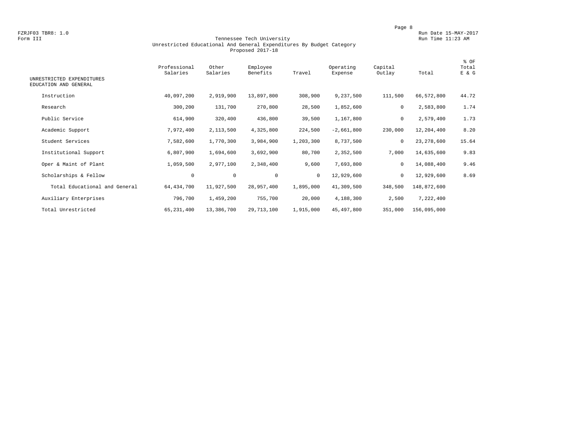### Form III Tennessee Tech University Run Time 11:23 AM Unrestricted Educational And General Expenditures By Budget Category Proposed 2017-18

| UNRESTRICTED EXPENDITURES     | Professional<br>Salaries | Other<br>Salaries | Employee<br>Benefits | Travel       | Operating<br>Expense | Capital<br>Outlay | Total       | % OF<br>Total<br>E & G |
|-------------------------------|--------------------------|-------------------|----------------------|--------------|----------------------|-------------------|-------------|------------------------|
| EDUCATION AND GENERAL         |                          |                   |                      |              |                      |                   |             |                        |
| Instruction                   | 40,097,200               | 2,919,900         | 13,897,800           | 308,900      | 9,237,500            | 111,500           | 66,572,800  | 44.72                  |
| Research                      | 300,200                  | 131,700           | 270,800              | 28,500       | 1,852,600            | 0                 | 2,583,800   | 1.74                   |
| Public Service                | 614,900                  | 320,400           | 436,800              | 39,500       | 1,167,800            | 0                 | 2,579,400   | 1.73                   |
| Academic Support              | 7,972,400                | 2,113,500         | 4,325,800            | 224,500      | $-2,661,800$         | 230,000           | 12,204,400  | 8.20                   |
| Student Services              | 7,582,600                | 1,770,300         | 3,984,900            | 1,203,300    | 8,737,500            | $\mathbf 0$       | 23,278,600  | 15.64                  |
| Institutional Support         | 6,807,900                | 1,694,600         | 3,692,900            | 80,700       | 2,352,500            | 7,000             | 14,635,600  | 9.83                   |
| Oper & Maint of Plant         | 1,059,500                | 2,977,100         | 2,348,400            | 9,600        | 7,693,800            | 0                 | 14,088,400  | 9.46                   |
| Scholarships & Fellow         | 0                        | $\mathbf 0$       | $\mathbf 0$          | $\mathbf{0}$ | 12,929,600           | $\mathbf 0$       | 12,929,600  | 8.69                   |
| Total Educational and General | 64, 434, 700             | 11,927,500        | 28,957,400           | 1,895,000    | 41,309,500           | 348,500           | 148,872,600 |                        |
| Auxiliary Enterprises         | 796,700                  | 1,459,200         | 755,700              | 20,000       | 4,188,300            | 2,500             | 7,222,400   |                        |
| Total Unrestricted            | 65, 231, 400             | 13,386,700        | 29,713,100           | 1,915,000    | 45,497,800           | 351,000           | 156,095,000 |                        |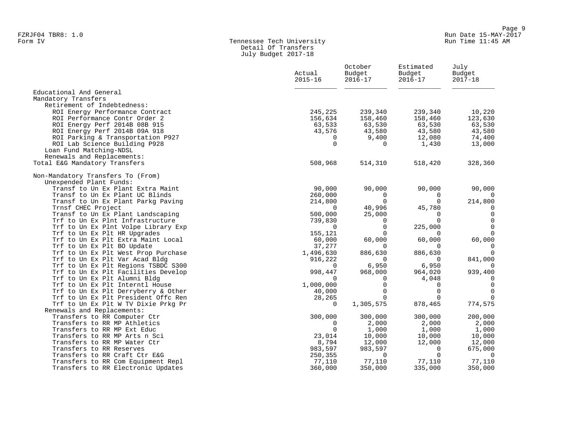# Form IV Tennessee Tech University Run Time 11:45 AM Detail Of Transfers July Budget 2017-18

|                                                                       | Actual<br>$2015 - 16$ | October<br>Budget<br>$2016 - 17$ | Estimated<br>Budget<br>$2016 - 17$ | July<br>Budget<br>$2017 - 18$ |
|-----------------------------------------------------------------------|-----------------------|----------------------------------|------------------------------------|-------------------------------|
|                                                                       |                       |                                  |                                    |                               |
| Educational And General                                               |                       |                                  |                                    |                               |
| Mandatory Transfers<br>Retirement of Indebtedness:                    |                       |                                  |                                    |                               |
| ROI Energy Performance Contract                                       | 245,225               | 239,340                          | 239,340                            | 10,220                        |
| ROI Performance Contr Order 2                                         | 156,634               | 158,460                          | 158,460                            | 123,630                       |
| ROI Energy Perf 2014B 08B 915                                         | 63,533                | 63,530                           | 63,530                             | 63,530                        |
| ROI Energy Perf 2014B 09A 918                                         | 43,576                | 43,580                           | 43,580                             | 43,580                        |
| ROI Parking & Transportation P927                                     | $\Omega$              | 9,400                            | 12,080                             | 74,400                        |
| ROI Lab Science Building P928                                         | $\Omega$              | $\Omega$                         | 1,430                              | 13,000                        |
| Loan Fund Matching-NDSL                                               |                       |                                  |                                    |                               |
| Renewals and Replacements:                                            |                       |                                  |                                    |                               |
| Total E&G Mandatory Transfers                                         | 508,968               | 514,310                          | 518,420                            | 328,360                       |
| Non-Mandatory Transfers To (From)                                     |                       |                                  |                                    |                               |
| Unexpended Plant Funds:                                               |                       |                                  |                                    |                               |
| Transf to Un Ex Plant Extra Maint                                     | 90,000                | 90,000                           | 90,000                             | 90,000                        |
| Transf to Un Ex Plant UC Blinds                                       | 260,000               | $\Omega$                         | 0                                  | 0                             |
| Transf to Un Ex Plant Parkg Paving                                    | 214,800               | $\Omega$                         | 0                                  | 214,800                       |
| Trnsf CHEC Project                                                    | $\Omega$              | 40,996                           | 45,780                             | $\Omega$                      |
| Transf to Un Ex Plant Landscaping                                     | 500,000               | 25,000                           | 0                                  | $\mathbf 0$                   |
| Trf to Un Ex Plnt Infrastructure                                      | 739,830               | $\Omega$                         | $\Omega$                           | $\Omega$                      |
| Trf to Un Ex Plnt Volpe Library Exp                                   | 0                     | $\mathbf 0$                      | 225,000                            | $\mathbf 0$                   |
| Trf to Un Ex Plt HR Upgrades                                          | 155,121               | $\Omega$                         | $\Omega$                           | $\Omega$                      |
| Trf to Un Ex Plt Extra Maint Local                                    | 60,000                | 60,000<br>$\Omega$               | 60,000<br>$\Omega$                 | 60,000                        |
| Trf to Un Ex Plt BO Update                                            | 37,277                |                                  | 886,630                            | $\mathbf 0$<br>$\Omega$       |
| Trf to Un Ex Plt West Prop Purchase<br>Trf to Un Ex Plt Var Acad Bldg | 1,496,630<br>916,222  | 886,630<br>$\Omega$              | $\Omega$                           | 841,000                       |
| Trf to Un Ex Plt Regions TSBDC S300                                   | $\Omega$              | 6,950                            | 6,950                              | $\Omega$                      |
| Trf to Un Ex Plt Facilities Develop                                   | 998,447               | 968,000                          | 964,020                            | 939,400                       |
| Trf to Un Ex Plt Alumni Bldg                                          | 0                     | 0                                | 4,048                              | $\mathbf 0$                   |
| Trf to Un Ex Plt Interntl House                                       | 1,000,000             | $\Omega$                         | 0                                  | $\mathbf 0$                   |
| Trf to Un Ex Plt Derryberry & Other                                   | 40,000                | $\Omega$                         | $\mathbf 0$                        | $\Omega$                      |
| Trf to Un Ex Plt President Offc Ren                                   | 28,265                | $\Omega$                         | 0                                  | $\Omega$                      |
| Trf to Un Ex Plt W TV Dixie Prkg Pr                                   | $\Omega$              | 1,305,575                        | 878,465                            | 774,575                       |
| Renewals and Replacements:                                            |                       |                                  |                                    |                               |
| Transfers to RR Computer Ctr                                          | 300,000               | 300,000                          | 300,000                            | 200,000                       |
| Transfers to RR MP Athletics                                          | 0                     | 2,000                            | 2,000                              | 2,000                         |
| Transfers to RR MP Ext Educ                                           | $\Omega$              | 1,000                            | 1,000                              | 1,000                         |
| Transfers to RR MP Arts n Sci                                         | 23,014                | 10,000                           | 10,000                             | 10,000                        |
| Transfers to RR MP Water Ctr                                          | 8,794                 | 12,000                           | 12,000                             | 12,000                        |
| Transfers to RR Reserves                                              | 983,597               | 983,597                          | $\Omega$                           | 675,000                       |
| Transfers to RR Craft Ctr E&G                                         | 250,355               | $\overline{0}$                   | $\mathbf 0$                        | $\Omega$                      |
| Transfers to RR Com Equipment Repl                                    | 77,110                | 77,110                           | 77,110                             | 77,110                        |
| Transfers to RR Electronic Updates                                    | 360,000               | 350,000                          | 335,000                            | 350,000                       |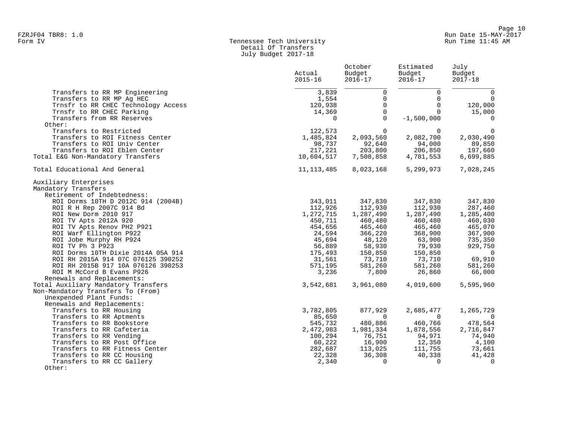# Form IV Tennessee Tech University Run Time 11:45 AM Detail Of Transfers July Budget 2017-18

|                                     | Actual<br>$2015 - 16$ | October<br>Budget<br>$2016 - 17$ | Estimated<br>Budget<br>$2016 - 17$ | July<br>Budget<br>$2017 - 18$ |
|-------------------------------------|-----------------------|----------------------------------|------------------------------------|-------------------------------|
| Transfers to RR MP Engineering      | 3,839                 | $\mathbf 0$                      | $\mathbf 0$                        | $\mathbf 0$                   |
| Transfers to RR MP Aq HEC           | 1,554                 | $\mathbf 0$                      | $\Omega$                           | $\mathbf 0$                   |
| Trnsfr to RR CHEC Technology Access | 120,938               | $\mathbf 0$                      | $\Omega$                           | 120,000                       |
| Trnsfr to RR CHEC Parking           | 14,369                | $\mathbf 0$                      | $\Omega$                           | 15,000                        |
| Transfers from RR Reserves          | $\mathbf 0$           | $\mathbf 0$                      | $-1,500,000$                       | 0                             |
| Other:                              |                       |                                  |                                    |                               |
| Transfers to Restricted             | 122,573               | $\Omega$                         | $\Omega$                           | $\Omega$                      |
| Transfers to ROI Fitness Center     | 1,485,824             | 2,093,560                        | 2,082,700                          | 2,030,490                     |
| Transfers to ROI Univ Center        | 98,737                | 92,640                           | 94,000                             | 89,850                        |
| Transfers to ROI Eblen Center       | 217,221               | 203,800                          | 206,850                            | 197,660                       |
|                                     |                       |                                  |                                    |                               |
| Total E&G Non-Mandatory Transfers   | 10,604,517            | 7,508,858                        | 4,781,553                          | 6,699,885                     |
| Total Educational And General       | 11, 113, 485          | 8,023,168                        | 5,299,973                          | 7,028,245                     |
| Auxiliary Enterprises               |                       |                                  |                                    |                               |
| Mandatory Transfers                 |                       |                                  |                                    |                               |
| Retirement of Indebtedness:         |                       |                                  |                                    |                               |
| ROI Dorms 10TH D 2012C 914 (2004B)  | 343,011               | 347,830                          | 347,830                            | 347,830                       |
| ROI R H Rep 2007C 914 Bd            | 112,926               | 112,930                          | 112,930                            | 287,460                       |
| ROI New Dorm 2010 917               | 1,272,715             | 1,287,490                        | 1,287,490                          | 1,285,400                     |
| ROI TV Apts 2012A 920               | 450,711               | 460,480                          | 460,480                            | 460,030                       |
| ROI TV Apts Renov PH2 P921          | 454,656               | 465,460                          | 465,460                            | 465,070                       |
| ROI Warf Ellington P922             | 24,594                | 366,220                          | 368,900                            | 367,900                       |
| ROI Jobe Murphy RH P924             | 45,694                | 48,120                           | 63,900                             | 735,350                       |
| ROI TV Ph 3 P923                    | 56,889                | 58,930                           | 79,930                             | 929,750                       |
| ROI Dorms 10TH Dixie 2014A 05A 914  | 175,493               | 150,850                          | 150,850                            | $\overline{0}$                |
| ROI RH 2015A 914 07C 076125 390252  | 31,561                | 73,710                           | 73,710                             | 69,910                        |
| ROI RH 2015B 917 10A 076126 390253  | 571,195               | 581,260                          | 581,260                            | 581,260                       |
| ROI M McCord B Evans P926           | 3,236                 | 7,800                            | 26,860                             | 66,000                        |
| Renewals and Replacements:          |                       |                                  |                                    |                               |
| Total Auxiliary Mandatory Transfers | 3,542,681             | 3,961,080                        | 4,019,600                          | 5,595,960                     |
| Non-Mandatory Transfers To (From)   |                       |                                  |                                    |                               |
| Unexpended Plant Funds:             |                       |                                  |                                    |                               |
| Renewals and Replacements:          |                       |                                  |                                    |                               |
| Transfers to RR Housing             | 3,782,805             | 877,929                          | 2,685,477                          | 1,265,729                     |
| Transfers to RR Aptments            | 85,650                | $\overline{0}$                   | $\Omega$                           | $\overline{0}$                |
| Transfers to RR Bookstore           | 545,732               | 480,886                          | 460,766                            | 478,564                       |
| Transfers to RR Cafeteria           | 2,472,983             | 1,981,334                        | 1,878,556                          | 2,716,847                     |
| Transfers to RR Vending             | 100,294               | 76,751                           | 94,971                             | 74,940                        |
| Transfers to RR Post Office         | 60,222                | 16,900                           | 12,350                             | 4,100                         |
| Transfers to RR Fitness Center      | 282,687               | 113,025                          | 111,755                            | 73,661                        |
| Transfers to RR CC Housing          | 22,328                | 36,308                           | 40,338                             | 41,428                        |
| Transfers to RR CC Gallery          | 2,340                 | 0                                | 0                                  | $\Omega$                      |
| Other:                              |                       |                                  |                                    |                               |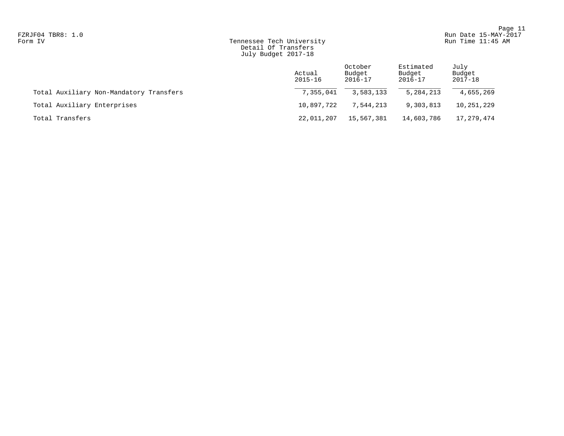# Form IV Tennessee Tech University Run Time 11:45 AM Detail Of Transfers July Budget 2017-18

|                                         | Actual<br>$2015 - 16$ | October<br>Budget<br>2016-17 | Estimated<br>Budget<br>2016-17 | July<br>Budget<br>2017-18 |
|-----------------------------------------|-----------------------|------------------------------|--------------------------------|---------------------------|
| Total Auxiliary Non-Mandatory Transfers | 7,355,041             | 3,583,133                    | 5, 284, 213                    | 4,655,269                 |
| Total Auxiliary Enterprises             | 10,897,722            | 7,544,213                    | 9,303,813                      | 10,251,229                |
| Total Transfers                         | 22,011,207            | 15,567,381                   | 14,603,786                     | 17,279,474                |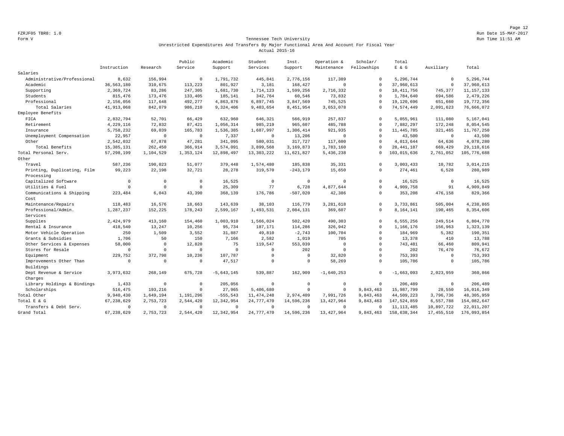Page 12 FZRJF05 TBR8: 1.0 Run Date 15-MAY-2017

## Form V Tennessee Tech University Run Time 11:51 AM Unrestricted Expenditures And Transfers By Major Functional Area And Account For Fiscal Year Actual 2015-16

|                             |              |             | Public      | Academic     | Student      | Inst.        | Operation &  | Scholar/     | Total        |              |              |
|-----------------------------|--------------|-------------|-------------|--------------|--------------|--------------|--------------|--------------|--------------|--------------|--------------|
|                             | Instruction  | Research    | Service     | Support      | Services     | Support      | Maintenance  | Fellowships  | $E$ & $G$    | Auxiliary    | Total        |
| Salaries                    |              |             |             |              |              |              |              |              |              |              |              |
| Administrative/Professional | 8,632        | 156,994     | $\Omega$    | 1,791,732    | 445,841      | 2,776,156    | 117,389      | $\circ$      | 5,296,744    | $\mathbf 0$  | 5,296,744    |
| Academic                    | 36, 563, 180 | 310,675     | 113,223     | 801,927      | 3,181        | 168,427      | $\Omega$     | $\Omega$     | 37,960,613   | $\mathbf 0$  | 37,960,613   |
| Supporting                  | 2,369,724    | 83,286      | 247,305     | 1,681,730    | 1,714,123    | 1,599,256    | 2,716,332    | $\Omega$     | 10, 411, 756 | 745,377      | 11, 157, 133 |
| Students                    | 815,476      | 173,476     | 133,405     | 185,141      | 342,764      | 60,546       | 73,832       | $\circ$      | 1,784,640    | 694,586      | 2,479,226    |
| Professional                | 2,156,056    | 117,648     | 492,277     | 4,863,876    | 6,897,745    | 3,847,569    | 745,525      | $\Omega$     | 19,120,696   | 651,660      | 19,772,356   |
| Total Salaries              | 41,913,068   | 842,079     | 986,210     | 9,324,406    | 9,403,654    | 8,451,954    | 3,653,078    | $\circ$      | 74,574,449   | 2,091,623    | 76,666,072   |
| Employee Benefits           |              |             |             |              |              |              |              |              |              |              |              |
| FICA                        | 2,832,794    | 52,701      | 66,429      | 632,960      | 646,321      | 566,919      | 257,837      | $\Omega$     | 5.055.961    | 111,080      | 5,167,041    |
| Retirement                  | 4,229,116    | 72,832      | 87,421      | 1,056,314    | 985,219      | 965,607      | 485,788      | $\Omega$     | 7,882,297    | 172,248      | 8,054,545    |
| Insurance                   | 5,758,232    | 69,039      | 165,783     | 1,536,385    | 1,687,997    | 1,306,414    | 921,935      | $\circ$      | 11, 445, 785 | 321,465      | 11,767,250   |
| Unemployment Compensation   | 22,957       | $\mathbf 0$ | $\mathbf 0$ | 7,337        | $\mathbf 0$  | 13,206       | $\mathbf{0}$ | $\Omega$     | 43,500       | $\mathbf 0$  | 43,500       |
| Other                       | 2,542,032    | 67,878      | 47,281      | 341,095      | 580,031      | 317,727      | 117,600      | $\Omega$     | 4,013,644    | 64,636       | 4,078,280    |
| Total Benefits              | 15, 385, 131 | 262,450     | 366,914     | 3,574,091    | 3,899,568    | 3,169,873    | 1,783,160    | $\cap$       | 28, 441, 187 | 669,429      | 29,110,616   |
| Total Personal Serv.        | 57, 298, 199 | 1,104,529   | 1,353,124   | 12,898,497   | 13, 303, 222 | 11,621,827   | 5,436,238    | $\Omega$     | 103,015,636  | 2,761,052    | 105,776,688  |
| Other                       |              |             |             |              |              |              |              |              |              |              |              |
| Travel                      | 587,236      | 190,023     | 51,077      | 379,448      | 1,574,480    | 185,838      | 35, 331      | $\circ$      | 3,003,433    | 10,782       | 3,014,215    |
| Printing, Duplicating, Film | 99,223       | 22,198      | 32,721      | 28,278       | 319,570      | $-243, 179$  | 15,650       | $\Omega$     | 274,461      | 6,528        | 280,989      |
| Processing                  |              |             |             |              |              |              |              |              |              |              |              |
| Capitalized Software        | $\Omega$     | $\mathbb O$ | $\mathbf 0$ | 16,525       | $\circ$      | $\circ$      | $\mathbf{0}$ | $\circ$      | 16,525       | $\mathbf 0$  | 16,525       |
| Utilities & Fuel            | $\Omega$     | $\Omega$    | $\Omega$    | 25,309       | 77           | 6,728        | 4,877,644    | $\Omega$     | 4,909,758    | 91           | 4,909,849    |
| Communications & Shipping   | 223,484      | 6,043       | 43,390      | 368,139      | 176,786      | $-507,020$   | 42,386       | $\circ$      | 353,208      | 476,158      | 829,366      |
| Cost                        |              |             |             |              |              |              |              |              |              |              |              |
| Maintenance/Repairs         | 118,483      | 16,576      | 18,663      | 143,639      | 38,103       | 116,779      | 3,281,618    | $\Omega$     | 3,733,861    | 505,004      | 4,238,865    |
| Professional/Admin.         | 1,287,237    | 152,225     | 178,243     | 2,599,167    | 1,493,531    | 2,084,131    | 369,607      | $\mathbb O$  | 8,164,141    | 190,465      | 8,354,606    |
| Services                    |              |             |             |              |              |              |              |              |              |              |              |
| Supplies                    | 2,424,979    | 413,160     | 154,460     | 1,003,910    | 1,566,024    | 502,420      | 490,303      | $\circ$      | 6,555,256    | 249,514      | 6,804,770    |
| Rental & Insurance          | 418,540      | 13,247      | 10,256      | 95,734       | 187,171      | 114,286      | 326,942      | $\circ$      | 1,166,176    | 156,963      | 1,323,139    |
| Motor Vehicle Operation     | 250          | 1,509       | 3,552       | 31,887       | 49,810       | $-2,743$     | 100,704      | $\circ$      | 184,969      | 5,382        | 190,351      |
| Grants & Subsidies          | 1,706        | 50          | 150         | 7,166        | 2,582        | 1,019        | 705          | $\circ$      | 13,378       | 410          | 13,788       |
| Other Services & Expenses   | 58,000       | $\mathbb O$ | 12,820      | 75           | 119,547      | 553,039      | $\mathbf{0}$ | $\mathbf{0}$ | 743,481      | 66,460       | 809,941      |
| Stores for Resale           | $\Omega$     | $\circ$     | $\mathbf 0$ | $\mathbf 0$  | $\mathbf 0$  | 202          | $\mathbf{0}$ | $\circ$      | 202          | 76,470       | 76,672       |
| Equipment                   | 229,752      | 372,798     | 10,236      | 107,787      | $\Omega$     | $\circ$      | 32,820       | $\Omega$     | 753,393      | $\mathbf 0$  | 753,393      |
| Improvements Other Than     | $\Omega$     | $\Omega$    | $\Omega$    | 47,517       | $\Omega$     | $^{\circ}$   | 58,269       | $\mathbf{0}$ | 105,786      | $\mathbf 0$  | 105,786      |
| Buildings                   |              |             |             |              |              |              |              |              |              |              |              |
| Dept Revenue & Service      | 3,973,632    | 268,149     | 675,728     | $-5,643,145$ | 539,887      | 162,909      | $-1,640,253$ | $\circ$      | $-1,663,093$ | 2,023,959    | 360,866      |
| Charges                     |              |             |             |              |              |              |              |              |              |              |              |
| Library Holdings & Bindings | 1,433        | $\mathbf 0$ | $\Omega$    | 205,056      | $\Omega$     | $\circ$      | $\mathbf{0}$ | $\circ$      | 206,489      | $\mathbf 0$  | 206,489      |
| Scholarships                | 516,475      | 193,216     | $\Omega$    | 27,965       | 5,406,680    | $\mathbf{0}$ | $\mathbf{0}$ | 9,843,463    | 15,987,799   | 28,550       | 16,016,349   |
| Total Other                 | 9,940,430    | 1,649,194   | 1,191,296   | $-555, 543$  | 11, 474, 248 | 2,974,409    | 7,991,726    | 9,843,463    | 44,509,223   | 3,796,736    | 48, 305, 959 |
| Total E & G                 | 67, 238, 629 | 2,753,723   | 2,544,420   | 12,342,954   | 24,777,470   | 14,596,236   | 13, 427, 964 | 9,843,463    | 147,524,859  | 6,557,788    | 154,082,647  |
| Transfers & Debt Serv.      | $\Omega$     | $\circ$     | $\Omega$    | $^{\circ}$   | $\Omega$     | $^{\circ}$   | $^{\circ}$   | $\mathbf{0}$ | 11, 113, 485 | 10,897,722   | 22,011,207   |
| Grand Total                 | 67,238,629   | 2,753,723   | 2,544,420   | 12,342,954   | 24, 777, 470 | 14,596,236   | 13, 427, 964 | 9,843,463    | 158,638,344  | 17, 455, 510 | 176,093,854  |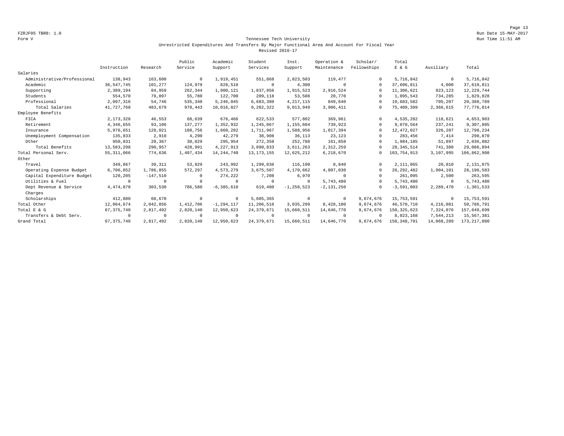Page 13 FZRJF05 TBR8: 1.0 Run Date 15-MAY-2017

## Form V Tennessee Tech University Run Time 11:51 AM Unrestricted Expenditures And Transfers By Major Functional Area And Account For Fiscal Year Revised 2016-17

|                             |              |            | Public    | Academic       | Student      | Inst.          | Operation &    | Scholar/    | Total         |            |                |
|-----------------------------|--------------|------------|-----------|----------------|--------------|----------------|----------------|-------------|---------------|------------|----------------|
|                             | Instruction  | Research   | Service   | Support        | Services     | Support        | Maintenance    | Fellowships | E & G         | Auxiliary  | Total          |
| Salaries                    |              |            |           |                |              |                |                |             |               |            |                |
| Administrative/Professional | 138,943      | 163,600    | $\Omega$  | 1,919,451      | 551,868      | 2,823,503      | 119,477        | $\Omega$    | 5,716,842     | $^{\circ}$ | 5,716,842      |
| Academic                    | 36, 547, 745 | 101,277    | 124,979   | 828,510        | $\circ$      | 4,300          | $\mathbf 0$    | $\Omega$    | 37,606,811    | 4,000      | 37,610,811     |
| Supporting                  | 2,389,194    | 84,959     | 262,344   | 1,900,121      | 1,837,956    | 1,915,523      | 2,916,524      | $\Omega$    | 11,306,621    | 923,123    | 12, 229, 744   |
| Students                    | 554,570      | 79,097     | 55,780    | 122,700        | 209,118      | 53,508         | 20,770         | $\Omega$    | 1,095,543     | 734,285    | 1,829,828      |
| Professional                | 2,097,316    | 54.746     | 535,340   | 5,246,045      | 6,683,380    | 4, 217, 115    | 849.640        | $\Omega$    | 19,683,582    | 705,207    | 20,388,789     |
| Total Salaries              | 41,727,768   | 483,679    | 978,443   | 10,016,827     | 9,282,322    | 9,013,949      | 3,906,411      | $\circ$     | 75,409,399    | 2,366,615  | 77,776,014     |
| Employee Benefits           |              |            |           |                |              |                |                |             |               |            |                |
| FICA                        | 2, 173, 328  | 46,553     | 68,639    | 676,466        | 622,533      | 577,802        | 369,961        | $\Omega$    | 4,535,282     | 118,621    | 4,653,903      |
| Retirement                  | 4,346,655    | 93,106     | 137,277   | 1,352,932      | 1,245,067    | 1,155,604      | 739,923        | $\Omega$    | 9,070,564     | 237,241    | 9,307,805      |
| Insurance                   | 5,976,651    | 128,021    | 188,756   | 1,860,282      | 1,711,967    | 1,588,956      | 1,017,394      | $\Omega$    | 12,472,027    | 326,207    | 12,798,234     |
| Unemployment Compensation   | 135,833      | 2,910      | 4,290     | 42.279         | 38,908       | 36,113         | 23,123         | $\Omega$    | 283,456       | 7.414      | 290,870        |
| Other                       | 950,831      | 20,367     | 30,029    | 295.954        | 272,358      | 252,788        | 161,858        | $\Omega$    | 1,984,185     | 51,897     | 2,036,082      |
| Total Benefits              | 13,583,298   | 290,957    | 428,991   | 4,227,913      | 3,890,833    | 3,611,263      | 2,312,259      | $\Omega$    | 28, 345, 514  | 741,380    | 29,086,894     |
| Total Personal Serv.        | 55, 311, 066 | 774,636    | 1,407,434 | 14, 244, 740   | 13, 173, 155 | 12,625,212     | 6,218,670      | 0           | 103,754,913   | 3,107,995  | 106,862,908    |
| Other                       |              |            |           |                |              |                |                |             |               |            |                |
| Travel                      | 349,867      | 39, 311    | 53,829    | 243,992        | 1,299,036    | 116,190        | 8,840          | $\Omega$    | 2,111,065     | 20,010     | 2,131,075      |
| Operating Expense Budget    | 6,706,852    | 1,786,855  | 572,297   | 4,573,279      | 3,675,507    | 4,170,662      | 4,807,030      | $\Omega$    | 26, 292, 482  | 1,904,101  | 28, 196, 583   |
| Capital Expenditure Budget  | 120,205      | $-147,510$ | $\Omega$  | 274,222        | 7,208        | 6,970          | $\Omega$       | $\Omega$    | 261,095       | 2,500      | 263,595        |
| Utilities & Fuel            | $\Omega$     | $^{\circ}$ | $\cup$    | $^{\circ}$     | $\circ$      | $\Omega$       | 5,743,480      | $\Omega$    | 5,743,480     | $^{\circ}$ | 5,743,480      |
| Dept Revenue & Service      | 4,474,870    | 303,530    | 786,580   | $-6, 385, 610$ | 619,400      | $-1, 258, 523$ | $-2, 131, 250$ | $\Omega$    | $-3,591,003$  | 2,289,470  | $-1, 301, 533$ |
| Charges                     |              |            |           |                |              |                |                |             |               |            |                |
| Scholarships                | 412,880      | 60,670     | $\Omega$  | $^{\circ}$     | 5,605,365    | $^{\circ}$     | $^{\circ}$     | 9,674,676   | 15,753,591    | 0          | 15,753,591     |
| Total Other                 | 12,064,674   | 2,042,856  | 1,412,706 | $-1, 294, 117$ | 11,206,516   | 3,035,299      | 8,428,100      | 9,674,676   | 46,570,710    | 4,216,081  | 50,786,791     |
| Total E & G                 | 67, 375, 740 | 2,817,492  | 2,820,140 | 12,950,623     | 24, 379, 671 | 15,660,511     | 14,646,770     | 9,674,676   | 150, 325, 623 | 7,324,076  | 157,649,699    |
| Transfers & Debt Serv.      | $\Omega$     | $^{\circ}$ | $\Omega$  | 0              | $\circ$      | $\Omega$       | $^{\circ}$     | $\Omega$    | 8,023,168     | 7,544,213  | 15,567,381     |
| Grand Total                 | 67, 375, 740 | 2,817,492  | 2,820,140 | 12,950,623     | 24, 379, 671 | 15,660,511     | 14,646,770     | 9,674,676   | 158, 348, 791 | 14,868,289 | 173, 217, 080  |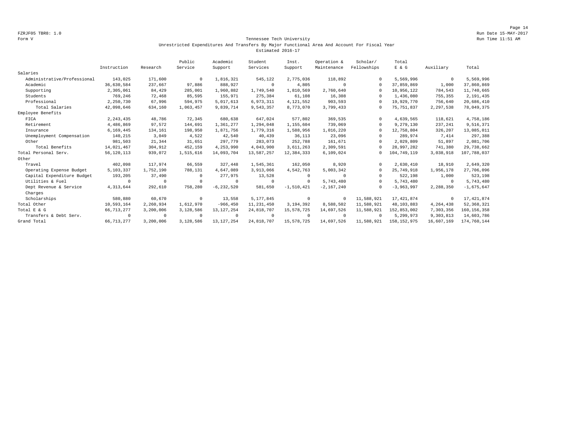## Form V Tennessee Tech University Run Time 11:51 AM Unrestricted Expenditures And Transfers By Major Functional Area And Account For Fiscal Year Estimated 2016-17

|                             |              |            | Public    | Academic       | Student      | Inst.        | Operation &  | Scholar/    | Total         |             |               |
|-----------------------------|--------------|------------|-----------|----------------|--------------|--------------|--------------|-------------|---------------|-------------|---------------|
|                             | Instruction  | Research   | Service   | Support        | Services     | Support      | Maintenance  | Fellowships | E & G         | Auxiliary   | Total         |
| Salaries                    |              |            |           |                |              |              |              |             |               |             |               |
| Administrative/Professional | 143,025      | 171,600    | $\Omega$  | 1,816,321      | 545,122      | 2,775,036    | 118,892      | $\Omega$    | 5,569,996     | $\mathbf 0$ | 5,569,996     |
| Academic                    | 36,630,584   | 237.667    | 97.886    | 888,927        | $^{\circ}$   | 4,805        | $\Omega$     | $\Omega$    | 37,859,869    | 1,000       | 37,860,869    |
| Supporting                  | 2,305,061    | 84,429     | 285,001   | 1,960,882      | 1,749,540    | 1,810,569    | 2,760,640    | $\Omega$    | 10,956,122    | 784,543     | 11,740,665    |
| Students                    | 769,246      | 72,468     | 85,595    | 155,971        | 275,384      | 61,108       | 16,308       | $\Omega$    | 1,436,080     | 755,355     | 2,191,435     |
| Professional                | 2,250,730    | 67,996     | 594,975   | 5,017,613      | 6,973,311    | 4, 121, 552  | 903,593      | $\Omega$    | 19,929,770    | 756,640     | 20,686,410    |
| Total Salaries              | 42,098,646   | 634,160    | 1,063,457 | 9,839,714      | 9,543,357    | 8,773,070    | 3,799,433    | $\Omega$    | 75, 751, 837  | 2,297,538   | 78,049,375    |
| Employee Benefits           |              |            |           |                |              |              |              |             |               |             |               |
| FICA                        | 2, 243, 435  | 48,786     | 72,345    | 680,638        | 647,024      | 577,802      | 369,535      | $\Omega$    | 4,639,565     | 118,621     | 4,758,186     |
| Retirement                  | 4,486,869    | 97,572     | 144,691   | 1,361,277      | 1,294,048    | 1,155,604    | 739,069      | $\Omega$    | 9,279,130     | 237,241     | 9,516,371     |
| Insurance                   | 6,169,445    | 134,161    | 198,950   | 1,871,756      | 1,779,316    | 1,588,956    | 1,016,220    | $\Omega$    | 12,758,804    | 326,207     | 13,085,011    |
| Unemployment Compensation   | 140,215      | 3,049      | 4,522     | 42,540         | 40,439       | 36,113       | 23,096       |             | 289,974       | 7,414       | 297,388       |
| Other                       | 981,503      | 21,344     | 31,651    | 297,779        | 283,073      | 252,788      | 161,671      | $\Omega$    | 2,029,809     | 51,897      | 2,081,706     |
| Total Benefits              | 14,021,467   | 304,912    | 452,159   | 4,253,990      | 4,043,900    | 3,611,263    | 2,309,591    |             | 28,997,282    | 741,380     | 29,738,662    |
| Total Personal Serv.        | 56, 120, 113 | 939,072    | 1,515,616 | 14,093,704     | 13,587,257   | 12,384,333   | 6,109,024    | $\Omega$    | 104,749,119   | 3,038,918   | 107,788,037   |
| Other                       |              |            |           |                |              |              |              |             |               |             |               |
| Travel                      | 402,098      | 117,974    | 66,559    | 327,448        | 1,545,361    | 162,050      | 8,920        | $\Omega$    | 2,630,410     | 18,910      | 2,649,320     |
| Operating Expense Budget    | 5,103,337    | 1,752,190  | 788,131   | 4,647,089      | 3,913,066    | 4,542,763    | 5,003,342    | $\Omega$    | 25,749,918    | 1,956,178   | 27,706,096    |
| Capital Expenditure Budget  | 193,205      | 37,490     |           | 277,975        | 13,528       | $\Omega$     | $\Omega$     |             | 522,198       | 1,000       | 523,198       |
| Utilities & Fuel            | $\Omega$     | $^{\circ}$ |           | $\mathbf 0$    | $\Omega$     | $\Omega$     | 5,743,480    | $\cap$      | 5,743,480     | $\circ$     | 5,743,480     |
| Dept Revenue & Service      | 4, 313, 644  | 292,610    | 758,280   | $-6, 232, 520$ | 581,650      | $-1,510,421$ | $-2,167,240$ | $\Omega$    | $-3,963,997$  | 2,288,350   | $-1,675,647$  |
| Charges                     |              |            |           |                |              |              |              |             |               |             |               |
| Scholarships                | 580,880      | 60,670     | $\Omega$  | 13,558         | 5,177,845    | $^{\circ}$   | $^{\circ}$   | 11,588,921  | 17, 421, 874  | $\circ$     | 17, 421, 874  |
| Total Other                 | 10,593,164   | 2,260,934  | 1,612,970 | $-966, 450$    | 11, 231, 450 | 3, 194, 392  | 8,588,502    | 11,588,921  | 48,103,883    | 4,264,438   | 52, 368, 321  |
| Total E & G                 | 66, 713, 277 | 3,200,006  | 3,128,586 | 13, 127, 254   | 24,818,707   | 15,578,725   | 14,697,526   | 11,588,921  | 152,853,002   | 7,303,356   | 160, 156, 358 |
| Transfers & Debt Serv.      | $\Omega$     | $^{\circ}$ | $\Omega$  | $^{\circ}$     | $\circ$      | $\Omega$     | $\Omega$     | $\Omega$    | 5,299,973     | 9,303,813   | 14,603,786    |
| Grand Total                 | 66, 713, 277 | 3,200,006  | 3,128,586 | 13, 127, 254   | 24,818,707   | 15,578,725   | 14,697,526   | 11,588,921  | 158, 152, 975 | 16,607,169  | 174,760,144   |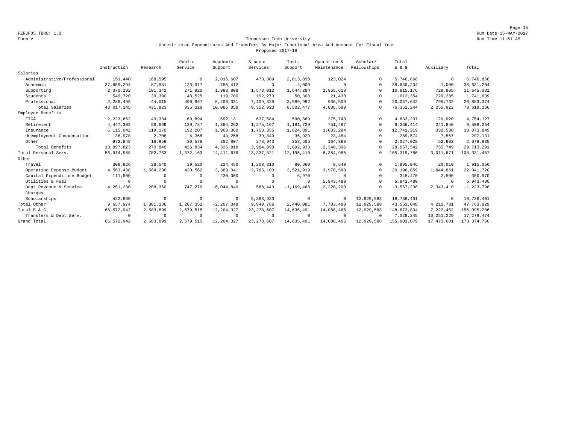## Form V Tennessee Tech University Run Time 11:51 AM Unrestricted Expenditures And Transfers By Major Functional Area And Account For Fiscal Year Proposed 2017-18

|                             |             |            | Public     | Academic       | Student      | Inst.          | Operation &    | Scholar/    | Total         |              |                |
|-----------------------------|-------------|------------|------------|----------------|--------------|----------------|----------------|-------------|---------------|--------------|----------------|
|                             | Instruction | Research   | Service    | Support        | Services     | Support        | Maintenance    | Fellowships | $E$ & $G$     | Auxiliary    | Total          |
| Salaries                    |             |            |            |                |              |                |                |             |               |              |                |
| Administrative/Professional | 151,440     | 168,595    | $\Omega$   | 2,016,607      | 473,309      | 2,813,893      | 123,024        | $\Omega$    | 5,746,868     | $\mathbf{0}$ | 5,746,868      |
| Academic                    | 37,659,294  | 87,581     | 123,917    | 755,412        | $\mathbf{0}$ | 4,000          | $^{\circ}$     | $\Omega$    | 38,630,204    | 1,000        | 38,631,204     |
| Supporting                  | 2,370,192   | 101,342    | 271,920    | 1,993,808      | 1,578,012    | 1,644,284      | 2,955,618      | $\Omega$    | 10,915,176    | 729,905      | 11,645,081     |
| Students                    | 549,720     | 30,390     | 48,525     | 119,700        | 192,273      | 50,308         | 21,438         | $\Omega$    | 1,012,354     | 729,285      | 1,741,639      |
| Professional                | 2,286,499   | 44,015     | 490,967    | 5,200,331      | 7,109,329    | 3,989,992      | 936,509        | $\Omega$    | 20,057,642    | 795,732      | 20,853,374     |
| Total Salaries              | 43,017,145  | 431,923    | 935,329    | 10,085,858     | 9,352,923    | 8,502,477      | 4,036,589      | 0           | 76, 362, 244  | 2,255,922    | 78,618,166     |
| Employee Benefits           |             |            |            |                |              |                |                |             |               |              |                |
| FICA                        | 2, 223, 652 | 43,334     | 69,894     | 692,131        | 637,584      | 590,869        | 375,743        | $\Omega$    | 4,633,207     | 120,920      | 4,754,127      |
| Retirement                  | 4,447,303   | 86,669     | 139,787    | 1,384,262      | 1,275,167    | 1,181,739      | 751,487        | $\Omega$    | 9,266,414     | 241,840      | 9,508,254      |
| Insurance                   | 6,115,042   | 119,170    | 192,207    | 1,903,360      | 1,753,355    | 1,624,891      | 1,033,294      | $\Omega$    | 12,741,319    | 332,530      | 13,073,849     |
| Unemployment Compensation   | 138,978     | 2,708      | 4,368      | 43,258         | 39,849       | 36,929         | 23,484         | $\Omega$    | 289,574       | 7,557        | 297,131        |
| Other                       | 972,848     | 18,959     | 30,578     | 302,807        | 278,943      | 258,505        | 164,388        | $\Omega$    | 2,027,028     | 52,902       | 2,079,930      |
| Total Benefits              | 13,897,823  | 270,840    | 436,834    | 4, 325, 818    | 3,984,898    | 3,692,933      | 2,348,396      | $\Omega$    | 28,957,542    | 755,749      | 29, 713, 291   |
| Total Personal Serv.        | 56,914,968  | 702,763    | 1,372,163  | 14, 411, 676   | 13, 337, 821 | 12, 195, 410   | 6,384,985      | $\Omega$    | 105, 319, 786 | 3,011,671    | 108, 331, 457  |
| Other                       |             |            |            |                |              |                |                |             |               |              |                |
| Travel                      | 308,926     | 28,540     | 39,520     | 224,450        | 1,203,310    | 80,660         | 9,640          | $\Omega$    | 1,895,046     | 20,010       | 1,915,056      |
| Operating Expense Budget    | 4,563,438   | 1,564,236  | 420,562    | 3,383,041      | 2,765,103    | 3,521,919      | 3,978,560      | $\Omega$    | 20,196,859    | 1,844,861    | 22,041,720     |
| Capital Expenditure Budget  | 111,500     | $\Omega$   | $^{\circ}$ | 230,000        | 0            | 6,970          | $^{\circ}$     | $\Omega$    | 348,470       | 2,500        | 350,970        |
| Utilities & Fuel            | $^{\circ}$  | $^{\circ}$ | $\Omega$   | $\Omega$       | $\Omega$     | $^{\circ}$     | 5,943,480      | $\Omega$    | 5,943,480     | $\mathbf{0}$ | 5,943,480      |
| Dept Revenue & Service      | 4, 251, 230 | 288,360    | 747,270    | $-6,044,840$   | 588,440      | $-1, 169, 468$ | $-2, 228, 200$ | $\Omega$    | $-3,567,208$  | 2,343,410    | $-1, 223, 798$ |
| Charges                     |             |            |            |                |              |                |                |             |               |              |                |
| Scholarships                | 422,880     | $^{\circ}$ | $\Omega$   | $^{\circ}$     | 5,383,933    | $^{\circ}$     | $^{\circ}$     | 12,929,588  | 18,736,401    | $^{\circ}$   | 18,736,401     |
| Total Other                 | 9,657,974   | 1,881,136  | 1,207,352  | $-2, 207, 349$ | 9,940,786    | 2,440,081      | 7,703,480      | 12,929,588  | 43,553,048    | 4, 210, 781  | 47,763,829     |
| Total E & G                 | 66,572,942  | 2,583,899  | 2,579,515  | 12, 204, 327   | 23, 278, 607 | 14,635,491     | 14,088,465     | 12,929,588  | 148,872,834   | 7,222,452    | 156,095,286    |
| Transfers & Debt Serv.      | $^{\circ}$  | $^{\circ}$ | $\Omega$   | $^{\circ}$     | $\Omega$     | $\Omega$       | $^{\circ}$     | $\Omega$    | 7,028,245     | 10,251,229   | 17, 279, 474   |
| Grand Total                 | 66,572,942  | 2,583,899  | 2,579,515  | 12, 204, 327   | 23, 278, 607 | 14,635,491     | 14,088,465     | 12,929,588  | 155,901,079   | 17, 473, 681 | 173, 374, 760  |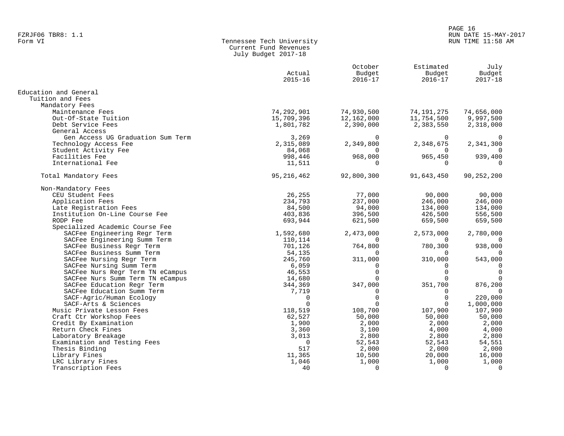# PAGE 16 FZRJF06 TBR8: 1.1 RUN DATE 15-MAY-2017

# Tennessee Tech University Current Fund Revenues July Budget 2017-18

|                                   | Actual<br>$2015 - 16$ | October<br>Budget<br>$2016 - 17$ | Estimated<br>Budget<br>$2016 - 17$ | July<br>Budget<br>$2017 - 18$ |
|-----------------------------------|-----------------------|----------------------------------|------------------------------------|-------------------------------|
| Education and General             |                       |                                  |                                    |                               |
| Tuition and Fees                  |                       |                                  |                                    |                               |
| Mandatory Fees                    |                       |                                  |                                    |                               |
| Maintenance Fees                  | 74,292,901            | 74,930,500                       | 74, 191, 275                       | 74,656,000                    |
| Out-Of-State Tuition              | 15,709,396            | 12,162,000                       | 11,754,500                         | 9,997,500                     |
| Debt Service Fees                 | 1,801,782             | 2,390,000                        | 2,383,550                          | 2,318,000                     |
| General Access                    |                       |                                  |                                    |                               |
| Gen Access UG Graduation Sum Term | 3,269                 | $\Omega$                         | $\Omega$                           | $\Omega$                      |
| Technology Access Fee             | 2,315,089             | 2,349,800                        | 2,348,675                          | 2,341,300                     |
| Student Activity Fee              | 84,068                | $\Omega$                         |                                    | $\Omega$                      |
| Facilities Fee                    | 998,446               | 968,000                          | 965,450                            | 939,400                       |
| International Fee                 | 11,511                | $\Omega$                         | $\Omega$                           | $\Omega$                      |
| Total Mandatory Fees              | 95, 216, 462          | 92,800,300                       | 91,643,450                         | 90, 252, 200                  |
| Non-Mandatory Fees                |                       |                                  |                                    |                               |
| CEU Student Fees                  | 26,255                | 77,000                           | 90,000                             | 90,000                        |
| Application Fees                  | 234,793               | 237,000                          | 246,000                            | 246,000                       |
| Late Registration Fees            | 84,500                | 94,000                           | 134,000                            | 134,000                       |
| Institution On-Line Course Fee    | 403,836               | 396,500                          | 426,500                            | 556,500                       |
| RODP Fee                          | 693,944               | 621,500                          | 659,500                            | 659,500                       |
| Specialized Academic Course Fee   |                       |                                  |                                    |                               |
| SACFee Engineering Regr Term      | 1,592,680             | 2,473,000                        | 2,573,000                          | 2,780,000                     |
| SACFee Engineering Summ Term      | 110,114               | $\Omega$                         | $\Omega$                           |                               |
| SACFee Business Regr Term         | 701,126               | 764,800                          | 780,300                            | 938,000                       |
| SACFee Business Summ Term         | 54,135                | $\Omega$                         | $\Omega$                           | $\Omega$                      |
| SACFee Nursing Regr Term          | 245,760               | 311,000                          | 310,000                            | 543,000                       |
| SACFee Nursing Summ Term          | 6,059                 | $\Omega$                         | $\Omega$                           | 0                             |
| SACFee Nurs Regr Term TN eCampus  | 46,553                | $\Omega$                         | $\Omega$                           | $\Omega$                      |
| SACFee Nurs Summ Term TN eCampus  | 14,680                |                                  |                                    | $\Omega$                      |
| SACFee Education Regr Term        | 344,369               | 347,000                          | 351,700                            | 876,200                       |
| SACFee Education Summ Term        | 7,719                 | $\Omega$                         | $\Omega$                           | 0                             |
| SACF-Agric/Human Ecology          | $\Omega$              | $\Omega$                         | $\Omega$                           | 220,000                       |
| SACF-Arts & Sciences              | $\Omega$              | $\Omega$                         | $\Omega$                           | 1,000,000                     |
| Music Private Lesson Fees         | 118,519               | 108,700                          | 107,900                            | 107,900                       |
| Craft Ctr Workshop Fees           | 62,527                | 50,000                           | 50,000                             | 50,000                        |
| Credit By Examination             | 1,900                 | 2,000                            | 2,000                              | 2,000                         |
| Return Check Fines                | 3,360                 | 3,100                            | 4,000                              | 4,000                         |
| Laboratory Breakage               | 3,013                 | 2,800                            | 2,800                              | 2,800                         |
| Examination and Testing Fees      | $\mathbf 0$           | 52,543                           | 52,543                             | 54,551                        |
| Thesis Binding                    | 517                   | 2,000                            | 2,000                              | 2,000                         |
| Library Fines                     | 11,365                | 10,500                           | 20,000                             | 16,000                        |
| LRC Library Fines                 | 1,046                 | 1,000                            | 1,000                              | 1,000                         |
| Transcription Fees                | 40                    | $\Omega$                         | $\Omega$                           | $\mathbf 0$                   |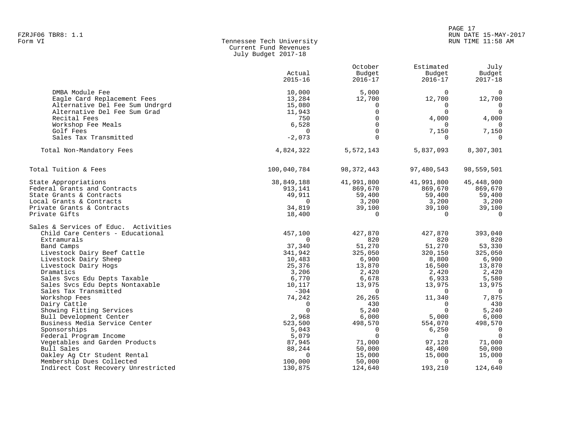## PAGE 17 FZRJF06 TBR8: 1.1 RUN DATE 15-MAY-2017 RUN TIME 11:58 AM

| Form VI | Tennessee Tech University |
|---------|---------------------------|
|         | Current Fund Revenues     |
|         | July Budget 2017-18       |

|                                        | Actual<br>$2015 - 16$ | October<br>Budget<br>$2016 - 17$ | Estimated<br>Budget<br>$2016 - 17$ | July<br>Budget<br>$2017 - 18$ |
|----------------------------------------|-----------------------|----------------------------------|------------------------------------|-------------------------------|
| DMBA Module Fee                        | 10,000                | 5,000                            | $\Omega$                           | 0                             |
| Eagle Card Replacement Fees            | 13,284                | 12,700                           | 12,700                             | 12,700                        |
| Alternative Del Fee Sum Undrgrd        | 15,080                | 0                                | $\Omega$                           | $\mathbf{0}$                  |
| Alternative Del Fee Sum Grad           | 11,943                | $\Omega$                         | $\Omega$                           | $\Omega$                      |
| Recital Fees                           | 750                   | $\Omega$                         | 4,000                              | 4,000                         |
| Workshop Fee Meals                     | 6,528                 | $\Omega$                         | $\Omega$                           | $\Omega$                      |
| Golf Fees                              | $\Omega$              | $\Omega$                         | 7,150                              | 7,150                         |
| Sales Tax Transmitted                  | $-2,073$              | $\Omega$                         | $\Omega$                           | $\Omega$                      |
| Total Non-Mandatory Fees               | 4,824,322             | 5,572,143                        | 5,837,093                          | 8,307,301                     |
| Total Tuition & Fees                   | 100,040,784           | 98, 372, 443                     | 97,480,543                         | 98,559,501                    |
| State Appropriations                   | 38,849,188            | 41,991,800                       | 41,991,800                         | 45, 448, 900                  |
| Federal Grants and Contracts           | 913,141               | 869,670                          | 869,670                            | 869,670                       |
| State Grants & Contracts               | 49,911                | 59,400                           | 59,400                             | 59,400                        |
| Local Grants & Contracts               | $\Omega$              | 3,200                            | 3,200                              | 3,200                         |
| Private Grants & Contracts             | 34,819                | 39,100                           | 39,100                             | 39,100                        |
| Private Gifts                          | 18,400                | $\Omega$                         | $\Omega$                           | $\Omega$                      |
| Sales & Services of Educ. Activities   |                       |                                  |                                    |                               |
| Child Care Centers - Educational       | 457,100               | 427,870                          | 427,870                            | 393,040                       |
| Extramurals                            | $\Omega$              | 820                              | 820                                | 820                           |
| Band Camps                             | 37,340                | 51,270                           | 51,270                             | 53,330                        |
| Livestock Dairy Beef Cattle            | 341,942               | 325,050                          | 320,150                            | 325,050                       |
| Livestock Dairy Sheep                  | 10,483                | 6,900                            | 8,800                              | 6,900                         |
| Livestock Dairy Hogs                   | 25,376                | 13,870                           | 16,500                             | 13,870                        |
| Dramatics                              | 3,206                 | 2,420                            | 2,420                              | 2,420                         |
| Sales Svcs Edu Depts Taxable           | 6,770                 | 6,678                            | 6,933                              | 5,580                         |
| Sales Svcs Edu Depts Nontaxable        | 10,117<br>$-304$      | 13,975<br>$\Omega$               | 13,975<br>$\Omega$                 | 13,975<br>$\overline{0}$      |
| Sales Tax Transmitted<br>Workshop Fees | 74,242                | 26,265                           | 11,340                             | 7,875                         |
| Dairy Cattle                           | $\Omega$              | 430                              | $\Omega$                           | 430                           |
| Showing Fitting Services               | $\Omega$              | 5,240                            | $\Omega$                           | 5,240                         |
| Bull Development Center                | 2,968                 | 6,000                            | 5,000                              | 6,000                         |
| Business Media Service Center          | 523,500               | 498,570                          | 554,070                            | 498,570                       |
| Sponsorships                           | 5,043                 | $\Omega$                         | 6,250                              | $\Omega$                      |
| Federal Program Income                 | 5,079                 | $\Omega$                         | $\Omega$                           | $\Omega$                      |
| Vegetables and Garden Products         | 87,945                | 71,000                           | 97,128                             | 71,000                        |
| Bull Sales                             | 88,244                | 50,000                           | 48,400                             | 50,000                        |
| Oakley Ag Ctr Student Rental           | $\Omega$              | 15,000                           | 15,000                             | 15,000                        |
| Membership Dues Collected              | 100,000               | 50,000                           | $\Omega$                           | $\mathbf 0$                   |
| Indirect Cost Recovery Unrestricted    | 130,875               | 124,640                          | 193,210                            | 124,640                       |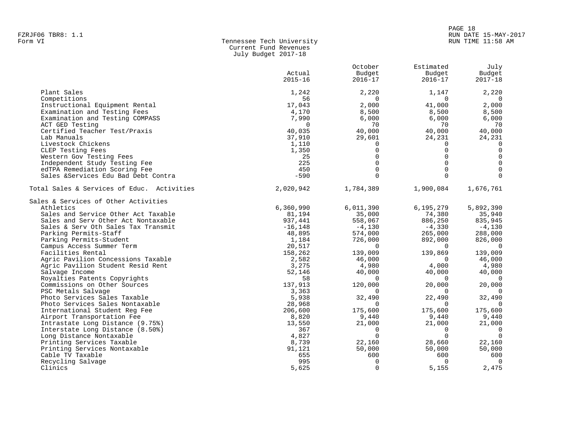# PAGE 18 FZRJF06 TBR8: 1.1<br>Form VI RUN DATE 15-MAY-2017 Tennessee Tech University Number of RUN DATE 15-MAY-2017 RUN TIME 11:58 AM

| Form VI | Tennessee Tech Universit |
|---------|--------------------------|
|         | Current Fund Revenues    |
|         | July Budget 2017-18      |

|                                            | Actual      | October<br>Budget | Estimated<br>Budget | July<br>Budget      |
|--------------------------------------------|-------------|-------------------|---------------------|---------------------|
|                                            | $2015 - 16$ | $2016 - 17$       | $2016 - 17$         | $2017 - 18$         |
| Plant Sales                                | 1,242       | 2,220             | 1,147               | 2,220               |
| Competitions                               | 56          | $\Omega$          | $\Omega$            | $\Omega$            |
| Instructional Equipment Rental             | 17,043      | 2,000             | 41,000              | 2,000               |
| Examination and Testing Fees               | 4,170       | 8,500             | 8,500               | 8,500               |
| Examination and Testing COMPASS            | 7,990       | 6,000             | 6,000               | 6,000               |
| ACT GED Testing                            | $\Omega$    | 70                | 70                  | 70                  |
| Certified Teacher Test/Praxis              | 40,035      | 40,000            | 40,000              | 40,000              |
| Lab Manuals                                | 37,910      | 29,601            | 24,231              | 24,231              |
| Livestock Chickens                         | 1,110       | 0                 | $\Omega$            | $\Omega$            |
| CLEP Testing Fees                          | 1,350       | $\Omega$          | $\Omega$            | $\mathbf 0$         |
| Western Gov Testing Fees                   | 25          | $\Omega$          | $\Omega$            | $\mathbf 0$         |
| Independent Study Testing Fee              | 225         | $\Omega$          | $\Omega$            | $\mathsf{O}\xspace$ |
| edTPA Remediation Scoring Fee              | 450         | $\Omega$          | $\Omega$            | $\mathsf{O}\xspace$ |
| Sales &Services Edu Bad Debt Contra        | $-590$      | $\Omega$          | $\cap$              |                     |
| Total Sales & Services of Educ. Activities | 2,020,942   | 1,784,389         | 1,900,084           | 1,676,761           |
| Sales & Services of Other Activities       |             |                   |                     |                     |
| Athletics                                  | 6,360,990   | 6,011,390         | 6,195,279           | 5,892,390           |
| Sales and Service Other Act Taxable        | 81,194      | 35,000            | 74,380              | 35,940              |
| Sales and Serv Other Act Nontaxable        | 937,441     | 558,067           | 886,250             | 835,945             |
| Sales & Serv Oth Sales Tax Transmit        | $-16, 148$  | $-4,130$          | $-4,330$            | $-4,130$            |
| Parking Permits-Staff                      | 48,895      | 574,000           | 265,000             | 288,000             |
| Parking Permits-Student                    | 1,184       | 726,000           | 892,000             | 826,000             |
| Campus Access Summer Term                  | 20,517      | $\Omega$          | $\Omega$            | $\overline{0}$      |
| Facilities Rental                          | 158,262     | 139,009           | 139,869             | 139,009             |
| Agric Pavilion Concessions Taxable         | 2,582       | 46,000            | $\Omega$            | 46,000              |
| Agric Pavilion Student Resid Rent          | 3,275       | 4,980             | 4,000               | 4,980               |
| Salvage Income                             | 52,146      | 40,000            | 40,000              | 40,000              |
| Royalties Patents Copyrights               | 58          | $\Omega$          | $\Omega$            | $\Omega$            |
| Commissions on Other Sources               | 137,913     | 120,000           | 20,000              | 20,000              |
| PSC Metals Salvage                         | 3,363       |                   |                     |                     |
| Photo Services Sales Taxable               | 5,938       | 32,490            | 22,490              | 32,490              |
| Photo Services Sales Nontaxable            | 28,968      | 0                 | $\Omega$            | $\Omega$            |
| International Student Reg Fee              | 206,600     | 175,600           | 175,600             | 175,600             |
| Airport Transportation Fee                 | 8,820       | 9,440             | 9,440               | 9,440               |
| Intrastate Long Distance (9.75%)           | 13,550      | 21,000            | 21,000              | 21,000              |
| Interstate Long Distance (8.50%)           | 367         | $\Omega$          | $\Omega$            | $\overline{0}$      |
| Long Distance Nontaxable                   | 4,827       | $\Omega$          | $\cap$              | $\Omega$            |
| Printing Services Taxable                  | 8,739       | 22,160            | 28,660              | 22,160              |
| Printing Services Nontaxable               | 91,121      | 50,000            | 50,000              | 50,000              |
| Cable TV Taxable                           | 655         | 600               | 600                 | 600                 |
| Recycling Salvage                          | 995         | 0                 | $\Omega$            | $\overline{0}$      |
| Clinics                                    | 5,625       | $\Omega$          | 5,155               | 2,475               |
|                                            |             |                   |                     |                     |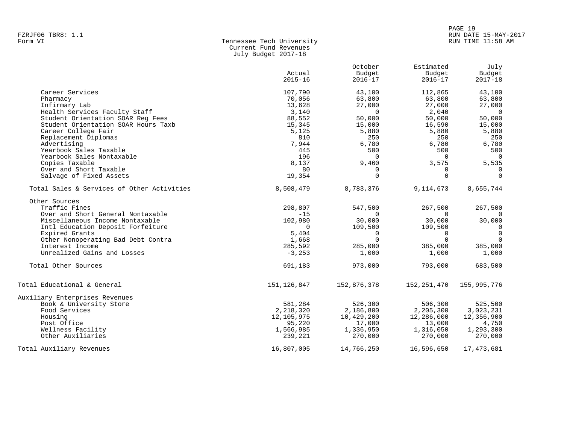| rakorgo ibko: 1.1 |                           |  |
|-------------------|---------------------------|--|
| Form VI           | Tennessee Tech University |  |
|                   | Current Fund Revenues     |  |
|                   | July Budget 2017-18       |  |

|                                            | Actual<br>$2015 - 16$ | October<br>Budget<br>$2016 - 17$ | Estimated<br>Budget<br>$2016 - 17$ | July<br>Budget<br>$2017 - 18$ |
|--------------------------------------------|-----------------------|----------------------------------|------------------------------------|-------------------------------|
| Career Services                            | 107,790               | 43,100                           | 112,865                            | 43,100                        |
| Pharmacy                                   | 70,056                | 63,800                           | 63,800                             | 63,800                        |
| Infirmary Lab                              | 13,628                | 27,000                           | 27,000                             | 27,000                        |
| Health Services Faculty Staff              | 3,140                 | $\Omega$                         | 2,040                              | $\Omega$                      |
| Student Orientation SOAR Req Fees          | 88,552                | 50,000                           | 50,000                             | 50,000                        |
| Student Orientation SOAR Hours Taxb        | 15,345                | 15,000                           | 16,590                             | 15,000                        |
| Career College Fair                        | 5,125                 | 5,880                            | 5,880                              | 5,880                         |
| Replacement Diplomas                       | 810                   | 250                              | 250                                | 250                           |
| Advertising                                | 7,944                 | 6,780                            | 6,780                              | 6,780                         |
| Yearbook Sales Taxable                     | 445                   | 500                              | 500                                | 500                           |
| Yearbook Sales Nontaxable                  | 196                   | $\Omega$                         | $\Omega$                           | $\Omega$                      |
| Copies Taxable                             | 8,137                 | 9,460                            | 3,575                              | 5,535                         |
| Over and Short Taxable                     | 80                    | $\Omega$                         | 0                                  | $\overline{0}$                |
| Salvage of Fixed Assets                    | 19,354                | $\Omega$                         | $\Omega$                           | $\Omega$                      |
| Total Sales & Services of Other Activities | 8,508,479             | 8,783,376                        | 9,114,673                          | 8,655,744                     |
| Other Sources                              |                       |                                  |                                    |                               |
| Traffic Fines                              | 298,807               | 547,500                          | 267,500                            | 267,500                       |
| Over and Short General Nontaxable          | $-15$                 | $\Omega$                         | $\Omega$                           |                               |
| Miscellaneous Income Nontaxable            | 102,980               | 30,000                           | 30,000                             | 30,000                        |
| Intl Education Deposit Forfeiture          | $\Omega$              | 109,500                          | 109,500                            | $\mathbf 0$                   |
| Expired Grants                             | 5,404                 | $\Omega$                         | 0                                  | $\overline{0}$                |
| Other Nonoperating Bad Debt Contra         | 1,668                 | $\Omega$                         | $\Omega$                           | $\Omega$                      |
| Interest Income                            | 285,592               | 285,000                          | 385,000                            | 385,000                       |
| Unrealized Gains and Losses                | $-3, 253$             | 1,000                            | 1,000                              | 1,000                         |
| Total Other Sources                        | 691,183               | 973,000                          | 793,000                            | 683,500                       |
| Total Educational & General                | 151, 126, 847         | 152,876,378                      | 152,251,470                        | 155,995,776                   |
| Auxiliary Enterprises Revenues             |                       |                                  |                                    |                               |
| Book & University Store                    | 581,284               | 526,300                          | 506,300                            | 525,500                       |
| Food Services                              | 2,218,320             | 2,186,800                        | 2,205,300                          | 3,023,231                     |
| Housing                                    | 12,105,975            | 10,429,200                       | 12,286,000                         | 12,356,900                    |
| Post Office                                | 95,220                | 17,000                           | 13,000                             | 4,750                         |
| Wellness Facility                          | 1,566,985             | 1,336,950                        | 1,316,050                          | 1,293,300                     |
| Other Auxiliaries                          | 239,221               | 270,000                          | 270,000                            | 270,000                       |
| Total Auxiliary Revenues                   | 16,807,005            | 14,766,250                       | 16,596,650                         | 17,473,681                    |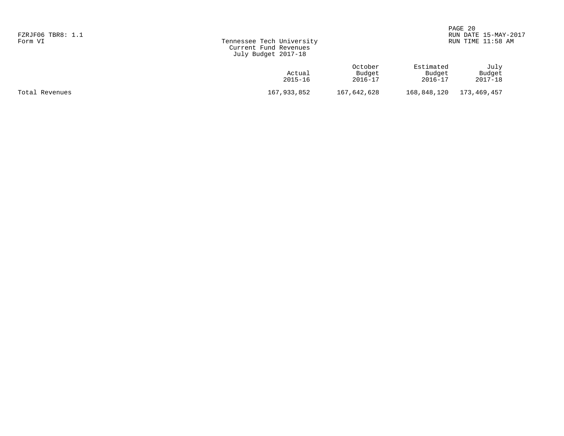| FZRJF06 TBR8: 1.1<br>Form VI | Tennessee Tech University<br>Current Fund Revenues<br>July Budget 2017-18 |                                  |                                | PAGE 20<br>RUN DATE 15-MAY-2017<br>RUN TIME 11:58 AM |  |
|------------------------------|---------------------------------------------------------------------------|----------------------------------|--------------------------------|------------------------------------------------------|--|
|                              | Actual<br>2015-16                                                         | October<br>Budget<br>$2016 - 17$ | Estimated<br>Budget<br>2016-17 | July<br>Budget<br>2017-18                            |  |
| Total Revenues               | 167,933,852                                                               | 167,642,628                      | 168,848,120                    | 173,469,457                                          |  |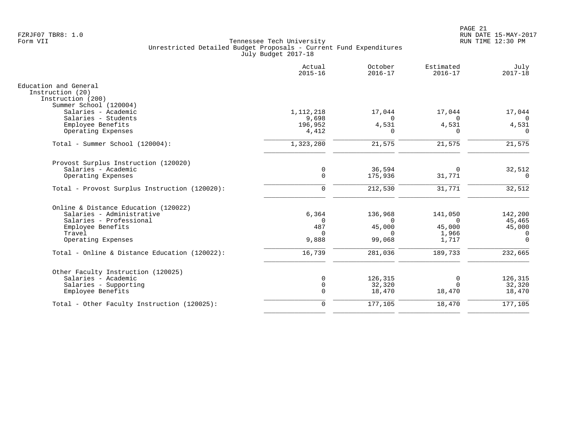|                                               | Actual<br>$2015 - 16$ | October<br>$2016 - 17$ | Estimated<br>$2016 - 17$ | July<br>$2017 - 18$     |
|-----------------------------------------------|-----------------------|------------------------|--------------------------|-------------------------|
| Education and General<br>Instruction (20)     |                       |                        |                          |                         |
| Instruction (200)                             |                       |                        |                          |                         |
| Summer School (120004)                        |                       |                        |                          |                         |
| Salaries - Academic                           | 1, 112, 218           | 17,044<br>$\Omega$     | 17,044<br>$\Omega$       | 17,044                  |
| Salaries - Students<br>Employee Benefits      | 9,698<br>196,952      | 4,531                  | 4,531                    | $\overline{0}$<br>4,531 |
| Operating Expenses                            | 4,412                 | ∩                      | $\Omega$                 | $\Omega$                |
| Total - Summer School (120004):               | 1,323,280             | 21,575                 | 21,575                   | 21,575                  |
| Provost Surplus Instruction (120020)          |                       |                        |                          |                         |
| Salaries - Academic                           | $\mathbf 0$           | 36,594                 | $\Omega$                 | 32,512                  |
| Operating Expenses                            | $\mathbf 0$           | 175,936                | 31,771                   | 0                       |
| Total - Provost Surplus Instruction (120020): | $\mathbf 0$           | 212,530                | 31,771                   | 32,512                  |
| Online & Distance Education (120022)          |                       |                        |                          |                         |
| Salaries - Administrative                     | 6,364                 | 136,968                | 141,050                  | 142,200                 |
| Salaries - Professional                       | $\Omega$              | $\cap$                 | $\Omega$                 | 45,465                  |
| Employee Benefits                             | 487                   | 45,000                 | 45,000                   | 45,000                  |
| Travel                                        | $\Omega$              | $\Omega$               | 1,966                    | 0                       |
| Operating Expenses                            | 9,888                 | 99,068                 | 1,717                    | $\Omega$                |
| Total - Online & Distance Education (120022): | 16,739                | 281,036                | 189,733                  | 232,665                 |
| Other Faculty Instruction (120025)            |                       |                        |                          |                         |
| Salaries - Academic                           | 0                     | 126,315                | 0                        | 126,315                 |
| Salaries - Supporting                         | 0                     | 32,320                 | $\Omega$                 | 32,320                  |
| Employee Benefits                             | $\Omega$              | 18,470                 | 18,470                   | 18,470                  |
| Total - Other Faculty Instruction (120025):   | $\mathbf 0$           | 177,105                | 18,470                   | 177,105                 |
|                                               |                       |                        |                          |                         |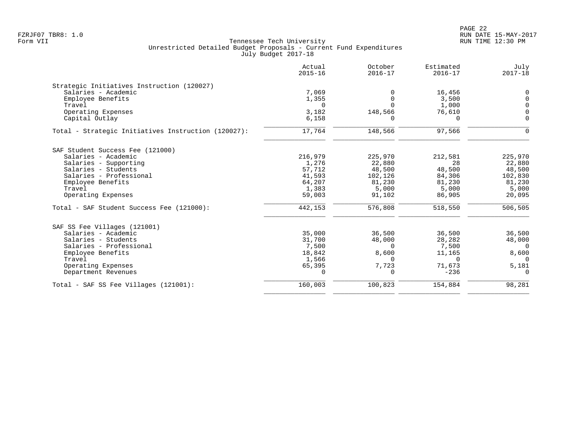|                                                     | Actual<br>$2015 - 16$ | October<br>$2016 - 17$ | Estimated<br>$2016 - 17$ | July<br>$2017 - 18$ |
|-----------------------------------------------------|-----------------------|------------------------|--------------------------|---------------------|
| Strategic Initiatives Instruction (120027)          |                       |                        |                          |                     |
| Salaries - Academic                                 | 7,069                 | $\Omega$               | 16,456                   | $\mathbf 0$         |
| Employee Benefits                                   | 1,355                 | $\Omega$               | 3,500                    | $\Omega$            |
| Travel                                              | $\Omega$              | $\Omega$               | 1,000                    | $\Omega$            |
| Operating Expenses                                  | 3,182                 | 148,566                | 76,610                   | $\Omega$            |
| Capital Outlay                                      | 6,158                 | $\Omega$               | $\Omega$                 | $\Omega$            |
| Total - Strategic Initiatives Instruction (120027): | 17,764                | 148,566                | 97,566                   | $\Omega$            |
| SAF Student Success Fee (121000)                    |                       |                        |                          |                     |
| Salaries - Academic                                 | 216,979               | 225,970                | 212,581                  | 225,970             |
| Salaries - Supporting                               | 1,276                 | 22,880                 | 28                       | 22,880              |
| Salaries - Students                                 | 57,712                | 48,500                 | 48,500                   | 48,500              |
| Salaries - Professional                             | 41,593                | 102,126                | 84,306                   | 102,830             |
| Employee Benefits                                   | 64,207                | 81,230                 | 81,230                   | 81,230              |
| Travel                                              | 1,383                 | 5,000                  | 5,000                    | 5,000               |
| Operating Expenses                                  | 59,003                | 91,102                 | 86,905                   | 20,095              |
| Total - SAF Student Success Fee (121000):           | 442,153               | 576,808                | 518,550                  | 506,505             |
| SAF SS Fee Villages (121001)                        |                       |                        |                          |                     |
| Salaries - Academic                                 | 35,000                | 36,500                 | 36,500                   | 36,500              |
| Salaries - Students                                 | 31,700                | 48,000                 | 28,282                   | 48,000              |
| Salaries - Professional                             | 7,500                 | $\Omega$               | 7,500                    | $\Omega$            |
| Employee Benefits                                   | 18,842                | 8,600                  | 11,165                   | 8,600               |
| Travel                                              | 1,566                 | U                      | $\Omega$                 | $\Omega$            |
| Operating Expenses                                  | 65,395                | 7,723                  | 71,673                   | 5,181               |
| Department Revenues                                 | $\Omega$              | 0                      | $-236$                   | $\Omega$            |
| Total - SAF SS Fee Villages (121001):               | 160,003               | 100,823                | 154,884                  | 98,281              |
|                                                     |                       |                        |                          |                     |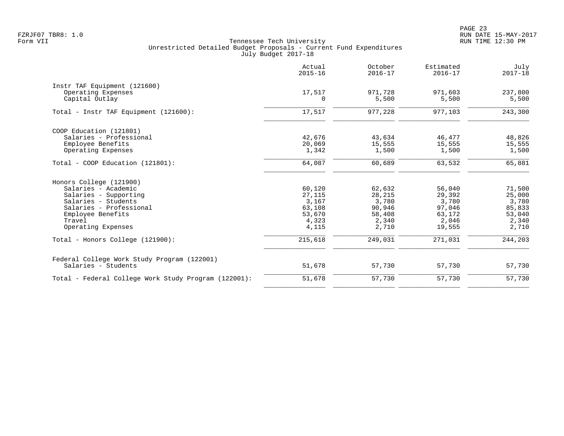PAGE 23 FZRJF07 TBR8: 1.0 RUN DATE 15-MAY-2017

|                                                      | Actual<br>$2015 - 16$ | October<br>$2016 - 17$ | Estimated<br>$2016 - 17$ | July<br>$2017 - 18$ |
|------------------------------------------------------|-----------------------|------------------------|--------------------------|---------------------|
| Instr TAF Equipment (121600)                         |                       |                        |                          |                     |
| Operating Expenses<br>Capital Outlay                 | 17,517<br>$\Omega$    | 971,728<br>5,500       | 971,603<br>5,500         | 237,800<br>5,500    |
| Total - Instr TAF Equipment (121600):                | 17,517                | 977,228                | 977,103                  | 243,300             |
| COOP Education (121801)                              |                       |                        |                          |                     |
| Salaries - Professional                              | 42,676                | 43,634                 | 46,477                   | 48,826              |
| Employee Benefits                                    | 20,069                | 15,555                 | 15,555                   | 15,555              |
| Operating Expenses                                   | 1,342                 | 1,500                  | 1,500                    | 1,500               |
| Total - COOP Education (121801):                     | 64,087                | 60,689                 | 63,532                   | 65,881              |
| Honors College (121900)                              |                       |                        |                          |                     |
| Salaries - Academic                                  | 60,120                | 62,632                 | 56,040                   | 71,500              |
| Salaries - Supporting                                | 27,115                | 28,215                 | 29,392                   | 25,000              |
| Salaries - Students                                  | 3,167                 | 3,780                  | 3,780                    | 3,780               |
| Salaries - Professional                              | 63,108                | 90,946                 | 97,046                   | 85,833              |
| Employee Benefits                                    | 53,670                | 58,408                 | 63,172                   | 53,040              |
| Travel                                               | 4,323                 | 2,340                  | 2,046                    | 2,340               |
| Operating Expenses                                   | 4,115                 | 2,710                  | 19,555                   | 2,710               |
| Total - Honors College (121900):                     | 215,618               | 249,031                | 271,031                  | 244,203             |
| Federal College Work Study Program (122001)          |                       |                        |                          |                     |
| Salaries - Students                                  | 51,678                | 57,730                 | 57,730                   | 57,730              |
| Total - Federal College Work Study Program (122001): | 51,678                | 57,730                 | 57,730                   | 57,730              |
|                                                      |                       |                        |                          |                     |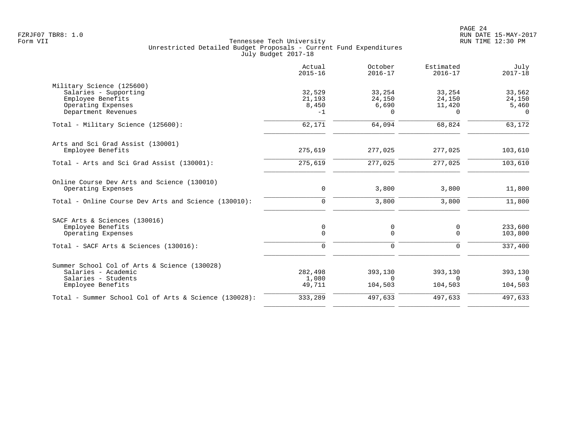|                                                       | Actual<br>$2015 - 16$ | October<br>$2016 - 17$ | Estimated<br>$2016 - 17$ | July<br>$2017 - 18$ |
|-------------------------------------------------------|-----------------------|------------------------|--------------------------|---------------------|
| Military Science (125600)                             |                       |                        |                          |                     |
| Salaries - Supporting                                 | 32,529                | 33,254                 | 33,254                   | 33,562              |
| Employee Benefits                                     | 21,193                | 24,150                 | 24,150                   | 24,150              |
| Operating Expenses<br>Department Revenues             | 8,450<br>$-1$         | 6,690<br>$\Omega$      | 11,420<br>$\Omega$       | 5,460<br>$\Omega$   |
| Total - Military Science (125600):                    | 62,171                | 64,094                 | 68,824                   | 63,172              |
| Arts and Sci Grad Assist (130001)                     |                       |                        |                          |                     |
| Employee Benefits                                     | 275,619               | 277,025                | 277,025                  | 103,610             |
| Total - Arts and Sci Grad Assist (130001):            | 275,619               | 277,025                | 277,025                  | 103,610             |
| Online Course Dev Arts and Science (130010)           |                       |                        |                          |                     |
| Operating Expenses                                    | $\mathbf 0$           | 3,800                  | 3,800                    | 11,800              |
| Total - Online Course Dev Arts and Science (130010):  | $\Omega$              | 3,800                  | 3,800                    | 11,800              |
| SACF Arts & Sciences (130016)                         |                       |                        |                          |                     |
| Employee Benefits<br>Operating Expenses               | 0<br>$\Omega$         | 0<br>$\Omega$          | 0<br>$\Omega$            | 233,600<br>103,800  |
|                                                       |                       |                        |                          |                     |
| Total - SACF Arts & Sciences (130016):                | $\Omega$              | $\Omega$               | $\Omega$                 | 337,400             |
| Summer School Col of Arts & Science (130028)          |                       |                        |                          |                     |
| Salaries - Academic                                   | 282,498               | 393,130                | 393,130                  | 393,130             |
| Salaries - Students<br>Employee Benefits              | 1,080<br>49,711       | $\Omega$<br>104,503    | $\Omega$<br>104,503      | $\Omega$<br>104,503 |
| Total - Summer School Col of Arts & Science (130028): | 333,289               | 497,633                | 497,633                  | 497,633             |
|                                                       |                       |                        |                          |                     |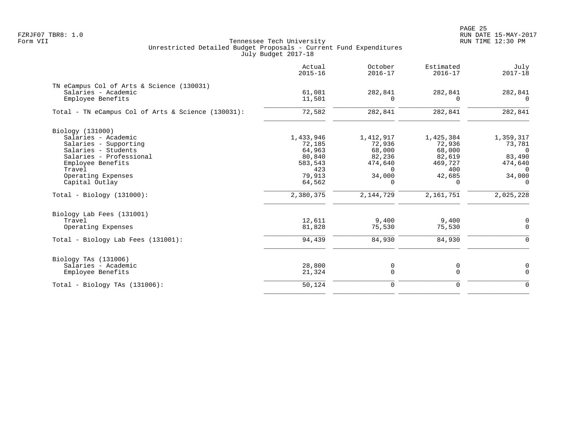|                                                                  | Actual<br>$2015 - 16$ | October<br>$2016 - 17$ | Estimated<br>$2016 - 17$ | July<br>$2017 - 18$ |
|------------------------------------------------------------------|-----------------------|------------------------|--------------------------|---------------------|
| TN eCampus Col of Arts & Science (130031)<br>Salaries - Academic | 61,081                | 282,841                | 282,841                  | 282,841             |
| Employee Benefits                                                | 11,501                | $\Omega$               | $\Omega$                 | $\Omega$            |
| Total - TN eCampus Col of Arts & Science (130031):               | 72,582                | 282,841                | 282,841                  | 282,841             |
| Biology (131000)                                                 |                       |                        |                          |                     |
| Salaries - Academic                                              | 1,433,946             | 1,412,917              | 1,425,384                | 1,359,317           |
| Salaries - Supporting                                            | 72,185                | 72,936                 | 72,936                   | 73,781              |
| Salaries - Students                                              | 64,963                | 68,000                 | 68,000                   | $\Omega$            |
| Salaries - Professional                                          | 80,840                | 82,236                 | 82,619                   | 83,490              |
| Employee Benefits                                                | 583,543               | 474,640                | 469,727                  | 474,640             |
| Travel                                                           | 423                   | $\Omega$               | 400                      | $\Omega$            |
| Operating Expenses                                               | 79,913                | 34,000                 | 42,685                   | 34,000              |
| Capital Outlay                                                   | 64,562                | $\Omega$               | $\Omega$                 | $\Omega$            |
| $Total - Biology (131000):$                                      | 2,380,375             | 2,144,729              | 2,161,751                | 2,025,228           |
| Biology Lab Fees (131001)                                        |                       |                        |                          |                     |
| Travel                                                           | 12,611                | 9.400                  | 9,400                    | 0                   |
| Operating Expenses                                               | 81,828                | 75,530                 | 75,530                   | $\Omega$            |
| Total - Biology Lab Fees (131001):                               | 94,439                | 84,930                 | 84,930                   | 0                   |
| Biology TAs (131006)                                             |                       |                        |                          |                     |
| Salaries - Academic                                              | 28,800                | 0                      | 0                        | 0                   |
| Employee Benefits                                                | 21,324                | 0                      | $\mathbf 0$              | $\Omega$            |
| Total - Biology TAs $(131006)$ :                                 | 50,124                | 0                      | $\mathbf 0$              | $\mathbf 0$         |
|                                                                  |                       |                        |                          |                     |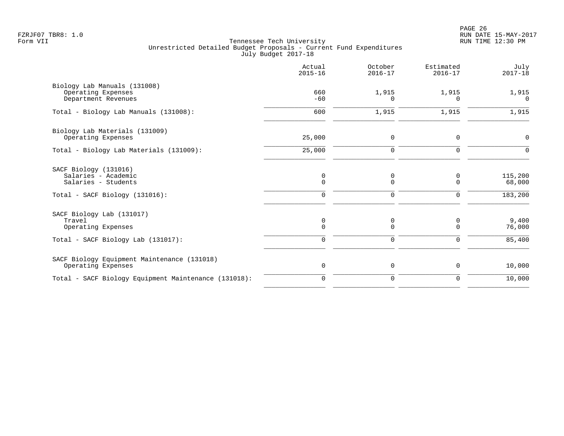PAGE 26 FZRJF07 TBR8: 1.0 RUN DATE 15-MAY-2017

|                                                                                                       | Actual<br>$2015 - 16$           | October<br>$2016 - 17$       | Estimated<br>$2016 - 17$     | July<br>$2017 - 18$          |
|-------------------------------------------------------------------------------------------------------|---------------------------------|------------------------------|------------------------------|------------------------------|
| Biology Lab Manuals (131008)<br>Operating Expenses<br>Department Revenues                             | 660<br>$-60$                    | 1,915<br><sup>n</sup>        | 1,915<br>O                   | 1,915<br>$\Omega$            |
| Total - Biology Lab Manuals (131008):                                                                 | 600                             | 1,915                        | 1,915                        | 1,915                        |
| Biology Lab Materials (131009)<br>Operating Expenses                                                  | 25,000                          | $\mathbf 0$                  | $\mathbf 0$                  | $\mathbf 0$                  |
| Total - Biology Lab Materials (131009):                                                               | 25,000                          | 0                            | 0                            |                              |
| SACF Biology (131016)<br>Salaries - Academic<br>Salaries - Students<br>Total - SACF Biology (131016): | 0<br>$\mathbf 0$<br>$\mathbf 0$ | 0<br>0<br>0                  | 0<br>$\mathbf 0$<br>0        | 115,200<br>68,000<br>183,200 |
| SACF Biology Lab (131017)<br>Travel<br>Operating Expenses<br>Total - SACF Biology Lab (131017):       | 0<br>$\Omega$<br>$\mathbf 0$    | 0<br>$\Omega$<br>$\mathbf 0$ | 0<br>$\Omega$<br>$\mathbf 0$ | 9,400<br>76,000<br>85,400    |
| SACF Biology Equipment Maintenance (131018)<br>Operating Expenses                                     | 0                               | 0                            | 0                            | 10,000                       |
| Total - SACF Biology Equipment Maintenance (131018):                                                  | $\mathbf 0$                     | $\mathbf 0$                  | $\mathbf 0$                  | 10,000                       |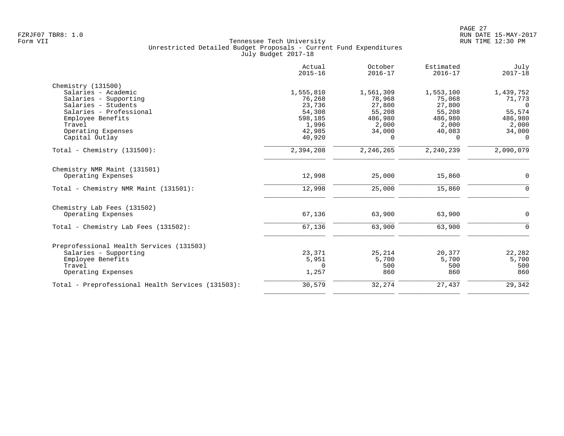|                                                   | Actual<br>$2015 - 16$ | October<br>$2016 - 17$ | Estimated<br>$2016 - 17$ | July<br>$2017 - 18$ |
|---------------------------------------------------|-----------------------|------------------------|--------------------------|---------------------|
| Chemistry (131500)                                |                       |                        |                          |                     |
| Salaries - Academic                               | 1,555,810             | 1,561,309              | 1,553,100                | 1,439,752           |
| Salaries - Supporting                             | 76,268                | 78,968                 | 75,068                   | 71,773              |
| Salaries - Students                               | 23,736                | 27,800                 | 27,800                   | $\Omega$            |
| Salaries - Professional                           | 54,308                | 55,208                 | 55,208                   | 55,574              |
| Employee Benefits                                 | 598,185               | 486,980                | 486,980                  | 486,980             |
| Travel                                            | 1,996                 | 2,000                  | 2,000                    | 2,000               |
| Operating Expenses                                | 42,985                | 34,000                 | 40,083                   | 34,000              |
| Capital Outlay                                    | 40,920                | $\Omega$               | 0                        | $\Omega$            |
| Total - Chemistry $(131500)$ :                    | 2,394,208             | 2,246,265              | 2,240,239                | 2,090,079           |
| Chemistry NMR Maint (131501)                      |                       |                        |                          |                     |
| Operating Expenses                                | 12,998                | 25,000                 | 15,860                   | $\mathbf 0$         |
| Total - Chemistry NMR Maint (131501):             | 12,998                | 25,000                 | 15,860                   | $\Omega$            |
| Chemistry Lab Fees (131502)                       |                       |                        |                          |                     |
| Operating Expenses                                | 67,136                | 63,900                 | 63,900                   | $\mathbf 0$         |
| Total - Chemistry Lab Fees (131502):              | 67,136                | 63,900                 | 63,900                   | $\Omega$            |
|                                                   |                       |                        |                          |                     |
| Preprofessional Health Services (131503)          |                       |                        |                          |                     |
| Salaries - Supporting                             | 23,371                | 25,214                 | 20,377                   | 22,282              |
| Employee Benefits                                 | 5,951                 | 5,700                  | 5,700                    | 5,700               |
| Travel                                            | $\Omega$              | 500                    | 500                      | 500                 |
| Operating Expenses                                | 1,257                 | 860                    | 860                      | 860                 |
| Total - Preprofessional Health Services (131503): | 30,579                | 32,274                 | 27,437                   | 29,342              |
|                                                   |                       |                        |                          |                     |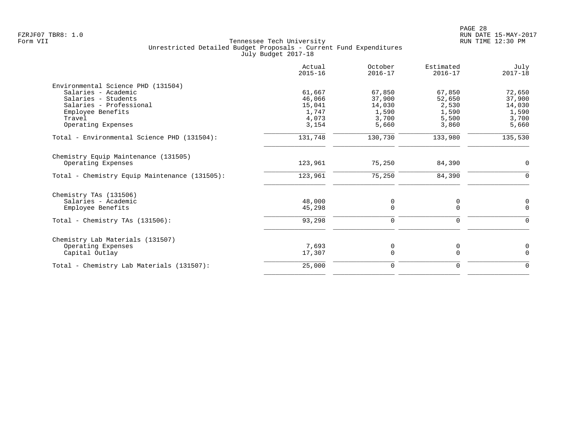| Actual<br>$2015 - 16$ | October<br>$2016 - 17$                       | Estimated<br>$2016 - 17$               | July<br>$2017 - 18$                    |
|-----------------------|----------------------------------------------|----------------------------------------|----------------------------------------|
|                       |                                              |                                        |                                        |
| 61,667                | 67,850                                       | 67,850                                 | 72,650                                 |
| 46,066                | 37,900                                       | 52,650                                 | 37,900                                 |
| 15,041                | 14,030                                       | 2,530                                  | 14,030                                 |
|                       |                                              |                                        | 1,590                                  |
|                       |                                              |                                        | 3,700                                  |
|                       |                                              |                                        | 5,660                                  |
| 131,748               | 130,730                                      | 133,980                                | 135,530                                |
|                       |                                              |                                        |                                        |
|                       |                                              |                                        | 0                                      |
| 123,961               | 75,250                                       | 84,390                                 | $\mathbf 0$                            |
|                       |                                              |                                        |                                        |
|                       |                                              |                                        | $\mathbf 0$                            |
| 45,298                | $\Omega$                                     | $\Omega$                               | $\Omega$                               |
| 93,298                | 0                                            | 0                                      | $\mathbf 0$                            |
|                       |                                              |                                        |                                        |
| 7,693                 | 0                                            | 0                                      | 0                                      |
| 17,307                | 0                                            | $\mathbf 0$                            | $\Omega$                               |
| 25,000                | 0                                            | 0                                      | 0                                      |
|                       | 1,747<br>4,073<br>3,154<br>123,961<br>48,000 | 1,590<br>3,700<br>5,660<br>75,250<br>0 | 1,590<br>5,500<br>3,860<br>84,390<br>0 |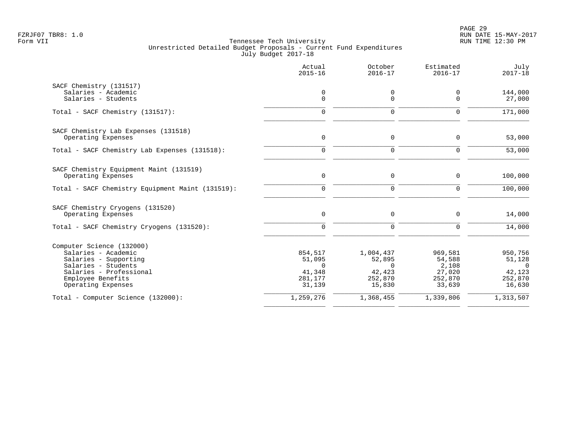|                                                  | Actual<br>$2015 - 16$ | October<br>$2016 - 17$ | Estimated<br>$2016 - 17$ | July<br>$2017 - 18$ |
|--------------------------------------------------|-----------------------|------------------------|--------------------------|---------------------|
| SACF Chemistry (131517)                          |                       |                        |                          |                     |
| Salaries - Academic                              | 0                     | 0                      | 0                        | 144,000             |
| Salaries - Students                              | $\Omega$              | $\Omega$               | $\Omega$                 | 27,000              |
| Total - SACF Chemistry (131517):                 | $\Omega$              | $\Omega$               | $\Omega$                 | 171,000             |
| SACF Chemistry Lab Expenses (131518)             |                       |                        |                          |                     |
| Operating Expenses                               | $\mathsf{O}$          | 0                      | $\mathbf 0$              | 53,000              |
| Total - SACF Chemistry Lab Expenses (131518):    | $\mathbf 0$           | $\Omega$               | $\Omega$                 | 53,000              |
| SACF Chemistry Equipment Maint (131519)          |                       |                        |                          |                     |
| Operating Expenses                               | $\mathbf 0$           | 0                      | $\mathbf 0$              | 100,000             |
| Total - SACF Chemistry Equipment Maint (131519): | $\Omega$              | $\Omega$               | $\Omega$                 | 100,000             |
| SACF Chemistry Cryogens (131520)                 |                       |                        |                          |                     |
| Operating Expenses                               | $\mathbf 0$           | 0                      | $\Omega$                 | 14,000              |
| Total - SACF Chemistry Cryogens (131520):        | $\Omega$              | $\mathbf 0$            | $\Omega$                 | 14,000              |
| Computer Science (132000)                        |                       |                        |                          |                     |
| Salaries - Academic                              | 854,517               | 1,004,437              | 969,581                  | 950,756             |
| Salaries - Supporting                            | 51,095                | 52,895                 | 54,588                   | 51,128              |
| Salaries - Students                              | $\Omega$              | $\Omega$               | 2,108                    | $\Omega$            |
| Salaries - Professional                          | 41,348                | 42,423                 | 27,020                   | 42,123              |
| Employee Benefits<br>Operating Expenses          | 281,177<br>31,139     | 252,870<br>15,830      | 252,870<br>33,639        | 252,870<br>16,630   |
| Total - Computer Science (132000):               | 1,259,276             | 1,368,455              | 1,339,806                | 1,313,507           |
|                                                  |                       |                        |                          |                     |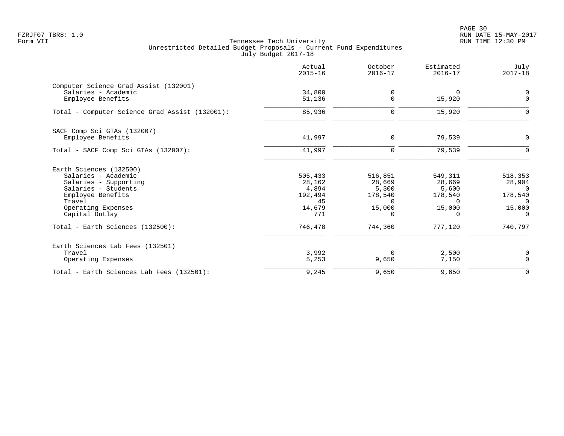PAGE 30 FZRJF07 TBR8: 1.0 RUN DATE 15-MAY-2017

| Actual<br>$2015 - 16$ | October<br>$2016 - 17$ | Estimated<br>$2016 - 17$ | July<br>$2017 - 18$ |
|-----------------------|------------------------|--------------------------|---------------------|
|                       |                        |                          |                     |
| 34,800                | 0                      | $\Omega$                 | 0                   |
| 51,136                | $\Omega$               | 15,920                   | $\Omega$            |
| 85,936                | 0                      | 15,920                   | $\Omega$            |
|                       |                        |                          |                     |
| 41,997                | $\mathbf 0$            | 79,539                   | $\mathbf 0$         |
| 41,997                | $\mathbf 0$            | 79,539                   | $\Omega$            |
|                       |                        |                          |                     |
|                       |                        |                          | 518,353             |
| 28,162                | 28,669                 | 28,669                   | 28,904              |
| 4,894                 | 5,300                  | 5,600                    | $\Omega$            |
| 192,494               | 178,540                | 178,540                  | 178,540             |
| 45                    | $\Omega$               | $\Omega$                 | $\Omega$            |
| 14,679                | 15,000                 | 15,000                   | 15,000              |
|                       | $\Omega$               | $\Omega$                 | $\Omega$            |
| 746,478               | 744,360                | 777,120                  | 740,797             |
|                       |                        |                          |                     |
| 3,992                 | $\Omega$               |                          | 0                   |
| 5,253                 | 9,650                  | 7,150                    | $\mathbf 0$         |
| 9,245                 | 9,650                  | 9,650                    | $\overline{0}$      |
|                       | 505,433<br>771         | 516,851                  | 549,311<br>2,500    |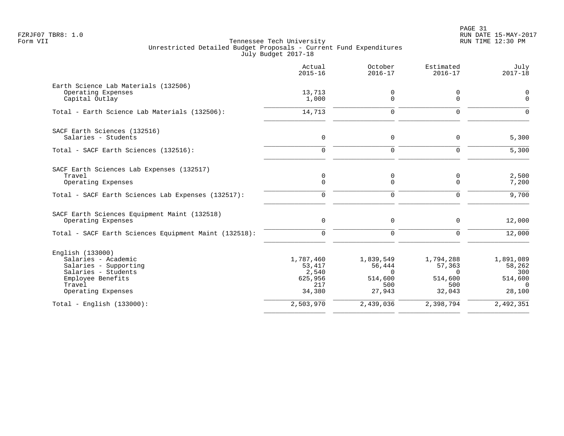PAGE 31 FZRJF07 TBR8: 1.0 RUN DATE 15-MAY-2017

|                                                                                                                                              | Actual<br>$2015 - 16$                                    | October<br>$2016 - 17$                                      | Estimated<br>$2016 - 17$                                    | July<br>$2017 - 18$                                         |
|----------------------------------------------------------------------------------------------------------------------------------------------|----------------------------------------------------------|-------------------------------------------------------------|-------------------------------------------------------------|-------------------------------------------------------------|
| Earth Science Lab Materials (132506)<br>Operating Expenses<br>Capital Outlay                                                                 | 13,713<br>1,000                                          | 0<br>$\Omega$                                               | 0<br>$\Omega$                                               | 0<br>$\Omega$                                               |
| Total - Earth Science Lab Materials (132506):                                                                                                | 14,713                                                   | $\mathbf 0$                                                 | 0                                                           |                                                             |
| SACF Earth Sciences (132516)<br>Salaries - Students                                                                                          | 0                                                        | 0                                                           | $\Omega$                                                    | 5,300                                                       |
| Total - SACF Earth Sciences (132516):                                                                                                        | $\Omega$                                                 | $\Omega$                                                    | $\Omega$                                                    | 5,300                                                       |
| SACF Earth Sciences Lab Expenses (132517)<br>Travel<br>Operating Expenses                                                                    | $\mathbf 0$<br>$\mathbf 0$                               | 0<br>0                                                      | 0<br>$\mathbf 0$                                            | 2,500<br>7,200                                              |
| Total - SACF Earth Sciences Lab Expenses (132517):                                                                                           | $\mathbf 0$                                              | 0                                                           | 0                                                           | 9,700                                                       |
| SACF Earth Sciences Equipment Maint (132518)<br>Operating Expenses                                                                           | $\mathbf 0$                                              | 0                                                           | 0                                                           | 12,000                                                      |
| Total - SACF Earth Sciences Equipment Maint (132518):                                                                                        | 0                                                        | $\mathbf 0$                                                 | $\mathbf 0$                                                 | 12,000                                                      |
| English (133000)<br>Salaries - Academic<br>Salaries - Supporting<br>Salaries - Students<br>Employee Benefits<br>Travel<br>Operating Expenses | 1,787,460<br>53,417<br>2,540<br>625,956<br>217<br>34,380 | 1,839,549<br>56,444<br>$\Omega$<br>514,600<br>500<br>27,943 | 1,794,288<br>57,363<br>$\Omega$<br>514,600<br>500<br>32,043 | 1,891,089<br>58,262<br>300<br>514,600<br>$\Omega$<br>28,100 |
| Total - English $(133000)$ :                                                                                                                 | 2,503,970                                                | 2,439,036                                                   | 2,398,794                                                   | 2,492,351                                                   |
|                                                                                                                                              |                                                          |                                                             |                                                             |                                                             |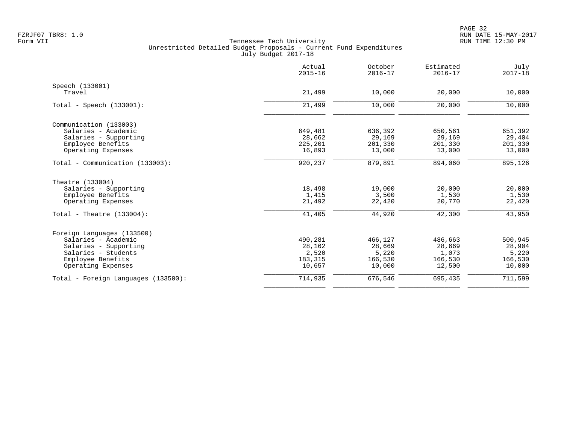|                                     | Actual<br>$2015 - 16$ | October<br>$2016 - 17$ | Estimated<br>$2016 - 17$ | July<br>$2017 - 18$ |
|-------------------------------------|-----------------------|------------------------|--------------------------|---------------------|
| Speech (133001)                     |                       |                        |                          |                     |
| Travel                              | 21,499                | 10,000                 | 20,000                   | 10,000              |
| Total - Speech $(133001)$ :         | 21,499                | 10,000                 | 20,000                   | 10,000              |
| Communication (133003)              |                       |                        |                          |                     |
| Salaries - Academic                 | 649,481               | 636,392                | 650,561                  | 651,392             |
| Salaries - Supporting               | 28,662                | 29,169                 | 29,169                   | 29,404              |
| Employee Benefits                   | 225,201               | 201,330                | 201,330                  | 201,330             |
| Operating Expenses                  | 16,893                | 13,000                 | 13,000                   | 13,000              |
| Total - Communication (133003):     | 920,237               | 879,891                | 894,060                  | 895,126             |
| Theatre (133004)                    |                       |                        |                          |                     |
| Salaries - Supporting               | 18,498                | 19,000                 | 20,000                   | 20,000              |
| Employee Benefits                   | 1,415                 | 3,500                  | 1,530                    | 1,530               |
| Operating Expenses                  | 21,492                | 22,420                 | 20,770                   | 22,420              |
| Total - Theatre $(133004)$ :        | 41,405                | 44,920                 | 42,300                   | 43,950              |
| Foreign Languages (133500)          |                       |                        |                          |                     |
| Salaries - Academic                 | 490,281               | 466,127                | 486,663                  | 500,945             |
| Salaries - Supporting               | 28,162                | 28,669                 | 28,669                   | 28,904              |
| Salaries - Students                 | 2,520                 | 5,220                  | 1,073                    | 5,220               |
| Employee Benefits                   | 183,315               | 166,530                | 166,530                  | 166,530             |
| Operating Expenses                  | 10,657                | 10,000                 | 12,500                   | 10,000              |
| Total - Foreign Languages (133500): | 714,935               | 676,546                | 695,435                  | 711,599             |
|                                     |                       |                        |                          |                     |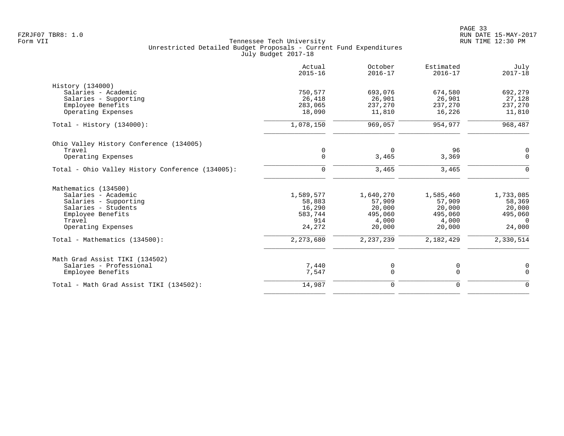| Actual<br>$2015 - 16$ | October<br>$2016 - 17$                 | Estimated<br>$2016 - 17$           | July<br>$2017 - 18$                |
|-----------------------|----------------------------------------|------------------------------------|------------------------------------|
|                       |                                        |                                    |                                    |
| 750,577               | 693,076                                | 674,580                            | 692,279                            |
| 26,418                | 26,901                                 | 26,901                             | 27,128                             |
| 283,065               | 237,270                                | 237,270                            | 237,270                            |
| 18,090                | 11,810                                 | 16,226                             | 11,810                             |
| 1,078,150             | 969,057                                | 954,977                            | 968,487                            |
|                       |                                        |                                    |                                    |
| 0                     | $\Omega$                               | 96                                 | 0                                  |
| $\mathbf 0$           | 3,465                                  | 3,369                              | $\Omega$                           |
| $\Omega$              | 3,465                                  | 3,465                              | $\Omega$                           |
|                       |                                        |                                    |                                    |
|                       |                                        |                                    | 1,733,085                          |
|                       |                                        |                                    | 58,369                             |
|                       |                                        |                                    | 20,000                             |
| 583,744               | 495,060                                | 495,060                            | 495,060                            |
| 914                   | 4,000                                  | 4,000                              | $\Omega$                           |
| 24,272                | 20,000                                 | 20,000                             | 24,000                             |
| 2,273,680             | 2, 237, 239                            | 2,182,429                          | 2,330,514                          |
|                       |                                        |                                    |                                    |
|                       |                                        |                                    | 0                                  |
| 7,547                 | $\mathbf 0$                            | $\mathbf 0$                        | $\Omega$                           |
| 14,987                | 0                                      | $\mathbf 0$                        | $\Omega$                           |
|                       | 1,589,577<br>58,883<br>16,290<br>7,440 | 1,640,270<br>57,909<br>20,000<br>0 | 1,585,460<br>57,909<br>20,000<br>0 |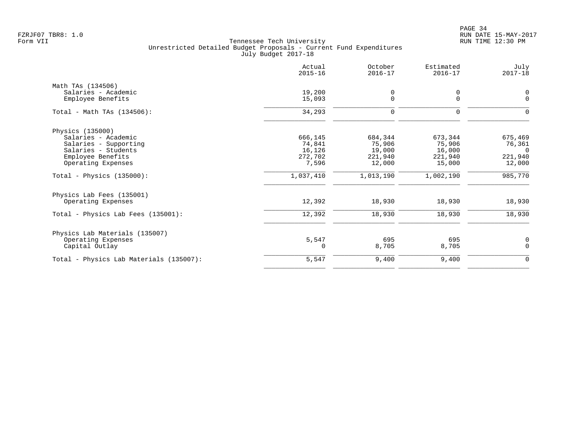PAGE 34 FZRJF07 TBR8: 1.0 RUN DATE 15-MAY-2017

|                                         | Actual<br>$2015 - 16$ | October<br>$2016 - 17$ | Estimated<br>$2016 - 17$ | July<br>$2017 - 18$ |
|-----------------------------------------|-----------------------|------------------------|--------------------------|---------------------|
| Math TAs (134506)                       |                       |                        |                          |                     |
| Salaries - Academic                     | 19,200                | 0                      | 0                        | 0                   |
| Employee Benefits                       | 15,093                | $\mathsf{O}$           | $\mathbf 0$              | 0                   |
| Total - Math TAs $(134506)$ :           | 34,293                | 0                      | 0                        | 0                   |
| Physics (135000)                        |                       |                        |                          |                     |
| Salaries - Academic                     | 666,145               | 684,344                | 673,344                  | 675,469             |
| Salaries - Supporting                   | 74,841                | 75,906                 | 75,906                   | 76,361              |
| Salaries - Students                     | 16,126                | 19,000                 | 16,000                   | $\Omega$            |
| Employee Benefits                       | 272,702               | 221,940                | 221,940                  | 221,940             |
| Operating Expenses                      | 7,596                 | 12,000                 | 15,000                   | 12,000              |
| Total - Physics $(135000)$ :            | 1,037,410             | 1,013,190              | 1,002,190                | 985,770             |
| Physics Lab Fees (135001)               |                       |                        |                          |                     |
| Operating Expenses                      | 12,392                | 18,930                 | 18,930                   | 18,930              |
| Total - Physics Lab Fees (135001):      | 12,392                | 18,930                 | 18,930                   | 18,930              |
| Physics Lab Materials (135007)          |                       |                        |                          |                     |
| Operating Expenses                      | 5,547                 | 695                    | 695                      | 0                   |
| Capital Outlay                          | 0                     | 8,705                  | 8,705                    | $\mathbf 0$         |
| Total - Physics Lab Materials (135007): | 5,547                 | 9,400                  | 9,400                    | $\mathbf 0$         |
|                                         |                       |                        |                          |                     |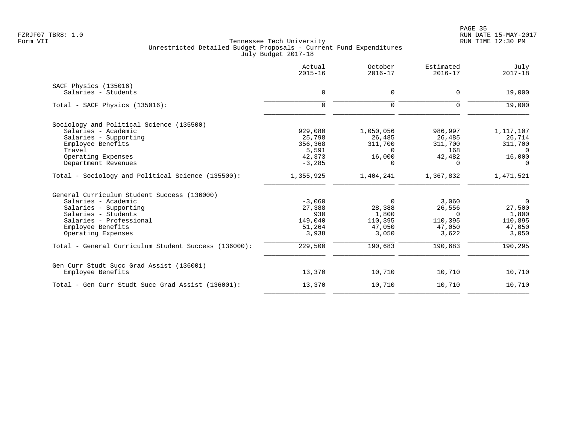|                                                      | Actual<br>$2015 - 16$ | October<br>$2016 - 17$ | Estimated<br>$2016 - 17$ | July<br>$2017 - 18$ |
|------------------------------------------------------|-----------------------|------------------------|--------------------------|---------------------|
| SACF Physics (135016)                                |                       |                        |                          |                     |
| Salaries - Students                                  | $\mathbf 0$           | 0                      | $\mathbf 0$              | 19,000              |
| Total - SACF Physics (135016):                       | $\mathbf 0$           | $\mathbf 0$            | $\mathbf 0$              | 19,000              |
| Sociology and Political Science (135500)             |                       |                        |                          |                     |
| Salaries - Academic                                  | 929,080               | 1,050,056              | 986,997                  | 1,117,107           |
| Salaries - Supporting                                | 25,798                | 26,485                 | 26,485                   | 26,714              |
| Employee Benefits                                    | 356,368               | 311,700                | 311,700                  | 311,700             |
| Travel                                               | 5,591                 | $\Omega$               | 168                      | $\Omega$            |
| Operating Expenses                                   | 42,373<br>$-3,285$    | 16,000<br>$\Omega$     | 42,482<br>$\Omega$       | 16,000<br>$\Omega$  |
| Department Revenues                                  |                       |                        |                          |                     |
| Total - Sociology and Political Science (135500):    | 1,355,925             | 1,404,241              | 1,367,832                | 1,471,521           |
| General Curriculum Student Success (136000)          |                       |                        |                          |                     |
| Salaries - Academic                                  | $-3,060$              | $\Omega$               | 3,060                    | $\overline{0}$      |
| Salaries - Supporting                                | 27,388                | 28,388                 | 26,556                   | 27,500              |
| Salaries - Students                                  | 930                   | 1,800                  | $\Omega$                 | 1,800               |
| Salaries - Professional                              | 149,040               | 110,395                | 110,395                  | 110,895             |
| Employee Benefits                                    | 51,264                | 47,050                 | 47,050                   | 47,050              |
| Operating Expenses                                   | 3,938                 | 3,050                  | 3,622                    | 3,050               |
| Total - General Curriculum Student Success (136000): | 229,500               | 190,683                | 190,683                  | 190,295             |
| Gen Curr Studt Succ Grad Assist (136001)             |                       |                        |                          |                     |
| Employee Benefits                                    | 13,370                | 10,710                 | 10,710                   | 10,710              |
| Total - Gen Curr Studt Succ Grad Assist (136001):    | 13,370                | 10,710                 | 10,710                   | 10,710              |
|                                                      |                       |                        |                          |                     |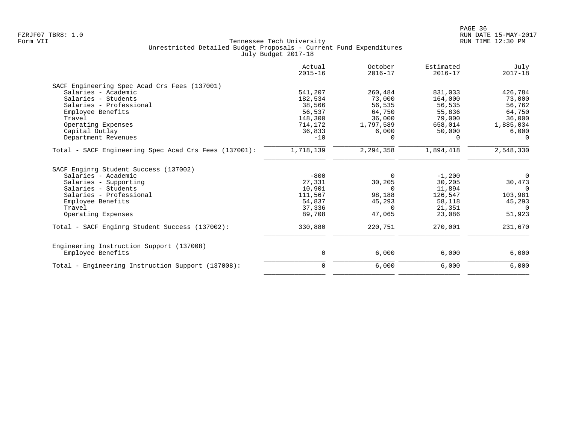|                                                       | Actual<br>$2015 - 16$ | October<br>$2016 - 17$ | Estimated<br>$2016 - 17$ | July<br>$2017 - 18$ |
|-------------------------------------------------------|-----------------------|------------------------|--------------------------|---------------------|
| SACF Engineering Spec Acad Crs Fees (137001)          |                       |                        |                          |                     |
| Salaries - Academic                                   | 541,207               | 260,484                | 831,033                  | 426,784             |
| Salaries - Students                                   | 182,534               | 73,000                 | 164,000                  | 73,000              |
| Salaries - Professional                               | 38,566                | 56,535                 | 56,535                   | 56,762              |
| Employee Benefits                                     | 56,537                | 64,750                 | 55,836                   | 64,750              |
| Travel                                                | 148,300               | 36,000                 | 79,000                   | 36,000              |
| Operating Expenses                                    | 714,172               | 1,797,589              | 658,014                  | 1,885,034           |
| Capital Outlay                                        | 36,833                | 6,000                  | 50,000                   | 6,000               |
| Department Revenues                                   | $-10$                 | $\Omega$               | $\Omega$                 | $\Omega$            |
| Total - SACF Engineering Spec Acad Crs Fees (137001): | 1,718,139             | 2,294,358              | 1,894,418                | 2,548,330           |
| SACF Enginrg Student Success (137002)                 |                       |                        |                          |                     |
| Salaries - Academic                                   | $-800$                | $\Omega$               | $-1,200$                 | $\overline{0}$      |
| Salaries - Supporting                                 | 27,331                | 30,205                 | 30,205                   | 30,473              |
| Salaries - Students                                   | 10,901                | $\Omega$               | 11,894                   | $\Omega$            |
| Salaries - Professional                               | 111,567               | 98,188                 | 126,547                  | 103,981             |
| Employee Benefits                                     | 54,837                | 45,293                 | 58,118                   | 45,293              |
| Travel                                                | 37,336                | $\Omega$               | 21,351                   | $\Omega$            |
| Operating Expenses                                    | 89,708                | 47,065                 | 23,086                   | 51,923              |
| Total - SACF Enginrg Student Success (137002):        | 330,880               | 220,751                | 270,001                  | 231,670             |
| Engineering Instruction Support (137008)              |                       |                        |                          |                     |
| Employee Benefits                                     | 0                     | 6,000                  | 6,000                    | 6,000               |
| Total - Engineering Instruction Support (137008):     | 0                     | 6,000                  | 6,000                    | 6,000               |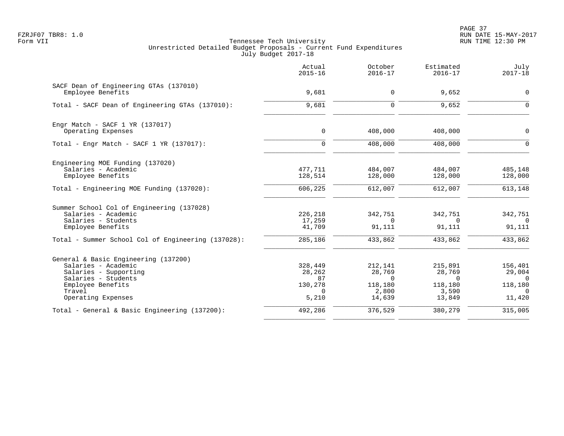PAGE 37 FZRJF07 TBR8: 1.0 RUN DATE 15-MAY-2017

|                                                    | Actual<br>$2015 - 16$ | October<br>$2016 - 17$ | Estimated<br>$2016 - 17$ | July<br>$2017 - 18$ |
|----------------------------------------------------|-----------------------|------------------------|--------------------------|---------------------|
| SACF Dean of Engineering GTAs (137010)             |                       |                        |                          |                     |
| Employee Benefits                                  | 9,681                 | 0                      | 9,652                    | $\mathbf 0$         |
| Total - SACF Dean of Engineering GTAs (137010):    | 9,681                 | $\Omega$               | 9,652                    | $\Omega$            |
| Engr Match - SACF $1$ YR (137017)                  |                       |                        |                          |                     |
| Operating Expenses                                 | $\mathbf 0$           | 408,000                | 408,000                  | $\mathbf 0$         |
| Total - Engr Match - SACF $1$ YR (137017):         | $\mathbf 0$           | 408,000                | 408,000                  | $\Omega$            |
| Engineering MOE Funding (137020)                   |                       |                        |                          |                     |
| Salaries - Academic                                | 477,711               | 484,007                | 484,007                  | 485,148             |
| Employee Benefits                                  | 128,514               | 128,000                | 128,000                  | 128,000             |
| Total - Engineering MOE Funding (137020):          | 606,225               | 612,007                | 612,007                  | 613,148             |
| Summer School Col of Engineering (137028)          |                       |                        |                          |                     |
| Salaries - Academic                                | 226,218               | 342,751                | 342,751                  | 342,751             |
| Salaries - Students<br>Employee Benefits           | 17,259<br>41,709      | $\Omega$<br>91,111     | $\Omega$<br>91,111       | $\Omega$<br>91,111  |
| Total - Summer School Col of Engineering (137028): | 285,186               | 433,862                | 433,862                  | 433,862             |
| General & Basic Engineering (137200)               |                       |                        |                          |                     |
| Salaries - Academic                                | 328,449               | 212,141                | 215,891                  | 156,401             |
| Salaries - Supporting                              | 28,262                | 28,769                 | 28,769                   | 29,004              |
| Salaries - Students<br>Employee Benefits           | 87<br>130,278         | $\Omega$<br>118,180    | $\Omega$<br>118,180      | $\Omega$<br>118,180 |
| Travel                                             | $\Omega$              | 2,800                  | 3,590                    | $\Omega$            |
| Operating Expenses                                 | 5,210                 | 14,639                 | 13,849                   | 11,420              |
| Total - General & Basic Engineering (137200):      | 492,286               | 376,529                | 380,279                  | 315,005             |
|                                                    |                       |                        |                          |                     |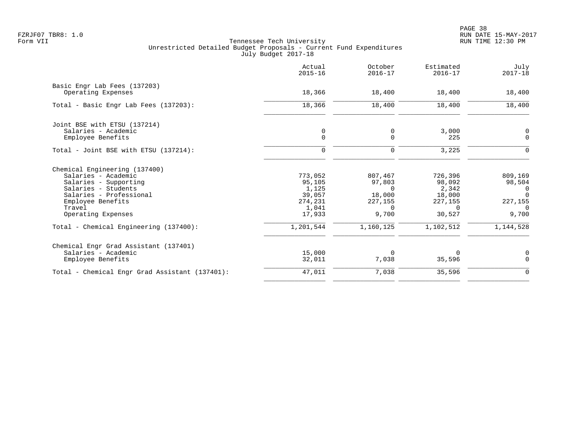|                                                    | Actual<br>$2015 - 16$ | October<br>$2016 - 17$ | Estimated<br>$2016 - 17$ | July<br>$2017 - 18$ |
|----------------------------------------------------|-----------------------|------------------------|--------------------------|---------------------|
| Basic Engr Lab Fees (137203)<br>Operating Expenses | 18,366                | 18,400                 | 18,400                   | 18,400              |
|                                                    |                       |                        |                          |                     |
| Total - Basic Engr Lab Fees (137203):              | 18,366                | 18,400                 | 18,400                   | 18,400              |
| Joint BSE with ETSU (137214)                       |                       |                        |                          |                     |
| Salaries - Academic                                | 0                     | 0                      | 3,000                    | $\mathbf 0$         |
| Employee Benefits                                  | $\mathbf 0$           | $\mathbf 0$            | 225                      | $\mathbf 0$         |
| Total - Joint BSE with ETSU (137214):              | $\mathbf 0$           | 0                      | 3,225                    | $\Omega$            |
| Chemical Engineering (137400)                      |                       |                        |                          |                     |
| Salaries - Academic                                | 773,052               | 807,467                | 726,396                  | 809,169             |
| Salaries - Supporting                              | 95,105                | 97,803                 | 98,092                   | 98,504              |
| Salaries - Students                                | 1,125                 | $\Omega$               | 2,342                    | 0                   |
| Salaries - Professional                            | 39,057                | 18,000                 | 18,000                   | $\Omega$            |
| Employee Benefits                                  | 274,231               | 227,155                | 227,155                  | 227,155             |
| Travel                                             | 1,041                 | $\Omega$               | $\Omega$                 | $\Omega$            |
| Operating Expenses                                 | 17,933                | 9,700                  | 30,527                   | 9,700               |
| Total - Chemical Engineering (137400):             | 1,201,544             | 1,160,125              | 1,102,512                | 1,144,528           |
| Chemical Engr Grad Assistant (137401)              |                       |                        |                          |                     |
| Salaries - Academic                                | 15,000                | $\Omega$               | $\Omega$                 | 0                   |
| Employee Benefits                                  | 32,011                | 7,038                  | 35,596                   | $\Omega$            |
| Total - Chemical Engr Grad Assistant (137401):     | 47,011                | 7,038                  | 35,596                   | $\mathbf 0$         |
|                                                    |                       |                        |                          |                     |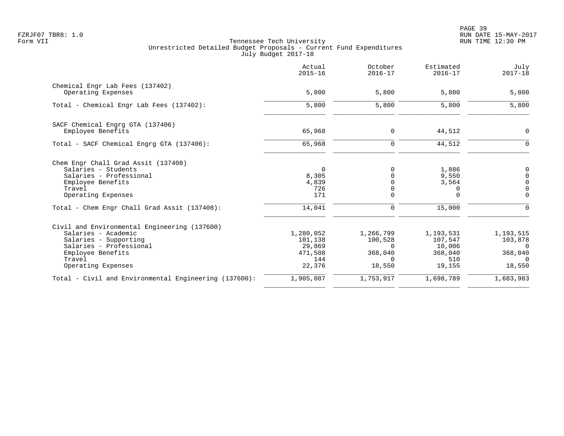PAGE 39 FZRJF07 TBR8: 1.0 RUN DATE 15-MAY-2017

|                                                       | Actual<br>$2015 - 16$ | October<br>$2016 - 17$ | Estimated<br>$2016 - 17$ | July<br>$2017 - 18$ |
|-------------------------------------------------------|-----------------------|------------------------|--------------------------|---------------------|
| Chemical Engr Lab Fees (137402)<br>Operating Expenses | 5,800                 | 5,800                  | 5,800                    | 5,800               |
|                                                       |                       |                        |                          |                     |
| Total - Chemical Engr Lab Fees (137402):              | 5,800                 | 5,800                  | 5,800                    | 5,800               |
| SACF Chemical Engrg GTA (137406)                      |                       |                        |                          |                     |
| Employee Benefits                                     | 65,968                | $\mathbf 0$            | 44,512                   | $\mathbf 0$         |
| Total - SACF Chemical Engrg GTA (137406):             | 65,968                | $\mathbf 0$            | 44,512                   | $\Omega$            |
| Chem Engr Chall Grad Assit (137408)                   |                       |                        |                          |                     |
| Salaries - Students                                   | $\mathbf 0$           | $\Omega$               | 1,886                    | 0                   |
| Salaries - Professional                               | 8,305                 | $\Omega$               | 9,550                    | $\mathsf 0$         |
| Employee Benefits                                     | 4,839                 | 0                      | 3,564                    | $\mathsf 0$         |
| Travel                                                | 726                   | $\mathbf 0$            | 0                        | $\overline{0}$      |
| Operating Expenses                                    | 171                   | $\Omega$               | $\Omega$                 | $\Omega$            |
| Total - Chem Engr Chall Grad Assit (137408):          | 14,041                | $\mathbf 0$            | 15,000                   | $\Omega$            |
| Civil and Environmental Engineering (137600)          |                       |                        |                          |                     |
| Salaries - Academic                                   | 1,280,052             | 1,266,799              | 1,193,531                | 1,193,515           |
| Salaries - Supporting                                 | 101,138               | 100,528                | 107,547                  | 103,878             |
| Salaries - Professional                               | 29,869                | $\Omega$               | 10,006                   | $\Omega$            |
| Employee Benefits                                     | 471,508               | 368,040                | 368,040                  | 368,040             |
| Travel                                                | 144                   | $\Omega$               | 510                      |                     |
| Operating Expenses                                    | 22,376                | 18,550                 | 19,155                   | 18,550              |
| Total - Civil and Environmental Engineering (137600): | 1,905,087             | 1,753,917              | 1,698,789                | 1,683,983           |
|                                                       |                       |                        |                          |                     |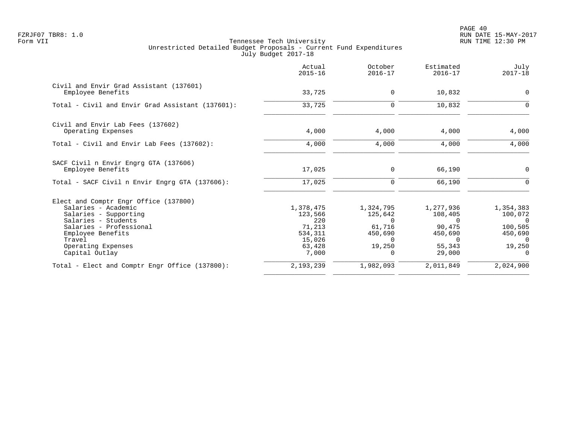PAGE 40 FZRJF07 TBR8: 1.0 RUN DATE 15-MAY-2017

|                                                              | Actual<br>$2015 - 16$ | October<br>$2016 - 17$ | Estimated<br>$2016 - 17$ | July<br>$2017 - 18$ |
|--------------------------------------------------------------|-----------------------|------------------------|--------------------------|---------------------|
| Civil and Envir Grad Assistant (137601)<br>Employee Benefits | 33,725                | $\mathbf 0$            | 10,832                   | $\Omega$            |
| Total - Civil and Envir Grad Assistant (137601):             | 33,725                | $\mathbf 0$            | 10,832                   | $\Omega$            |
| Civil and Envir Lab Fees (137602)<br>Operating Expenses      | 4,000                 | 4,000                  | 4,000                    | 4,000               |
|                                                              |                       |                        |                          |                     |
| Total - Civil and Envir Lab Fees (137602):                   | 4,000                 | 4,000                  | 4,000                    | 4,000               |
| SACF Civil n Envir Engrg GTA (137606)<br>Employee Benefits   | 17,025                | 0                      | 66,190                   | 0                   |
| Total - SACF Civil n Envir Engrg GTA (137606):               | 17,025                | $\mathbf 0$            | 66,190                   | $\Omega$            |
| Elect and Comptr Engr Office (137800)                        |                       |                        |                          |                     |
| Salaries - Academic                                          | 1,378,475             | 1,324,795              | 1,277,936                | 1,354,383           |
| Salaries - Supporting                                        | 123,566               | 125,642                | 108,405                  | 100,072             |
| Salaries - Students                                          | 220                   | $\Omega$               | $\Omega$                 | $\Omega$            |
| Salaries - Professional                                      | 71,213                | 61,716                 | 90,475                   | 100,505             |
| Employee Benefits                                            | 534,311               | 450,690                | 450,690                  | 450,690             |
| Travel<br>Operating Expenses                                 | 15,026<br>63,428      | $\Omega$<br>19,250     | $\Omega$<br>55,343       | $\Omega$<br>19,250  |
| Capital Outlay                                               | 7,000                 | $\Omega$               | 29,000                   |                     |
| Total - Elect and Comptr Engr Office (137800):               | 2,193,239             | 1,982,093              | 2,011,849                | 2,024,900           |
|                                                              |                       |                        |                          |                     |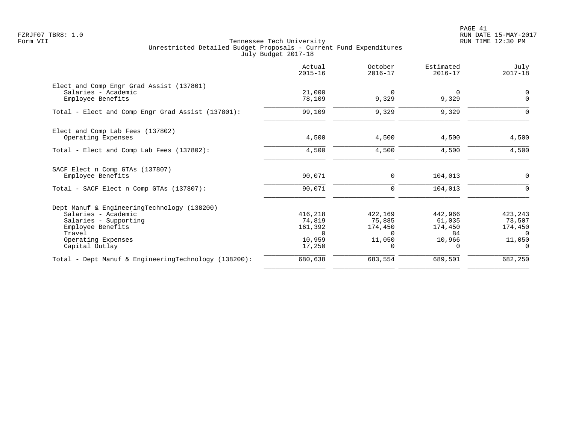PAGE 41 FZRJF07 TBR8: 1.0 RUN DATE 15-MAY-2017

|                                                      | Actual<br>$2015 - 16$ | October<br>$2016 - 17$ | Estimated<br>$2016 - 17$ | July<br>$2017 - 18$ |
|------------------------------------------------------|-----------------------|------------------------|--------------------------|---------------------|
| Elect and Comp Engr Grad Assist (137801)             |                       |                        |                          |                     |
| Salaries - Academic<br>Employee Benefits             | 21,000<br>78,109      | $\mathbf 0$<br>9,329   | $\Omega$<br>9,329        | 0<br>$\mathbf 0$    |
| Total - Elect and Comp Engr Grad Assist (137801):    | 99,109                | 9,329                  | 9,329                    | $\Omega$            |
| Elect and Comp Lab Fees (137802)                     |                       |                        |                          |                     |
| Operating Expenses                                   | 4,500                 | 4,500                  | 4,500                    | 4,500               |
| Total - Elect and Comp Lab Fees (137802):            | 4,500                 | 4,500                  | 4,500                    | 4,500               |
| SACF Elect n Comp GTAs (137807)                      |                       |                        |                          |                     |
| Employee Benefits                                    | 90,071                | $\mathbf 0$            | 104,013                  | $\mathbf 0$         |
| Total - SACF Elect n Comp GTAs (137807):             | 90,071                | $\mathbf 0$            | 104,013                  | $\mathbf 0$         |
| Dept Manuf & EngineeringTechnology (138200)          |                       |                        |                          |                     |
| Salaries - Academic                                  | 416,218               | 422,169                | 442,966                  | 423,243             |
| Salaries - Supporting                                | 74,819                | 75,885                 | 61,035                   | 73,507              |
| Employee Benefits<br>Travel                          | 161,392<br>$\Omega$   | 174,450<br>$\Omega$    | 174,450<br>84            | 174,450<br>$\Omega$ |
| Operating Expenses                                   | 10,959                | 11,050                 | 10,966                   | 11,050              |
| Capital Outlay                                       | 17,250                | $\Omega$               | $\Omega$                 |                     |
| Total - Dept Manuf & EngineeringTechnology (138200): | 680,638               | 683,554                | 689,501                  | 682,250             |
|                                                      |                       |                        |                          |                     |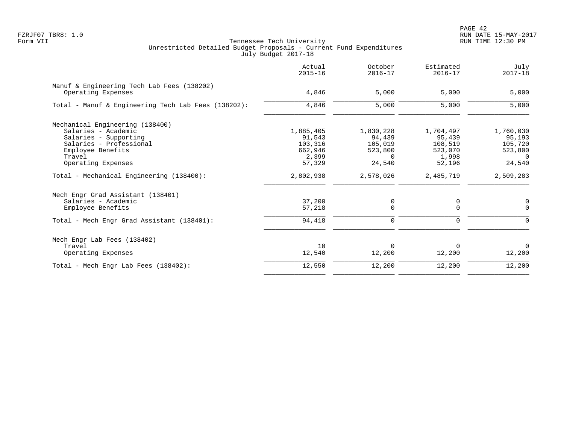| Actual<br>$2015 - 16$ | October<br>$2016 - 17$                  | Estimated<br>$2016 - 17$           | July<br>$2017 - 18$     |
|-----------------------|-----------------------------------------|------------------------------------|-------------------------|
|                       |                                         |                                    |                         |
|                       |                                         |                                    | 5,000                   |
| 4,846                 | 5,000                                   | 5,000                              | 5,000                   |
|                       |                                         |                                    |                         |
|                       |                                         |                                    | 1,760,030               |
| 91,543                | 94,439                                  | 95,439                             | 95,193                  |
|                       |                                         | 108,519                            | 105,720                 |
| 662,946               | 523,800                                 | 523,070                            | 523,800                 |
| 2,399                 | $\Omega$                                | 1,998                              | $\Omega$                |
| 57,329                | 24,540                                  | 52,196                             | 24,540                  |
| 2,802,938             | 2,578,026                               | 2,485,719                          | 2,509,283               |
|                       |                                         |                                    |                         |
|                       |                                         |                                    | $\mathbf 0$             |
| 57,218                | $\Omega$                                | $\Omega$                           | $\Omega$                |
| 94,418                | 0                                       | 0                                  | $\mathbf 0$             |
|                       |                                         |                                    |                         |
| 10                    | $\Omega$                                | 0                                  | $\Omega$                |
| 12,540                | 12,200                                  | 12,200                             | 12,200                  |
| 12,550                | 12,200                                  | 12,200                             | 12,200                  |
|                       | 4,846<br>1,885,405<br>103,316<br>37,200 | 5,000<br>1,830,228<br>105,019<br>0 | 5,000<br>1,704,497<br>0 |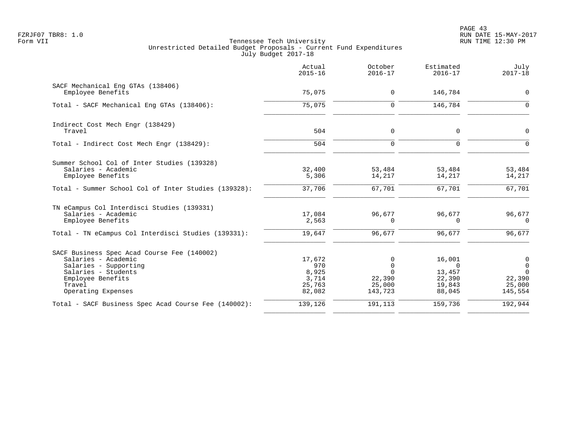|                                                                                                                                                                         | Actual<br>$2015 - 16$                               | October<br>$2016 - 17$                                   | Estimated<br>$2016 - 17$                                   | July<br>$2017 - 18$                                                         |
|-------------------------------------------------------------------------------------------------------------------------------------------------------------------------|-----------------------------------------------------|----------------------------------------------------------|------------------------------------------------------------|-----------------------------------------------------------------------------|
| SACF Mechanical Eng GTAs (138406)<br>Employee Benefits                                                                                                                  | 75,075                                              | $\mathbf 0$                                              | 146,784                                                    | $\mathbf 0$                                                                 |
| Total - SACF Mechanical Eng GTAs (138406):                                                                                                                              | 75,075                                              | $\Omega$                                                 | 146,784                                                    | $\Omega$                                                                    |
| Indirect Cost Mech Engr (138429)<br>Travel                                                                                                                              | 504                                                 | $\mathbf 0$                                              | $\Omega$                                                   | $\Omega$                                                                    |
| Total - Indirect Cost Mech Engr (138429):                                                                                                                               | 504                                                 | $\mathbf 0$                                              | $\Omega$                                                   | $\Omega$                                                                    |
| Summer School Col of Inter Studies (139328)<br>Salaries - Academic<br>Employee Benefits<br>Total - Summer School Col of Inter Studies (139328):                         | 32,400<br>5,306<br>37,706                           | 53,484<br>14,217<br>67,701                               | 53,484<br>14,217<br>67,701                                 | 53,484<br>14,217<br>67,701                                                  |
| TN eCampus Col Interdisci Studies (139331)<br>Salaries - Academic<br>Employee Benefits<br>Total - TN eCampus Col Interdisci Studies (139331):                           | 17,084<br>2,563<br>19,647                           | 96,677<br>$\Omega$<br>96,677                             | 96,677<br>0<br>96,677                                      | 96,677<br>$\Omega$<br>96,677                                                |
| SACF Business Spec Acad Course Fee (140002)<br>Salaries - Academic<br>Salaries - Supporting<br>Salaries - Students<br>Employee Benefits<br>Travel<br>Operating Expenses | 17,672<br>970<br>8,925<br>3,714<br>25,763<br>82,082 | $\Omega$<br>0<br>$\Omega$<br>22,390<br>25,000<br>143,723 | 16,001<br>$\Omega$<br>13,457<br>22,390<br>19,843<br>88,045 | $\overline{0}$<br>$\overline{0}$<br>$\Omega$<br>22,390<br>25,000<br>145,554 |
| Total - SACF Business Spec Acad Course Fee (140002):                                                                                                                    | 139,126                                             | 191,113                                                  | 159,736                                                    | 192,944                                                                     |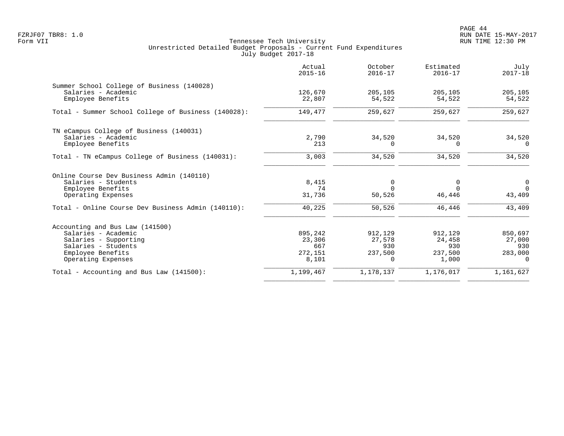PAGE 44 FZRJF07 TBR8: 1.0 RUN DATE 15-MAY-2017

|                                                     | Actual<br>$2015 - 16$ | October<br>$2016 - 17$ | Estimated<br>$2016 - 17$ | July<br>$2017 - 18$ |
|-----------------------------------------------------|-----------------------|------------------------|--------------------------|---------------------|
| Summer School College of Business (140028)          |                       |                        |                          |                     |
| Salaries - Academic                                 | 126,670               | 205,105                | 205,105                  | 205,105             |
| Employee Benefits                                   | 22,807                | 54,522                 | 54,522                   | 54,522              |
| Total - Summer School College of Business (140028): | 149,477               | 259,627                | 259,627                  | 259,627             |
| TN eCampus College of Business (140031)             |                       |                        |                          |                     |
| Salaries - Academic                                 | 2,790                 | 34,520                 | 34,520                   | 34,520              |
| Employee Benefits                                   | 213                   | $\Omega$               | $\Omega$                 | $\Omega$            |
| Total - TN eCampus College of Business (140031):    | 3,003                 | 34,520                 | 34,520                   | 34,520              |
| Online Course Dev Business Admin (140110)           |                       |                        |                          |                     |
| Salaries - Students                                 | 8,415                 | 0                      | 0                        | $\overline{0}$      |
| Employee Benefits                                   | 74                    | $\Omega$               | $\cap$                   | $\Omega$            |
| Operating Expenses                                  | 31,736                | 50,526                 | 46,446                   | 43,409              |
| Total - Online Course Dev Business Admin (140110):  | 40,225                | 50,526                 | 46,446                   | 43,409              |
| Accounting and Bus Law (141500)                     |                       |                        |                          |                     |
| Salaries - Academic                                 | 895,242               | 912,129                | 912,129                  | 850,697             |
| Salaries - Supporting                               | 23,306                | 27,578                 | 24,458                   | 27,000              |
| Salaries - Students                                 | 667                   | 930                    | 930                      | 930                 |
| Employee Benefits                                   | 272,151               | 237,500                | 237,500                  | 283,000             |
| Operating Expenses                                  | 8,101                 | $\Omega$               | 1,000                    | $\Omega$            |
| Total - Accounting and Bus Law $(141500)$ :         | 1,199,467             | 1,178,137              | 1,176,017                | 1,161,627           |
|                                                     |                       |                        |                          |                     |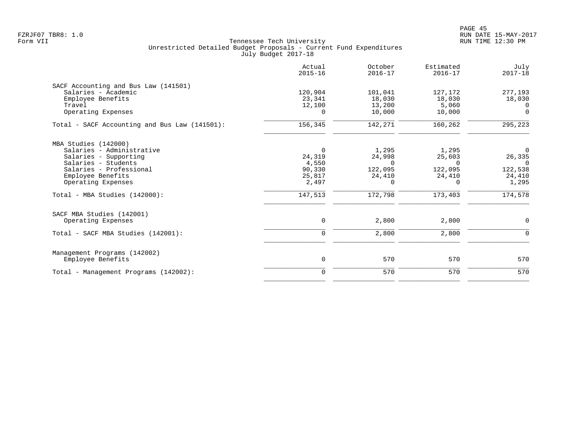|                                               | Actual<br>$2015 - 16$ | October<br>$2016 - 17$ | Estimated<br>$2016 - 17$ | July<br>$2017 - 18$ |
|-----------------------------------------------|-----------------------|------------------------|--------------------------|---------------------|
| SACF Accounting and Bus Law (141501)          |                       |                        |                          |                     |
| Salaries - Academic                           | 120,904               | 101,041                | 127,172                  | 277,193             |
| Employee Benefits                             | 23,341                | 18,030                 | 18,030                   | 18,030              |
| Travel                                        | 12,100                | 13,200                 | 5,060                    | $\Omega$            |
| Operating Expenses                            | $\Omega$              | 10,000                 | 10,000                   | $\Omega$            |
| Total - SACF Accounting and Bus Law (141501): | 156,345               | 142,271                | 160,262                  | 295,223             |
| MBA Studies (142000)                          |                       |                        |                          |                     |
| Salaries - Administrative                     | $\mathbf 0$           | 1,295                  | 1,295                    | $\overline{0}$      |
| Salaries - Supporting                         | 24,319                | 24,998                 | 25,603                   | 26,335              |
| Salaries - Students                           | 4,550                 | $\Omega$               | $\Omega$                 | $\Omega$            |
| Salaries - Professional                       | 90,330                | 122,095                | 122,095                  | 122,538             |
| Employee Benefits                             | 25,817                | 24,410                 | 24,410                   | 24,410              |
| Operating Expenses                            | 2,497                 | $\Omega$               | $\Omega$                 | 1,295               |
| Total - MBA Studies (142000):                 | 147,513               | 172,798                | 173,403                  | 174,578             |
| SACF MBA Studies (142001)                     |                       |                        |                          |                     |
| Operating Expenses                            | 0                     | 2,800                  | 2,800                    | $\mathbf 0$         |
| Total - SACF MBA Studies (142001):            | $\mathbf 0$           | 2,800                  | 2,800                    | $\Omega$            |
| Management Programs (142002)                  |                       |                        |                          |                     |
| Employee Benefits                             | 0                     | 570                    | 570                      | 570                 |
| Total - Management Programs (142002):         | $\mathbf 0$           | 570                    | 570                      | 570                 |
|                                               |                       |                        |                          |                     |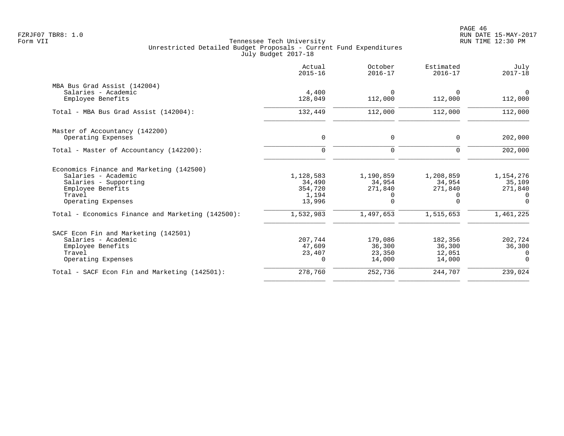PAGE 46 FZRJF07 TBR8: 1.0 RUN DATE 15-MAY-2017

|                                                   | Actual<br>$2015 - 16$ | October<br>$2016 - 17$ | Estimated<br>$2016 - 17$ | July<br>$2017 - 18$ |
|---------------------------------------------------|-----------------------|------------------------|--------------------------|---------------------|
| MBA Bus Grad Assist (142004)                      |                       |                        |                          |                     |
| Salaries - Academic                               | 4,400                 | $\Omega$               | $\Omega$                 | $\overline{0}$      |
| Employee Benefits                                 | 128,049               | 112,000                | 112,000                  | 112,000             |
| Total - MBA Bus Grad Assist (142004):             | 132,449               | 112,000                | 112,000                  | 112,000             |
| Master of Accountancy (142200)                    |                       |                        |                          |                     |
| Operating Expenses                                | $\mathbf 0$           | 0                      | 0                        | 202,000             |
| Total - Master of Accountancy (142200):           | $\mathbf 0$           | $\mathbf 0$            | 0                        | 202,000             |
| Economics Finance and Marketing (142500)          |                       |                        |                          |                     |
| Salaries - Academic                               | 1,128,583             | 1,190,859              | 1,208,859                | 1,154,276           |
| Salaries - Supporting                             | 34,490                | 34,954                 | 34,954                   | 35,109              |
| Employee Benefits                                 | 354,720               | 271,840                | 271,840                  | 271,840             |
| Travel                                            | 1,194                 | 0                      | $\Omega$                 | $\Omega$            |
| Operating Expenses                                | 13,996                | $\Omega$               | $\Omega$                 | $\Omega$            |
| Total - Economics Finance and Marketing (142500): | 1,532,983             | 1,497,653              | 1,515,653                | 1,461,225           |
| SACF Econ Fin and Marketing (142501)              |                       |                        |                          |                     |
| Salaries - Academic                               | 207,744               | 179,086                | 182,356                  | 202,724             |
| Employee Benefits                                 | 47,609                | 36,300                 | 36,300                   | 36,300              |
| Travel                                            | 23,407                | 23,350                 | 12,051                   | $\Omega$            |
| Operating Expenses                                | $\Omega$              | 14,000                 | 14,000                   | $\Omega$            |
| Total - SACF Econ Fin and Marketing (142501):     | 278,760               | 252,736                | 244,707                  | 239,024             |
|                                                   |                       |                        |                          |                     |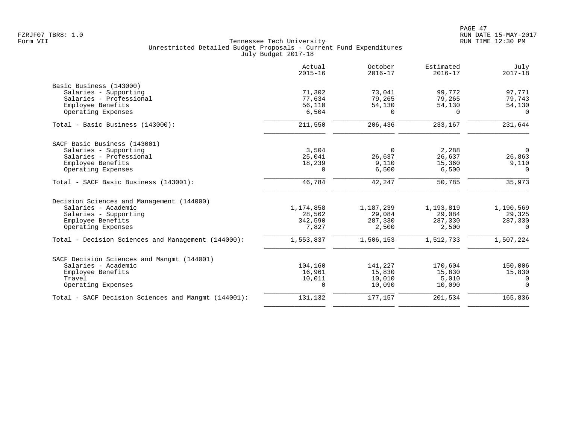|                                                     | Actual<br>$2015 - 16$ | October<br>$2016 - 17$ | Estimated<br>$2016 - 17$ | July<br>$2017 - 18$ |
|-----------------------------------------------------|-----------------------|------------------------|--------------------------|---------------------|
| Basic Business (143000)                             |                       |                        |                          |                     |
| Salaries - Supporting                               | 71,302                | 73,041                 | 99,772                   | 97,771              |
| Salaries - Professional                             | 77,634                | 79,265                 | 79,265                   | 79,743              |
| Employee Benefits                                   | 56,110                | 54,130                 | 54,130                   | 54,130              |
| Operating Expenses                                  | 6,504                 |                        | $\Omega$                 | $\Omega$            |
| Total - Basic Business (143000):                    | 211,550               | 206,436                | 233,167                  | 231,644             |
| SACF Basic Business (143001)                        |                       |                        |                          |                     |
| Salaries - Supporting                               | 3,504                 | $\Omega$               | 2,288                    | $\Omega$            |
| Salaries - Professional                             | 25,041                | 26,637                 | 26,637                   | 26,863              |
| Employee Benefits                                   | 18,239                | 9,110                  | 15,360                   | 9,110               |
| Operating Expenses                                  | 0                     | 6,500                  | 6,500                    | $\Omega$            |
| Total - SACF Basic Business (143001):               | 46,784                | 42,247                 | 50,785                   | 35,973              |
| Decision Sciences and Management (144000)           |                       |                        |                          |                     |
| Salaries - Academic                                 | 1,174,858             | 1,187,239              | 1,193,819                | 1,190,569           |
| Salaries - Supporting                               | 28,562                | 29,084                 | 29,084                   | 29,325              |
| Employee Benefits                                   | 342,590               | 287,330                | 287,330                  | 287,330             |
| Operating Expenses                                  | 7,827                 | 2,500                  | 2,500                    | $\Omega$            |
| Total - Decision Sciences and Management (144000):  | 1,553,837             | 1,506,153              | 1,512,733                | 1,507,224           |
| SACF Decision Sciences and Mangmt (144001)          |                       |                        |                          |                     |
| Salaries - Academic                                 | 104,160               | 141,227                | 170,604                  | 150,006             |
| Employee Benefits                                   | 16,961                | 15,830                 | 15,830                   | 15,830              |
| Travel                                              | 10,011                | 10,010                 | 5,010                    | $\Omega$            |
| Operating Expenses                                  | 0                     | 10,090                 | 10,090                   | $\Omega$            |
| Total - SACF Decision Sciences and Mangmt (144001): | 131,132               | 177,157                | 201,534                  | 165,836             |
|                                                     |                       |                        |                          |                     |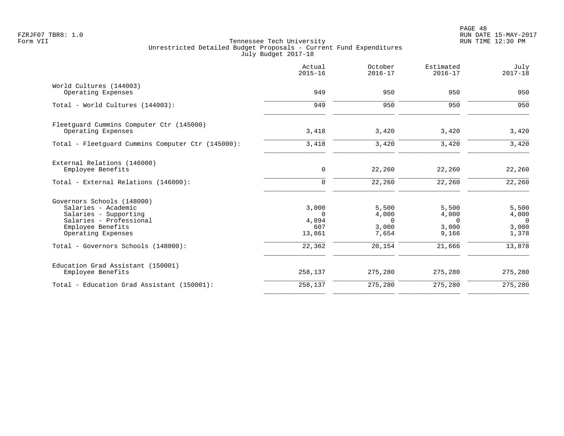|                                                                                                                                                  | Actual<br>$2015 - 16$                       | October<br>$2016 - 17$                       | Estimated<br>$2016 - 17$                     | July<br>$2017 - 18$                          |
|--------------------------------------------------------------------------------------------------------------------------------------------------|---------------------------------------------|----------------------------------------------|----------------------------------------------|----------------------------------------------|
| World Cultures (144003)<br>Operating Expenses                                                                                                    | 949                                         | 950                                          | 950                                          | 950                                          |
| Total - World Cultures (144003):                                                                                                                 | 949                                         | 950                                          | 950                                          | 950                                          |
| Fleetguard Cummins Computer Ctr (145000)<br>Operating Expenses                                                                                   | 3,418                                       | 3,420                                        | 3,420                                        | 3,420                                        |
| Total - Fleetguard Cummins Computer Ctr (145000):                                                                                                | 3,418                                       | 3,420                                        | 3,420                                        | 3,420                                        |
| External Relations (146000)<br>Employee Benefits                                                                                                 | 0                                           | 22,260                                       | 22,260                                       | 22,260                                       |
| Total - External Relations (146000):                                                                                                             | $\mathbf 0$                                 | 22,260                                       | 22,260                                       | 22, 260                                      |
| Governors Schools (148000)<br>Salaries - Academic<br>Salaries - Supporting<br>Salaries - Professional<br>Employee Benefits<br>Operating Expenses | 3,000<br>$\Omega$<br>4,894<br>607<br>13,861 | 5,500<br>4,000<br>$\Omega$<br>3,000<br>7,654 | 5,500<br>4,000<br>$\Omega$<br>3,000<br>9,166 | 5,500<br>4,000<br>$\Omega$<br>3,000<br>1,378 |
| Total - Governors Schools (148000):                                                                                                              | 22,362                                      | 20,154                                       | 21,666                                       | 13,878                                       |
| Education Grad Assistant (150001)<br>Employee Benefits                                                                                           | 258,137                                     | 275,280                                      | 275,280                                      | 275,280                                      |
| Total - Education Grad Assistant (150001):                                                                                                       | 258,137                                     | 275,280                                      | 275,280                                      | 275,280                                      |
|                                                                                                                                                  |                                             |                                              |                                              |                                              |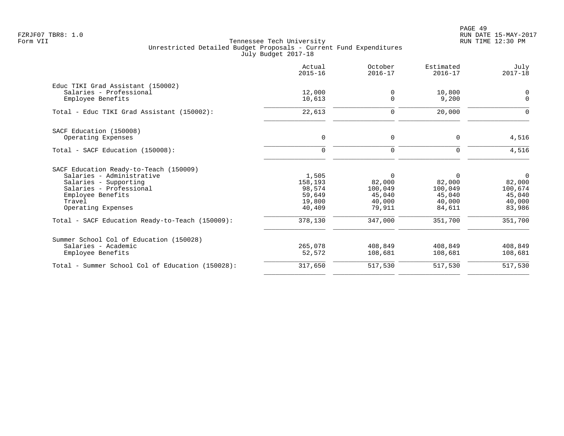PAGE 49 FZRJF07 TBR8: 1.0 RUN DATE 15-MAY-2017

|                                                  | Actual<br>$2015 - 16$ | October<br>$2016 - 17$  | Estimated<br>$2016 - 17$ | July<br>$2017 - 18$     |
|--------------------------------------------------|-----------------------|-------------------------|--------------------------|-------------------------|
| Educ TIKI Grad Assistant (150002)                |                       |                         |                          |                         |
| Salaries - Professional<br>Employee Benefits     | 12,000<br>10,613      | $\mathbf 0$<br>$\Omega$ | 10,800<br>9,200          | $\mathbf 0$<br>$\Omega$ |
| Total - Educ TIKI Grad Assistant (150002):       | 22,613                | $\mathbf 0$             | 20,000                   | $\Omega$                |
| SACF Education (150008)                          |                       |                         |                          |                         |
| Operating Expenses                               | 0                     | 0                       | $\Omega$                 | 4,516                   |
| Total - SACF Education (150008):                 | $\Omega$              | $\Omega$                | $\Omega$                 | 4,516                   |
| SACF Education Ready-to-Teach (150009)           |                       |                         |                          |                         |
| Salaries - Administrative                        | 1,505                 | 0                       | 0                        | $\overline{0}$          |
| Salaries - Supporting                            | 158,193               | 82,000                  | 82,000                   | 82,000                  |
| Salaries - Professional                          | 98,574                | 100,049                 | 100,049                  | 100,674                 |
| Employee Benefits                                | 59,649                | 45,040                  | 45,040                   | 45,040                  |
| Travel<br>Operating Expenses                     | 19,800<br>40,409      | 40,000<br>79,911        | 40,000<br>84,611         | 40,000<br>83,986        |
| Total - SACF Education Ready-to-Teach (150009):  | 378,130               | 347,000                 | 351,700                  | 351,700                 |
| Summer School Col of Education (150028)          |                       |                         |                          |                         |
| Salaries - Academic                              | 265,078               | 408,849                 | 408,849                  | 408,849                 |
| Employee Benefits                                | 52,572                | 108,681                 | 108,681                  | 108,681                 |
| Total - Summer School Col of Education (150028): | 317,650               | 517,530                 | 517,530                  | 517,530                 |
|                                                  |                       |                         |                          |                         |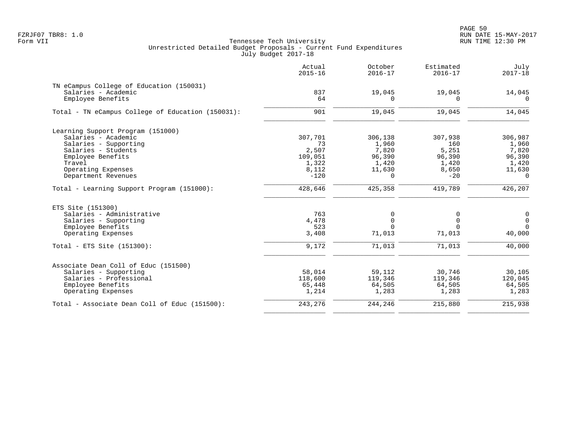PAGE 50 FZRJF07 TBR8: 1.0 RUN DATE 15-MAY-2017

| Actual<br>$2015 - 16$ | October<br>$2016 - 17$                                                          | Estimated<br>$2016 - 17$                                                                        | July<br>$2017 - 18$                                                           |
|-----------------------|---------------------------------------------------------------------------------|-------------------------------------------------------------------------------------------------|-------------------------------------------------------------------------------|
|                       |                                                                                 |                                                                                                 |                                                                               |
| 837                   | 19,045                                                                          | 19,045                                                                                          | 14,045                                                                        |
| 64                    | $\Omega$                                                                        | $\Omega$                                                                                        | $\Omega$                                                                      |
| 901                   | 19,045                                                                          | 19,045                                                                                          | 14,045                                                                        |
|                       |                                                                                 |                                                                                                 |                                                                               |
|                       |                                                                                 |                                                                                                 | 306,987                                                                       |
| 73                    |                                                                                 | 160                                                                                             | 1,960                                                                         |
| 2,507                 |                                                                                 |                                                                                                 | 7,820                                                                         |
| 109,051               | 96,390                                                                          | 96,390                                                                                          | 96,390                                                                        |
|                       | 1,420                                                                           | 1,420                                                                                           | 1,420                                                                         |
|                       |                                                                                 | 8,650                                                                                           | 11,630                                                                        |
| $-120$                | 0                                                                               | $-20$                                                                                           | $\Omega$                                                                      |
| 428,646               | 425,358                                                                         | 419,789                                                                                         | 426, 207                                                                      |
|                       |                                                                                 |                                                                                                 |                                                                               |
|                       |                                                                                 |                                                                                                 | 0                                                                             |
|                       |                                                                                 |                                                                                                 | $\mathbf 0$                                                                   |
|                       |                                                                                 |                                                                                                 | $\Omega$                                                                      |
| 3,408                 | 71,013                                                                          | 71,013                                                                                          | 40,000                                                                        |
| 9,172                 | 71,013                                                                          | 71,013                                                                                          | 40,000                                                                        |
|                       |                                                                                 |                                                                                                 |                                                                               |
|                       |                                                                                 |                                                                                                 | 30,105                                                                        |
|                       |                                                                                 |                                                                                                 | 120,045                                                                       |
|                       |                                                                                 |                                                                                                 | 64,505                                                                        |
| 1,214                 | 1,283                                                                           | 1,283                                                                                           | 1,283                                                                         |
| 243,276               | 244,246                                                                         | 215,880                                                                                         | 215,938                                                                       |
|                       | 307,701<br>1,322<br>8,112<br>763<br>4,478<br>523<br>58,014<br>118,600<br>65,448 | 306,138<br>1,960<br>7,820<br>11,630<br>0<br>$\Omega$<br>$\Omega$<br>59,112<br>119,346<br>64,505 | 307,938<br>5,251<br>0<br>$\mathbf 0$<br>$\cap$<br>30,746<br>119,346<br>64,505 |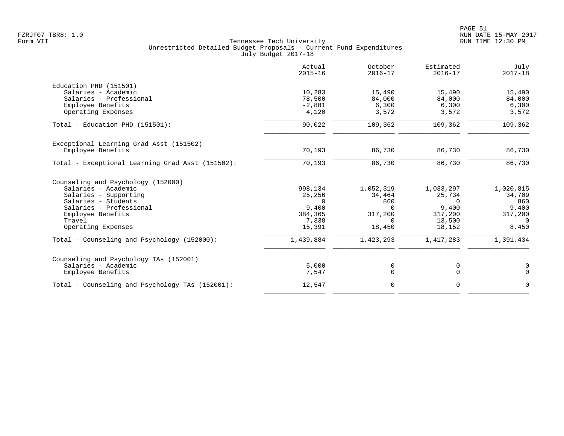| Actual<br>$2015 - 16$ | October<br>$2016 - 17$     | Estimated<br>$2016 - 17$ | July<br>$2017 - 18$      |
|-----------------------|----------------------------|--------------------------|--------------------------|
|                       |                            |                          |                          |
| 10,283                | 15,490                     | 15,490                   | 15,490                   |
| 78,500                | 84,000                     | 84,000                   | 84,000                   |
| $-2,881$              | 6,300                      | 6,300                    | 6,300                    |
| 4,120                 | 3,572                      | 3,572                    | 3,572                    |
| 90,022                | 109,362                    | 109,362                  | 109,362                  |
|                       |                            |                          |                          |
| 70,193                | 86,730                     | 86,730                   | 86,730                   |
| 70,193                | 86,730                     | 86,730                   | 86,730                   |
|                       |                            |                          |                          |
|                       |                            |                          | 1,020,815                |
|                       |                            |                          | 34,709                   |
| $\Omega$              | 860                        | $\Omega$                 | 860                      |
| 9,400                 | $\Omega$                   | 9,400                    | 9,400                    |
| 384,365               | 317,200                    | 317,200                  | 317,200                  |
| 7,338                 | $\Omega$                   | 13,500                   | $\Omega$                 |
| 15,391                | 18,450                     | 18,152                   | 8,450                    |
| 1,439,884             | 1,423,293                  | 1,417,283                | 1,391,434                |
|                       |                            |                          |                          |
|                       |                            |                          | 0                        |
| 7,547                 | $\Omega$                   | $\mathbf 0$              | $\mathbf 0$              |
| 12,547                | 0                          | $\mathbf 0$              | $\mathbf 0$              |
|                       | 998,134<br>25,256<br>5,000 | 1,052,319<br>34,464<br>0 | 1,033,297<br>25,734<br>0 |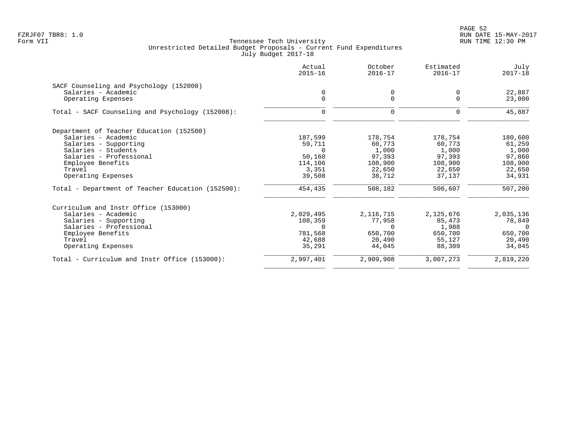|                                                   | Actual<br>$2015 - 16$ | October<br>$2016 - 17$ | Estimated<br>$2016 - 17$ | July<br>$2017 - 18$ |
|---------------------------------------------------|-----------------------|------------------------|--------------------------|---------------------|
| SACF Counseling and Psychology (152008)           |                       |                        |                          |                     |
| Salaries - Academic                               |                       | 0                      | 0                        | 22,887              |
| Operating Expenses                                | $\mathbf 0$           | 0                      | $\Omega$                 | 23,000              |
| Total - SACF Counseling and Psychology (152008):  | $\Omega$              | $\Omega$               | $\Omega$                 | 45,887              |
| Department of Teacher Education (152500)          |                       |                        |                          |                     |
| Salaries - Academic                               | 187,599               | 178,754                | 178,754                  | 180,600             |
| Salaries - Supporting                             | 59,711                | 60,773                 | 60,773                   | 61,259              |
| Salaries - Students                               | $\Omega$              | 1,000                  | 1,000                    | 1,000               |
| Salaries - Professional                           | 50,160                | 97,393                 | 97,393                   | 97,860              |
| Employee Benefits                                 | 114,106               | 108,900                | 108,900                  | 108,900             |
| Travel                                            | 3,351                 | 22,650                 | 22,650                   | 22,650              |
| Operating Expenses                                | 39,508                | 38,712                 | 37,137                   | 34,931              |
| Total - Department of Teacher Education (152500): | 454,435               | 508,182                | 506,607                  | 507,200             |
| Curriculum and Instr Office (153000)              |                       |                        |                          |                     |
| Salaries - Academic                               | 2,029,495             | 2, 116, 715            | 2,125,676                | 2,035,136           |
| Salaries - Supporting                             | 108,359               | 77,958                 | 85,473                   | 78,849              |
| Salaries - Professional                           | $\Omega$              | $\Omega$               | 1,988                    | 0                   |
| Employee Benefits                                 | 781,568               | 650,700                | 650,700                  | 650,700             |
| Travel                                            | 42,688                | 20,490                 | 55,127                   | 20,490              |
| Operating Expenses                                | 35,291                | 44,045                 | 88,309                   | 34,045              |
| Total - Curriculum and Instr Office (153000):     | 2,997,401             | 2,909,908              | 3,007,273                | 2,819,220           |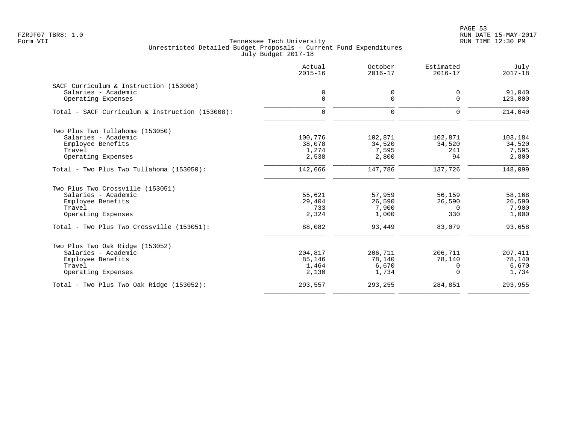PAGE 53 FZRJF07 TBR8: 1.0 RUN DATE 15-MAY-2017

|                                                 | Actual<br>$2015 - 16$ | October<br>$2016 - 17$ | Estimated<br>$2016 - 17$ | July<br>$2017 - 18$ |
|-------------------------------------------------|-----------------------|------------------------|--------------------------|---------------------|
| SACF Curriculum & Instruction (153008)          |                       |                        |                          |                     |
| Salaries - Academic                             | 0                     | 0                      | 0                        | 91,040              |
| Operating Expenses                              | $\mathbf 0$           | $\mathbf 0$            | $\Omega$                 | 123,000             |
| Total - SACF Curriculum & Instruction (153008): | $\mathbf 0$           | $\mathbf 0$            | $\mathbf 0$              | 214,040             |
| Two Plus Two Tullahoma (153050)                 |                       |                        |                          |                     |
| Salaries - Academic                             | 100,776               | 102,871                | 102,871                  | 103,184             |
| Employee Benefits                               | 38,078                | 34,520                 | 34,520                   | 34,520              |
| Travel                                          | 1,274                 | 7,595                  | 241                      | 7,595               |
| Operating Expenses                              | 2,538                 | 2,800                  | 94                       | 2,800               |
| Total - Two Plus Two Tullahoma (153050):        | 142,666               | 147,786                | 137,726                  | 148,099             |
| Two Plus Two Crossville (153051)                |                       |                        |                          |                     |
| Salaries - Academic                             | 55,621                | 57,959                 | 56,159                   | 58,168              |
| Employee Benefits                               | 29,404                | 26,590                 | 26,590                   | 26,590              |
| Travel                                          | 733                   | 7,900                  | $\Omega$                 | 7,900               |
| Operating Expenses                              | 2,324                 | 1,000                  | 330                      | 1,000               |
| Total - Two Plus Two Crossville (153051):       | 88,082                | 93,449                 | 83,079                   | 93,658              |
| Two Plus Two Oak Ridge (153052)                 |                       |                        |                          |                     |
| Salaries - Academic                             | 204,817               | 206,711                | 206,711                  | 207,411             |
| Employee Benefits                               | 85,146                | 78,140                 | 78,140                   | 78,140              |
| Travel                                          | 1,464                 | 6,670                  | $\Omega$                 | 6,670               |
| Operating Expenses                              | 2,130                 | 1,734                  | $\Omega$                 | 1,734               |
| Total - Two Plus Two Oak Ridge (153052):        | 293,557               | 293,255                | 284,851                  | 293,955             |
|                                                 |                       |                        |                          |                     |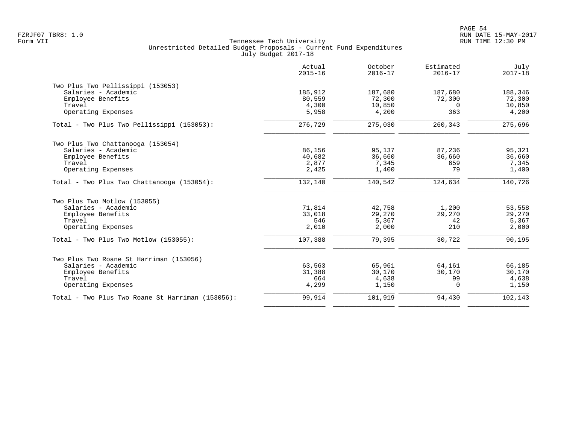|                                                  | Actual<br>$2015 - 16$ | October<br>$2016 - 17$ | Estimated<br>$2016 - 17$ | July<br>$2017 - 18$ |
|--------------------------------------------------|-----------------------|------------------------|--------------------------|---------------------|
| Two Plus Two Pellissippi (153053)                |                       |                        |                          |                     |
| Salaries - Academic                              | 185,912               | 187,680                | 187,680                  | 188,346             |
| Employee Benefits                                | 80,559                | 72,300                 | 72,300                   | 72,300              |
| Travel                                           | 4,300                 | 10,850                 | $\Omega$                 | 10,850              |
| Operating Expenses                               | 5,958                 | 4,200                  | 363                      | 4,200               |
| Total - Two Plus Two Pellissippi (153053):       | 276,729               | 275,030                | 260,343                  | 275,696             |
| Two Plus Two Chattanooga (153054)                |                       |                        |                          |                     |
| Salaries - Academic                              | 86,156                | 95,137                 | 87,236                   | 95,321              |
| Employee Benefits                                | 40,682                | 36,660                 | 36,660                   | 36,660              |
| Travel                                           | 2,877                 | 7,345                  | 659                      | 7,345               |
| Operating Expenses                               | 2,425                 | 1,400                  | 79                       | 1,400               |
| Total - Two Plus Two Chattanooga (153054):       | 132,140               | 140,542                | 124,634                  | 140,726             |
| Two Plus Two Motlow (153055)                     |                       |                        |                          |                     |
| Salaries - Academic                              | 71,814                | 42,758                 | 1,200                    | 53,558              |
| Employee Benefits                                | 33,018                | 29,270                 | 29,270                   | 29,270              |
| Travel                                           | 546                   | 5,367                  | 42                       | 5,367               |
| Operating Expenses                               | 2,010                 | 2,000                  | 210                      | 2,000               |
| Total - Two Plus Two Motlow (153055):            | 107,388               | 79,395                 | 30,722                   | 90,195              |
| Two Plus Two Roane St Harriman (153056)          |                       |                        |                          |                     |
| Salaries - Academic                              | 63,563                | 65,961                 | 64,161                   | 66,185              |
| Employee Benefits                                | 31,388                | 30,170                 | 30,170                   | 30,170              |
| Travel                                           | 664                   | 4,638                  | 99                       | 4,638               |
| Operating Expenses                               | 4,299                 | 1,150                  | $\Omega$                 | 1,150               |
| Total - Two Plus Two Roane St Harriman (153056): | 99,914                | 101,919                | 94,430                   | 102,143             |
|                                                  |                       |                        |                          |                     |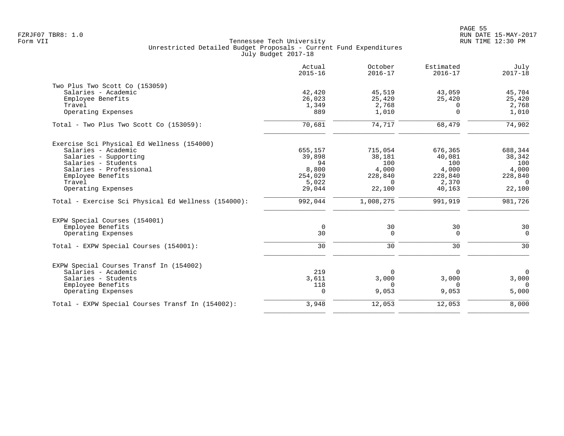|                                                     | Actual<br>$2015 - 16$ | October<br>$2016 - 17$ | Estimated<br>$2016 - 17$ | July<br>$2017 - 18$ |
|-----------------------------------------------------|-----------------------|------------------------|--------------------------|---------------------|
| Two Plus Two Scott Co (153059)                      |                       |                        |                          |                     |
| Salaries - Academic                                 | 42,420                | 45,519                 | 43,059                   | 45,704              |
| Employee Benefits                                   | 26,023                | 25,420                 | 25,420                   | 25,420              |
| Travel                                              | 1,349                 | 2,768                  | $\Omega$                 | 2,768               |
| Operating Expenses                                  | 889                   | 1,010                  | $\overline{0}$           | 1,010               |
| Total - Two Plus Two Scott Co (153059):             | 70,681                | 74,717                 | 68,479                   | 74,902              |
| Exercise Sci Physical Ed Wellness (154000)          |                       |                        |                          |                     |
| Salaries - Academic                                 | 655,157               | 715,054                | 676,365                  | 688,344             |
| Salaries - Supporting                               | 39,898                | 38,181                 | 40,081                   | 38,342              |
| Salaries - Students                                 | 94                    | 100                    | 100                      | 100                 |
| Salaries - Professional                             | 8,800                 | 4,000                  | 4,000                    | 4,000               |
| Employee Benefits                                   | 254,029               | 228,840                | 228,840                  | 228,840             |
| Travel                                              | 5,022                 | $\overline{0}$         | 2,370                    | $\overline{0}$      |
| Operating Expenses                                  | 29,044                | 22,100                 | 40,163                   | 22,100              |
| Total - Exercise Sci Physical Ed Wellness (154000): | 992,044               | 1,008,275              | 991,919                  | 981,726             |
| EXPW Special Courses (154001)                       |                       |                        |                          |                     |
| Employee Benefits                                   | 0                     | 30                     | 30                       | 30                  |
| Operating Expenses                                  | 30                    | $\overline{0}$         | $\Omega$                 | $\Omega$            |
| Total - EXPW Special Courses (154001):              | 30                    | 30                     | 30                       | 30                  |
| EXPW Special Courses Transf In (154002)             |                       |                        |                          |                     |
| Salaries - Academic                                 | 219                   | $\overline{0}$         | 0                        | $\overline{0}$      |
| Salaries - Students                                 | 3,611                 | 3,000                  | 3,000                    | 3,000               |
| Employee Benefits                                   | 118                   | $\Omega$               | $\Omega$                 | $\Omega$            |
| Operating Expenses                                  | $\Omega$              | 9,053                  | 9,053                    | 5,000               |
| Total - EXPW Special Courses Transf In (154002):    | 3,948                 | 12,053                 | 12,053                   | 8,000               |
|                                                     |                       |                        |                          |                     |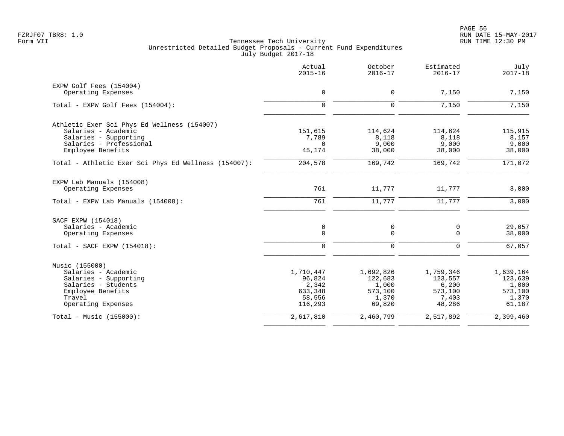| $\mathbf 0$<br>$\mathbf 0$<br>151,615<br>7,789<br>$\Omega$ | $\mathbf 0$<br>$\mathbf 0$<br>114,624<br>8,118                                                      | 7,150<br>7,150<br>114,624      | 7,150<br>7,150            |
|------------------------------------------------------------|-----------------------------------------------------------------------------------------------------|--------------------------------|---------------------------|
|                                                            |                                                                                                     |                                |                           |
|                                                            |                                                                                                     |                                |                           |
|                                                            |                                                                                                     |                                |                           |
|                                                            |                                                                                                     |                                |                           |
|                                                            |                                                                                                     |                                | 115,915                   |
|                                                            |                                                                                                     | 8,118                          | 8,157                     |
|                                                            | 9,000<br>38,000                                                                                     | 9,000<br>38,000                | 9,000<br>38,000           |
|                                                            | 169,742                                                                                             | 169,742                        | 171,072                   |
|                                                            |                                                                                                     |                                |                           |
| 761                                                        | 11,777                                                                                              | 11,777                         | 3,000                     |
| 761                                                        | 11,777                                                                                              | 11,777                         | 3,000                     |
|                                                            |                                                                                                     |                                |                           |
|                                                            |                                                                                                     | 0                              | 29,057                    |
| $\mathbf 0$                                                | $\Omega$                                                                                            | $\Omega$                       | 38,000                    |
| $\mathbf 0$                                                | $\mathbf 0$                                                                                         | $\mathbf 0$                    | 67,057                    |
|                                                            |                                                                                                     |                                |                           |
|                                                            | 1,692,826                                                                                           | 1,759,346                      | 1,639,164                 |
|                                                            | 122,683                                                                                             | 123,557                        | 123,639                   |
|                                                            |                                                                                                     |                                | 1,000                     |
|                                                            |                                                                                                     |                                | 573,100                   |
|                                                            | 69,820                                                                                              | 48,286                         | 1,370<br>61,187           |
|                                                            | 2,460,799                                                                                           | 2,517,892                      | 2,399,460                 |
|                                                            | 45,174<br>204,578<br>0<br>1,710,447<br>96,824<br>2,342<br>633,348<br>58,556<br>116,293<br>2,617,810 | 0<br>1,000<br>573,100<br>1,370 | 6,200<br>573,100<br>7,403 |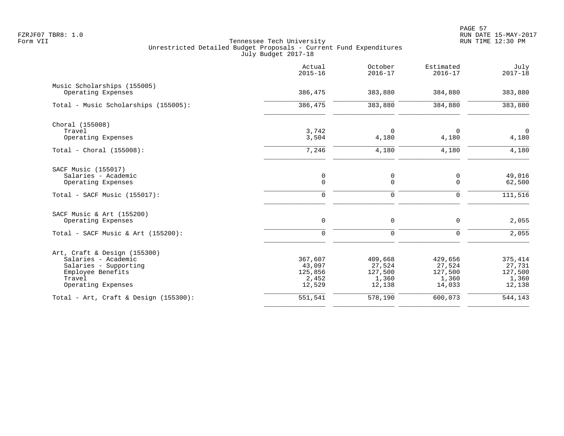|                                          | Actual<br>$2015 - 16$ | October<br>$2016 - 17$ | Estimated<br>$2016 - 17$ | July<br>$2017 - 18$ |
|------------------------------------------|-----------------------|------------------------|--------------------------|---------------------|
| Music Scholarships (155005)              |                       |                        |                          |                     |
| Operating Expenses                       | 386,475               | 383,880                | 384,880                  | 383,880             |
| Total - Music Scholarships (155005):     | 386,475               | 383,880                | 384,880                  | 383,880             |
| Choral (155008)                          |                       |                        |                          |                     |
| Travel                                   | 3,742                 | $\Omega$               | $\Omega$                 | $\mathbf 0$         |
| Operating Expenses                       | 3,504                 | 4,180                  | 4,180                    | 4,180               |
| Total - Choral $(155008):$               | 7,246                 | 4,180                  | 4,180                    | 4,180               |
| SACF Music (155017)                      |                       |                        |                          |                     |
| Salaries - Academic                      | $\mathsf{O}$          | 0                      | 0                        | 49,016              |
| Operating Expenses                       | $\mathbf 0$           | $\mathbf 0$            | $\mathbf 0$              | 62,500              |
| $Total - SACF Music (155017):$           | $\mathbf 0$           | $\mathbf 0$            | $\mathbf 0$              | 111, 516            |
| SACF Music & Art (155200)                |                       |                        |                          |                     |
| Operating Expenses                       | $\mathbf 0$           | $\mathbf 0$            | $\mathbf 0$              | 2,055               |
| Total - SACF Music & Art $(155200)$ :    | $\mathbf 0$           | $\mathbf 0$            | $\mathbf 0$              | 2,055               |
| Art, Craft & Design (155300)             |                       |                        |                          |                     |
| Salaries - Academic                      | 367,607               | 409,668                | 429,656                  | 375,414             |
| Salaries - Supporting                    | 43,097                | 27,524                 | 27,524                   | 27,731              |
| Employee Benefits<br>Travel              | 125,856               | 127,500                | 127,500                  | 127,500             |
| Operating Expenses                       | 2,452<br>12,529       | 1,360<br>12,138        | 1,360<br>14,033          | 1,360<br>12,138     |
| Total - Art, Craft & Design $(155300)$ : | 551,541               | 578,190                | 600,073                  | 544,143             |
|                                          |                       |                        |                          |                     |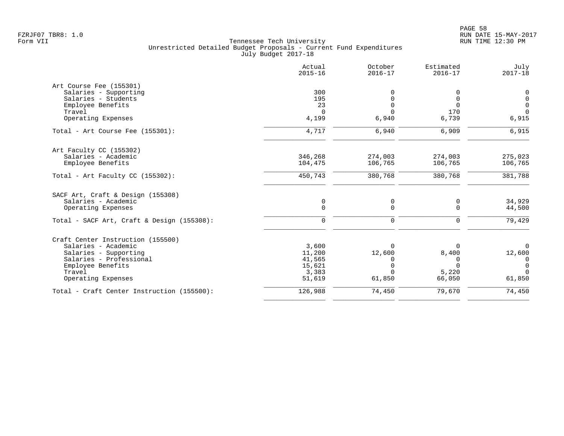|                                                                                | Actual<br>$2015 - 16$ | October<br>$2016 - 17$ | Estimated<br>$2016 - 17$ | July<br>$2017 - 18$ |
|--------------------------------------------------------------------------------|-----------------------|------------------------|--------------------------|---------------------|
| Art Course Fee (155301)                                                        |                       |                        |                          |                     |
| Salaries - Supporting                                                          | 300                   |                        | 0                        | 0                   |
| Salaries - Students                                                            | 195                   | O                      | $\mathbf 0$              | $\mathbf 0$         |
| Employee Benefits                                                              | 23                    | $\Omega$               | $\Omega$                 | $\mathbf 0$         |
| Travel                                                                         | $\Omega$              | $\Omega$               | 170                      | $\Omega$            |
| Operating Expenses                                                             | 4,199                 | 6,940                  | 6,739                    | 6,915               |
| Total - Art Course Fee (155301):                                               | 4,717                 | 6,940                  | 6,909                    | 6,915               |
| Art Faculty CC (155302)                                                        |                       |                        |                          |                     |
| Salaries - Academic                                                            | 346,268               | 274,003                | 274,003                  | 275,023             |
| Employee Benefits                                                              | 104,475               | 106,765                | 106,765                  | 106,765             |
| Total - Art Faculty CC $(155302)$ :                                            | 450,743               | 380,768                | 380,768                  | 381,788             |
| SACF Art, Craft & Design (155308)<br>Salaries - Academic<br>Operating Expenses | 0<br>$\mathbf 0$      | 0<br>0                 | 0<br>0                   | 34,929<br>44,500    |
| Total - SACF Art, Craft & Design (155308):                                     | $\mathbf 0$           | 0                      | 0                        | 79,429              |
| Craft Center Instruction (155500)                                              |                       |                        |                          |                     |
| Salaries - Academic                                                            | 3,600                 | $\Omega$               | 0                        | $\Omega$            |
| Salaries - Supporting                                                          | 11,200                | 12,600                 | 8,400                    | 12,600              |
| Salaries - Professional                                                        | 41,565                | 0                      | 0                        | 0                   |
| Employee Benefits                                                              | 15,621                | $\Omega$               | $\Omega$                 | $\mathbf 0$         |
| Travel                                                                         | 3,383                 | $\Omega$               | 5,220                    | $\Omega$            |
| Operating Expenses                                                             | 51,619                | 61,850                 | 66,050                   | 61,850              |
| Total - Craft Center Instruction (155500):                                     | 126,988               | 74,450                 | 79,670                   | 74,450              |
|                                                                                |                       |                        |                          |                     |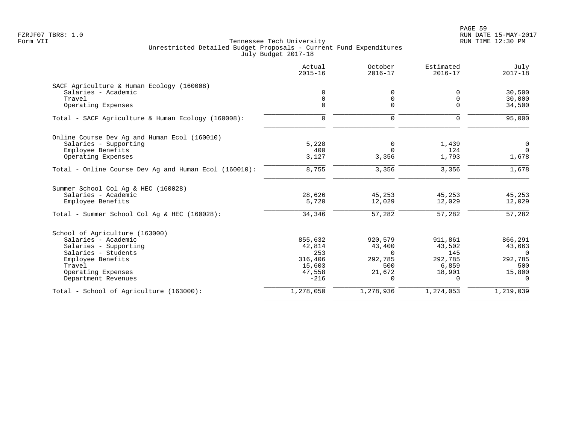PAGE 59 FZRJF07 TBR8: 1.0 RUN DATE 15-MAY-2017

|                                                       | Actual<br>$2015 - 16$ | October<br>$2016 - 17$ | Estimated<br>$2016 - 17$ | July<br>$2017 - 18$ |
|-------------------------------------------------------|-----------------------|------------------------|--------------------------|---------------------|
| SACF Agriculture & Human Ecology (160008)             |                       |                        |                          |                     |
| Salaries - Academic                                   | 0                     | 0                      | 0                        | 30,500              |
| Travel                                                | $\mathbf 0$           | $\mathbf 0$            | 0                        | 30,000              |
| Operating Expenses                                    | $\Omega$              | $\Omega$               | $\Omega$                 | 34,500              |
| Total - SACF Agriculture & Human Ecology (160008):    | $\mathbf 0$           | $\mathbf 0$            | $\mathbf 0$              | 95,000              |
| Online Course Dev Ag and Human Ecol (160010)          |                       |                        |                          |                     |
| Salaries - Supporting                                 | 5,228                 | 0                      | 1,439                    | $\mathsf{O}$        |
| Employee Benefits                                     | 400                   | $\Omega$               | 124                      | $\Omega$            |
| Operating Expenses                                    | 3,127                 | 3,356                  | 1,793                    | 1,678               |
| Total - Online Course Dev Ag and Human Ecol (160010): | 8,755                 | 3,356                  | 3,356                    | 1,678               |
| Summer School Col Aq & HEC (160028)                   |                       |                        |                          |                     |
| Salaries - Academic                                   | 28,626                | 45,253                 | 45,253                   | 45,253              |
| Employee Benefits                                     | 5,720                 | 12,029                 | 12,029                   | 12,029              |
| Total - Summer School Col Aq & HEC (160028):          | 34,346                | 57,282                 | 57,282                   | 57,282              |
| School of Agriculture (163000)                        |                       |                        |                          |                     |
| Salaries - Academic                                   | 855,632               | 920,579                | 911,861                  | 866,291             |
| Salaries - Supporting                                 | 42,814                | 43,400                 | 43,502                   | 43,663              |
| Salaries - Students                                   | 253                   | $\Omega$               | 145                      | $\overline{0}$      |
| Employee Benefits                                     | 316,406               | 292,785                | 292,785                  | 292,785             |
| Travel                                                | 15,603                | 500                    | 6,859                    | 500                 |
| Operating Expenses                                    | 47,558                | 21,672                 | 18,901                   | 15,800              |
| Department Revenues                                   | $-216$                | 0                      | 0                        | 0                   |
| Total - School of Agriculture (163000):               | 1,278,050             | 1,278,936              | 1,274,053                | 1,219,039           |
|                                                       |                       |                        |                          |                     |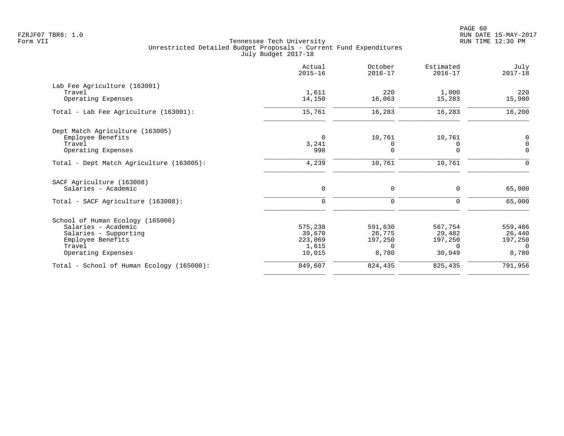|                                           | Actual<br>$2015 - 16$ | October<br>$2016 - 17$ | Estimated<br>$2016 - 17$ | July<br>$2017 - 18$ |
|-------------------------------------------|-----------------------|------------------------|--------------------------|---------------------|
| Lab Fee Agriculture (163001)              |                       |                        |                          |                     |
| Travel<br>Operating Expenses              | 1,611<br>14,150       | 220<br>16,063          | 1,000<br>15,283          | 220<br>15,980       |
| Total - Lab Fee Agriculture (163001):     | 15,761                | 16,283                 | 16,283                   | 16,200              |
| Dept Match Agriculture (163005)           |                       |                        |                          |                     |
| Employee Benefits                         | $\Omega$              | 10,761                 | 10,761                   | 0                   |
| Travel                                    | 3,241                 | 0                      | 0                        | $\mathbf 0$         |
| Operating Expenses                        | 998                   | $\Omega$               | $\Omega$                 | $\mathbf 0$         |
| Total - Dept Match Agriculture (163005):  | 4,239                 | 10,761                 | 10,761                   | $\mathbf 0$         |
| SACF Agriculture (163008)                 |                       |                        |                          |                     |
| Salaries - Academic                       | 0                     | 0                      | $\mathbf 0$              | 65,000              |
| Total - SACF Agriculture (163008):        | $\mathbf 0$           | $\mathbf 0$            | $\Omega$                 | 65,000              |
| School of Human Ecology (165000)          |                       |                        |                          |                     |
| Salaries - Academic                       | 575,238               | 591,630                | 567,754                  | 559,486             |
| Salaries - Supporting                     | 39,670                | 26,775                 | 29,482                   | 26,440              |
| Employee Benefits                         | 223,069               | 197,250                | 197,250                  | 197,250             |
| Travel                                    | 1,615                 | $\Omega$               | $\Omega$                 | $\Omega$            |
| Operating Expenses                        | 10,015                | 8,780                  | 30,949                   | 8,780               |
| Total - School of Human Ecology (165000): | 849,607               | 824,435                | 825,435                  | 791,956             |
|                                           |                       |                        |                          |                     |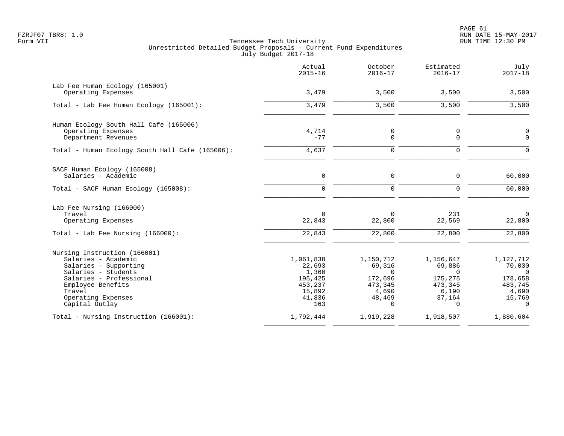|                                                                                                                                                                                                       | Actual<br>$2015 - 16$                                                         | October<br>$2016 - 17$                                                               | Estimated<br>$2016 - 17$                                                             | July<br>$2017 - 18$                                                                  |
|-------------------------------------------------------------------------------------------------------------------------------------------------------------------------------------------------------|-------------------------------------------------------------------------------|--------------------------------------------------------------------------------------|--------------------------------------------------------------------------------------|--------------------------------------------------------------------------------------|
| Lab Fee Human Ecology (165001)<br>Operating Expenses                                                                                                                                                  | 3,479                                                                         | 3,500                                                                                | 3,500                                                                                | 3,500                                                                                |
| Total - Lab Fee Human Ecology (165001):                                                                                                                                                               | 3,479                                                                         | 3,500                                                                                | 3,500                                                                                | 3,500                                                                                |
| Human Ecology South Hall Cafe (165006)<br>Operating Expenses<br>Department Revenues                                                                                                                   | 4,714<br>$-77$                                                                | 0<br>0                                                                               | 0<br>0                                                                               | $\mathsf 0$<br>$\Omega$                                                              |
| Total - Human Ecology South Hall Cafe (165006):                                                                                                                                                       | 4,637                                                                         | 0                                                                                    | $\mathbf 0$                                                                          | $\cap$                                                                               |
| SACF Human Ecology (165008)<br>Salaries - Academic                                                                                                                                                    | 0                                                                             | 0                                                                                    | $\mathbf 0$                                                                          | 60,000                                                                               |
| Total - SACF Human Ecology (165008):                                                                                                                                                                  | 0                                                                             | 0                                                                                    | 0                                                                                    | 60,000                                                                               |
| Lab Fee Nursing (166000)<br>Travel<br>Operating Expenses<br>Total - Lab Fee Nursing (166000):                                                                                                         | 0<br>22,843<br>22,843                                                         | $\Omega$<br>22,800<br>22,800                                                         | 231<br>22,569<br>22,800                                                              | $\Omega$<br>22,800<br>22,800                                                         |
| Nursing Instruction (166001)<br>Salaries - Academic<br>Salaries - Supporting<br>Salaries - Students<br>Salaries - Professional<br>Employee Benefits<br>Travel<br>Operating Expenses<br>Capital Outlay | 1,061,838<br>22,693<br>1,360<br>195,425<br>453,237<br>15,892<br>41,836<br>163 | 1,150,712<br>69,316<br>$\Omega$<br>172,696<br>473,345<br>4,690<br>48,469<br>$\Omega$ | 1,156,647<br>69,886<br>$\Omega$<br>175,275<br>473,345<br>6,190<br>37,164<br>$\Omega$ | 1,127,712<br>70,030<br>$\Omega$<br>178,658<br>483,745<br>4,690<br>15,769<br>$\Omega$ |
| Total - Nursing Instruction (166001):                                                                                                                                                                 | 1,792,444                                                                     | 1,919,228                                                                            | 1,918,507                                                                            | 1,880,604                                                                            |
|                                                                                                                                                                                                       |                                                                               |                                                                                      |                                                                                      |                                                                                      |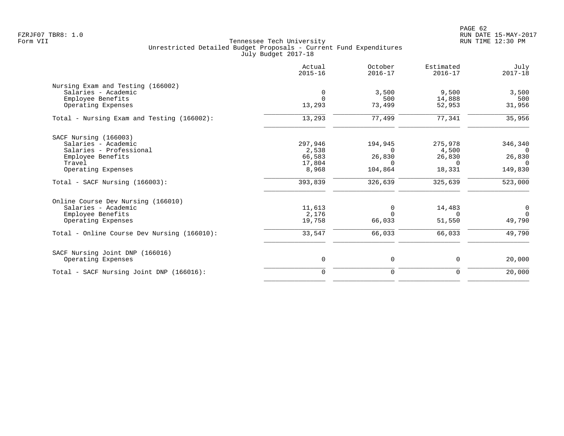| Actual<br>$2015 - 16$ | October<br>$2016 - 17$     | Estimated<br>$2016 - 17$ | July<br>$2017 - 18$        |
|-----------------------|----------------------------|--------------------------|----------------------------|
|                       |                            |                          |                            |
| 0                     | 3,500                      | 9,500                    | 3,500                      |
| $\Omega$              | 500                        | 14,888                   | 500                        |
| 13,293                | 73,499                     | 52,953                   | 31,956                     |
| 13,293                | 77,499                     | 77,341                   | 35,956                     |
|                       |                            |                          |                            |
|                       |                            |                          | 346,340                    |
|                       | $\Omega$                   |                          | $\Omega$                   |
|                       |                            |                          | 26,830                     |
| 17,804                | $\Omega$                   | $\Omega$                 | $\Omega$                   |
| 8,968                 | 104,864                    | 18,331                   | 149,830                    |
| 393,839               | 326,639                    | 325,639                  | 523,000                    |
|                       |                            |                          |                            |
| 11,613                | 0                          | 14,483                   | 0                          |
| 2,176                 | $\Omega$                   | $\Omega$                 | $\Omega$                   |
| 19,758                | 66,033                     | 51,550                   | 49,790                     |
| 33,547                | 66,033                     | 66,033                   | 49,790                     |
|                       |                            |                          |                            |
| $\mathsf{O}$          | 0                          | 0                        | 20,000                     |
| $\mathbf 0$           | 0                          | 0                        | 20,000                     |
|                       | 297,946<br>2,538<br>66,583 | 194,945<br>26,830        | 275,978<br>4,500<br>26,830 |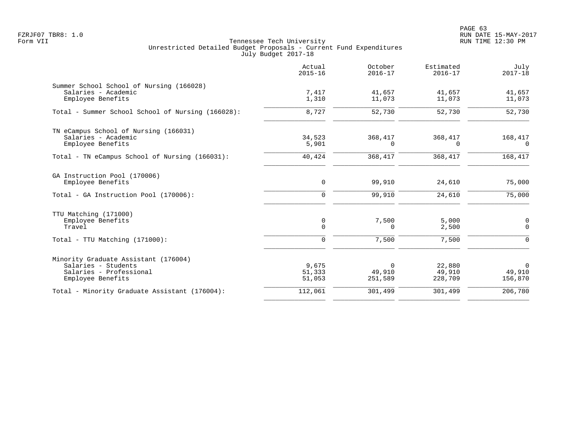PAGE 63 FZRJF07 TBR8: 1.0 RUN DATE 15-MAY-2017

|                                                                                                             | Actual<br>$2015 - 16$           | October<br>$2016 - 17$        | Estimated<br>$2016 - 17$    | July<br>$2017 - 18$              |
|-------------------------------------------------------------------------------------------------------------|---------------------------------|-------------------------------|-----------------------------|----------------------------------|
| Summer School School of Nursing (166028)<br>Salaries - Academic<br>Employee Benefits                        | 7,417<br>1,310                  | 41,657<br>11,073              | 41,657<br>11,073            | 41,657<br>11,073                 |
| Total - Summer School School of Nursing (166028):                                                           | 8,727                           | 52,730                        | 52,730                      | 52,730                           |
| TN eCampus School of Nursing (166031)<br>Salaries - Academic<br>Employee Benefits                           | 34,523<br>5,901                 | 368,417<br>0                  | 368,417<br>$\Omega$         | 168,417<br>$\Omega$              |
| Total - TN eCampus School of Nursing (166031):                                                              | 40,424                          | 368,417                       | 368,417                     | 168,417                          |
| GA Instruction Pool (170006)<br>Employee Benefits                                                           | 0                               | 99,910                        | 24,610                      | 75,000                           |
| Total - GA Instruction Pool (170006):                                                                       | 0                               | 99,910                        | 24,610                      | 75,000                           |
| TTU Matching (171000)<br>Employee Benefits<br>Travel<br>$Total - TTU Matching (171000):$                    | 0<br>$\mathbf 0$<br>$\mathbf 0$ | 7,500<br>0<br>7,500           | 5,000<br>2,500<br>7,500     | 0<br>$\mathbf 0$<br>$\mathbf 0$  |
| Minority Graduate Assistant (176004)<br>Salaries - Students<br>Salaries - Professional<br>Employee Benefits | 9,675<br>51,333<br>51,053       | $\Omega$<br>49,910<br>251,589 | 22,880<br>49,910<br>228,709 | $\mathbf 0$<br>49,910<br>156,870 |
| Total - Minority Graduate Assistant (176004):                                                               | 112,061                         | 301,499                       | 301,499                     | 206,780                          |
|                                                                                                             |                                 |                               |                             |                                  |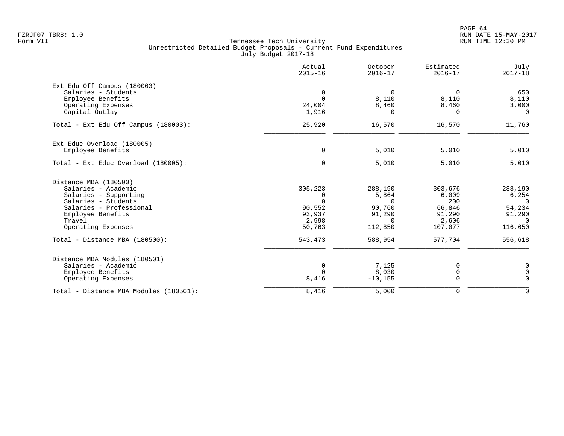|                                        | Actual<br>$2015 - 16$ | October<br>$2016 - 17$ | Estimated<br>$2016 - 17$ | July<br>$2017 - 18$ |
|----------------------------------------|-----------------------|------------------------|--------------------------|---------------------|
| Ext Edu Off Campus (180003)            |                       |                        |                          |                     |
| Salaries - Students                    | 0                     | $\Omega$               | $\Omega$                 | 650                 |
| Employee Benefits                      | $\Omega$              | 8,110                  | 8,110                    | 8,110               |
| Operating Expenses                     | 24,004                | 8,460                  | 8,460                    | 3,000               |
| Capital Outlay                         | 1,916                 | 0                      | $\Omega$                 | $\Omega$            |
| Total - Ext Edu Off Campus (180003):   | 25,920                | 16,570                 | 16,570                   | 11,760              |
| Ext Educ Overload (180005)             |                       |                        |                          |                     |
| Employee Benefits                      | $\mathbf 0$           | 5,010                  | 5,010                    | 5,010               |
| Total - Ext Educ Overload (180005):    | $\mathbf 0$           | 5,010                  | 5,010                    | $5,010$             |
| Distance MBA (180500)                  |                       |                        |                          |                     |
| Salaries - Academic                    | 305,223               | 288,190                | 303,676                  | 288,190             |
| Salaries - Supporting                  | 0                     | 5,864                  | 6,009                    | 6,254               |
| Salaries - Students                    | $\Omega$              | $\Omega$               | 200                      | $\overline{0}$      |
| Salaries - Professional                | 90,552                | 90,760                 | 66,846                   | 54,234              |
| Employee Benefits                      | 93,937                | 91,290                 | 91,290                   | 91,290              |
| Travel                                 | 2,998                 | $\Omega$               | 2,606                    | $\Omega$            |
| Operating Expenses                     | 50,763                | 112,850                | 107,077                  | 116,650             |
| Total - Distance MBA (180500):         | 543,473               | 588,954                | 577,704                  | 556,618             |
| Distance MBA Modules (180501)          |                       |                        |                          |                     |
| Salaries - Academic                    | $\mathbf 0$           | 7,125                  | 0                        | $\mathbf 0$         |
| Employee Benefits                      | $\Omega$              | 8,030                  | 0                        | $\mathbf 0$         |
| Operating Expenses                     | 8,416                 | $-10, 155$             | 0                        | $\Omega$            |
| Total - Distance MBA Modules (180501): | 8,416                 | 5,000                  | 0                        | $\mathbf 0$         |
|                                        |                       |                        |                          |                     |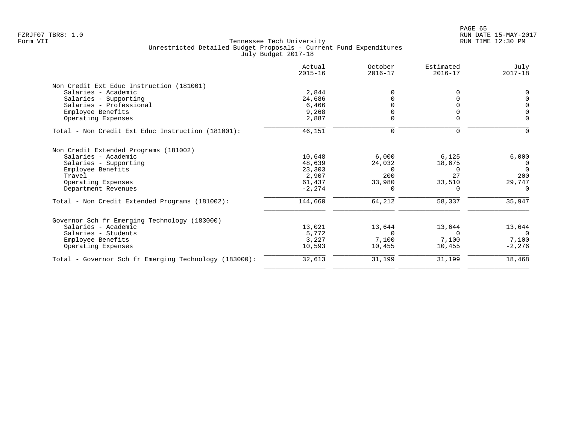|                                                       | Actual<br>$2015 - 16$ | October<br>$2016 - 17$ | Estimated<br>$2016 - 17$ | July<br>$2017 - 18$ |
|-------------------------------------------------------|-----------------------|------------------------|--------------------------|---------------------|
| Non Credit Ext Educ Instruction (181001)              |                       |                        |                          |                     |
| Salaries - Academic                                   | 2,844                 | $\Omega$               | O.                       | $\Omega$            |
| Salaries - Supporting                                 | 24,686                |                        |                          | $\Omega$            |
| Salaries - Professional                               | 6,466                 |                        |                          | $\mathbf 0$         |
| Employee Benefits                                     | 9,268                 |                        |                          | $\Omega$            |
| Operating Expenses                                    | 2,887                 | $\Omega$               |                          | $\Omega$            |
| Total - Non Credit Ext Educ Instruction (181001):     | 46,151                | $\mathbf 0$            | 0                        |                     |
| Non Credit Extended Programs (181002)                 |                       |                        |                          |                     |
| Salaries - Academic                                   | 10,648                | 6,000                  | 6,125                    | 6,000               |
| Salaries - Supporting                                 | 48,639                | 24,032                 | 18,675                   | 0                   |
| Employee Benefits                                     | 23,303                | $\Omega$               | $\Omega$                 | $\Omega$            |
| Travel                                                | 2,907                 | 200                    | 27                       | 200                 |
| Operating Expenses                                    | 61,437                | 33,980                 | 33,510                   | 29,747              |
| Department Revenues                                   | $-2, 274$             | 0                      | $\Omega$                 | $\Omega$            |
| Total - Non Credit Extended Programs (181002):        | 144,660               | 64,212                 | 58,337                   | 35,947              |
| Governor Sch fr Emerging Technology (183000)          |                       |                        |                          |                     |
| Salaries - Academic                                   | 13,021                | 13,644                 | 13,644                   | 13,644              |
| Salaries - Students                                   | 5,772                 | $\Omega$               | $\Omega$                 | $\Omega$            |
| Employee Benefits                                     | 3,227                 | 7,100                  | 7,100                    | 7,100               |
| Operating Expenses                                    | 10,593                | 10,455                 | 10,455                   | $-2,276$            |
| Total - Governor Sch fr Emerging Technology (183000): | 32,613                | 31,199                 | 31,199                   | 18,468              |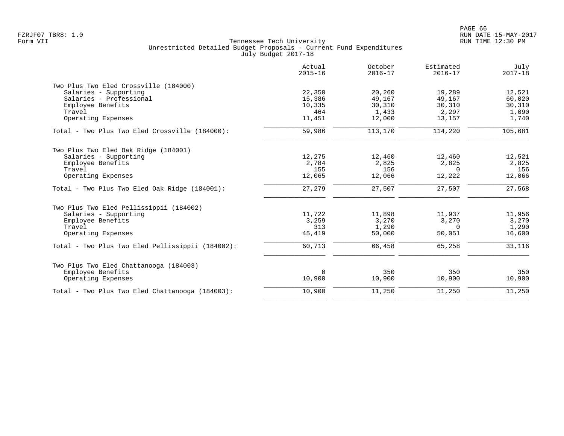|                                                  | Actual<br>$2015 - 16$ | October<br>$2016 - 17$ | Estimated<br>$2016 - 17$ | July<br>$2017 - 18$ |
|--------------------------------------------------|-----------------------|------------------------|--------------------------|---------------------|
| Two Plus Two Eled Crossville (184000)            |                       |                        |                          |                     |
| Salaries - Supporting                            | 22,350                | 20,260                 | 19,289                   | 12,521              |
| Salaries - Professional                          | 15,386                | 49,167                 | 49,167                   | 60,020              |
| Employee Benefits                                | 10,335                | 30,310                 | 30,310                   | 30,310              |
| Travel                                           | 464                   | 1,433                  | 2,297                    | 1,090               |
| Operating Expenses                               | 11,451                | 12,000                 | 13,157                   | 1,740               |
| Total - Two Plus Two Eled Crossville (184000):   | 59,986                | 113,170                | 114,220                  | 105,681             |
| Two Plus Two Eled Oak Ridge (184001)             |                       |                        |                          |                     |
| Salaries - Supporting                            | 12,275                | 12,460                 | 12,460                   | 12,521              |
| Employee Benefits                                | 2,784                 | 2,825                  | 2,825                    | 2,825               |
| Travel                                           | 155                   | 156                    | 0                        | 156                 |
| Operating Expenses                               | 12,065                | 12,066                 | 12,222                   | 12,066              |
| Total - Two Plus Two Eled Oak Ridge (184001):    | 27,279                | 27,507                 | 27,507                   | 27,568              |
| Two Plus Two Eled Pellissippii (184002)          |                       |                        |                          |                     |
| Salaries - Supporting                            | 11,722                | 11,898                 | 11,937                   | 11,956              |
| Employee Benefits                                | 3,259                 | 3,270                  | 3,270                    | 3,270               |
| Travel                                           | 313                   | 1,290                  | 0                        | 1,290               |
| Operating Expenses                               | 45,419                | 50,000                 | 50,051                   | 16,600              |
| Total - Two Plus Two Eled Pellissippii (184002): | 60,713                | 66,458                 | 65,258                   | 33,116              |
| Two Plus Two Eled Chattanooga (184003)           |                       |                        |                          |                     |
| Employee Benefits                                | $\Omega$              | 350                    | 350                      | 350                 |
| Operating Expenses                               | 10,900                | 10,900                 | 10,900                   | 10,900              |
| Total - Two Plus Two Eled Chattanooga (184003):  | 10,900                | 11,250                 | 11,250                   | 11,250              |
|                                                  |                       |                        |                          |                     |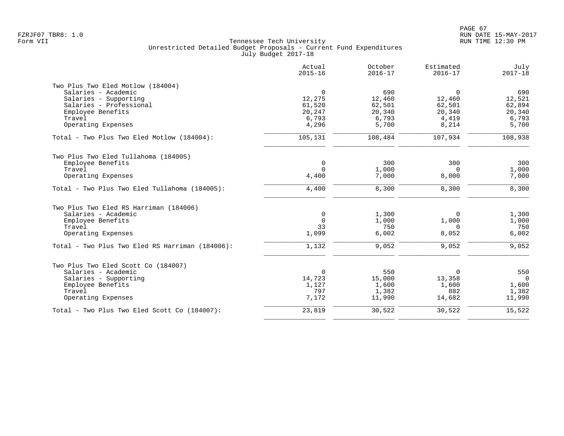|                                                 | Actual<br>$2015 - 16$ | October<br>$2016 - 17$ | Estimated<br>$2016 - 17$ | July<br>$2017 - 18$ |
|-------------------------------------------------|-----------------------|------------------------|--------------------------|---------------------|
| Two Plus Two Eled Motlow (184004)               |                       |                        |                          |                     |
| Salaries - Academic                             | $\mathbf 0$           | 690                    | $\overline{0}$           | 690                 |
| Salaries - Supporting                           | 12,275                | 12,460                 | 12,460                   | 12,521              |
| Salaries - Professional                         | 61,520                | 62,501                 | 62,501                   | 62,894              |
| Employee Benefits                               | 20,247                | 20,340                 | 20,340                   | 20,340              |
| Travel                                          | 6,793                 | 6,793                  | 4,419                    | 6,793               |
| Operating Expenses                              | 4,296                 | 5,700                  | 8,214                    | 5,700               |
| Total - Two Plus Two Eled Motlow (184004):      | 105,131               | 108,484                | 107,934                  | 108,938             |
| Two Plus Two Eled Tullahoma (184005)            |                       |                        |                          |                     |
| Employee Benefits                               | 0                     | 300                    | 300                      | 300                 |
| Travel                                          | $\Omega$              | 1,000                  | $\Omega$                 | 1,000               |
| Operating Expenses                              | 4,400                 | 7,000                  | 8,000                    | 7,000               |
| Total - Two Plus Two Eled Tullahoma (184005):   | 4,400                 | 8,300                  | 8,300                    | 8,300               |
| Two Plus Two Eled RS Harriman (184006)          |                       |                        |                          |                     |
| Salaries - Academic                             | 0                     | 1,300                  | $\Omega$                 | 1,300               |
| Employee Benefits                               | $\mathbf 0$           | 1,000                  | 1,000                    | 1,000               |
| Travel                                          | 33                    | 750                    | $\Omega$                 | 750                 |
| Operating Expenses                              | 1,099                 | 6,002                  | 8,052                    | 6,002               |
| Total - Two Plus Two Eled RS Harriman (184006): | 1,132                 | 9,052                  | 9,052                    | 9,052               |
| Two Plus Two Eled Scott Co (184007)             |                       |                        |                          |                     |
| Salaries - Academic                             | $\Omega$              | 550                    | $\mathbf 0$              | 550                 |
| Salaries - Supporting                           | 14,723                | 15,000                 | 13,358                   | $\Omega$            |
| Employee Benefits                               | 1,127                 | 1,600                  | 1,600                    | 1,600               |
| Travel                                          | 797                   | 1,382                  | 882                      | 1,382               |
| Operating Expenses                              | 7,172                 | 11,990                 | 14,682                   | 11,990              |
| Total - Two Plus Two Eled Scott Co (184007):    | 23,819                | 30,522                 | 30,522                   | 15,522              |
|                                                 |                       |                        |                          |                     |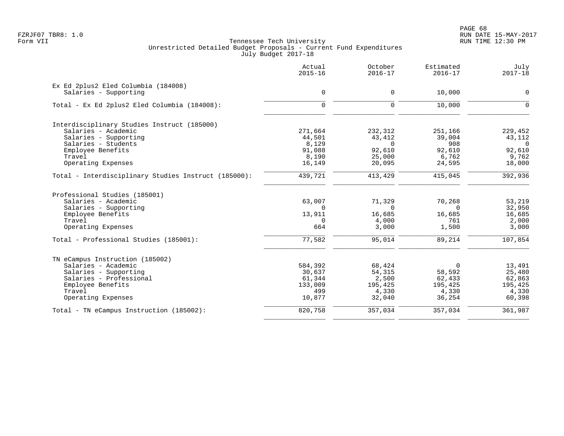|                                                      | Actual<br>$2015 - 16$ | October<br>$2016 - 17$ | Estimated<br>$2016 - 17$ | July<br>$2017 - 18$ |
|------------------------------------------------------|-----------------------|------------------------|--------------------------|---------------------|
| Ex Ed 2plus2 Eled Columbia (184008)                  |                       | 0                      |                          | $\mathbf 0$         |
| Salaries - Supporting                                | 0                     |                        | 10,000                   |                     |
| Total - Ex Ed 2plus2 Eled Columbia (184008):         | $\mathbf 0$           | $\mathbf 0$            | 10,000                   | $\mathbf 0$         |
| Interdisciplinary Studies Instruct (185000)          |                       |                        |                          |                     |
| Salaries - Academic                                  | 271,664               | 232,312                | 251,166                  | 229,452             |
| Salaries - Supporting                                | 44,501                | 43,412                 | 39,004                   | 43,112              |
| Salaries - Students                                  | 8,129                 | $\Omega$               | 908                      | $\overline{0}$      |
| Employee Benefits                                    | 91,088                | 92,610                 | 92,610                   | 92,610              |
| Travel                                               | 8,190                 | 25,000                 | 6,762                    | 9,762               |
| Operating Expenses                                   | 16,149                | 20,095                 | 24,595                   | 18,000              |
| Total - Interdisciplinary Studies Instruct (185000): | 439,721               | 413,429                | 415,045                  | 392,936             |
| Professional Studies (185001)                        |                       |                        |                          |                     |
| Salaries - Academic                                  | 63,007                | 71,329                 | 70,268                   | 53,219              |
| Salaries - Supporting                                | $\Omega$              | $\Omega$               | $\Omega$                 | 32,950              |
| Employee Benefits                                    | 13,911                | 16,685                 | 16,685                   | 16,685              |
| Travel                                               | $\Omega$              | 4,000                  | 761                      | 2,000               |
| Operating Expenses                                   | 664                   | 3,000                  | 1,500                    | 3,000               |
| Total - Professional Studies (185001):               | 77,582                | 95,014                 | 89,214                   | 107,854             |
| TN eCampus Instruction (185002)                      |                       |                        |                          |                     |
| Salaries - Academic                                  | 584,392               | 68,424                 | 0                        | 13,491              |
| Salaries - Supporting                                | 30,637                | 54,315                 | 58,592                   | 25,480              |
| Salaries - Professional                              | 61,344                | 2,500                  | 62,433                   | 62,863              |
| Employee Benefits                                    | 133,009               | 195,425                | 195,425                  | 195,425             |
| Travel                                               | 499                   | 4,330                  | 4,330                    | 4,330               |
| Operating Expenses                                   | 10,877                | 32,040                 | 36,254                   | 60,398              |
| Total - TN eCampus Instruction (185002):             | 820,758               | 357,034                | 357,034                  | 361,987             |
|                                                      |                       |                        |                          |                     |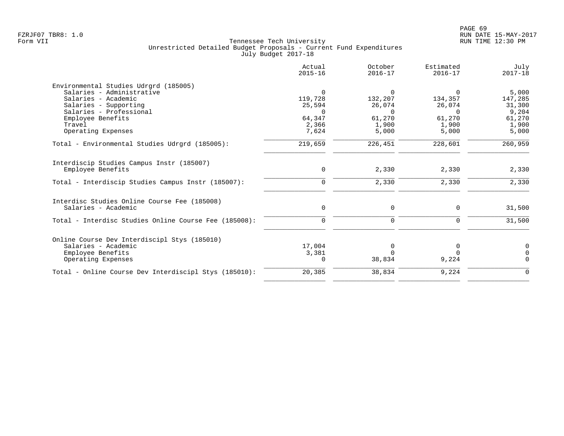|                                                                     | Actual<br>$2015 - 16$ | October<br>$2016 - 17$ | Estimated<br>$2016 - 17$ | July<br>$2017 - 18$ |
|---------------------------------------------------------------------|-----------------------|------------------------|--------------------------|---------------------|
| Environmental Studies Udrgrd (185005)                               |                       |                        |                          |                     |
| Salaries - Administrative                                           | $\Omega$              | $\Omega$               | $\Omega$                 | 5,000               |
| Salaries - Academic                                                 | 119,728               | 132,207                | 134,357                  | 147,285             |
| Salaries - Supporting                                               | 25,594                | 26,074                 | 26,074                   | 31,300              |
| Salaries - Professional                                             | $\Omega$              | $\Omega$               | $\Omega$                 | 9,204               |
| Employee Benefits                                                   | 64,347                | 61,270                 | 61,270                   | 61,270              |
| Travel                                                              | 2,366                 | 1,900                  | 1,900                    | 1,900               |
| Operating Expenses                                                  | 7,624                 | 5,000                  | 5,000                    | 5,000               |
| Total - Environmental Studies Udrgrd (185005):                      | 219,659               | 226,451                | 228,601                  | 260,959             |
| Interdiscip Studies Campus Instr (185007)                           |                       |                        |                          |                     |
| Employee Benefits                                                   | 0                     | 2,330                  | 2,330                    | 2,330               |
| Total - Interdiscip Studies Campus Instr (185007):                  | $\mathbf 0$           | 2,330                  | 2,330                    | 2,330               |
|                                                                     |                       |                        |                          |                     |
| Interdisc Studies Online Course Fee (185008)<br>Salaries - Academic |                       |                        | 0                        |                     |
|                                                                     | 0                     | 0                      |                          | 31,500              |
| Total - Interdisc Studies Online Course Fee (185008):               | 0                     | 0                      | 0                        | 31,500              |
| Online Course Dev Interdiscipl Stys (185010)                        |                       |                        |                          |                     |
| Salaries - Academic                                                 | 17,004                | $\Omega$               | 0                        | $\Omega$            |
| Employee Benefits                                                   | 3,381                 |                        | $\Omega$                 | $\Omega$            |
| Operating Expenses                                                  | $\Omega$              | 38,834                 | 9,224                    | $\Omega$            |
| Total - Online Course Dev Interdiscipl Stys (185010):               | 20,385                | 38,834                 | 9,224                    | $\mathbf 0$         |
|                                                                     |                       |                        |                          |                     |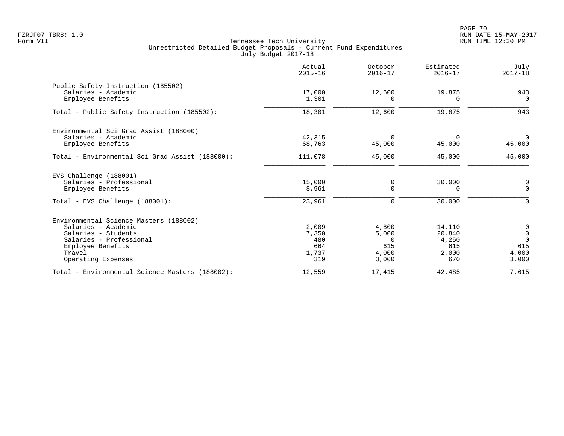|                                                 | Actual<br>$2015 - 16$ | October<br>$2016 - 17$ | Estimated<br>$2016 - 17$ | July<br>$2017 - 18$ |
|-------------------------------------------------|-----------------------|------------------------|--------------------------|---------------------|
| Public Safety Instruction (185502)              |                       |                        |                          |                     |
| Salaries - Academic                             | 17,000                | 12,600                 | 19,875                   | 943                 |
| Employee Benefits                               | 1,301                 | $\Omega$               | $\Omega$                 | $\Omega$            |
| Total - Public Safety Instruction (185502):     | 18,301                | 12,600                 | 19,875                   | 943                 |
| Environmental Sci Grad Assist (188000)          |                       |                        |                          |                     |
| Salaries - Academic                             | 42,315                | $\Omega$               | $\Omega$                 | $\mathbf 0$         |
| Employee Benefits                               | 68,763                | 45,000                 | 45,000                   | 45,000              |
| Total - Environmental Sci Grad Assist (188000): | 111,078               | 45,000                 | 45,000                   | 45,000              |
| EVS Challenge (188001)                          |                       |                        |                          |                     |
| Salaries - Professional                         | 15,000                | 0                      | 30,000                   | 0                   |
| Employee Benefits                               | 8,961                 | $\Omega$               | $\Omega$                 | $\mathbf 0$         |
| Total - EVS Challenge (188001):                 | 23,961                | 0                      | 30,000                   | 0                   |
| Environmental Science Masters (188002)          |                       |                        |                          |                     |
| Salaries - Academic                             | 2,009                 | 4,800                  | 14,110                   | 0                   |
| Salaries - Students                             | 7,350                 | 5,000                  | 20,840                   | $\mathsf 0$         |
| Salaries - Professional                         | 480                   | $\Omega$               | 4,250                    | $\Omega$            |
| Employee Benefits                               | 664                   | 615                    | 615                      | 615                 |
| Travel                                          | 1,737                 | 4,000                  | 2,000                    | 4,000               |
| Operating Expenses                              | 319                   | 3,000                  | 670                      | 3,000               |
| Total - Environmental Science Masters (188002): | 12,559                | 17,415                 | 42,485                   | 7,615               |
|                                                 |                       |                        |                          |                     |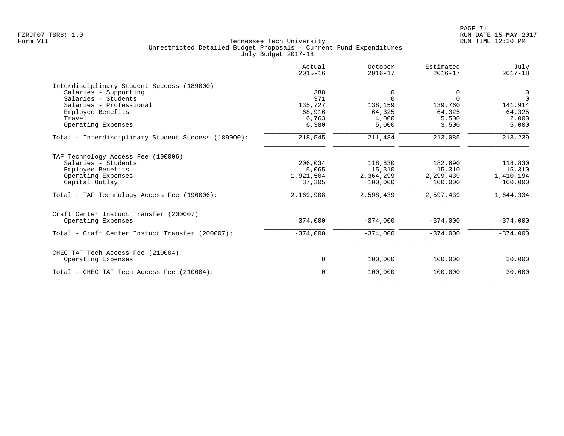|                                                     | Actual<br>$2015 - 16$ | October<br>$2016 - 17$ | Estimated<br>$2016 - 17$ | July<br>$2017 - 18$ |
|-----------------------------------------------------|-----------------------|------------------------|--------------------------|---------------------|
| Interdisciplinary Student Success (189000)          |                       |                        |                          |                     |
| Salaries - Supporting                               | 388                   | 0                      | 0                        | $\overline{0}$      |
| Salaries - Students                                 | 371                   | $\Omega$               | $\Omega$                 | $\Omega$            |
| Salaries - Professional                             | 135,727               | 138,159                | 139,760                  | 141,914             |
| Employee Benefits                                   | 68,916                | 64,325                 | 64,325                   | 64,325              |
| Travel                                              | 6,763                 | 4,000                  | 5,500                    | 2,000               |
| Operating Expenses                                  | 6,380                 | 5,000                  | 3,500                    | 5,000               |
| Total - Interdisciplinary Student Success (189000): | 218,545               | 211,484                | 213,085                  | 213,239             |
| TAF Technology Access Fee (190006)                  |                       |                        |                          |                     |
| Salaries - Students                                 | 206,034               | 118,830                | 182,690                  | 118,830             |
| Employee Benefits                                   | 5,065                 | 15,310                 | 15,310                   | 15,310              |
| Operating Expenses                                  | 1,921,504             | 2,364,299              | 2,299,439                | 1,410,194           |
| Capital Outlay                                      | 37,305                | 100,000                | 100,000                  | 100,000             |
| Total - TAF Technology Access Fee (190006):         | 2,169,908             | 2,598,439              | 2,597,439                | 1,644,334           |
| Craft Center Instuct Transfer (200007)              |                       |                        |                          |                     |
| Operating Expenses                                  | $-374,000$            | $-374,000$             | $-374,000$               | $-374,000$          |
| Total - Craft Center Instuct Transfer (200007):     | $-374,000$            | $-374,000$             | $-374,000$               | $-374,000$          |
| CHEC TAF Tech Access Fee (210004)                   |                       |                        |                          |                     |
| Operating Expenses                                  | 0                     | 100,000                | 100,000                  | 30,000              |
| Total - CHEC TAF Tech Access Fee (210004):          | $\mathbf 0$           | 100,000                | 100,000                  | 30,000              |
|                                                     |                       |                        |                          |                     |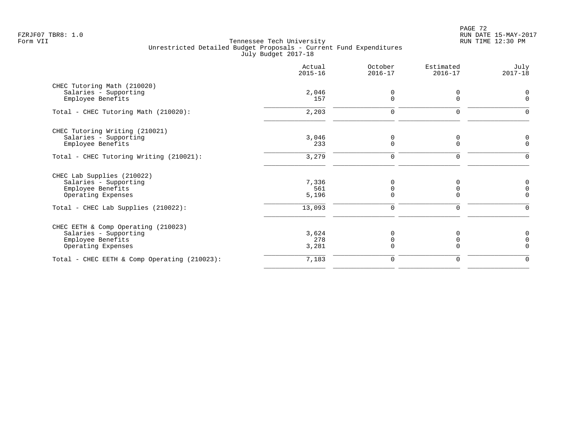PAGE 72 FZRJF07 TBR8: 1.0 RUN DATE 15-MAY-2017

|                                              | Actual<br>$2015 - 16$ | October<br>$2016 - 17$ | Estimated<br>$2016 - 17$ | July<br>$2017 - 18$ |
|----------------------------------------------|-----------------------|------------------------|--------------------------|---------------------|
| CHEC Tutoring Math (210020)                  |                       |                        |                          |                     |
| Salaries - Supporting<br>Employee Benefits   | 2,046<br>157          | 0<br>$\Omega$          | $\Omega$                 | 0<br>$\Omega$       |
| Total - CHEC Tutoring Math (210020):         | 2,203                 | 0                      | 0                        | $\Omega$            |
| CHEC Tutoring Writing (210021)               |                       |                        |                          |                     |
| Salaries - Supporting                        | 3,046                 | 0                      | 0                        | 0                   |
| Employee Benefits                            | 233                   | $\mathbf 0$            | $\Omega$                 | $\mathbf 0$         |
| Total - CHEC Tutoring Writing (210021):      | 3,279                 | $\mathbf 0$            | $\mathbf 0$              | $\Omega$            |
| CHEC Lab Supplies (210022)                   |                       |                        |                          |                     |
| Salaries - Supporting                        | 7,336                 | $\Omega$               |                          | 0                   |
| Employee Benefits                            | 561                   | 0                      | O                        | 0                   |
| Operating Expenses                           | 5,196                 | $\Omega$               | $\Omega$                 | $\Omega$            |
| Total - CHEC Lab Supplies (210022):          | 13,093                | 0                      | 0                        | $\Omega$            |
| CHEC EETH & Comp Operating (210023)          |                       |                        |                          |                     |
| Salaries - Supporting                        | 3,624                 | $\Omega$               |                          | 0                   |
| Employee Benefits                            | 278                   | $\Omega$               |                          | $\mathbf 0$         |
| Operating Expenses                           | 3,281                 | $\Omega$               | U                        | $\Omega$            |
| Total - CHEC EETH & Comp Operating (210023): | 7,183                 | 0                      | 0                        | $\Omega$            |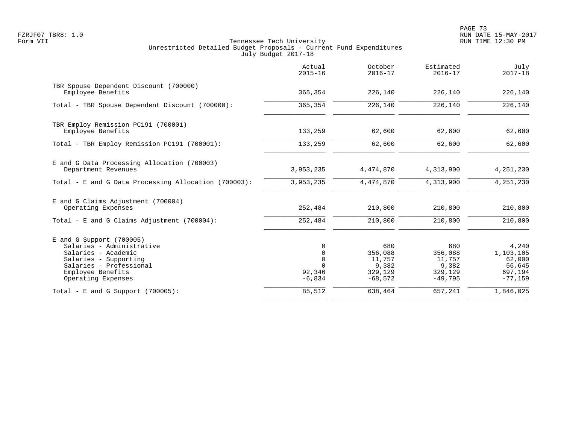PAGE 73 FZRJF07 TBR8: 1.0 RUN DATE 15-MAY-2017

|                                                                                                                                                                               | Actual<br>$2015 - 16$                                             | October<br>$2016 - 17$                                    | Estimated<br>$2016 - 17$                                  | July<br>$2017 - 18$                                            |
|-------------------------------------------------------------------------------------------------------------------------------------------------------------------------------|-------------------------------------------------------------------|-----------------------------------------------------------|-----------------------------------------------------------|----------------------------------------------------------------|
| TBR Spouse Dependent Discount (700000)<br>Employee Benefits                                                                                                                   | 365,354                                                           | 226,140                                                   | 226,140                                                   | 226,140                                                        |
| Total - TBR Spouse Dependent Discount (700000):                                                                                                                               | 365,354                                                           | 226,140                                                   | 226,140                                                   | 226,140                                                        |
| TBR Employ Remission PC191 (700001)<br>Employee Benefits                                                                                                                      | 133,259                                                           | 62,600                                                    | 62,600                                                    | 62,600                                                         |
| Total - TBR Employ Remission PC191 (700001):                                                                                                                                  | 133,259                                                           | 62,600                                                    | 62,600                                                    | 62,600                                                         |
| E and G Data Processing Allocation (700003)<br>Department Revenues                                                                                                            | 3,953,235                                                         | 4,474,870                                                 | 4,313,900                                                 | 4,251,230                                                      |
| Total - E and G Data Processing Allocation (700003):                                                                                                                          | 3,953,235                                                         | 4,474,870                                                 | 4,313,900                                                 | 4, 251, 230                                                    |
| E and G Claims Adjustment (700004)<br>Operating Expenses                                                                                                                      | 252,484                                                           | 210,800                                                   | 210,800                                                   | 210,800                                                        |
| Total - E and G Claims Adjustment $(700004)$ :                                                                                                                                | 252,484                                                           | 210,800                                                   | 210,800                                                   | 210,800                                                        |
| $E$ and G Support (700005)<br>Salaries - Administrative<br>Salaries - Academic<br>Salaries - Supporting<br>Salaries - Professional<br>Employee Benefits<br>Operating Expenses | $\mathbf 0$<br>$\mathbf 0$<br>0<br>$\Omega$<br>92,346<br>$-6,834$ | 680<br>356,088<br>11,757<br>9,382<br>329,129<br>$-68,572$ | 680<br>356,088<br>11,757<br>9,382<br>329,129<br>$-49,795$ | 4,240<br>1,103,105<br>62,000<br>56,645<br>697,194<br>$-77,159$ |
| Total - E and G Support $(700005)$ :                                                                                                                                          | 85,512                                                            | 638,464                                                   | 657,241                                                   | 1,846,025                                                      |
|                                                                                                                                                                               |                                                                   |                                                           |                                                           |                                                                |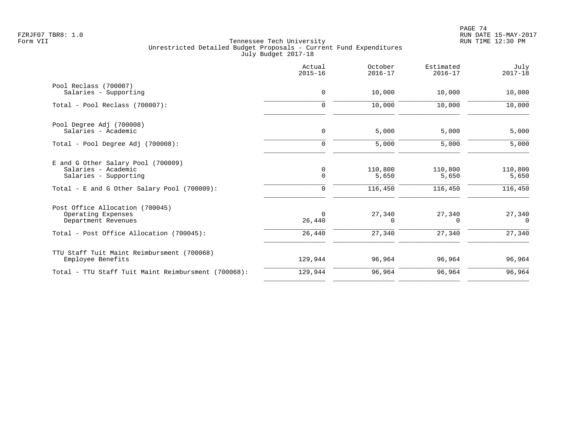|                                                     | Actual<br>$2015 - 16$ | October<br>$2016 - 17$ | Estimated<br>$2016 - 17$ | July<br>$2017 - 18$ |
|-----------------------------------------------------|-----------------------|------------------------|--------------------------|---------------------|
| Pool Reclass (700007)                               |                       |                        |                          |                     |
| Salaries - Supporting                               | $\mathbf 0$           | 10,000                 | 10,000                   | 10,000              |
| Total - Pool Reclass (700007):                      | $\mathbf 0$           | 10,000                 | 10,000                   | 10,000              |
| Pool Degree Adj (700008)                            |                       |                        |                          |                     |
| Salaries - Academic                                 | $\mathbf 0$           | 5,000                  | 5,000                    | 5,000               |
| Total - Pool Degree Adj (700008):                   | $\mathbf 0$           | 5,000                  | 5,000                    | 5,000               |
| E and G Other Salary Pool (700009)                  |                       |                        |                          |                     |
| Salaries - Academic                                 | 0                     | 110,800                | 110,800                  | 110,800             |
| Salaries - Supporting                               | $\mathbf 0$           | 5,650                  | 5,650                    | 5,650               |
| Total - E and G Other Salary Pool (700009):         | 0                     | 116,450                | 116,450                  | 116,450             |
| Post Office Allocation (700045)                     |                       |                        |                          |                     |
| Operating Expenses                                  | $\mathbf 0$           | 27,340                 | 27,340                   | 27,340              |
| Department Revenues                                 | 26,440                | $\Omega$               | $\Omega$                 | $\Omega$            |
| Total - Post Office Allocation (700045):            | 26,440                | 27,340                 | 27,340                   | 27,340              |
| TTU Staff Tuit Maint Reimbursment (700068)          |                       |                        |                          |                     |
| Employee Benefits                                   | 129,944               | 96,964                 | 96,964                   | 96,964              |
| Total - TTU Staff Tuit Maint Reimbursment (700068): | 129,944               | 96,964                 | 96,964                   | 96,964              |
|                                                     |                       |                        |                          |                     |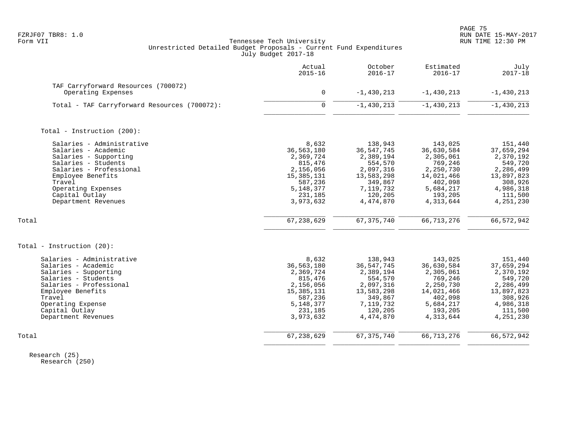PAGE 75

# FZRJF07 TBR8: 1.0 RUN DATE 15-MAY-2017 Tennessee Tech University Unrestricted Detailed Budget Proposals - Current Fund Expenditures July Budget 2017-18

|                                                                                                                                                                                                                           | Actual<br>$2015 - 16$                                                                                                      | October<br>$2016 - 17$                                                                                                     | Estimated<br>$2016 - 17$                                                                                                 | July<br>$2017 - 18$                                                                                                        |
|---------------------------------------------------------------------------------------------------------------------------------------------------------------------------------------------------------------------------|----------------------------------------------------------------------------------------------------------------------------|----------------------------------------------------------------------------------------------------------------------------|--------------------------------------------------------------------------------------------------------------------------|----------------------------------------------------------------------------------------------------------------------------|
| TAF Carryforward Resources (700072)<br>Operating Expenses                                                                                                                                                                 | $\mathbf 0$                                                                                                                | $-1,430,213$                                                                                                               | $-1,430,213$                                                                                                             | $-1,430,213$                                                                                                               |
| Total - TAF Carryforward Resources (700072):                                                                                                                                                                              | $\Omega$                                                                                                                   | $-1,430,213$                                                                                                               | $-1,430,213$                                                                                                             | $-1,430,213$                                                                                                               |
| Total - Instruction (200):                                                                                                                                                                                                |                                                                                                                            |                                                                                                                            |                                                                                                                          |                                                                                                                            |
| Salaries - Administrative<br>Salaries - Academic<br>Salaries - Supporting<br>Salaries - Students<br>Salaries - Professional<br>Employee Benefits<br>Travel<br>Operating Expenses<br>Capital Outlay<br>Department Revenues | 8,632<br>36,563,180<br>2,369,724<br>815,476<br>2,156,056<br>15, 385, 131<br>587,236<br>5, 148, 377<br>231,185<br>3,973,632 | 138,943<br>36, 547, 745<br>2,389,194<br>554,570<br>2,097,316<br>13,583,298<br>349,867<br>7,119,732<br>120,205<br>4,474,870 | 143,025<br>36,630,584<br>2,305,061<br>769,246<br>2,250,730<br>14,021,466<br>402,098<br>5,684,217<br>193,205<br>4,313,644 | 151,440<br>37,659,294<br>2,370,192<br>549,720<br>2,286,499<br>13,897,823<br>308,926<br>4,986,318<br>111,500<br>4,251,230   |
| Total                                                                                                                                                                                                                     | 67, 238, 629                                                                                                               | 67, 375, 740                                                                                                               | 66, 713, 276                                                                                                             | 66, 572, 942                                                                                                               |
| Total - Instruction $(20)$ :                                                                                                                                                                                              |                                                                                                                            |                                                                                                                            |                                                                                                                          |                                                                                                                            |
| Salaries - Administrative<br>Salaries - Academic<br>Salaries - Supporting<br>Salaries - Students<br>Salaries - Professional<br>Employee Benefits<br>Travel<br>Operating Expense<br>Capital Outlay<br>Department Revenues  | 8,632<br>36,563,180<br>2,369,724<br>815,476<br>2,156,056<br>15, 385, 131<br>587,236<br>5, 148, 377<br>231,185<br>3,973,632 | 138,943<br>36, 547, 745<br>2,389,194<br>554,570<br>2,097,316<br>13,583,298<br>349,867<br>7,119,732<br>120,205<br>4,474,870 | 143,025<br>36,630,584<br>2,305,061<br>769,246<br>2,250,730<br>14,021,466<br>402,098<br>5,684,217<br>193,205<br>4,313,644 | 151,440<br>37,659,294<br>2,370,192<br>549,720<br>2,286,499<br>13,897,823<br>308,926<br>4,986,318<br>111,500<br>4, 251, 230 |
| Total                                                                                                                                                                                                                     | 67,238,629                                                                                                                 | 67, 375, 740                                                                                                               | 66, 713, 276                                                                                                             | 66, 572, 942                                                                                                               |

 Research (25) Research (250)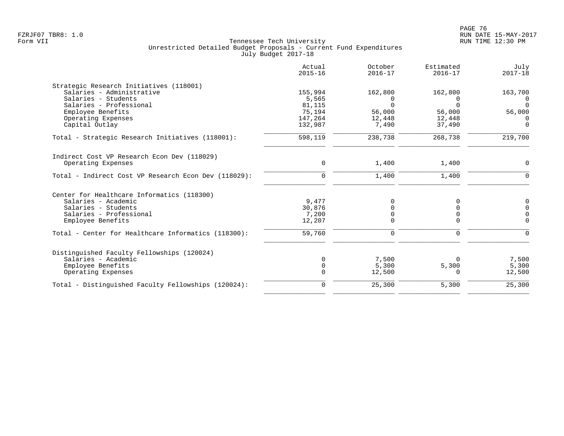|                                                                                                                                                                   | Actual<br>$2015 - 16$                           | October<br>$2016 - 17$                       | Estimated<br>$2016 - 17$                            | July<br>$2017 - 18$                            |
|-------------------------------------------------------------------------------------------------------------------------------------------------------------------|-------------------------------------------------|----------------------------------------------|-----------------------------------------------------|------------------------------------------------|
| Strategic Research Initiatives (118001)<br>Salaries - Administrative<br>Salaries - Students<br>Salaries - Professional<br>Employee Benefits<br>Operating Expenses | 155,994<br>5,565<br>81,115<br>75,194<br>147,264 | 162,800<br>0<br>$\Omega$<br>56,000<br>12,448 | 162,800<br>$\Omega$<br>$\Omega$<br>56,000<br>12,448 | 163,700<br>0<br>$\Omega$<br>56,000<br>$\Omega$ |
| Capital Outlay<br>Total - Strategic Research Initiatives (118001):                                                                                                | 132,987<br>598,119                              | 7,490<br>238,738                             | 37,490<br>268,738                                   | $\Omega$<br>219,700                            |
| Indirect Cost VP Research Econ Dev (118029)<br>Operating Expenses<br>Total - Indirect Cost VP Research Econ Dev (118029):                                         | $\mathbf 0$<br>$\mathbf 0$                      | 1,400<br>1,400                               | 1,400<br>1,400                                      | $\Omega$<br>$\Omega$                           |
| Center for Healthcare Informatics (118300)<br>Salaries - Academic<br>Salaries - Students<br>Salaries - Professional<br>Employee Benefits                          | 9,477<br>30,876<br>7,200<br>12,207              | $\Omega$<br>U                                | 0<br>0                                              | 0<br>$\Omega$<br>$\mathbf 0$<br>$\Omega$       |
| Total - Center for Healthcare Informatics (118300):                                                                                                               | 59,760                                          | 0                                            | 0                                                   | ∩                                              |
| Distinguished Faculty Fellowships (120024)<br>Salaries - Academic<br>Employee Benefits<br>Operating Expenses                                                      | $\Omega$<br>$\Omega$<br>$\Omega$                | 7,500<br>5,300<br>12,500                     | 5,300<br>$\Omega$                                   | 7,500<br>5,300<br>12,500                       |
| Total - Distinguished Faculty Fellowships (120024):                                                                                                               | $\mathbf 0$                                     | 25,300                                       | 5,300                                               | 25,300                                         |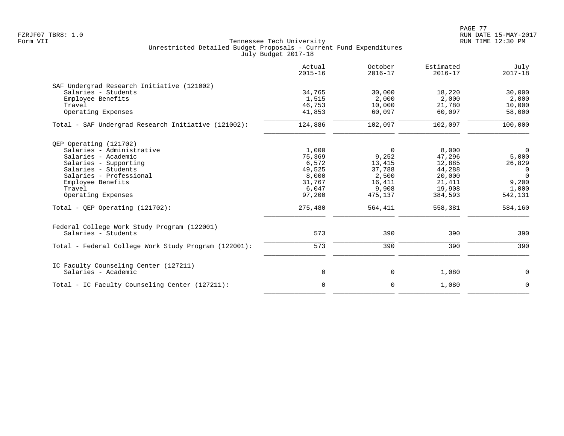PAGE 77 FZRJF07 TBR8: 1.0 RUN DATE 15-MAY-2017

|                                                      | Actual<br>$2015 - 16$ | October<br>$2016 - 17$ | Estimated<br>$2016 - 17$ | July<br>$2017 - 18$ |
|------------------------------------------------------|-----------------------|------------------------|--------------------------|---------------------|
| SAF Undergrad Research Initiative (121002)           |                       |                        |                          |                     |
| Salaries - Students                                  | 34,765                | 30,000                 | 18,220                   | 30,000              |
| Employee Benefits                                    | 1,515                 | 2,000                  | 2,000                    | 2,000               |
| Travel                                               | 46,753                | 10,000                 | 21,780                   | 10,000              |
| Operating Expenses                                   | 41,853                | 60,097                 | 60,097                   | 58,000              |
| Total - SAF Undergrad Research Initiative (121002):  | 124,886               | 102,097                | 102,097                  | 100,000             |
| QEP Operating (121702)                               |                       |                        |                          |                     |
| Salaries - Administrative                            | 1,000                 | $\Omega$               | 8,000                    | $\overline{0}$      |
| Salaries - Academic                                  | 75,369                | 9,252                  | 47,296                   | 5,000               |
| Salaries - Supporting                                | 6,572                 | 13,415                 | 12,885                   | 26,829              |
| Salaries - Students                                  | 49,525                | 37,788                 | 44,288                   | $\overline{0}$      |
| Salaries - Professional                              | 8,000                 | 2,500                  | 20,000                   | $\Omega$            |
| Employee Benefits                                    | 31,767                | 16,411                 | 21,411                   | 9,200               |
| Travel                                               | 6,047                 | 9,908                  | 19,908                   | 1,000               |
| Operating Expenses                                   | 97,200                | 475,137                | 384,593                  | 542,131             |
| Total - QEP Operating $(121702)$ :                   | 275,480               | 564,411                | 558,381                  | 584,160             |
| Federal College Work Study Program (122001)          |                       |                        |                          |                     |
| Salaries - Students                                  | 573                   | 390                    | 390                      | 390                 |
| Total - Federal College Work Study Program (122001): | 573                   | 390                    | 390                      | 390                 |
| IC Faculty Counseling Center (127211)                |                       |                        |                          |                     |
| Salaries - Academic                                  | 0                     | 0                      | 1,080                    | 0                   |
| Total - IC Faculty Counseling Center (127211):       | $\mathbf 0$           | 0                      | 1,080                    | $\mathbf 0$         |
|                                                      |                       |                        |                          |                     |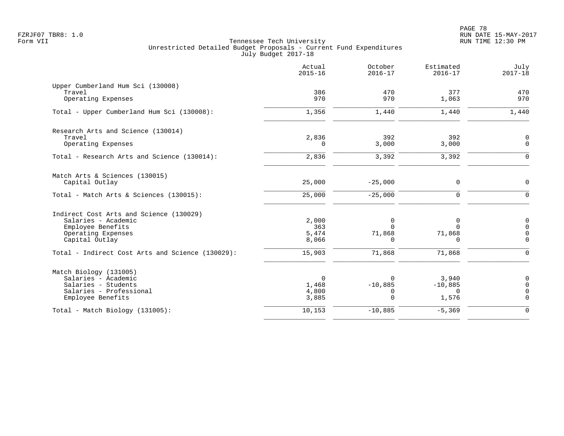|                                                  | Actual<br>$2015 - 16$ | October<br>$2016 - 17$ | Estimated<br>$2016 - 17$ | July<br>$2017 - 18$     |
|--------------------------------------------------|-----------------------|------------------------|--------------------------|-------------------------|
| Upper Cumberland Hum Sci (130008)<br>Travel      | 386                   | 470                    | 377                      | 470                     |
| Operating Expenses                               | 970                   | 970                    | 1,063                    | 970                     |
| Total - Upper Cumberland Hum Sci (130008):       | 1,356                 | 1,440                  | 1,440                    | 1,440                   |
| Research Arts and Science (130014)               |                       |                        |                          |                         |
| Travel<br>Operating Expenses                     | 2,836<br>0            | 392<br>3,000           | 392<br>3,000             | 0<br>$\mathbf 0$        |
| Total - Research Arts and Science (130014):      | 2,836                 | 3,392                  | 3,392                    | $\Omega$                |
| Match Arts & Sciences (130015)                   |                       |                        |                          |                         |
| Capital Outlay                                   | 25,000                | $-25,000$              | 0                        | $\mathbf 0$             |
| Total - Match Arts & Sciences (130015):          | 25,000                | $-25,000$              | $\Omega$                 | $\Omega$                |
| Indirect Cost Arts and Science (130029)          |                       |                        |                          |                         |
| Salaries - Academic<br>Employee Benefits         | 2,000<br>363          | 0<br>$\Omega$          | 0<br>$\Omega$            | $\mathbf 0$<br>$\Omega$ |
| Operating Expenses                               | 5,474                 | 71,868                 | 71,868                   | $\Omega$                |
| Capital Outlay                                   | 8,066                 | $\Omega$               | $\Omega$                 | $\mathbf 0$             |
| Total - Indirect Cost Arts and Science (130029): | 15,903                | 71,868                 | 71,868                   | $\Omega$                |
| Match Biology (131005)                           |                       |                        |                          |                         |
| Salaries - Academic                              | $\Omega$              | $\Omega$               | 3,940                    | $\mathbf 0$             |
| Salaries - Students<br>Salaries - Professional   | 1,468<br>4,800        | $-10,885$<br>0         | $-10,885$<br>$\Omega$    | $\Omega$<br>0           |
| Employee Benefits                                | 3,885                 | $\Omega$               | 1,576                    | $\Omega$                |
| Total - Match Biology (131005):                  | 10,153                | $-10,885$              | $-5,369$                 | $\Omega$                |
|                                                  |                       |                        |                          |                         |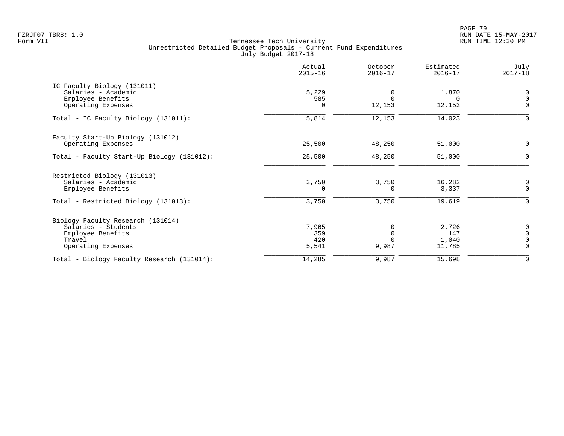PAGE 79 FZRJF07 TBR8: 1.0 RUN DATE 15-MAY-2017

| 5,229<br>585<br>$\Omega$ | 0<br>$\Omega$<br>12,153               | 1,870<br>$\Omega$<br>12,153 | $\begin{matrix} 0 \\ 0 \end{matrix}$       |
|--------------------------|---------------------------------------|-----------------------------|--------------------------------------------|
|                          |                                       |                             |                                            |
|                          |                                       |                             |                                            |
|                          |                                       |                             |                                            |
|                          |                                       |                             | $\mathbf 0$                                |
|                          | 12,153                                | 14,023                      | $\Omega$                                   |
|                          |                                       |                             |                                            |
| 25,500                   | 48,250                                | 51,000                      | $\mathbf 0$                                |
| 25,500                   | 48,250                                | 51,000                      | 0                                          |
|                          |                                       |                             |                                            |
|                          |                                       |                             | 0                                          |
| $\Omega$                 | $\Omega$                              | 3,337                       | $\mathbf 0$                                |
| 3,750                    | 3,750                                 | 19,619                      | $\Omega$                                   |
|                          |                                       |                             |                                            |
| 7,965                    | 0                                     |                             | $\begin{smallmatrix}0\\0\end{smallmatrix}$ |
|                          |                                       |                             |                                            |
|                          |                                       |                             | $\overline{0}$                             |
|                          |                                       |                             | $\mathbf 0$                                |
| 14,285                   | 9,987                                 | 15,698                      | 0                                          |
|                          | 5,814<br>3,750<br>359<br>420<br>5,541 | 3,750<br>$\Omega$<br>9,987  | 16,282<br>2,726<br>147<br>1,040<br>11,785  |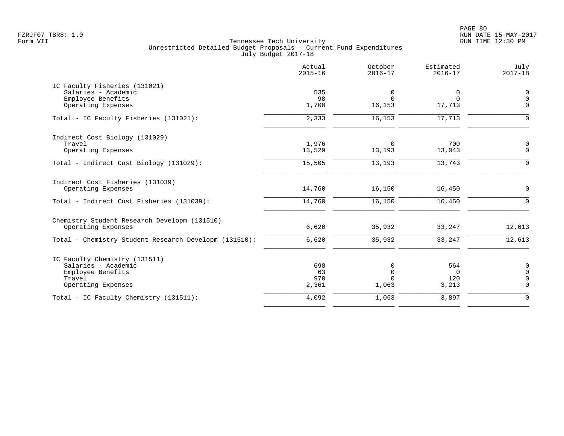PAGE 80 FZRJF07 TBR8: 1.0 RUN DATE 15-MAY-2017

|                                                                                                           | Actual<br>$2015 - 16$     | October<br>$2016 - 17$                    | Estimated<br>$2016 - 17$        | July<br>$2017 - 18$                       |
|-----------------------------------------------------------------------------------------------------------|---------------------------|-------------------------------------------|---------------------------------|-------------------------------------------|
| IC Faculty Fisheries (131021)<br>Salaries - Academic<br>Employee Benefits<br>Operating Expenses           | 535<br>98<br>1,700        | 0<br>$\Omega$<br>16,153                   | 0<br>$\Omega$<br>17,713         | $\mathsf 0$<br>$\overline{0}$<br>$\Omega$ |
| Total - IC Faculty Fisheries (131021):                                                                    | 2,333                     | 16,153                                    | 17,713                          | $\Omega$                                  |
| Indirect Cost Biology (131029)<br>Travel<br>Operating Expenses                                            | 1,976<br>13,529           | $\Omega$<br>13,193                        | 700<br>13,043                   | 0<br>$\Omega$                             |
| Total - Indirect Cost Biology (131029):                                                                   | 15,505                    | 13,193                                    | 13,743                          | $\Omega$                                  |
| Indirect Cost Fisheries (131039)<br>Operating Expenses<br>Total - Indirect Cost Fisheries (131039):       | 14,760<br>14,760          | 16,150<br>16,150                          | 16,450<br>16,450                | $\mathbf 0$<br>$\Omega$                   |
| Chemistry Student Research Developm (131510)<br>Operating Expenses                                        | 6,620                     | 35,932                                    | 33,247                          | 12,613                                    |
| Total - Chemistry Student Research Developm (131510):                                                     | 6,620                     | 35,932                                    | 33,247                          | 12,613                                    |
| IC Faculty Chemistry (131511)<br>Salaries - Academic<br>Employee Benefits<br>Travel<br>Operating Expenses | 698<br>63<br>970<br>2,361 | $\Omega$<br>$\Omega$<br>$\Omega$<br>1,063 | 564<br>$\Omega$<br>120<br>3,213 | 0<br>$\Omega$<br>$\Omega$<br>$\Omega$     |
| Total - IC Faculty Chemistry (131511):                                                                    | 4,092                     | 1,063                                     | 3,897                           | $\Omega$                                  |
|                                                                                                           |                           |                                           |                                 |                                           |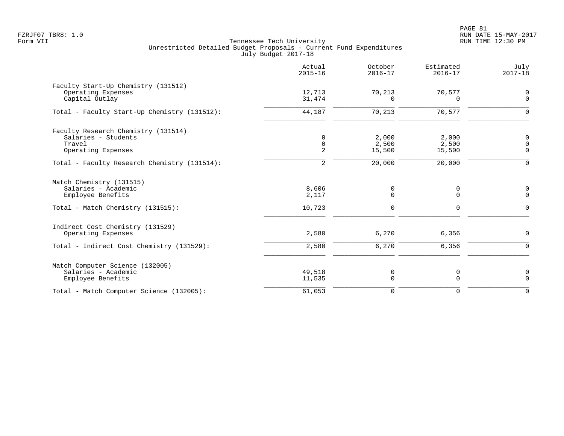|                                                                                                           | Actual<br>$2015 - 16$           | October<br>$2016 - 17$   | Estimated<br>$2016 - 17$ | July<br>$2017 - 18$                       |
|-----------------------------------------------------------------------------------------------------------|---------------------------------|--------------------------|--------------------------|-------------------------------------------|
| Faculty Start-Up Chemistry (131512)<br>Operating Expenses<br>Capital Outlay                               | 12,713<br>31,474                | 70,213<br>0              | 70,577<br>0              | 0<br>$\mathbf 0$                          |
| Total - Faculty Start-Up Chemistry (131512):                                                              | 44,187                          | 70,213                   | 70,577                   | $\mathbf 0$                               |
| Faculty Research Chemistry (131514)<br>Salaries - Students<br>Travel<br>Operating Expenses                | $\mathbf 0$<br>$\mathbf 0$<br>2 | 2,000<br>2,500<br>15,500 | 2,000<br>2,500<br>15,500 | $\mathbf 0$<br>$\mathbf 0$<br>$\mathbf 0$ |
| Total - Faculty Research Chemistry (131514):                                                              | $\overline{a}$                  | 20,000                   | 20,000                   | $\mathbf 0$                               |
| Match Chemistry (131515)<br>Salaries - Academic<br>Employee Benefits<br>Total - Match Chemistry (131515): | 8,606<br>2,117<br>10,723        | 0<br>0<br>0              | 0<br>0<br>$\mathbf 0$    | 0<br>$\mathbf 0$<br>$\mathbf 0$           |
| Indirect Cost Chemistry (131529)<br>Operating Expenses                                                    | 2,580                           | 6,270                    | 6,356                    | 0                                         |
| Total - Indirect Cost Chemistry (131529):                                                                 | 2,580                           | 6,270                    | 6,356                    | $\mathbf 0$                               |
| Match Computer Science (132005)<br>Salaries - Academic<br>Employee Benefits                               | 49,518<br>11,535                | 0<br>$\mathbf 0$         | 0<br>0                   | 0<br>$\mathbf 0$                          |
| Total - Match Computer Science (132005):                                                                  | 61,053                          | 0                        | $\mathbf 0$              | $\Omega$                                  |
|                                                                                                           |                                 |                          |                          |                                           |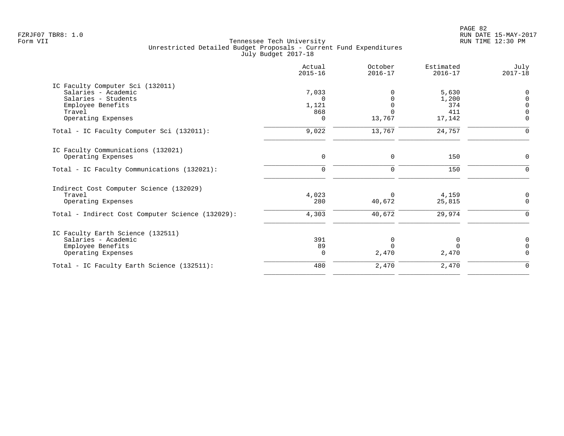|                                                                                                                                     | Actual<br>$2015 - 16$                         | October<br>$2016 - 17$ | Estimated<br>$2016 - 17$               | July<br>$2017 - 18$                                                        |
|-------------------------------------------------------------------------------------------------------------------------------------|-----------------------------------------------|------------------------|----------------------------------------|----------------------------------------------------------------------------|
| IC Faculty Computer Sci (132011)<br>Salaries - Academic<br>Salaries - Students<br>Employee Benefits<br>Travel<br>Operating Expenses | 7,033<br>$\Omega$<br>1,121<br>868<br>$\Omega$ | 13,767                 | 5,630<br>1,200<br>374<br>411<br>17,142 | $\mathbf 0$<br>$\mathbf 0$<br>$\mathbf 0$<br>$\overline{0}$<br>$\mathbf 0$ |
| Total - IC Faculty Computer Sci (132011):                                                                                           | 9,022                                         | 13,767                 | 24,757                                 | $\Omega$                                                                   |
| IC Faculty Communications (132021)<br>Operating Expenses                                                                            | $\mathbf 0$                                   | $\mathbf 0$            | 150                                    | $\mathbf 0$                                                                |
| Total - IC Faculty Communications (132021):                                                                                         | $\mathbf 0$                                   | $\mathbf 0$            | 150                                    | $\mathbf 0$                                                                |
| Indirect Cost Computer Science (132029)<br>Travel<br>Operating Expenses                                                             | 4,023<br>280                                  | $\Omega$<br>40,672     | 4,159<br>25,815                        | 0<br>$\Omega$                                                              |
| Total - Indirect Cost Computer Science (132029):                                                                                    | 4,303                                         | 40,672                 | 29,974                                 | $\mathbf 0$                                                                |
| IC Faculty Earth Science (132511)<br>Salaries - Academic<br>Employee Benefits<br>Operating Expenses                                 | 391<br>89<br>$\mathbf 0$                      | 0<br>$\Omega$<br>2,470 | O<br>0<br>2,470                        | 0<br>$\mathbf 0$<br>$\Omega$                                               |
| Total - IC Faculty Earth Science (132511):                                                                                          | 480                                           | 2,470                  | 2,470                                  | $\mathbf 0$                                                                |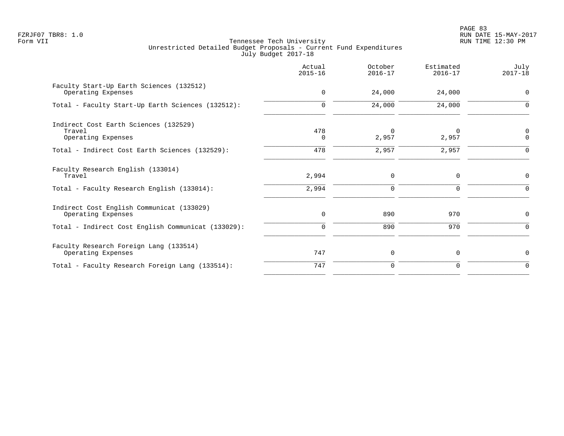PAGE 83 FZRJF07 TBR8: 1.0 RUN DATE 15-MAY-2017

|                                                                       | Actual<br>$2015 - 16$ | October<br>$2016 - 17$ | Estimated<br>$2016 - 17$ | July<br>$2017 - 18$ |
|-----------------------------------------------------------------------|-----------------------|------------------------|--------------------------|---------------------|
| Faculty Start-Up Earth Sciences (132512)<br>Operating Expenses        | $\mathbf 0$           | 24,000                 | 24,000                   | $\mathbf 0$         |
| Total - Faculty Start-Up Earth Sciences (132512):                     | $\Omega$              | 24,000                 | 24,000                   | $\Omega$            |
| Indirect Cost Earth Sciences (132529)<br>Travel<br>Operating Expenses | 478<br>$\Omega$       | 0<br>2,957             | 0<br>2,957               | 0<br>$\mathbf 0$    |
| Total - Indirect Cost Earth Sciences (132529):                        | 478                   | 2,957                  | 2,957                    | $\Omega$            |
| Faculty Research English (133014)<br>Travel                           | 2,994                 | $\mathbf 0$            | $\mathbf 0$              | $\mathbf 0$         |
| Total - Faculty Research English (133014):                            | 2,994                 | $\mathbf 0$            | $\Omega$                 | $\Omega$            |
| Indirect Cost English Communicat (133029)<br>Operating Expenses       | $\mathbf 0$           | 890                    | 970                      | 0                   |
| Total - Indirect Cost English Communicat (133029):                    | $\mathbf 0$           | 890                    | 970                      | $\Omega$            |
| Faculty Research Foreign Lang (133514)<br>Operating Expenses          | 747                   | 0                      | 0                        | 0                   |
| Total - Faculty Research Foreign Lang (133514):                       | 747                   | $\mathbf 0$            | 0                        | 0                   |
|                                                                       |                       |                        |                          |                     |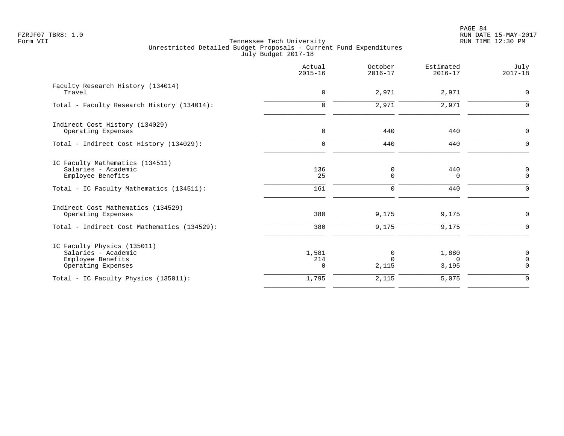|                                                                                                                         | Actual<br>$2015 - 16$    | October<br>$2016 - 17$ | Estimated<br>$2016 - 17$   | July<br>$2017 - 18$                             |
|-------------------------------------------------------------------------------------------------------------------------|--------------------------|------------------------|----------------------------|-------------------------------------------------|
| Faculty Research History (134014)<br>Travel                                                                             | $\mathbf 0$              | 2,971                  | 2,971                      | $\mathbf 0$                                     |
| Total - Faculty Research History (134014):                                                                              | $\mathbf 0$              | 2,971                  | 2,971                      | $\Omega$                                        |
| Indirect Cost History (134029)<br>Operating Expenses                                                                    | $\mathbf 0$              | 440                    | 440                        | $\mathbf 0$                                     |
| Total - Indirect Cost History (134029):                                                                                 | $\mathbf 0$              | 440                    | 440                        | $\Omega$                                        |
| IC Faculty Mathematics (134511)<br>Salaries - Academic<br>Employee Benefits<br>Total - IC Faculty Mathematics (134511): | 136<br>25<br>161         | 0<br>0<br>0            | 440<br>0<br>440            | 0<br>$\mathbf 0$<br>$\mathbf 0$                 |
| Indirect Cost Mathematics (134529)<br>Operating Expenses                                                                | 380                      | 9,175                  | 9,175                      | 0                                               |
| Total - Indirect Cost Mathematics (134529):                                                                             | 380                      | 9,175                  | 9,175                      | $\Omega$                                        |
| IC Faculty Physics (135011)<br>Salaries - Academic<br>Employee Benefits<br>Operating Expenses                           | 1,581<br>214<br>$\Omega$ | 0<br>$\Omega$<br>2,115 | 1,880<br>$\Omega$<br>3,195 | $\mathbf 0$<br>$\overline{0}$<br>$\overline{0}$ |
| Total - IC Faculty Physics (135011):                                                                                    | 1,795                    | 2,115                  | 5,075                      | $\mathbf 0$                                     |
|                                                                                                                         |                          |                        |                            |                                                 |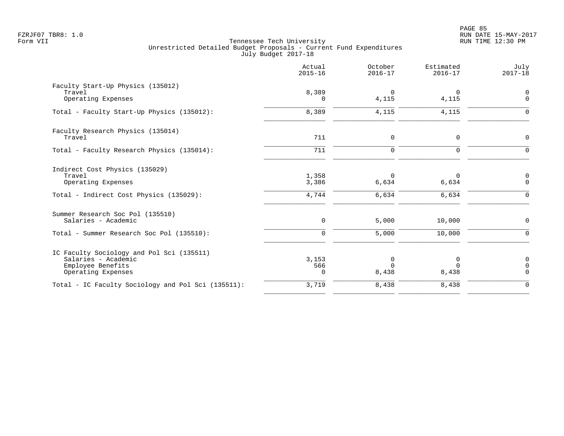|                                                                                                             | Actual<br>$2015 - 16$    | October<br>$2016 - 17$     | Estimated<br>$2016 - 17$   | July<br>$2017 - 18$                 |
|-------------------------------------------------------------------------------------------------------------|--------------------------|----------------------------|----------------------------|-------------------------------------|
| Faculty Start-Up Physics (135012)<br>Travel<br>Operating Expenses                                           | 8,389<br>$\Omega$        | 0<br>4,115                 | 0<br>4,115                 | $\mathbf 0$<br>$\mathbf 0$          |
| Total - Faculty Start-Up Physics (135012):                                                                  | 8,389                    | 4,115                      | 4,115                      | $\Omega$                            |
| Faculty Research Physics (135014)<br>Travel                                                                 | 711                      | $\mathbf 0$                | $\mathbf 0$                | $\Omega$                            |
| Total - Faculty Research Physics (135014):                                                                  | 711                      | $\Omega$                   | $\mathbf 0$                | $\Omega$                            |
| Indirect Cost Physics (135029)<br>Travel<br>Operating Expenses<br>Total - Indirect Cost Physics (135029):   | 1,358<br>3,386<br>4,744  | $\Omega$<br>6,634<br>6,634 | $\Omega$<br>6,634<br>6,634 | 0<br>$\Omega$<br>$\Omega$           |
| Summer Research Soc Pol (135510)<br>Salaries - Academic<br>Total - Summer Research Soc Pol (135510):        | 0<br>$\Omega$            | 5,000<br>5,000             | 10,000<br>10,000           | $\mathbf 0$<br>$\Omega$             |
| IC Faculty Sociology and Pol Sci (135511)<br>Salaries - Academic<br>Employee Benefits<br>Operating Expenses | 3,153<br>566<br>$\Omega$ | 0<br>8,438                 | 0<br>$\Omega$<br>8,438     | $\mathbf 0$<br>$\Omega$<br>$\Omega$ |
| Total - IC Faculty Sociology and Pol Sci (135511):                                                          | 3,719                    | 8,438                      | 8,438                      | $\mathbf 0$                         |
|                                                                                                             |                          |                            |                            |                                     |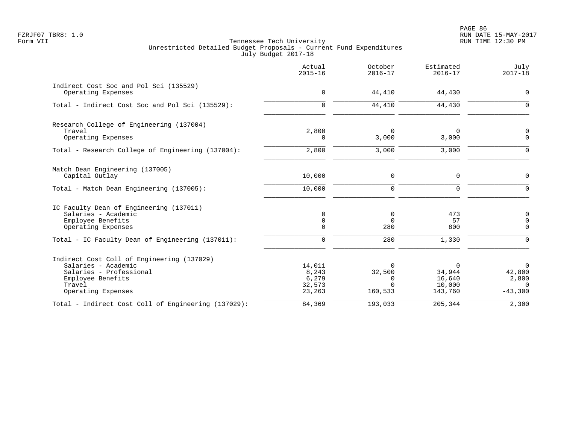PAGE 86 FZRJF07 TBR8: 1.0 RUN DATE 15-MAY-2017

|                                                                                                                                                   | Actual<br>$2015 - 16$                        | October<br>$2016 - 17$                                | Estimated<br>$2016 - 17$                   | July<br>$2017 - 18$                                        |
|---------------------------------------------------------------------------------------------------------------------------------------------------|----------------------------------------------|-------------------------------------------------------|--------------------------------------------|------------------------------------------------------------|
| Indirect Cost Soc and Pol Sci (135529)<br>Operating Expenses                                                                                      | $\mathbf 0$                                  | 44,410                                                | 44,430                                     | $\mathbf 0$                                                |
| Total - Indirect Cost Soc and Pol Sci (135529):                                                                                                   | $\mathbf 0$                                  | 44,410                                                | 44,430                                     | $\Omega$                                                   |
| Research College of Engineering (137004)<br>Travel<br>Operating Expenses                                                                          | 2,800<br>$\Omega$                            | $\mathbf 0$<br>3,000                                  | $\Omega$<br>3,000                          | 0<br>$\overline{0}$                                        |
| Total - Research College of Engineering (137004):                                                                                                 | 2,800                                        | 3,000                                                 | 3,000                                      | $\Omega$                                                   |
| Match Dean Engineering (137005)<br>Capital Outlay                                                                                                 | 10,000                                       | $\mathbf 0$                                           | $\mathbf 0$                                | $\mathsf{O}$                                               |
| Total - Match Dean Engineering (137005):                                                                                                          | 10,000                                       | $\mathbf 0$                                           | $\mathbf 0$                                | $\mathbf 0$                                                |
| IC Faculty Dean of Engineering (137011)<br>Salaries - Academic<br>Employee Benefits<br>Operating Expenses                                         | 0<br>$\mathbf 0$<br>$\Omega$                 | 0<br>$\mathbf 0$<br>280                               | 473<br>57<br>800                           | $\mathbf 0$<br>$\mathsf{O}$<br>$\Omega$                    |
| Total - IC Faculty Dean of Engineering (137011):                                                                                                  | $\mathbf 0$                                  | 280                                                   | 1,330                                      | $\Omega$                                                   |
| Indirect Cost Coll of Engineering (137029)<br>Salaries - Academic<br>Salaries - Professional<br>Employee Benefits<br>Travel<br>Operating Expenses | 14,011<br>8,243<br>6,279<br>32,573<br>23,263 | $\Omega$<br>32,500<br>$\Omega$<br>$\Omega$<br>160,533 | 0<br>34,944<br>16,640<br>10,000<br>143,760 | $\overline{0}$<br>42,800<br>2,800<br>$\Omega$<br>$-43,300$ |
| Total - Indirect Cost Coll of Engineering (137029):                                                                                               | 84,369                                       | 193,033                                               | 205, 344                                   | 2,300                                                      |
|                                                                                                                                                   |                                              |                                                       |                                            |                                                            |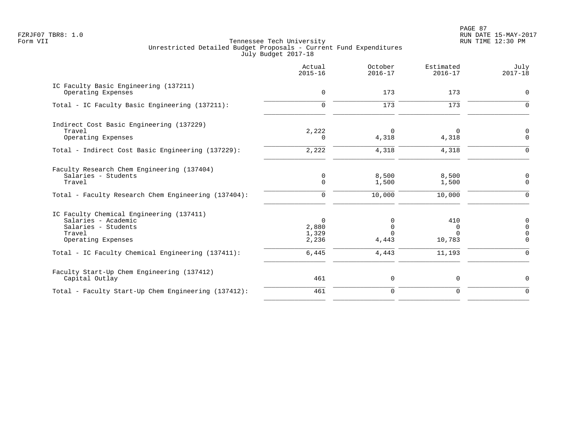PAGE 87 FZRJF07 TBR8: 1.0 RUN DATE 15-MAY-2017

|                                                                                                                                    | Actual<br>$2015 - 16$               | October<br>$2016 - 17$   | Estimated<br>$2016 - 17$       | July<br>$2017 - 18$                                         |
|------------------------------------------------------------------------------------------------------------------------------------|-------------------------------------|--------------------------|--------------------------------|-------------------------------------------------------------|
| IC Faculty Basic Engineering (137211)<br>Operating Expenses                                                                        | $\mathbf 0$                         | 173                      | 173                            | $\mathbf 0$                                                 |
| Total - IC Faculty Basic Engineering (137211):                                                                                     | $\Omega$                            | 173                      | 173                            | $\Omega$                                                    |
| Indirect Cost Basic Engineering (137229)<br>Travel<br>Operating Expenses                                                           | 2,222<br>$\Omega$                   | $\Omega$<br>4,318        | 0<br>4,318                     | 0<br>$\mathbf 0$                                            |
| Total - Indirect Cost Basic Engineering (137229):                                                                                  | 2,222                               | 4,318                    | 4,318                          | $\Omega$                                                    |
| Faculty Research Chem Engineering (137404)<br>Salaries - Students<br>Travel<br>Total - Faculty Research Chem Engineering (137404): | 0<br>$\mathbf 0$<br>0               | 8,500<br>1,500<br>10,000 | 8,500<br>1,500<br>10,000       | 0<br>$\mathbf 0$<br>$\Omega$                                |
|                                                                                                                                    |                                     |                          |                                |                                                             |
| IC Faculty Chemical Engineering (137411)<br>Salaries - Academic<br>Salaries - Students<br>Travel<br>Operating Expenses             | $\Omega$<br>2,880<br>1,329<br>2,236 | $\Omega$<br>0<br>4,443   | 410<br>0<br>$\Omega$<br>10,783 | $\mathbf 0$<br>$\overline{0}$<br>$\mathbf 0$<br>$\mathbf 0$ |
| Total - IC Faculty Chemical Engineering (137411):                                                                                  | 6,445                               | 4,443                    | 11,193                         | $\mathbf 0$                                                 |
| Faculty Start-Up Chem Engineering (137412)<br>Capital Outlay                                                                       | 461                                 | 0                        | 0                              | $\mathbf 0$                                                 |
| Total - Faculty Start-Up Chem Engineering (137412):                                                                                | 461                                 | $\mathbf 0$              | $\mathbf 0$                    | $\Omega$                                                    |
|                                                                                                                                    |                                     |                          |                                |                                                             |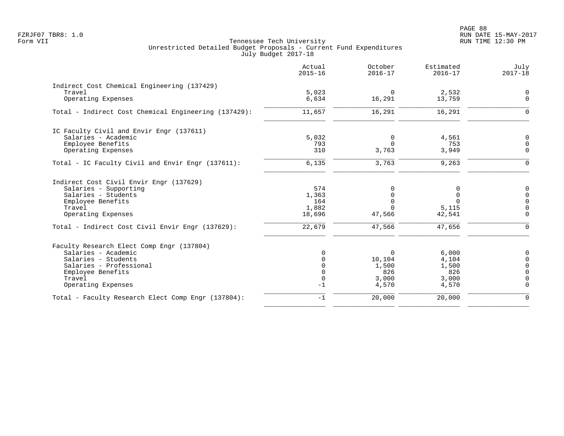|                                                      | Actual<br>$2015 - 16$ | October<br>$2016 - 17$ | Estimated<br>$2016 - 17$ | July<br>$2017 - 18$     |
|------------------------------------------------------|-----------------------|------------------------|--------------------------|-------------------------|
| Indirect Cost Chemical Engineering (137429)          |                       |                        |                          |                         |
| Travel                                               | 5,023                 | $\overline{0}$         | 2,532                    | $\mathsf{O}$            |
| Operating Expenses                                   | 6,634                 | 16,291                 | 13,759                   | $\Omega$                |
| Total - Indirect Cost Chemical Engineering (137429): | 11,657                | 16,291                 | 16,291                   | $\Omega$                |
| IC Faculty Civil and Envir Engr (137611)             |                       |                        |                          |                         |
| Salaries - Academic                                  | 5,032                 | $\mathbf 0$            | 4,561                    | $\Omega$                |
| Employee Benefits                                    | 793                   | $\Omega$               | 753                      | $\Omega$                |
| Operating Expenses                                   | 310                   | 3,763                  | 3,949                    | $\Omega$                |
| Total - IC Faculty Civil and Envir Engr (137611):    | 6,135                 | 3,763                  | 9,263                    | $\Omega$                |
| Indirect Cost Civil Envir Engr (137629)              |                       |                        |                          |                         |
| Salaries - Supporting                                | 574                   | 0                      | <sup>0</sup>             | $\overline{0}$          |
| Salaries - Students                                  | 1,363                 | $\Omega$               | $\Omega$                 | $\mathsf{O}$            |
| Employee Benefits                                    | 164                   | $\Omega$               | $\Omega$                 | $\mathbf 0$             |
| Travel<br>Operating Expenses                         | 1,882<br>18,696       | $\Omega$<br>47,566     | 5,115<br>42,541          | $\mathbf 0$<br>$\Omega$ |
|                                                      |                       |                        |                          |                         |
| Total - Indirect Cost Civil Envir Engr (137629):     | 22,679                | 47,566                 | 47,656                   | $\Omega$                |
| Faculty Research Elect Comp Engr (137804)            |                       |                        |                          |                         |
| Salaries - Academic                                  | $\Omega$              | $\mathbf 0$            | 6,000                    |                         |
| Salaries - Students                                  |                       | 10,104                 | 4,104                    | $\Omega$                |
| Salaries - Professional                              | 0                     | 1,500                  | 1,500                    | $\Omega$                |
| Employee Benefits                                    | $\Omega$              | 826                    | 826                      | $\Omega$                |
| Travel<br>Operating Expenses                         | $\mathbf 0$<br>$-1$   | 3,000<br>4,570         | 3,000<br>4,570           | $\Omega$                |
|                                                      | $-1$                  |                        |                          | $\Omega$                |
| Total - Faculty Research Elect Comp Engr (137804):   |                       | 20,000                 | 20,000                   |                         |
|                                                      |                       |                        |                          |                         |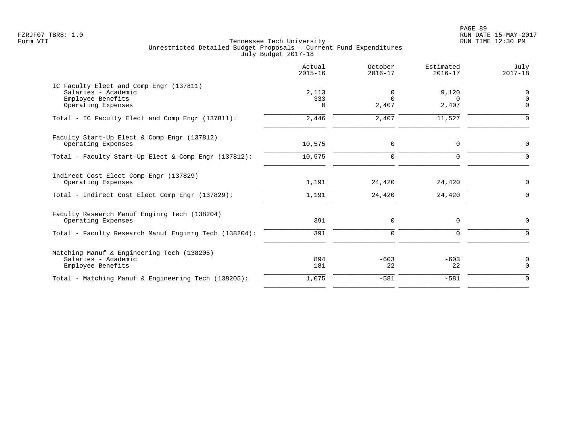PAGE 89 FZRJF07 TBR8: 1.0 RUN DATE 15-MAY-2017

|                                                                                                           | Actual<br>$2015 - 16$    | October<br>$2016 - 17$ | Estimated<br>$2016 - 17$   | July<br>$2017 - 18$       |
|-----------------------------------------------------------------------------------------------------------|--------------------------|------------------------|----------------------------|---------------------------|
| IC Faculty Elect and Comp Engr (137811)<br>Salaries - Academic<br>Employee Benefits<br>Operating Expenses | 2,113<br>333<br>$\Omega$ | 0<br>$\Omega$<br>2,407 | 9,120<br>$\Omega$<br>2,407 | 0<br>$\Omega$<br>$\Omega$ |
| Total - IC Faculty Elect and Comp Engr (137811):                                                          | 2,446                    | 2,407                  | 11,527                     | $\Omega$                  |
| Faculty Start-Up Elect & Comp Engr (137812)<br>Operating Expenses                                         | 10,575                   | 0                      | $\Omega$                   | 0                         |
| Total - Faculty Start-Up Elect & Comp Engr (137812):                                                      | 10,575                   | $\mathbf 0$            | $\Omega$                   | $\Omega$                  |
| Indirect Cost Elect Comp Engr (137829)<br>Operating Expenses                                              | 1,191                    | 24,420                 | 24,420                     | 0                         |
| Total - Indirect Cost Elect Comp Engr (137829):                                                           | 1,191                    | 24,420                 | 24,420                     | $\Omega$                  |
| Faculty Research Manuf Enginrg Tech (138204)<br>Operating Expenses                                        | 391                      | $\mathbf 0$            | $\Omega$                   | $\Omega$                  |
| Total - Faculty Research Manuf Enginrg Tech (138204):                                                     | 391                      | $\mathbf 0$            | $\mathbf 0$                | $\Omega$                  |
| Matching Manuf & Engineering Tech (138205)<br>Salaries - Academic<br>Employee Benefits                    | 894<br>181               | $-603$<br>22           | $-603$<br>22               | 0<br>$\mathbf 0$          |
| Total - Matching Manuf & Engineering Tech (138205):                                                       | 1,075                    | $-581$                 | $-581$                     | $\Omega$                  |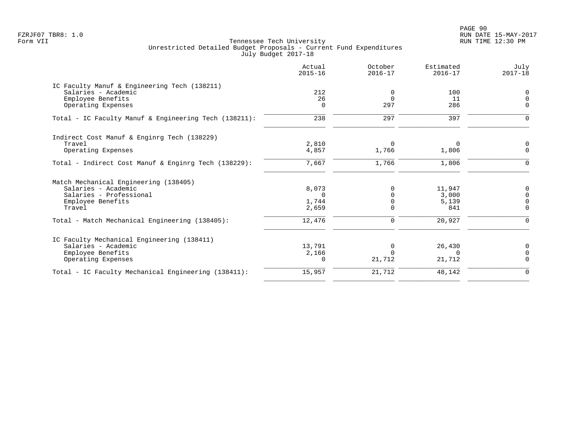PAGE 90 FZRJF07 TBR8: 1.0 RUN DATE 15-MAY-2017

|                                                       | Actual<br>$2015 - 16$ | October<br>$2016 - 17$ | Estimated<br>$2016 - 17$ | July<br>$2017 - 18$ |
|-------------------------------------------------------|-----------------------|------------------------|--------------------------|---------------------|
| IC Faculty Manuf & Engineering Tech (138211)          |                       |                        |                          |                     |
| Salaries - Academic                                   | 212                   | $\Omega$               | 100                      | 0                   |
| Employee Benefits                                     | 26                    | $\Omega$               | 11                       | $\Omega$            |
| Operating Expenses                                    | $\Omega$              | 297                    | 286                      | $\Omega$            |
| Total - IC Faculty Manuf & Engineering Tech (138211): | 238                   | 297                    | 397                      |                     |
| Indirect Cost Manuf & Enginrg Tech (138229)           |                       |                        |                          |                     |
| Travel                                                | 2,810                 | 0                      | 0                        | $\mathbf 0$         |
| Operating Expenses                                    | 4,857                 | 1,766                  | 1,806                    | $\Omega$            |
| Total - Indirect Cost Manuf & Enginrg Tech (138229):  | 7,667                 | 1,766                  | 1,806                    | $\Omega$            |
| Match Mechanical Engineering (138405)                 |                       |                        |                          |                     |
| Salaries - Academic                                   | 8,073                 |                        | 11,947                   | 0                   |
| Salaries - Professional                               | $\Omega$              |                        | 3,000                    | $\Omega$            |
| Employee Benefits                                     | 1,744                 |                        | 5,139                    | $\Omega$            |
| Travel                                                | 2,659                 | $\Omega$               | 841                      | $\mathbf 0$         |
| Total - Match Mechanical Engineering (138405):        | 12,476                | $\mathbf 0$            | 20,927                   | $\Omega$            |
| IC Faculty Mechanical Engineering (138411)            |                       |                        |                          |                     |
| Salaries - Academic                                   | 13,791                | $\Omega$               | 26,430                   | $\Omega$            |
| Employee Benefits                                     | 2,166                 | $\Omega$               | $\Omega$                 | $\Omega$            |
| Operating Expenses                                    | $\Omega$              | 21,712                 | 21,712                   | $\Omega$            |
| Total - IC Faculty Mechanical Engineering (138411):   | 15,957                | 21,712                 | 48,142                   | $\mathbf 0$         |
|                                                       |                       |                        |                          |                     |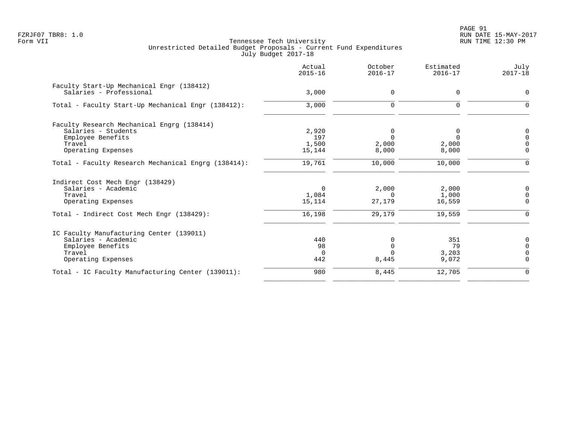PAGE 91 FZRJF07 TBR8: 1.0 RUN DATE 15-MAY-2017

|                                                                      | Actual<br>$2015 - 16$ | October<br>$2016 - 17$ | Estimated<br>$2016 - 17$ | July<br>$2017 - 18$ |
|----------------------------------------------------------------------|-----------------------|------------------------|--------------------------|---------------------|
| Faculty Start-Up Mechanical Engr (138412)<br>Salaries - Professional | 3,000                 | $\Omega$               | 0                        | $\Omega$            |
| Total - Faculty Start-Up Mechanical Engr (138412):                   | 3,000                 | $\mathbf 0$            | $\Omega$                 | $\Omega$            |
| Faculty Research Mechanical Engrg (138414)                           |                       |                        |                          |                     |
| Salaries - Students                                                  | 2,920                 | 0                      | 0                        | 0                   |
| Employee Benefits                                                    | 197                   | $\Omega$               | $\Omega$                 | $\Omega$            |
| Travel                                                               | 1,500                 | 2,000                  | 2,000                    | $\Omega$            |
| Operating Expenses                                                   | 15,144                | 8,000                  | 8,000                    | $\Omega$            |
| Total - Faculty Research Mechanical Engrg (138414):                  | 19,761                | 10,000                 | 10,000                   | $\Omega$            |
| Indirect Cost Mech Engr (138429)                                     |                       |                        |                          |                     |
| Salaries - Academic                                                  | 0                     | 2,000                  | 2,000                    | 0                   |
| Travel                                                               | 1,084                 | $\Omega$               | 1,000                    | $\Omega$            |
| Operating Expenses                                                   | 15,114                | 27,179                 | 16,559                   | $\mathbf 0$         |
| Total - Indirect Cost Mech Engr (138429):                            | 16,198                | 29,179                 | 19,559                   | $\Omega$            |
| IC Faculty Manufacturing Center (139011)                             |                       |                        |                          |                     |
| Salaries - Academic                                                  | 440                   | $\Omega$               | 351                      | $\Omega$            |
| Employee Benefits                                                    | 98                    |                        | 79                       | $\Omega$            |
| Travel                                                               | $\Omega$              |                        | 3,203                    | $\Omega$            |
| Operating Expenses                                                   | 442                   | 8,445                  | 9,072                    | $\Omega$            |
| Total - IC Faculty Manufacturing Center (139011):                    | 980                   | 8,445                  | 12,705                   | $\mathbf 0$         |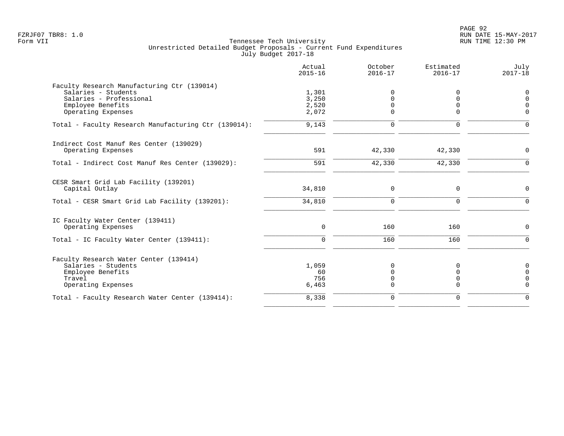|                                                                                                                                          | Actual<br>$2015 - 16$            | October<br>$2016 - 17$                         | Estimated<br>$2016 - 17$                | July<br>$2017 - 18$                          |
|------------------------------------------------------------------------------------------------------------------------------------------|----------------------------------|------------------------------------------------|-----------------------------------------|----------------------------------------------|
| Faculty Research Manufacturing Ctr (139014)<br>Salaries - Students<br>Salaries - Professional<br>Employee Benefits<br>Operating Expenses | 1,301<br>3,250<br>2,520<br>2,072 | <sup>0</sup><br>$\Omega$<br>$\Omega$<br>$\cap$ | $\cap$<br>$\Omega$                      | 0<br>$\Omega$<br><sup>n</sup><br>$\Omega$    |
| Total - Faculty Research Manufacturing Ctr (139014):                                                                                     | 9,143                            | $\Omega$                                       | $\Omega$                                | ∩                                            |
| Indirect Cost Manuf Res Center (139029)<br>Operating Expenses                                                                            | 591                              | 42,330                                         | 42,330                                  | $\Omega$                                     |
| Total - Indirect Cost Manuf Res Center (139029):                                                                                         | 591                              | 42,330                                         | 42,330                                  | $\Omega$                                     |
| CESR Smart Grid Lab Facility (139201)<br>Capital Outlay                                                                                  | 34,810                           | $\Omega$                                       | $\mathbf 0$                             | $\Omega$                                     |
| Total - CESR Smart Grid Lab Facility (139201):                                                                                           | 34,810                           | $\Omega$                                       | $\Omega$                                | $\Omega$                                     |
| IC Faculty Water Center (139411)<br>Operating Expenses                                                                                   | 0                                | 160                                            | 160                                     | $\Omega$                                     |
| Total - IC Faculty Water Center (139411):                                                                                                | $\Omega$                         | 160                                            | 160                                     | $\Omega$                                     |
| Faculty Research Water Center (139414)<br>Salaries - Students<br>Employee Benefits<br>Travel<br>Operating Expenses                       | 1,059<br>60<br>756<br>6,463      | $\Omega$<br>$\Omega$<br>$\Omega$<br>$\Omega$   | <sup>0</sup><br>$\mathbf 0$<br>$\Omega$ | $\Omega$<br>$\Omega$<br>$\Omega$<br>$\Omega$ |
| Total - Faculty Research Water Center (139414):                                                                                          | 8,338                            | $\mathbf 0$                                    | $\Omega$                                | $\Omega$                                     |
|                                                                                                                                          |                                  |                                                |                                         |                                              |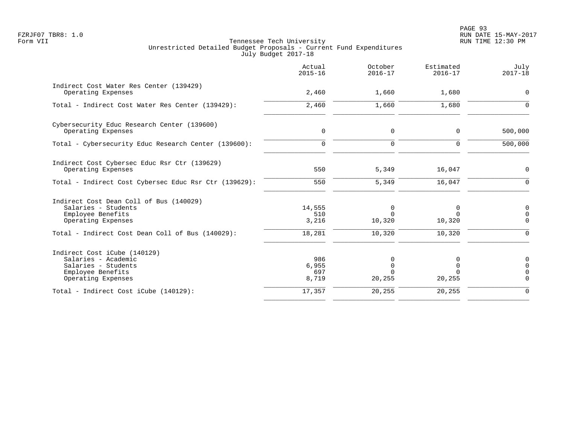|                                                                                                                       | Actual<br>$2015 - 16$        | October<br>$2016 - 17$                        | Estimated<br>$2016 - 17$    | July<br>$2017 - 18$                            |
|-----------------------------------------------------------------------------------------------------------------------|------------------------------|-----------------------------------------------|-----------------------------|------------------------------------------------|
| Indirect Cost Water Res Center (139429)<br>Operating Expenses                                                         | 2,460                        | 1,660                                         | 1,680                       | $\mathbf 0$                                    |
| Total - Indirect Cost Water Res Center (139429):                                                                      | 2,460                        | 1,660                                         | 1,680                       | $\Omega$                                       |
| Cybersecurity Educ Research Center (139600)<br>Operating Expenses                                                     | $\mathbf 0$                  | $\mathbf 0$                                   | 0                           | 500,000                                        |
| Total - Cybersecurity Educ Research Center (139600):                                                                  | $\mathbf 0$                  | $\Omega$                                      | $\Omega$                    | 500,000                                        |
| Indirect Cost Cybersec Educ Rsr Ctr (139629)<br>Operating Expenses                                                    | 550                          | 5,349                                         | 16,047                      | $\mathbf 0$                                    |
| Total - Indirect Cost Cybersec Educ Rsr Ctr (139629):                                                                 | 550                          | 5,349                                         | 16,047                      | $\Omega$                                       |
| Indirect Cost Dean Coll of Bus (140029)<br>Salaries - Students<br>Employee Benefits<br>Operating Expenses             | 14,555<br>510<br>3,216       | 0<br>$\Omega$<br>10,320                       | 0<br><sup>n</sup><br>10,320 | 0<br>$\mathbf 0$<br>$\Omega$                   |
| Total - Indirect Cost Dean Coll of Bus (140029):                                                                      | 18,281                       | 10,320                                        | 10,320                      | $\mathbf 0$                                    |
| Indirect Cost iCube (140129)<br>Salaries - Academic<br>Salaries - Students<br>Employee Benefits<br>Operating Expenses | 986<br>6,955<br>697<br>8,719 | $\Omega$<br>$\mathbf 0$<br>$\Omega$<br>20,255 | $\Omega$<br>20,255          | 0<br>$\mathbf 0$<br>$\mathbf 0$<br>$\mathbf 0$ |
| Total - Indirect Cost iCube (140129):                                                                                 | 17,357                       | 20,255                                        | 20,255                      | $\Omega$                                       |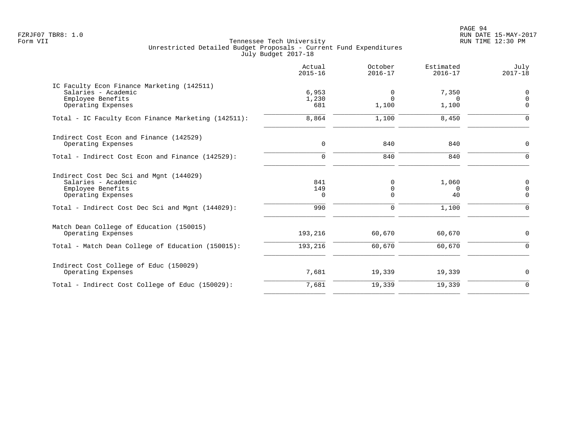PAGE 94 FZRJF07 TBR8: 1.0 RUN DATE 15-MAY-2017

|                                                                                                                                                               | Actual<br>$2015 - 16$            | October<br>$2016 - 17$                                   | Estimated<br>$2016 - 17$         | July<br>$2017 - 18$                         |
|---------------------------------------------------------------------------------------------------------------------------------------------------------------|----------------------------------|----------------------------------------------------------|----------------------------------|---------------------------------------------|
| IC Faculty Econ Finance Marketing (142511)<br>Salaries - Academic<br>Employee Benefits<br>Operating Expenses                                                  | 6,953<br>1,230<br>681            | 0<br>$\Omega$<br>1,100                                   | 7,350<br>$\Omega$<br>1,100       | 0<br>$\mathbf 0$<br>$\Omega$                |
| Total - IC Faculty Econ Finance Marketing (142511):                                                                                                           | 8,864                            | 1,100                                                    | 8,450                            | $\Omega$                                    |
| Indirect Cost Econ and Finance (142529)<br>Operating Expenses                                                                                                 | $\mathbf 0$                      | 840                                                      | 840                              | 0                                           |
| Total - Indirect Cost Econ and Finance (142529):                                                                                                              | $\Omega$                         | 840                                                      | 840                              | $\Omega$                                    |
| Indirect Cost Dec Sci and Mgnt (144029)<br>Salaries - Academic<br>Employee Benefits<br>Operating Expenses<br>Total - Indirect Cost Dec Sci and Mgnt (144029): | 841<br>149<br>$\mathbf 0$<br>990 | $\mathbf 0$<br>$\mathbf 0$<br>$\mathbf 0$<br>$\mathbf 0$ | 1,060<br>$\Omega$<br>40<br>1,100 | 0<br>$\mathbf 0$<br>$\mathbf 0$<br>$\Omega$ |
| Match Dean College of Education (150015)<br>Operating Expenses                                                                                                | 193,216                          | 60,670                                                   | 60,670                           | 0                                           |
| Total - Match Dean College of Education (150015):                                                                                                             | 193,216                          | 60,670                                                   | 60,670                           | 0                                           |
| Indirect Cost College of Educ (150029)<br>Operating Expenses                                                                                                  | 7,681                            | 19,339                                                   | 19,339                           | 0                                           |
| Total - Indirect Cost College of Educ (150029):                                                                                                               | 7,681                            | 19,339                                                   | 19,339                           | $\Omega$                                    |
|                                                                                                                                                               |                                  |                                                          |                                  |                                             |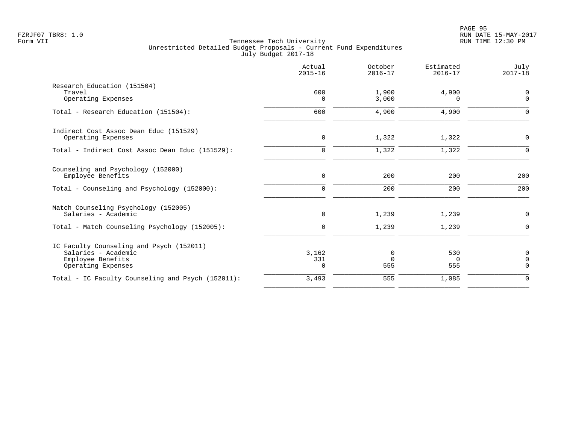|                                                                                                            | Actual<br>$2015 - 16$    | October<br>$2016 - 17$  | Estimated<br>$2016 - 17$ | July<br>$2017 - 18$                       |
|------------------------------------------------------------------------------------------------------------|--------------------------|-------------------------|--------------------------|-------------------------------------------|
| Research Education (151504)<br>Travel<br>Operating Expenses                                                | 600<br>$\Omega$          | 1,900<br>3,000          | 4,900<br>$\Omega$        | $\mathbf 0$<br>$\mathbf 0$                |
| Total - Research Education (151504):                                                                       | 600                      | 4,900                   | 4,900                    | $\Omega$                                  |
| Indirect Cost Assoc Dean Educ (151529)<br>Operating Expenses                                               | $\mathsf{O}$             | 1,322                   | 1,322                    | $\mathbf 0$                               |
| Total - Indirect Cost Assoc Dean Educ (151529):                                                            | $\mathbf 0$              | 1,322                   | 1,322                    | $\mathbf 0$                               |
| Counseling and Psychology (152000)<br>Employee Benefits                                                    | $\mathsf{O}$             | 200                     | 200                      | 200                                       |
| Total - Counseling and Psychology (152000):                                                                | $\mathbf 0$              | 200                     | 200                      | 200                                       |
| Match Counseling Psychology (152005)<br>Salaries - Academic                                                | $\mathbf 0$              | 1,239                   | 1,239                    | $\mathbf 0$                               |
| Total - Match Counseling Psychology (152005):                                                              | $\mathbf 0$              | 1,239                   | 1,239                    | $\Omega$                                  |
| IC Faculty Counseling and Psych (152011)<br>Salaries - Academic<br>Employee Benefits<br>Operating Expenses | 3,162<br>331<br>$\Omega$ | 0<br>$\mathbf 0$<br>555 | 530<br>$\Omega$<br>555   | $\mathbf 0$<br>$\mathbf 0$<br>$\mathbf 0$ |
| Total - IC Faculty Counseling and Psych (152011):                                                          | 3,493                    | 555                     | 1,085                    | $\mathbf 0$                               |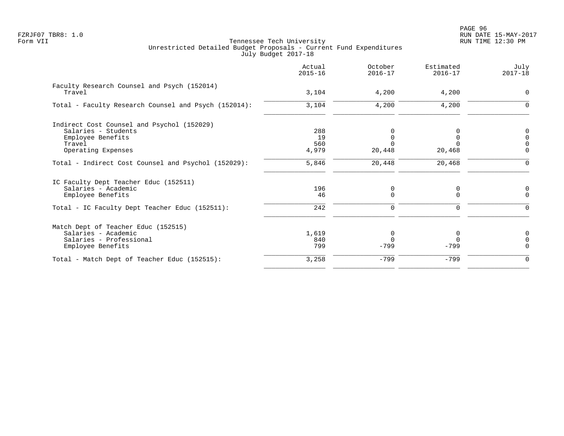|                                                                                                            | Actual<br>$2015 - 16$ | October<br>$2016 - 17$  | Estimated<br>$2016 - 17$ | July<br>$2017 - 18$                 |
|------------------------------------------------------------------------------------------------------------|-----------------------|-------------------------|--------------------------|-------------------------------------|
| Faculty Research Counsel and Psych (152014)<br>Travel                                                      | 3,104                 | 4,200                   | 4,200                    | $\mathbf 0$                         |
| Total - Faculty Research Counsel and Psych (152014):                                                       | 3,104                 | 4,200                   | 4,200                    | $\mathbf 0$                         |
| Indirect Cost Counsel and Psychol (152029)<br>Salaries - Students                                          | 288                   |                         |                          | 0                                   |
| Employee Benefits<br>Travel<br>Operating Expenses                                                          | 19<br>560<br>4,979    | 20,448                  | 20,468                   | $\mathbf 0$<br>$\Omega$<br>$\Omega$ |
| Total - Indirect Cost Counsel and Psychol (152029):                                                        | 5,846                 | 20,448                  | 20,468                   | $\Omega$                            |
| IC Faculty Dept Teacher Educ (152511)<br>Salaries - Academic<br>Employee Benefits                          | 196<br>46             | 0<br>$\Omega$           | 0<br>$\Omega$            | 0<br>$\Omega$                       |
| Total - IC Faculty Dept Teacher Educ (152511):                                                             | 242                   | $\mathbf 0$             | 0                        | $\Omega$                            |
| Match Dept of Teacher Educ (152515)<br>Salaries - Academic<br>Salaries - Professional<br>Employee Benefits | 1,619<br>840<br>799   | 0<br>$\Omega$<br>$-799$ | $-799$                   | 0<br>$\Omega$<br>$\Omega$           |
| Total - Match Dept of Teacher Educ (152515):                                                               | 3,258                 | $-799$                  | $-799$                   | $\Omega$                            |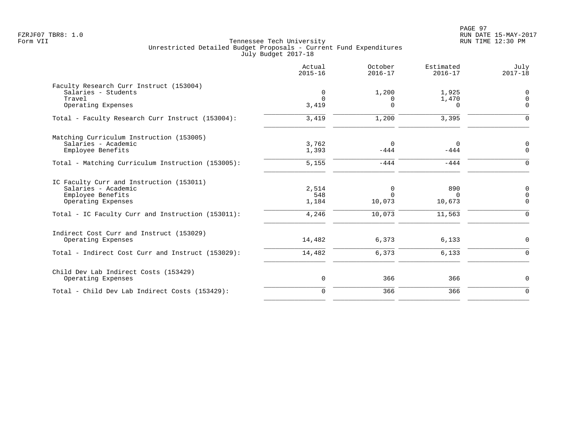|                                                   | Actual<br>$2015 - 16$ | October<br>$2016 - 17$ | Estimated<br>$2016 - 17$ | July<br>$2017 - 18$           |
|---------------------------------------------------|-----------------------|------------------------|--------------------------|-------------------------------|
| Faculty Research Curr Instruct (153004)           |                       |                        |                          |                               |
| Salaries - Students                               | 0                     | 1,200                  | 1,925                    | $\overline{0}$                |
| Travel<br>Operating Expenses                      | $\Omega$<br>3,419     | 0<br>$\Omega$          | 1,470<br>0               | $\Omega$<br>$\Omega$          |
| Total - Faculty Research Curr Instruct (153004):  | 3,419                 | 1,200                  | 3,395                    | $\mathbf 0$                   |
| Matching Curriculum Instruction (153005)          |                       |                        |                          |                               |
| Salaries - Academic<br>Employee Benefits          | 3,762<br>1,393        | $\Omega$<br>$-444$     | $\Omega$<br>$-444$       | $\overline{0}$<br>0           |
| Total - Matching Curriculum Instruction (153005): | 5,155                 | $-444$                 | $-444$                   | $\mathbf 0$                   |
| IC Faculty Curr and Instruction (153011)          |                       |                        |                          |                               |
| Salaries - Academic                               | 2,514                 | 0                      | 890                      | $\mathbf 0$                   |
| Employee Benefits<br>Operating Expenses           | 548<br>1,184          | $\Omega$<br>10,073     | $\Omega$<br>10,673       | $\overline{0}$<br>$\mathbf 0$ |
| Total - IC Faculty Curr and Instruction (153011): | 4,246                 | 10,073                 | 11,563                   | $\mathbf 0$                   |
| Indirect Cost Curr and Instruct (153029)          |                       |                        |                          |                               |
| Operating Expenses                                | 14,482                | 6,373                  | 6,133                    | 0                             |
| Total - Indirect Cost Curr and Instruct (153029): | 14,482                | 6,373                  | 6,133                    | $\mathbf 0$                   |
| Child Dev Lab Indirect Costs (153429)             |                       |                        |                          |                               |
| Operating Expenses                                | 0                     | 366                    | 366                      | 0                             |
| Total - Child Dev Lab Indirect Costs (153429):    | $\mathbf 0$           | 366                    | 366                      | $\mathbf 0$                   |
|                                                   |                       |                        |                          |                               |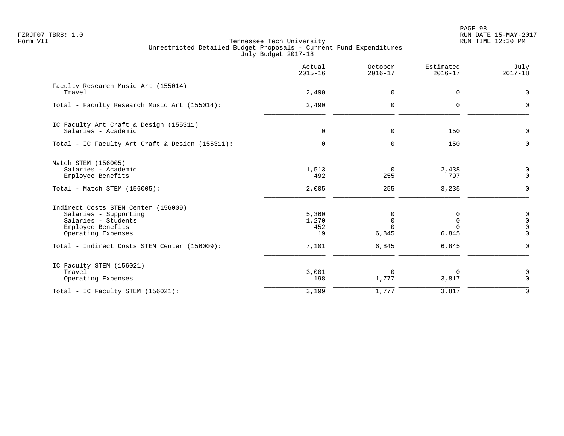PAGE 98 FZRJF07 TBR8: 1.0 RUN DATE 15-MAY-2017

|                                                                                                                                | Actual<br>$2015 - 16$       | October<br>$2016 - 17$                | Estimated<br>$2016 - 17$              | July<br>$2017 - 18$        |
|--------------------------------------------------------------------------------------------------------------------------------|-----------------------------|---------------------------------------|---------------------------------------|----------------------------|
| Faculty Research Music Art (155014)<br>Travel                                                                                  | 2,490                       | $\mathbf 0$                           | $\mathbf 0$                           | $\mathbf 0$                |
| Total - Faculty Research Music Art (155014):                                                                                   | 2,490                       | $\mathbf 0$                           | $\Omega$                              | $\mathbf 0$                |
| IC Faculty Art Craft & Design (155311)<br>Salaries - Academic                                                                  | $\mathbf 0$                 | $\mathbf 0$                           | 150                                   | 0                          |
| Total - IC Faculty Art Craft & Design (155311):                                                                                | $\mathbf 0$                 | $\mathbf 0$                           | 150                                   | 0                          |
| Match STEM (156005)<br>Salaries - Academic<br>Employee Benefits                                                                | 1,513<br>492                | $\Omega$<br>255                       | 2,438<br>797                          | 0<br>$\mathsf 0$           |
| Total - Match STEM (156005):                                                                                                   | 2,005                       | 255                                   | 3,235                                 | $\mathbf 0$                |
| Indirect Costs STEM Center (156009)<br>Salaries - Supporting<br>Salaries - Students<br>Employee Benefits<br>Operating Expenses | 5,360<br>1,270<br>452<br>19 | 0<br>$\mathbf 0$<br>$\Omega$<br>6,845 | 0<br>$\mathbf 0$<br>$\Omega$<br>6,845 | 0<br>$\mathsf 0$<br>0<br>0 |
| Total - Indirect Costs STEM Center (156009):                                                                                   | 7,101                       | 6,845                                 | 6,845                                 | $\mathbf 0$                |
| IC Faculty STEM (156021)<br>Travel<br>Operating Expenses                                                                       | 3,001<br>198                | $\Omega$<br>1,777                     | $\Omega$<br>3,817                     | $\mathsf{0}$<br>0          |
| Total - IC Faculty STEM (156021):                                                                                              | 3,199                       | 1,777                                 | 3,817                                 | $\mathbf 0$                |
|                                                                                                                                |                             |                                       |                                       |                            |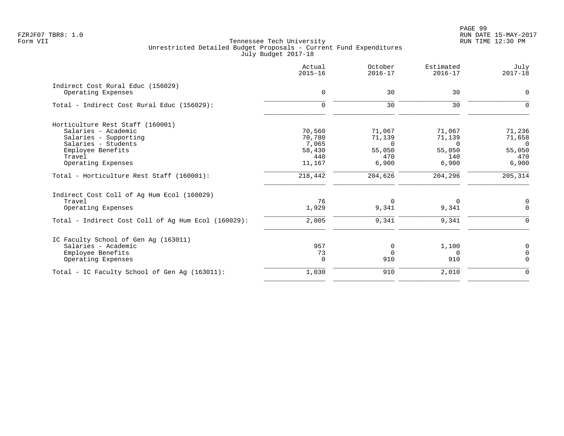|                                                     | Actual<br>$2015 - 16$ | October<br>$2016 - 17$ | Estimated<br>$2016 - 17$ | July<br>$2017 - 18$ |
|-----------------------------------------------------|-----------------------|------------------------|--------------------------|---------------------|
| Indirect Cost Rural Educ (156029)                   |                       |                        |                          |                     |
| Operating Expenses                                  | 0                     | 30                     | 30                       | 0                   |
| Total - Indirect Cost Rural Educ (156029):          | $\Omega$              | 30                     | 30                       | $\Omega$            |
| Horticulture Rest Staff (160001)                    |                       |                        |                          |                     |
| Salaries - Academic                                 | 70,560                | 71,067                 | 71,067                   | 71,236              |
| Salaries - Supporting                               | 70,780                | 71,139                 | 71,139                   | 71,658              |
| Salaries - Students                                 | 7,065                 | $\Omega$               | $\Omega$                 | $\overline{0}$      |
| Employee Benefits                                   | 58,430                | 55,050                 | 55,050                   | 55,050              |
| Travel                                              | 440                   | 470                    | 140                      | 470                 |
| Operating Expenses                                  | 11,167                | 6,900                  | 6,900                    | 6,900               |
| Total - Horticulture Rest Staff (160001):           | 218,442               | 204,626                | 204,296                  | 205,314             |
| Indirect Cost Coll of Ag Hum Ecol (160029)          |                       |                        |                          |                     |
| Travel                                              | 76                    | $\Omega$               | 0                        | 0                   |
| Operating Expenses                                  | 1,929                 | 9,341                  | 9,341                    | $\mathbf 0$         |
| Total - Indirect Cost Coll of Aq Hum Ecol (160029): | 2,005                 | 9,341                  | 9,341                    | $\Omega$            |
| IC Faculty School of Gen Aq (163011)                |                       |                        |                          |                     |
| Salaries - Academic                                 | 957                   | 0                      | 1,100                    | $\mathbf 0$         |
| Employee Benefits                                   | 73                    | $\Omega$               | $\Omega$                 | $\Omega$            |
| Operating Expenses                                  | $\Omega$              | 910                    | 910                      | $\Omega$            |
| Total - IC Faculty School of Gen Ag (163011):       | 1,030                 | 910                    | 2,010                    | $\mathbf 0$         |
|                                                     |                       |                        |                          |                     |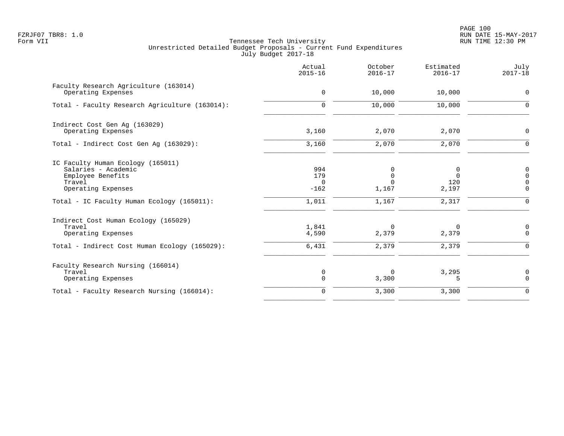PAGE 100 FZRJF07 TBR8: 1.0 RUN DATE 15-MAY-2017

|                                                                                                               | Actual<br>$2015 - 16$            | October<br>$2016 - 17$                | Estimated<br>$2016 - 17$      | July<br>$2017 - 18$                                       |
|---------------------------------------------------------------------------------------------------------------|----------------------------------|---------------------------------------|-------------------------------|-----------------------------------------------------------|
| Faculty Research Agriculture (163014)<br>Operating Expenses                                                   | $\mathbf 0$                      | 10,000                                | 10,000                        | 0                                                         |
| Total - Faculty Research Agriculture (163014):                                                                | $\Omega$                         | 10,000                                | 10,000                        | $\mathbf 0$                                               |
| Indirect Cost Gen Aq (163029)<br>Operating Expenses                                                           | 3,160                            | 2,070                                 | 2,070                         | 0                                                         |
| Total - Indirect Cost Gen Aq (163029):                                                                        | 3,160                            | 2,070                                 | 2,070                         | $\mathbf 0$                                               |
| IC Faculty Human Ecology (165011)<br>Salaries - Academic<br>Employee Benefits<br>Travel<br>Operating Expenses | 994<br>179<br>$\Omega$<br>$-162$ | 0<br>$\mathbf 0$<br>$\Omega$<br>1,167 | 0<br>$\Omega$<br>120<br>2,197 | $\mathsf{0}$<br>$\mathsf 0$<br>$\mathbf 0$<br>$\mathbf 0$ |
| Total - IC Faculty Human Ecology (165011):                                                                    | 1,011                            | 1,167                                 | 2,317                         | $\mathbf 0$                                               |
| Indirect Cost Human Ecology (165029)<br>Travel<br>Operating Expenses                                          | 1,841<br>4,590                   | $\Omega$<br>2,379                     | $\Omega$<br>2,379             | 0<br>0                                                    |
| Total - Indirect Cost Human Ecology (165029):                                                                 | 6,431                            | 2,379                                 | 2,379                         | 0                                                         |
| Faculty Research Nursing (166014)<br>Travel<br>Operating Expenses                                             | 0<br>$\mathbf 0$                 | $\Omega$<br>3,300                     | 3,295<br>5                    | $\mathsf{0}$<br>$\mathbf 0$                               |
| Total - Faculty Research Nursing (166014):                                                                    | $\mathbf 0$                      | 3,300                                 | 3,300                         | $\mathbf 0$                                               |
|                                                                                                               |                                  |                                       |                               |                                                           |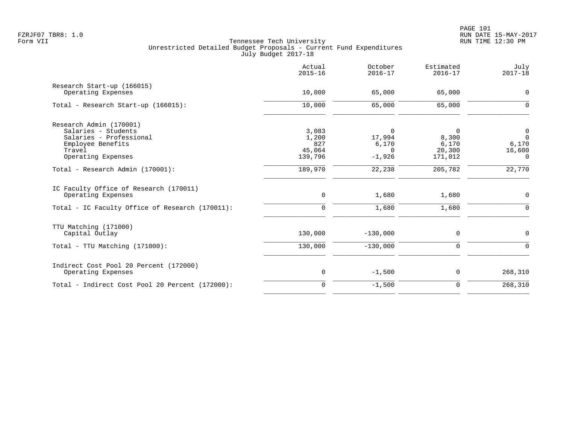|                                                 | Actual<br>$2015 - 16$ | October<br>$2016 - 17$ | Estimated<br>$2016 - 17$ | July<br>$2017 - 18$ |
|-------------------------------------------------|-----------------------|------------------------|--------------------------|---------------------|
| Research Start-up (166015)                      |                       |                        |                          |                     |
| Operating Expenses                              | 10,000                | 65,000                 | 65,000                   | 0                   |
| Total - Research Start-up (166015):             | 10,000                | 65,000                 | 65,000                   | $\mathbf 0$         |
| Research Admin (170001)                         |                       |                        |                          |                     |
| Salaries - Students                             | 3,083                 | 0                      | 0                        | $\overline{0}$      |
| Salaries - Professional                         | 1,200                 | 17,994                 | 8,300                    | $\Omega$            |
| Employee Benefits                               | 827                   | 6,170                  | 6,170                    | 6,170               |
| Travel                                          | 45,064                | $\Omega$               | 20,300                   | 16,600              |
| Operating Expenses                              | 139,796               | $-1,926$               | 171,012                  | $\Omega$            |
| Total - Research Admin (170001):                | 189,970               | 22,238                 | 205,782                  | 22,770              |
| IC Faculty Office of Research (170011)          |                       |                        |                          |                     |
| Operating Expenses                              | $\mathsf{O}$          | 1,680                  | 1,680                    | $\mathbf 0$         |
| Total - IC Faculty Office of Research (170011): | $\mathbf 0$           | 1,680                  | 1,680                    | $\mathbf 0$         |
| TTU Matching (171000)                           |                       |                        |                          |                     |
| Capital Outlay                                  | 130,000               | $-130,000$             | 0                        | 0                   |
| $Total - TTU Matching (171000):$                | 130,000               | $-130,000$             | $\mathbf 0$              | $\Omega$            |
| Indirect Cost Pool 20 Percent (172000)          |                       |                        |                          |                     |
| Operating Expenses                              | 0                     | $-1,500$               | 0                        | 268,310             |
| Total - Indirect Cost Pool 20 Percent (172000): | $\mathbf 0$           | $-1,500$               | $\mathbf 0$              | 268,310             |
|                                                 |                       |                        |                          |                     |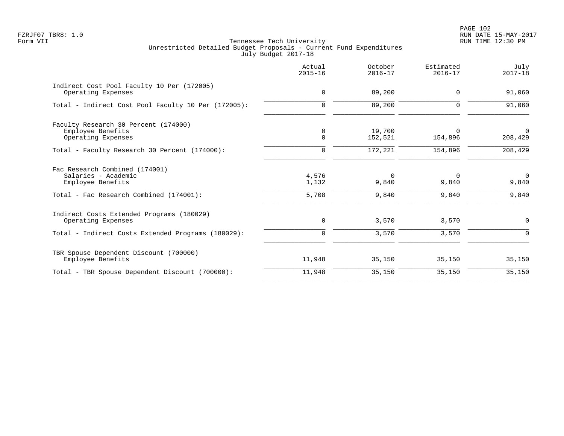PAGE 102 FZRJF07 TBR8: 1.0 RUN DATE 15-MAY-2017

|                                                                                                                       | Actual<br>$2015 - 16$   | October<br>$2016 - 17$     | Estimated<br>$2016 - 17$   | July<br>$2017 - 18$        |
|-----------------------------------------------------------------------------------------------------------------------|-------------------------|----------------------------|----------------------------|----------------------------|
| Indirect Cost Pool Faculty 10 Per (172005)<br>Operating Expenses                                                      | $\mathbf 0$             | 89,200                     | $\Omega$                   | 91,060                     |
| Total - Indirect Cost Pool Faculty 10 Per (172005):                                                                   | $\mathbf 0$             | 89,200                     | $\Omega$                   | 91,060                     |
| Faculty Research 30 Percent (174000)<br>Employee Benefits<br>Operating Expenses                                       | 0<br>$\mathbf 0$        | 19,700<br>152,521          | $\Omega$<br>154,896        | $\Omega$<br>208,429        |
| Total - Faculty Research 30 Percent (174000):                                                                         | $\mathbf 0$             | 172,221                    | 154,896                    | 208,429                    |
| Fac Research Combined (174001)<br>Salaries - Academic<br>Employee Benefits<br>Total - Fac Research Combined (174001): | 4,576<br>1,132<br>5,708 | $\Omega$<br>9,840<br>9,840 | $\Omega$<br>9,840<br>9,840 | $\Omega$<br>9,840<br>9,840 |
| Indirect Costs Extended Programs (180029)<br>Operating Expenses<br>Total - Indirect Costs Extended Programs (180029): | 0<br>$\mathbf 0$        | 3,570<br>3,570             | 3,570<br>3,570             | 0<br>$\Omega$              |
| TBR Spouse Dependent Discount (700000)<br>Employee Benefits                                                           | 11,948                  | 35,150                     | 35,150                     | 35,150                     |
| Total - TBR Spouse Dependent Discount (700000):                                                                       | 11,948                  | 35,150                     | 35,150                     | 35,150                     |
|                                                                                                                       |                         |                            |                            |                            |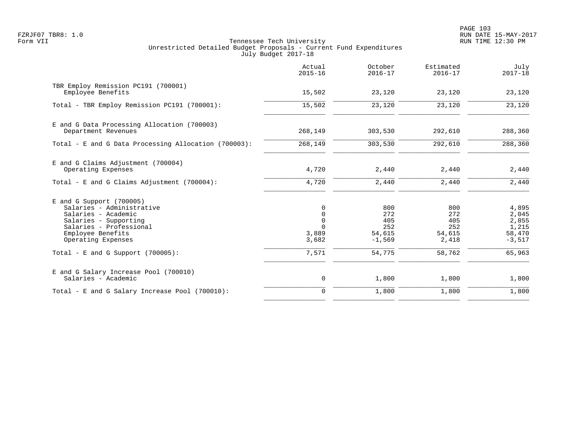PAGE 103 FZRJF07 TBR8: 1.0 RUN DATE 15-MAY-2017

|                                                                                                                                                                               | Actual<br>$2015 - 16$                                     | October<br>$2016 - 17$                         | Estimated<br>$2016 - 17$                    | July<br>$2017 - 18$                                    |
|-------------------------------------------------------------------------------------------------------------------------------------------------------------------------------|-----------------------------------------------------------|------------------------------------------------|---------------------------------------------|--------------------------------------------------------|
| TBR Employ Remission PC191 (700001)<br>Employee Benefits                                                                                                                      | 15,502                                                    | 23,120                                         | 23,120                                      | 23,120                                                 |
| Total - TBR Employ Remission PC191 (700001):                                                                                                                                  | 15,502                                                    | 23,120                                         | 23,120                                      | 23,120                                                 |
| E and G Data Processing Allocation (700003)<br>Department Revenues                                                                                                            | 268,149                                                   | 303,530                                        | 292,610                                     | 288,360                                                |
| Total - E and G Data Processing Allocation (700003):                                                                                                                          | 268,149                                                   | 303,530                                        | 292,610                                     | 288,360                                                |
| E and G Claims Adjustment (700004)<br>Operating Expenses                                                                                                                      | 4,720                                                     | 2,440                                          | 2,440                                       | 2,440                                                  |
| Total - E and G Claims Adjustment (700004):                                                                                                                                   | 4,720                                                     | 2,440                                          | 2,440                                       | 2,440                                                  |
| $E$ and G Support (700005)<br>Salaries - Administrative<br>Salaries - Academic<br>Salaries - Supporting<br>Salaries - Professional<br>Employee Benefits<br>Operating Expenses | 0<br>$\mathbf{0}$<br>$\Omega$<br>$\cap$<br>3,889<br>3,682 | 800<br>272<br>405<br>252<br>54,615<br>$-1,569$ | 800<br>272<br>405<br>252<br>54,615<br>2,418 | 4,895<br>2,045<br>2,855<br>1,215<br>58,470<br>$-3,517$ |
| Total - E and G Support $(700005)$ :                                                                                                                                          | 7,571                                                     | 54,775                                         | 58,762                                      | 65,963                                                 |
| E and G Salary Increase Pool (700010)<br>Salaries - Academic                                                                                                                  | $\mathsf{O}$                                              | 1,800                                          | 1,800                                       | 1,800                                                  |
| Total - E and G Salary Increase Pool (700010):                                                                                                                                | $\mathbf 0$                                               | 1,800                                          | 1,800                                       | 1,800                                                  |
|                                                                                                                                                                               |                                                           |                                                |                                             |                                                        |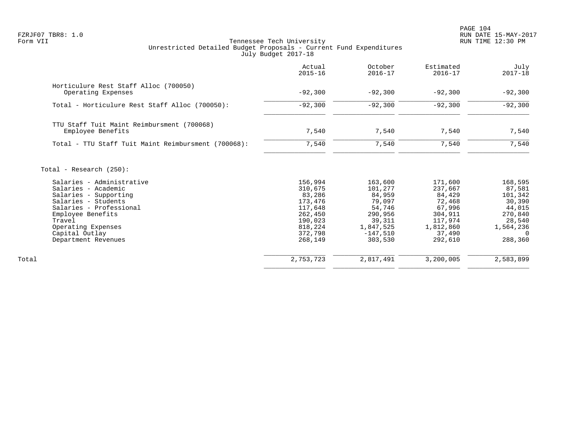PAGE 104 FZRJF07 TBR8: 1.0 RUN DATE 15-MAY-2017

|                                                                                                                                                                                                                           | Actual<br>$2015 - 16$                                                                                     | October<br>$2016 - 17$                                                                                      | Estimated<br>$2016 - 17$                                                                                 | July<br>$2017 - 18$                                                                                |
|---------------------------------------------------------------------------------------------------------------------------------------------------------------------------------------------------------------------------|-----------------------------------------------------------------------------------------------------------|-------------------------------------------------------------------------------------------------------------|----------------------------------------------------------------------------------------------------------|----------------------------------------------------------------------------------------------------|
| Horticulure Rest Staff Alloc (700050)<br>Operating Expenses                                                                                                                                                               | $-92,300$                                                                                                 | $-92,300$                                                                                                   | $-92,300$                                                                                                | $-92,300$                                                                                          |
| Total - Horticulure Rest Staff Alloc (700050):                                                                                                                                                                            | $-92,300$                                                                                                 | $-92,300$                                                                                                   | $-92,300$                                                                                                | $-92,300$                                                                                          |
| TTU Staff Tuit Maint Reimbursment (700068)<br>Employee Benefits                                                                                                                                                           | 7,540                                                                                                     | 7,540                                                                                                       | 7,540                                                                                                    | 7,540                                                                                              |
| Total - TTU Staff Tuit Maint Reimbursment (700068):                                                                                                                                                                       | 7,540                                                                                                     | 7,540                                                                                                       | 7,540                                                                                                    | 7,540                                                                                              |
| Total - Research $(250)$ :                                                                                                                                                                                                |                                                                                                           |                                                                                                             |                                                                                                          |                                                                                                    |
| Salaries - Administrative<br>Salaries - Academic<br>Salaries - Supporting<br>Salaries - Students<br>Salaries - Professional<br>Employee Benefits<br>Travel<br>Operating Expenses<br>Capital Outlay<br>Department Revenues | 156,994<br>310,675<br>83,286<br>173,476<br>117,648<br>262,450<br>190,023<br>818,224<br>372,798<br>268,149 | 163,600<br>101,277<br>84,959<br>79,097<br>54,746<br>290,956<br>39,311<br>1,847,525<br>$-147,510$<br>303,530 | 171,600<br>237,667<br>84,429<br>72,468<br>67,996<br>304,911<br>117,974<br>1,812,860<br>37,490<br>292,610 | 168,595<br>87,581<br>101,342<br>30,390<br>44,015<br>270,840<br>28,540<br>1,564,236<br>0<br>288,360 |
| Total                                                                                                                                                                                                                     | 2,753,723                                                                                                 | 2,817,491                                                                                                   | 3,200,005                                                                                                | 2,583,899                                                                                          |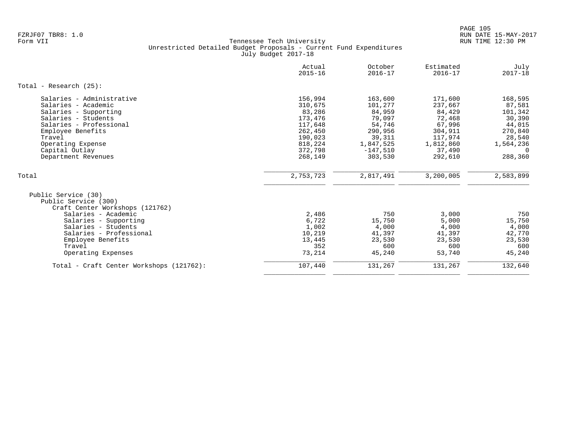|                                          | Actual<br>$2015 - 16$ | October<br>$2016 - 17$ | Estimated<br>$2016 - 17$ | July<br>$2017 - 18$ |
|------------------------------------------|-----------------------|------------------------|--------------------------|---------------------|
| Total - Research $(25)$ :                |                       |                        |                          |                     |
| Salaries - Administrative                | 156,994               | 163,600                | 171,600                  | 168,595             |
| Salaries - Academic                      | 310,675               | 101,277                | 237,667                  | 87,581              |
| Salaries - Supporting                    | 83,286                | 84,959                 | 84,429                   | 101,342             |
| Salaries - Students                      | 173,476               | 79,097                 | 72,468                   | 30,390              |
| Salaries - Professional                  | 117,648               | 54,746                 | 67,996                   | 44,015              |
| Employee Benefits                        | 262,450               | 290,956                | 304,911                  | 270,840             |
| Travel                                   | 190,023               | 39,311                 | 117,974                  | 28,540              |
| Operating Expense                        | 818,224               | 1,847,525              | 1,812,860                | 1,564,236           |
| Capital Outlay                           | 372,798               | $-147,510$             | 37,490                   | $\Omega$            |
| Department Revenues                      | 268,149               | 303,530                | 292,610                  | 288,360             |
| Total                                    | 2,753,723             | 2,817,491              | 3,200,005                | 2,583,899           |
| Public Service (30)                      |                       |                        |                          |                     |
| Public Service (300)                     |                       |                        |                          |                     |
| Craft Center Workshops (121762)          |                       |                        |                          |                     |
| Salaries - Academic                      | 2,486                 | 750                    | 3.000                    | 750                 |
| Salaries - Supporting                    | 6,722                 | 15,750                 | 5,000                    | 15,750              |
| Salaries - Students                      | 1,002                 | 4,000                  | 4,000                    | 4,000               |
| Salaries - Professional                  | 10,219                | 41,397                 | 41,397                   | 42,770              |
| Employee Benefits                        | 13,445                | 23,530                 | 23,530                   | 23,530              |
| Travel                                   | 352                   | 600                    | 600                      | 600                 |
| Operating Expenses                       | 73,214                | 45,240                 | 53,740                   | 45,240              |
| Total - Craft Center Workshops (121762): | 107,440               | 131,267                | 131,267                  | 132,640             |
|                                          |                       |                        |                          |                     |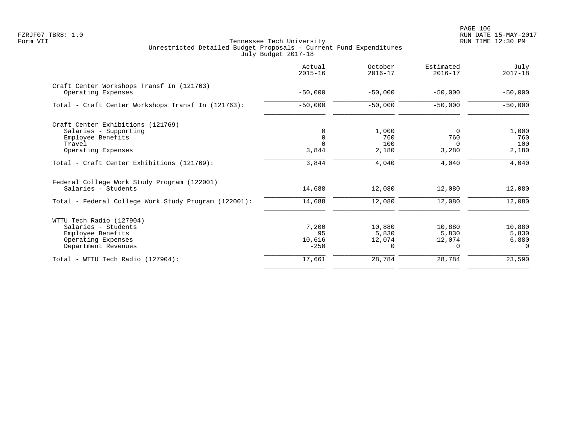| Actual<br>$2015 - 16$ | October<br>$2016 - 17$ | Estimated<br>$2016 - 17$ | July<br>$2017 - 18$ |
|-----------------------|------------------------|--------------------------|---------------------|
| $-50.000$             | $-50.000$              | $-50,000$                | $-50,000$           |
| $-50,000$             | $-50,000$              | $-50,000$                | $-50,000$           |
|                       |                        |                          | 1,000               |
|                       | 760                    | 760                      | 760                 |
|                       | 100                    | 0                        | 100                 |
| 3,844                 | 2,180                  | 3,280                    | 2,180               |
| 3,844                 | 4,040                  | 4,040                    | 4,040               |
| 14,688                | 12,080                 | 12,080                   | 12,080              |
| 14,688                | 12,080                 | 12,080                   | 12,080              |
|                       |                        |                          |                     |
|                       | 10,880                 | 10,880                   | 10,880              |
| 95                    | 5,830                  | 5,830                    | 5,830               |
| 10,616                | 12,074                 | 12,074                   | 6,880               |
|                       | $\Omega$               | 0                        | $\Omega$            |
| 17,661                | 28,784                 | 28,784                   | 23,590              |
|                       | 7,200<br>$-250$        | 1,000                    | $\Omega$            |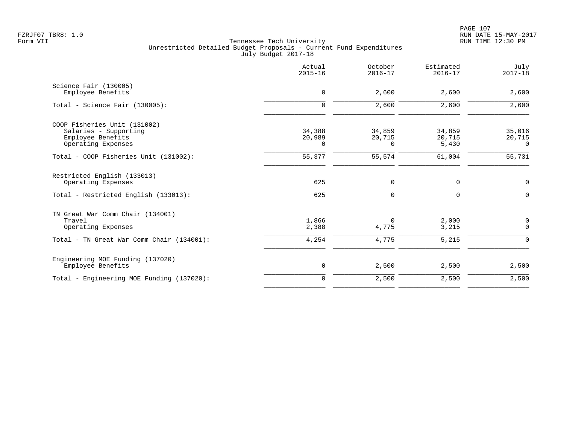|                                                                                                               | Actual<br>$2015 - 16$        | October<br>$2016 - 17$       | Estimated<br>$2016 - 17$  | July<br>$2017 - 18$          |
|---------------------------------------------------------------------------------------------------------------|------------------------------|------------------------------|---------------------------|------------------------------|
| Science Fair (130005)<br>Employee Benefits                                                                    | 0                            | 2,600                        | 2,600                     | 2,600                        |
| Total - Science Fair (130005):                                                                                | $\mathbf 0$                  | 2,600                        | 2,600                     | 2,600                        |
| COOP Fisheries Unit (131002)<br>Salaries - Supporting<br>Employee Benefits<br>Operating Expenses              | 34,388<br>20,989<br>$\Omega$ | 34,859<br>20,715<br>$\Omega$ | 34,859<br>20,715<br>5,430 | 35,016<br>20,715<br>$\Omega$ |
| Total - COOP Fisheries Unit (131002):                                                                         | 55,377                       | 55,574                       | 61,004                    | 55,731                       |
| Restricted English (133013)<br>Operating Expenses<br>Total - Restricted English (133013):                     | 625<br>625                   | 0<br>0                       | 0<br>0                    | $\mathsf{O}$<br>$\Omega$     |
| TN Great War Comm Chair (134001)<br>Travel<br>Operating Expenses<br>Total - TN Great War Comm Chair (134001): | 1,866<br>2,388<br>4,254      | $\Omega$<br>4,775<br>4,775   | 2,000<br>3,215<br>5,215   | 0<br>$\mathbf 0$<br>$\Omega$ |
| Engineering MOE Funding (137020)<br>Employee Benefits                                                         | $\mathbf 0$                  | 2,500                        | 2,500                     | 2,500                        |
| Total - Engineering MOE Funding (137020):                                                                     | $\mathbf 0$                  | 2,500                        | 2,500                     | 2,500                        |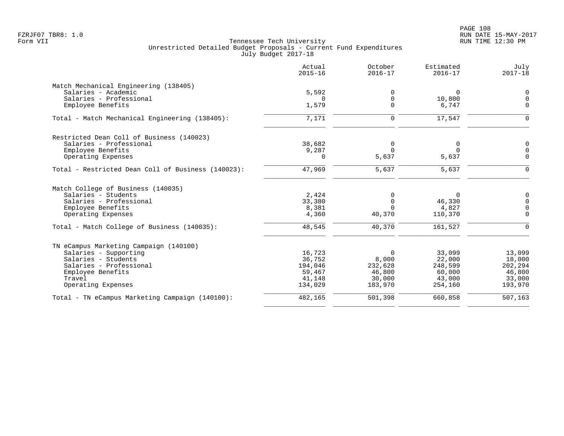|                                                    | Actual<br>$2015 - 16$ | October<br>$2016 - 17$ | Estimated<br>$2016 - 17$ | July<br>$2017 - 18$ |
|----------------------------------------------------|-----------------------|------------------------|--------------------------|---------------------|
| Match Mechanical Engineering (138405)              |                       |                        |                          |                     |
| Salaries - Academic                                | 5,592                 | 0                      | 0                        | $\mathbf 0$         |
| Salaries - Professional                            | $\Omega$              | 0                      | 10,800                   | $\mathbf 0$         |
| Employee Benefits                                  | 1,579                 | $\Omega$               | 6,747                    | $\mathbf 0$         |
| Total - Match Mechanical Engineering (138405):     | 7,171                 | 0                      | 17,547                   | $\Omega$            |
| Restricted Dean Coll of Business (140023)          |                       |                        |                          |                     |
| Salaries - Professional                            | 38,682                | $\mathbf 0$            | 0                        | $\Omega$            |
| Employee Benefits                                  | 9,287                 | $\Omega$               | $\Omega$                 | $\Omega$            |
| Operating Expenses                                 | 0                     | 5,637                  | 5,637                    | $\Omega$            |
| Total - Restricted Dean Coll of Business (140023): | 47,969                | 5,637                  | 5,637                    | $\mathbf 0$         |
| Match College of Business (140035)                 |                       |                        |                          |                     |
| Salaries - Students                                | 2,424                 | 0                      | 0                        | 0                   |
| Salaries - Professional                            | 33,380                | $\mathbf 0$            | 46,330                   | $\mathbf 0$         |
| Employee Benefits                                  | 8,381                 | $\Omega$               | 4,827                    | $\mathbf 0$         |
| Operating Expenses                                 | 4,360                 | 40,370                 | 110,370                  | $\Omega$            |
| Total - Match College of Business (140035):        | 48,545                | 40,370                 | 161,527                  | $\Omega$            |
| TN eCampus Marketing Campaign (140100)             |                       |                        |                          |                     |
| Salaries - Supporting                              | 16,723                | $\Omega$               | 33,099                   | 13,099              |
| Salaries - Students                                | 36,752                | 8,000                  | 22,000                   | 18,000              |
| Salaries - Professional                            | 194,046               | 232,628                | 248,599                  | 202,294             |
| Employee Benefits                                  | 59,467                | 46,800                 | 60,000                   | 46,800              |
| Travel                                             | 41,148                | 30,000                 | 43,000                   | 33,000              |
| Operating Expenses                                 | 134,029               | 183,970                | 254,160                  | 193,970             |
| Total - TN eCampus Marketing Campaign (140100):    | 482,165               | 501,398                | 660,858                  | 507,163             |
|                                                    |                       |                        |                          |                     |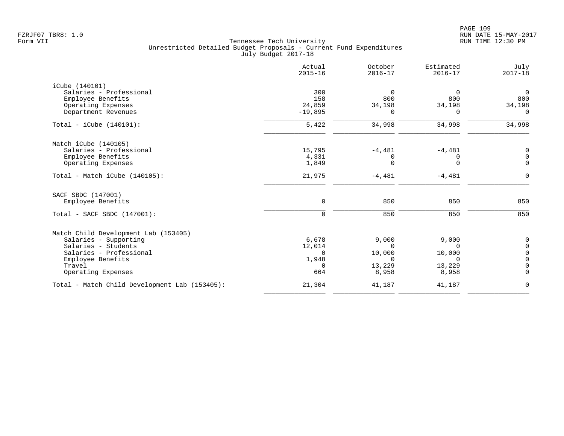|                                               | Actual<br>$2015 - 16$ | October<br>$2016 - 17$ | Estimated<br>$2016 - 17$ | July<br>$2017 - 18$ |
|-----------------------------------------------|-----------------------|------------------------|--------------------------|---------------------|
| iCube (140101)                                |                       |                        |                          |                     |
| Salaries - Professional                       | 300                   | $\Omega$               | $\overline{0}$           | $\overline{0}$      |
| Employee Benefits                             | 158                   | 800                    | 800                      | 800                 |
| Operating Expenses                            | 24,859                | 34,198                 | 34,198                   | 34,198              |
| Department Revenues                           | $-19,895$             | $\Omega$               | $\Omega$                 | $\Omega$            |
| Total - $iCube (140101):$                     | 5,422                 | 34,998                 | 34,998                   | 34,998              |
| Match iCube (140105)                          |                       |                        |                          |                     |
| Salaries - Professional                       | 15,795                | $-4,481$               | $-4,481$                 | 0                   |
| Employee Benefits                             | 4,331                 | 0                      | 0                        | $\mathbf 0$         |
| Operating Expenses                            | 1,849                 | $\Omega$               | $\Omega$                 | $\mathbf 0$         |
| Total - Match iCube (140105):                 | 21,975                | $-4,481$               | $-4,481$                 | $\Omega$            |
| SACF SBDC (147001)                            |                       |                        |                          |                     |
| Employee Benefits                             | $\mathbf 0$           | 850                    | 850                      | 850                 |
| Total - SACF SBDC (147001):                   | $\mathbf 0$           | 850                    | 850                      | 850                 |
| Match Child Development Lab (153405)          |                       |                        |                          |                     |
| Salaries - Supporting                         | 6,678                 | 9,000                  | 9,000                    | $\mathbf 0$         |
| Salaries - Students                           | 12,014                | $\Omega$               | $\Omega$                 | $\mathbf 0$         |
| Salaries - Professional                       | $\Omega$              | 10,000                 | 10,000                   | $\mathbf 0$         |
| Employee Benefits                             | 1,948                 | $\Omega$               | $\Omega$                 | $\mathbf 0$         |
| Travel                                        | $\Omega$              | 13,229                 | 13,229                   | $\Omega$            |
| Operating Expenses                            | 664                   | 8,958                  | 8,958                    | $\mathbf 0$         |
| Total - Match Child Development Lab (153405): | 21,304                | 41,187                 | 41,187                   | $\mathbf 0$         |
|                                               |                       |                        |                          |                     |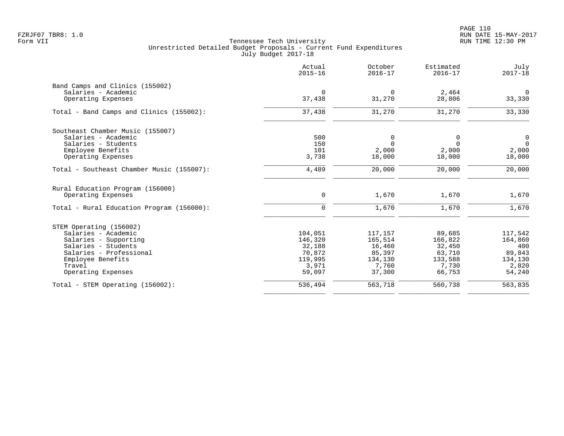|                                           | Actual<br>$2015 - 16$ | October<br>$2016 - 17$ | Estimated<br>$2016 - 17$ | July<br>$2017 - 18$ |
|-------------------------------------------|-----------------------|------------------------|--------------------------|---------------------|
| Band Camps and Clinics (155002)           |                       |                        |                          |                     |
| Salaries - Academic                       | $\mathbf 0$           | $\Omega$               | 2,464                    | $\mathbf 0$         |
| Operating Expenses                        | 37,438                | 31,270                 | 28,806                   | 33,330              |
| Total - Band Camps and Clinics (155002):  | 37,438                | 31,270                 | 31,270                   | 33,330              |
| Southeast Chamber Music (155007)          |                       |                        |                          |                     |
| Salaries - Academic                       | 500                   | 0                      | 0                        | $\mathsf{O}$        |
| Salaries - Students                       | 150                   | $\Omega$               | $\Omega$                 | $\overline{0}$      |
| Employee Benefits                         | 101                   | 2,000                  | 2,000                    | 2,000               |
| Operating Expenses                        | 3,738                 | 18,000                 | 18,000                   | 18,000              |
| Total - Southeast Chamber Music (155007): | 4,489                 | 20,000                 | 20,000                   | 20,000              |
| Rural Education Program (156000)          |                       |                        |                          |                     |
| Operating Expenses                        | $\mathbf 0$           | 1,670                  | 1,670                    | 1,670               |
| Total - Rural Education Program (156000): | $\mathbf 0$           | 1,670                  | 1,670                    | 1,670               |
| STEM Operating (156002)                   |                       |                        |                          |                     |
| Salaries - Academic                       | 104,051               | 117,157                | 89,685                   | 117,542             |
| Salaries - Supporting                     | 146,320               | 165,514                | 166,822                  | 164,860             |
| Salaries - Students                       | 32,188                | 16,460                 | 32,450                   | 400                 |
| Salaries - Professional                   | 70,872                | 85,397                 | 63,710                   | 89,843              |
| Employee Benefits                         | 119,995               | 134,130                | 133,588                  | 134,130             |
| Travel                                    | 3,971                 | 7,760                  | 7,730                    | 2,820               |
| Operating Expenses                        | 59,097                | 37,300                 | 66,753                   | 54,240              |
| Total - STEM Operating (156002):          | 536,494               | 563,718                | 560,738                  | 563,835             |
|                                           |                       |                        |                          |                     |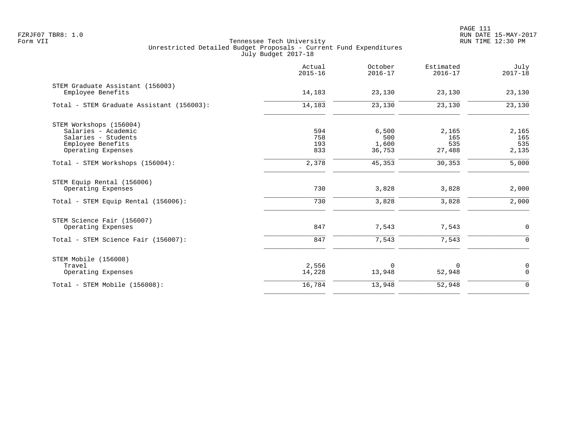PAGE 111 FZRJF07 TBR8: 1.0 RUN DATE 15-MAY-2017

|                                                                                            | Actual<br>$2015 - 16$ | October<br>$2016 - 17$ | Estimated<br>$2016 - 17$ | July<br>$2017 - 18$ |
|--------------------------------------------------------------------------------------------|-----------------------|------------------------|--------------------------|---------------------|
| STEM Graduate Assistant (156003)<br>Employee Benefits                                      | 14,183                | 23,130                 | 23,130                   | 23,130              |
| Total - STEM Graduate Assistant (156003):                                                  | 14,183                | 23,130                 | 23,130                   | 23,130              |
| STEM Workshops (156004)<br>Salaries - Academic<br>Salaries - Students<br>Employee Benefits | 594<br>758<br>193     | 6,500<br>500<br>1,600  | 2,165<br>165<br>535      | 2,165<br>165<br>535 |
| Operating Expenses<br>Total - STEM Workshops (156004):                                     | 833<br>2,378          | 36,753<br>45,353       | 27,488<br>30,353         | 2,135<br>5,000      |
| STEM Equip Rental (156006)<br>Operating Expenses<br>Total - STEM Equip Rental (156006):    | 730<br>730            | 3,828<br>3,828         | 3,828<br>3,828           | 2,000<br>2,000      |
| STEM Science Fair (156007)<br>Operating Expenses                                           | 847                   | 7,543                  | 7,543                    | $\mathbf 0$         |
| Total - STEM Science Fair (156007):                                                        | 847                   | 7,543                  | 7,543                    | $\mathbf 0$         |
| STEM Mobile (156008)<br>Travel<br>Operating Expenses                                       | 2,556<br>14,228       | 0<br>13,948            | 0<br>52,948              | 0<br>$\mathbf 0$    |
| Total - STEM Mobile (156008):                                                              | 16,784                | 13,948                 | 52,948                   | $\mathbf 0$         |
|                                                                                            |                       |                        |                          |                     |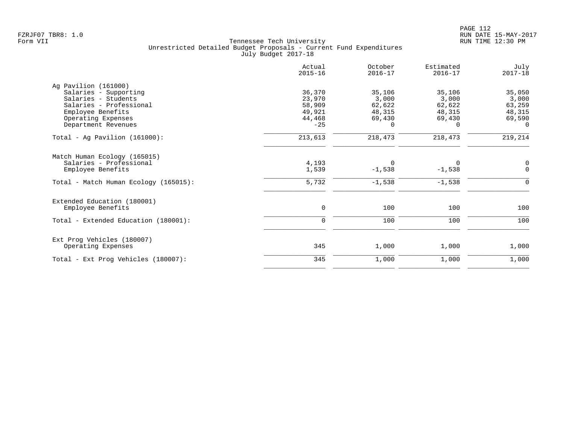|                                         | Actual<br>$2015 - 16$ | October<br>$2016 - 17$ | Estimated<br>$2016 - 17$ | July<br>$2017 - 18$ |
|-----------------------------------------|-----------------------|------------------------|--------------------------|---------------------|
| Ag Pavilion (161000)                    |                       |                        |                          |                     |
| Salaries - Supporting                   | 36,370                | 35,106                 | 35,106                   | 35,050              |
| Salaries - Students                     | 23,970                | 3,000                  | 3,000                    | 3,000               |
| Salaries - Professional                 | 58,909<br>49,921      | 62,622                 | 62,622                   | 63,259              |
| Employee Benefits<br>Operating Expenses | 44,468                | 48,315<br>69,430       | 48,315<br>69,430         | 48,315<br>69,590    |
| Department Revenues                     | $-25$                 | $\Omega$               | 0                        | $\Omega$            |
| Total - Ag Pavilion $(161000)$ :        | 213,613               | 218,473                | 218,473                  | 219,214             |
| Match Human Ecology (165015)            |                       |                        |                          |                     |
| Salaries - Professional                 | 4,193                 | $\Omega$               | 0                        | 0                   |
| Employee Benefits                       | 1,539                 | $-1,538$               | $-1,538$                 | $\Omega$            |
| Total - Match Human Ecology (165015):   | 5,732                 | $-1,538$               | $-1,538$                 | $\mathbf 0$         |
| Extended Education (180001)             |                       |                        |                          |                     |
| Employee Benefits                       | 0                     | 100                    | 100                      | 100                 |
| Total - Extended Education (180001):    | 0                     | 100                    | 100                      | 100                 |
| Ext Prog Vehicles (180007)              |                       |                        |                          |                     |
| Operating Expenses                      | 345                   | 1,000                  | 1,000                    | 1,000               |
| Total - Ext Prog Vehicles (180007):     | 345                   | 1,000                  | 1,000                    | 1,000               |
|                                         |                       |                        |                          |                     |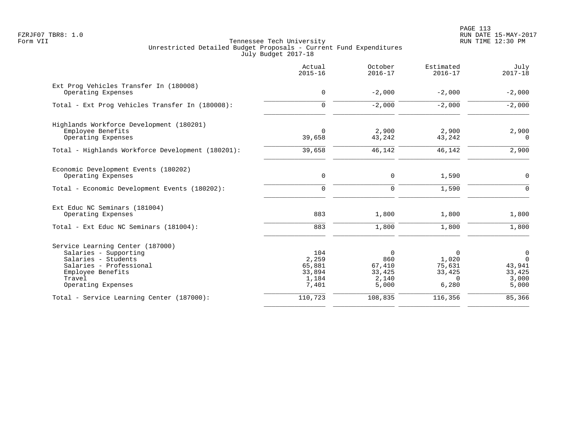PAGE 113 FZRJF07 TBR8: 1.0 RUN DATE 15-MAY-2017

|                                                                                                                                                                  | Actual<br>$2015 - 16$                              | October<br>$2016 - 17$                                | Estimated<br>$2016 - 17$                                   | July<br>$2017 - 18$                                 |
|------------------------------------------------------------------------------------------------------------------------------------------------------------------|----------------------------------------------------|-------------------------------------------------------|------------------------------------------------------------|-----------------------------------------------------|
| Ext Prog Vehicles Transfer In (180008)<br>Operating Expenses                                                                                                     | $\mathbf 0$                                        | $-2,000$                                              | $-2,000$                                                   | $-2,000$                                            |
| Total - Ext Prog Vehicles Transfer In (180008):                                                                                                                  | $\Omega$                                           | $-2,000$                                              | $-2,000$                                                   | $-2,000$                                            |
| Highlands Workforce Development (180201)<br>Employee Benefits<br>Operating Expenses                                                                              | $\Omega$<br>39,658                                 | 2,900<br>43,242                                       | 2,900<br>43,242                                            | 2,900<br>$\Omega$                                   |
| Total - Highlands Workforce Development (180201):                                                                                                                | 39,658                                             | 46,142                                                | 46,142                                                     | 2,900                                               |
| Economic Development Events (180202)<br>Operating Expenses                                                                                                       | 0                                                  | 0                                                     | 1,590                                                      | 0                                                   |
| Total - Economic Development Events (180202):                                                                                                                    | $\Omega$                                           | 0                                                     | 1,590                                                      | $\Omega$                                            |
| Ext Educ NC Seminars (181004)<br>Operating Expenses                                                                                                              | 883                                                | 1,800                                                 | 1,800                                                      | 1,800                                               |
| Total - Ext Educ NC Seminars (181004):                                                                                                                           | 883                                                | 1,800                                                 | 1,800                                                      | 1,800                                               |
| Service Learning Center (187000)<br>Salaries - Supporting<br>Salaries - Students<br>Salaries - Professional<br>Employee Benefits<br>Travel<br>Operating Expenses | 104<br>2,259<br>65,881<br>33,894<br>1,184<br>7,401 | $\Omega$<br>860<br>67,410<br>33,425<br>2,140<br>5,000 | $\Omega$<br>1,020<br>75,631<br>33,425<br>$\Omega$<br>6,280 | 0<br>$\Omega$<br>43,941<br>33,425<br>3,000<br>5,000 |
| Total - Service Learning Center (187000):                                                                                                                        | 110,723                                            | 108,835                                               | 116,356                                                    | 85,366                                              |
|                                                                                                                                                                  |                                                    |                                                       |                                                            |                                                     |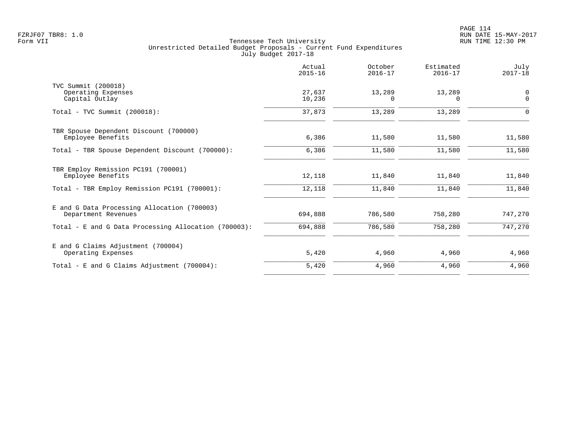|                                                                    | Actual<br>$2015 - 16$ | October<br>$2016 - 17$ | Estimated<br>$2016 - 17$ | July<br>$2017 - 18$     |
|--------------------------------------------------------------------|-----------------------|------------------------|--------------------------|-------------------------|
| TVC Summit (200018)<br>Operating Expenses<br>Capital Outlay        | 27,637<br>10,236      | 13,289<br>0            | 13,289<br>$\Omega$       | $\mathbf 0$<br>$\Omega$ |
| $Total - TVC Summit (200018):$                                     | 37,873                | 13,289                 | 13,289                   | 0                       |
| TBR Spouse Dependent Discount (700000)<br>Employee Benefits        | 6,386                 | 11,580                 | 11,580                   | 11,580                  |
| Total - TBR Spouse Dependent Discount (700000):                    | 6,386                 | 11,580                 | 11,580                   | 11,580                  |
| TBR Employ Remission PC191 (700001)<br>Employee Benefits           | 12,118                | 11,840                 | 11,840                   | 11,840                  |
| Total - TBR Employ Remission PC191 (700001):                       | 12,118                | 11,840                 | 11,840                   | 11,840                  |
| E and G Data Processing Allocation (700003)<br>Department Revenues | 694,888               | 786,580                | 758,280                  | 747,270                 |
| Total - E and G Data Processing Allocation (700003):               | 694,888               | 786,580                | 758,280                  | 747,270                 |
| E and G Claims Adjustment (700004)<br>Operating Expenses           | 5,420                 | 4,960                  | 4,960                    | 4,960                   |
| Total - E and G Claims Adjustment $(700004)$ :                     | 5,420                 | 4,960                  | 4,960                    | 4,960                   |
|                                                                    |                       |                        |                          |                         |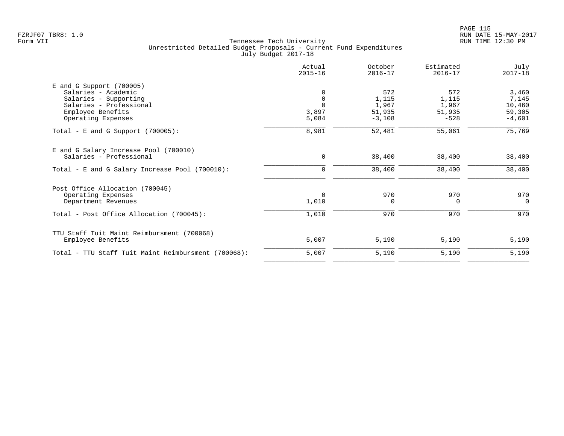| Actual<br>$2015 - 16$ | October<br>$2016 - 17$     | Estimated<br>$2016 - 17$           | July<br>$2017 - 18$     |
|-----------------------|----------------------------|------------------------------------|-------------------------|
|                       |                            |                                    |                         |
|                       | 572                        | 572                                | 3,460                   |
| $\mathbf 0$           | 1,115                      | 1,115                              | 7,145                   |
|                       |                            | 1,967                              | 10,460                  |
|                       |                            |                                    | 59,305                  |
|                       |                            |                                    | $-4,601$                |
| 8,981                 | 52,481                     | 55,061                             | 75,769                  |
|                       |                            |                                    |                         |
| 0                     | 38,400                     | 38,400                             | 38,400                  |
| 0                     | 38,400                     | 38,400                             | 38,400                  |
|                       |                            |                                    |                         |
|                       |                            |                                    | 970                     |
| 1,010                 | $\Omega$                   | $\Omega$                           | $\Omega$                |
| 1,010                 | 970                        | 970                                | 970                     |
|                       |                            |                                    |                         |
| 5,007                 | 5,190                      | 5,190                              | 5,190                   |
| 5,007                 | 5,190                      | 5,190                              | 5,190                   |
|                       | 3,897<br>5,084<br>$\Omega$ | 1,967<br>51,935<br>$-3,108$<br>970 | 51,935<br>$-528$<br>970 |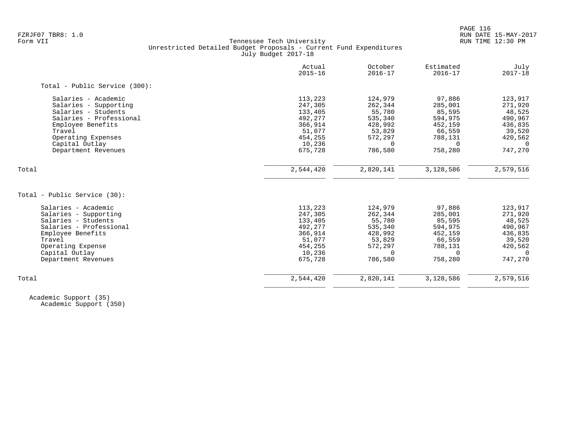| Actual<br>$2015 - 16$ | October<br>$2016 - 17$                    | Estimated<br>$2016 - 17$ | July<br>$2017 - 18$  |
|-----------------------|-------------------------------------------|--------------------------|----------------------|
|                       |                                           |                          |                      |
| 113,223               | 124,979                                   | 97,886                   | 123,917              |
| 247,305               | 262,344                                   | 285,001                  | 271,920              |
| 133,405               | 55,780                                    | 85,595                   | 48,525               |
| 492,277               | 535,340                                   | 594,975                  | 490,967              |
| 366,914               | 428,992                                   | 452,159                  | 436,835              |
|                       | 53,829                                    | 66,559                   | 39,520               |
| 454,255               | 572,297                                   | 788,131                  | 420,562              |
| 10,236                | 0                                         | $\Omega$                 | $\overline{0}$       |
|                       |                                           |                          | 747,270              |
|                       |                                           |                          | 2,579,516            |
|                       |                                           |                          |                      |
|                       |                                           |                          |                      |
|                       | 124,979                                   | 97,886                   | 123,917              |
| 247,305               | 262,344                                   | 285,001                  | 271,920              |
| 133,405               | 55,780                                    | 85,595                   | 48,525               |
| 492,277               | 535,340                                   | 594,975                  | 490,967              |
| 366,914               | 428,992                                   | 452,159                  | 436,835              |
| 51,077                | 53,829                                    | 66,559                   | 39,520               |
| 454,255               | 572,297                                   | 788,131                  | 420,562              |
| 10,236                | $\Omega$                                  | $\Omega$                 | $\Omega$             |
| 675,728               | 786,580                                   | 758,280                  | 747,270              |
| 2,544,420             | 2,820,141                                 | 3,128,586                | 2,579,516            |
|                       | 51,077<br>675,728<br>2,544,420<br>113,223 | 786,580<br>2,820,141     | 758,280<br>3,128,586 |

 Academic Support (35) Academic Support (350)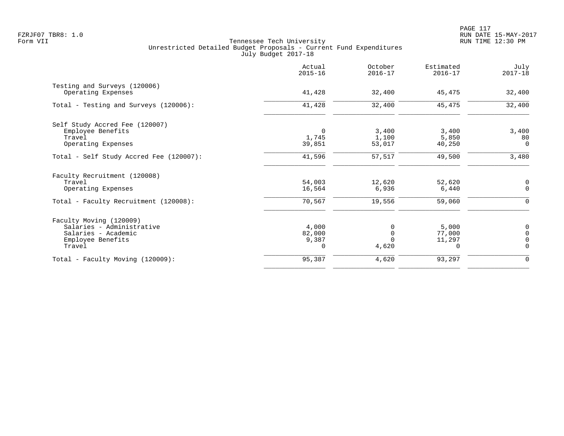|                                                    | Actual<br>$2015 - 16$ | October<br>$2016 - 17$ | Estimated<br>$2016 - 17$ | July<br>$2017 - 18$ |
|----------------------------------------------------|-----------------------|------------------------|--------------------------|---------------------|
| Testing and Surveys (120006)<br>Operating Expenses | 41,428                | 32,400                 | 45,475                   | 32,400              |
| Total - Testing and Surveys (120006):              | 41,428                | 32,400                 | 45,475                   | 32,400              |
| Self Study Accred Fee (120007)                     |                       |                        |                          |                     |
| Employee Benefits                                  | 0                     | 3,400                  | 3,400                    | 3,400               |
| Travel                                             | 1,745                 | 1,100                  | 5,850                    | 80                  |
| Operating Expenses                                 | 39,851                | 53,017                 | 40,250                   | $\mathbf 0$         |
| Total - Self Study Accred Fee (120007):            | 41,596                | 57,517                 | 49,500                   | 3,480               |
| Faculty Recruitment (120008)                       |                       |                        |                          |                     |
| Travel                                             | 54,003                | 12,620                 | 52,620                   | 0                   |
| Operating Expenses                                 | 16,564                | 6,936                  | 6,440                    | $\mathbf 0$         |
| Total - Faculty Recruitment (120008):              | 70,567                | 19,556                 | 59,060                   | $\Omega$            |
| Faculty Moving (120009)                            |                       |                        |                          |                     |
| Salaries - Administrative                          | 4,000                 | 0                      | 5,000                    | 0                   |
| Salaries - Academic                                | 82,000                | $\Omega$               | 77,000                   | $\Omega$            |
| Employee Benefits                                  | 9,387                 |                        | 11,297                   | $\Omega$            |
| Travel                                             | $\Omega$              | 4,620                  | 0                        | $\Omega$            |
| Total - Faculty Moving (120009):                   | 95,387                | 4,620                  | 93,297                   | 0                   |
|                                                    |                       |                        |                          |                     |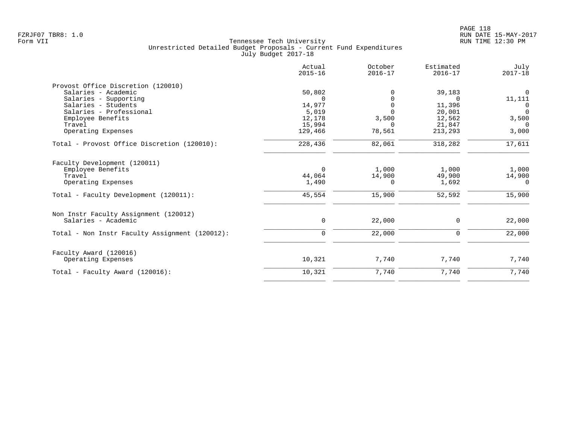| Actual<br>$2015 - 16$ | October<br>$2016 - 17$    | Estimated<br>$2016 - 17$ | July<br>$2017 - 18$                  |
|-----------------------|---------------------------|--------------------------|--------------------------------------|
|                       |                           |                          |                                      |
| 50,802                | 0                         | 39,183                   | $\Omega$                             |
| $\Omega$              | $\Omega$                  | $\Omega$                 | 11,111                               |
|                       | $\Omega$                  |                          | $\Omega$                             |
|                       |                           |                          | $\Omega$                             |
|                       | 3,500                     |                          | 3,500                                |
| 15,994                | $\Omega$                  |                          | $\Omega$                             |
| 129,466               |                           | 213,293                  | 3,000                                |
| 228,436               | 82,061                    | 318,282                  | 17,611                               |
|                       |                           |                          |                                      |
| $\Omega$              | 1,000                     | 1,000                    | 1,000                                |
| 44,064                | 14,900                    | 49,900                   | 14,900                               |
| 1,490                 | $\Omega$                  | 1,692                    | $\Omega$                             |
| 45,554                | 15,900                    | 52,592                   | 15,900                               |
|                       |                           |                          |                                      |
| $\mathbf 0$           | 22,000                    | $\Omega$                 | 22,000                               |
| $\mathbf 0$           | 22,000                    | $\mathbf 0$              | 22,000                               |
|                       |                           |                          |                                      |
| 10,321                | 7,740                     | 7,740                    | 7,740                                |
| 10,321                | 7,740                     | 7,740                    | 7,740                                |
|                       | 14,977<br>5,019<br>12,178 | $\Omega$<br>78,561       | 11,396<br>20,001<br>12,562<br>21,847 |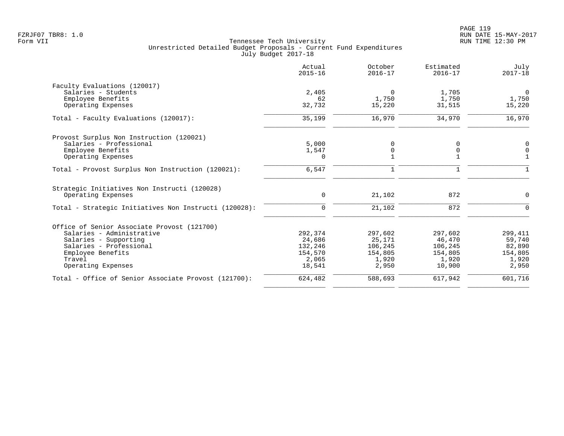|                                                       | Actual<br>$2015 - 16$ | October<br>$2016 - 17$ | Estimated<br>$2016 - 17$ | July<br>$2017 - 18$ |
|-------------------------------------------------------|-----------------------|------------------------|--------------------------|---------------------|
| Faculty Evaluations (120017)                          |                       |                        |                          |                     |
| Salaries - Students                                   | 2,405                 | $\mathbf 0$            | 1,705                    | $\mathbf 0$         |
| Employee Benefits                                     | 62                    | 1,750                  | 1,750                    | 1,750               |
| Operating Expenses                                    | 32,732                | 15,220                 | 31,515                   | 15,220              |
| Total - Faculty Evaluations (120017):                 | 35,199                | 16,970                 | 34,970                   | 16,970              |
| Provost Surplus Non Instruction (120021)              |                       |                        |                          |                     |
| Salaries - Professional                               | 5,000                 | 0                      | 0                        | $\mathbf 0$         |
| Employee Benefits                                     | 1,547                 | 0                      | 0                        | $\mathbf 0$         |
| Operating Expenses                                    | $\Omega$              |                        |                          |                     |
| Total - Provost Surplus Non Instruction (120021):     | 6,547                 | 1                      | $\mathbf 1$              | 1                   |
| Strategic Initiatives Non Instructi (120028)          |                       |                        |                          |                     |
| Operating Expenses                                    | 0                     | 21,102                 | 872                      | $\mathbf 0$         |
| Total - Strategic Initiatives Non Instructi (120028): | $\mathbf 0$           | 21,102                 | 872                      | $\Omega$            |
| Office of Senior Associate Provost (121700)           |                       |                        |                          |                     |
| Salaries - Administrative                             | 292,374               | 297,602                | 297,602                  | 299,411             |
| Salaries - Supporting                                 | 24,686                | 25,171                 | 46,470                   | 59,740              |
| Salaries - Professional                               | 132,246               | 106,245                | 106,245                  | 82,890              |
| Employee Benefits                                     | 154,570               | 154,805                | 154,805                  | 154,805             |
| Travel                                                | 2,065                 | 1,920                  | 1,920                    | 1,920               |
| Operating Expenses                                    | 18,541                | 2,950                  | 10,900                   | 2,950               |
| Total - Office of Senior Associate Provost (121700):  | 624,482               | 588,693                | 617,942                  | 601,716             |
|                                                       |                       |                        |                          |                     |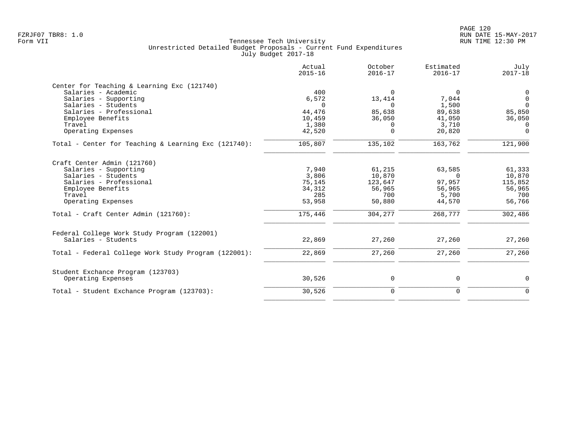|                                                      | Actual<br>$2015 - 16$ | October<br>$2016 - 17$ | Estimated<br>$2016 - 17$ | July<br>$2017 - 18$ |
|------------------------------------------------------|-----------------------|------------------------|--------------------------|---------------------|
| Center for Teaching & Learning Exc (121740)          |                       |                        |                          |                     |
| Salaries - Academic                                  | 400                   | $\mathbf 0$            | $\Omega$                 | 0                   |
| Salaries - Supporting                                | 6,572                 | 13,414                 | 7,044                    | $\overline{0}$      |
| Salaries - Students                                  | $\Omega$              | $\Omega$               | 1,500                    | $\Omega$            |
| Salaries - Professional                              | 44,476                | 85,638                 | 89,638                   | 85,850              |
| Employee Benefits                                    | 10,459                | 36,050                 | 41,050                   | 36,050              |
| Travel                                               | 1,380                 | 0                      | 3,710                    | $\Omega$            |
| Operating Expenses                                   | 42,520                | $\Omega$               | 20,820                   | $\Omega$            |
| Total - Center for Teaching & Learning Exc (121740): | 105,807               | 135,102                | 163,762                  | 121,900             |
| Craft Center Admin (121760)                          |                       |                        |                          |                     |
| Salaries - Supporting                                | 7,940                 | 61,215                 | 63,585                   | 61,333              |
| Salaries - Students                                  | 3,806                 | 10,870                 | $\Omega$                 | 10,870              |
| Salaries - Professional                              | 75,145                | 123,647                | 97,957                   | 115,852             |
| Employee Benefits                                    | 34,312                | 56,965                 | 56,965                   | 56,965              |
| Travel                                               | 285                   | 700                    | 5,700                    | 700                 |
| Operating Expenses                                   | 53,958                | 50,880                 | 44,570                   | 56,766              |
| Total - Craft Center Admin (121760):                 | 175,446               | 304,277                | 268,777                  | 302,486             |
| Federal College Work Study Program (122001)          |                       |                        |                          |                     |
| Salaries - Students                                  | 22,869                | 27,260                 | 27,260                   | 27,260              |
| Total - Federal College Work Study Program (122001): | 22,869                | 27,260                 | 27,260                   | 27,260              |
| Student Exchance Program (123703)                    |                       |                        |                          |                     |
| Operating Expenses                                   | 30,526                | 0                      | 0                        | 0                   |
| Total - Student Exchance Program (123703):           | 30,526                | $\mathbf 0$            | $\mathbf 0$              | $\mathbf 0$         |
|                                                      |                       |                        |                          |                     |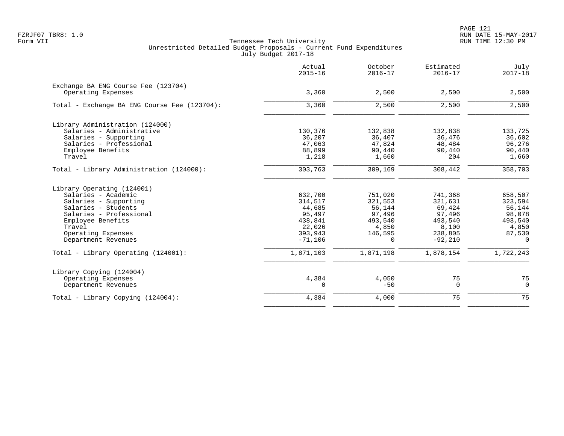PAGE 121 FZRJF07 TBR8: 1.0 RUN DATE 15-MAY-2017

|                                                           | Actual<br>$2015 - 16$ | October<br>$2016 - 17$ | Estimated<br>$2016 - 17$ | July<br>$2017 - 18$ |
|-----------------------------------------------------------|-----------------------|------------------------|--------------------------|---------------------|
| Exchange BA ENG Course Fee (123704)<br>Operating Expenses | 3,360                 | 2,500                  | 2,500                    | 2,500               |
| Total - Exchange BA ENG Course Fee (123704):              | 3,360                 | 2,500                  | 2,500                    | 2,500               |
|                                                           |                       |                        |                          |                     |
| Library Administration (124000)                           |                       |                        |                          |                     |
| Salaries - Administrative                                 | 130,376               | 132,838                | 132,838                  | 133,725             |
| Salaries - Supporting                                     | 36,207                | 36,407                 | 36,476                   | 36,602              |
| Salaries - Professional                                   | 47,063                | 47,824                 | 48,484                   | 96,276              |
| Employee Benefits                                         | 88,899                | 90,440                 | 90,440                   | 90,440              |
| Travel                                                    | 1,218                 | 1,660                  | 204                      | 1,660               |
| Total - Library Administration (124000):                  | 303,763               | 309,169                | 308,442                  | 358,703             |
| Library Operating (124001)                                |                       |                        |                          |                     |
| Salaries - Academic                                       | 632,700               | 751,020                | 741,368                  | 658,507             |
| Salaries - Supporting                                     | 314,517               | 321,553                | 321,631                  | 323,594             |
| Salaries - Students                                       | 44,685                | 56,144                 | 69,424                   | 56,144              |
| Salaries - Professional                                   | 95,497                | 97,496                 | 97,496                   | 98,078              |
| Employee Benefits                                         | 438,841               | 493,540                | 493,540                  | 493,540             |
| Travel                                                    | 22,026                | 4,850                  | 8,100                    | 4,850               |
| Operating Expenses                                        | 393,943               | 146,595                | 238,805                  | 87,530              |
| Department Revenues                                       | $-71,106$             | $\Omega$               | $-92,210$                | $\Omega$            |
| Total - Library Operating (124001):                       | 1,871,103             | 1,871,198              | 1,878,154                | 1,722,243           |
| Library Copying (124004)                                  |                       |                        |                          |                     |
| Operating Expenses                                        | 4,384                 | 4,050                  | 75                       | 75                  |
| Department Revenues                                       | 0                     | $-50$                  | $\mathbf 0$              | $\mathbf 0$         |
| Total - Library Copying (124004):                         | 4,384                 | 4,000                  | 75                       | 75                  |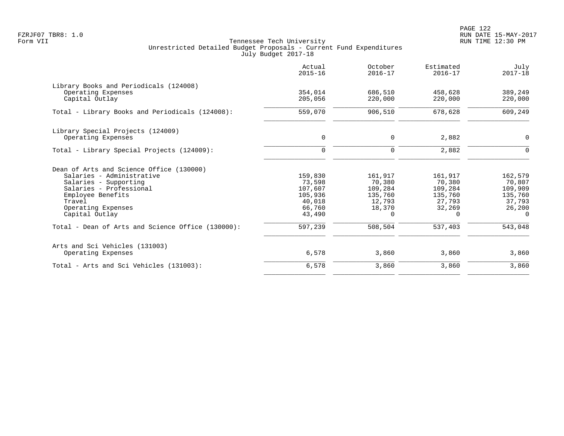PAGE 122 FZRJF07 TBR8: 1.0 RUN DATE 15-MAY-2017

|                                                              | Actual<br>$2015 - 16$ | October<br>$2016 - 17$ | Estimated<br>$2016 - 17$ | July<br>$2017 - 18$ |
|--------------------------------------------------------------|-----------------------|------------------------|--------------------------|---------------------|
| Library Books and Periodicals (124008)<br>Operating Expenses | 354,014               | 686,510                | 458,628                  | 389,249             |
| Capital Outlay                                               | 205,056               | 220,000                | 220,000                  | 220,000             |
| Total - Library Books and Periodicals (124008):              | 559,070               | 906,510                | 678,628                  | 609,249             |
| Library Special Projects (124009)                            |                       |                        |                          |                     |
| Operating Expenses                                           | 0                     | $\mathbf 0$            | 2,882                    | $\mathbf 0$         |
| Total - Library Special Projects (124009):                   | $\Omega$              | $\mathbf 0$            | 2,882                    | $\Omega$            |
| Dean of Arts and Science Office (130000)                     |                       |                        |                          |                     |
| Salaries - Administrative                                    | 159,830               | 161,917                | 161,917                  | 162,579             |
| Salaries - Supporting<br>Salaries - Professional             | 73,598<br>107,607     | 70,380<br>109,284      | 70,380<br>109,284        | 70,807<br>109,909   |
| Employee Benefits                                            | 105,936               | 135,760                | 135,760                  | 135,760             |
| Travel                                                       | 40,018                | 12,793                 | 27,793                   | 37,793              |
| Operating Expenses                                           | 66,760                | 18,370                 | 32,269                   | 26,200              |
| Capital Outlay                                               | 43,490                | $\Omega$               | 0                        | $\Omega$            |
| Total - Dean of Arts and Science Office (130000):            | 597,239               | 508,504                | 537,403                  | 543,048             |
| Arts and Sci Vehicles (131003)                               |                       |                        |                          |                     |
| Operating Expenses                                           | 6,578                 | 3,860                  | 3,860                    | 3,860               |
| Total - Arts and Sci Vehicles (131003):                      | 6,578                 | 3,860                  | 3,860                    | 3,860               |
|                                                              |                       |                        |                          |                     |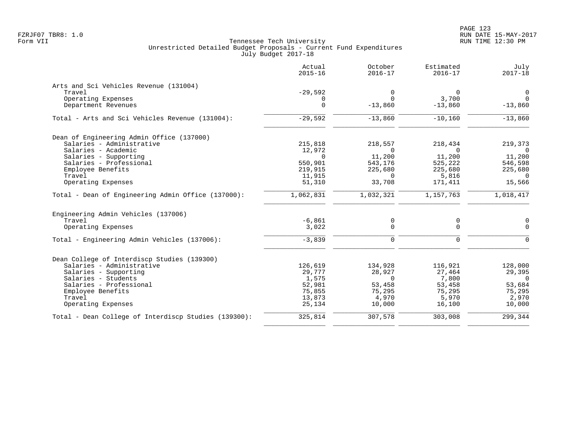|                                                      | Actual<br>$2015 - 16$ | October<br>$2016 - 17$ | Estimated<br>$2016 - 17$ | July<br>$2017 - 18$ |
|------------------------------------------------------|-----------------------|------------------------|--------------------------|---------------------|
| Arts and Sci Vehicles Revenue (131004)               |                       |                        |                          |                     |
| Travel                                               | $-29,592$             | $\mathbf 0$            | $\Omega$                 | $\overline{0}$      |
| Operating Expenses                                   | 0                     | $\Omega$               | 3,700                    | $\overline{0}$      |
| Department Revenues                                  | $\mathbf 0$           | $-13,860$              | $-13,860$                | $-13,860$           |
| Total - Arts and Sci Vehicles Revenue (131004):      | $-29,592$             | $-13,860$              | $-10,160$                | $-13,860$           |
| Dean of Engineering Admin Office (137000)            |                       |                        |                          |                     |
| Salaries - Administrative                            | 215,818               | 218,557                | 218,434                  | 219,373             |
| Salaries - Academic                                  | 12,972                | $\Omega$               | $\Omega$                 | $\Omega$            |
| Salaries - Supporting                                | $\Omega$              | 11,200                 | 11,200                   | 11,200              |
| Salaries - Professional                              | 550,901               | 543,176                | 525,222                  | 546,598             |
| Employee Benefits                                    | 219,915               | 225,680                | 225,680                  | 225,680             |
| Travel                                               | 11,915                | 0                      | 5,816                    | $\mathbf{0}$        |
| Operating Expenses                                   | 51,310                | 33,708                 | 171,411                  | 15,566              |
| Total - Dean of Engineering Admin Office (137000):   | 1,062,831             | 1,032,321              | 1,157,763                | 1,018,417           |
| Engineering Admin Vehicles (137006)                  |                       |                        |                          |                     |
| Travel                                               | $-6,861$              | 0                      | $\mathbf 0$              | $\mathbf 0$         |
| Operating Expenses                                   | 3,022                 | $\mathbf 0$            | $\mathbf 0$              | $\Omega$            |
| Total - Engineering Admin Vehicles (137006):         | $-3,839$              | $\Omega$               | $\Omega$                 | $\Omega$            |
| Dean College of Interdiscp Studies (139300)          |                       |                        |                          |                     |
| Salaries - Administrative                            | 126,619               | 134,928                | 116,921                  | 128,000             |
| Salaries - Supporting                                | 29,777                | 28,927                 | 27,464                   | 29,395              |
| Salaries - Students                                  | 1,575                 | $\Omega$               | 7,800                    | $\Omega$            |
| Salaries - Professional                              | 52,981                | 53,458                 | 53,458                   | 53,684              |
| Employee Benefits                                    | 75,855                | 75,295                 | 75,295                   | 75,295              |
| Travel                                               | 13,873                | 4,970                  | 5,970                    | 2,970               |
| Operating Expenses                                   | 25,134                | 10,000                 | 16,100                   | 10,000              |
| Total - Dean College of Interdiscp Studies (139300): | 325,814               | 307,578                | 303,008                  | 299,344             |
|                                                      |                       |                        |                          |                     |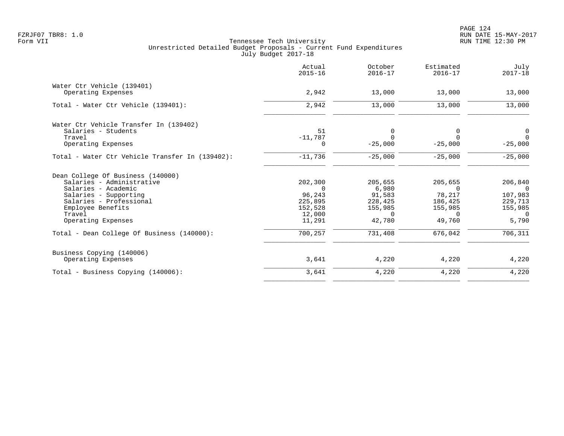|                                                 | Actual<br>$2015 - 16$ | October<br>$2016 - 17$ | Estimated<br>$2016 - 17$ | July<br>$2017 - 18$ |
|-------------------------------------------------|-----------------------|------------------------|--------------------------|---------------------|
| Water Ctr Vehicle (139401)                      |                       |                        |                          |                     |
| Operating Expenses                              | 2,942                 | 13,000                 | 13,000                   | 13,000              |
| Total - Water Ctr Vehicle (139401):             | 2,942                 | 13,000                 | 13,000                   | 13,000              |
| Water Ctr Vehicle Transfer In (139402)          |                       |                        |                          |                     |
| Salaries - Students                             | 51                    | 0                      | 0                        | 0                   |
| Travel                                          | $-11,787$             | $\Omega$               | $\Omega$                 | $\Omega$            |
| Operating Expenses                              | 0                     | $-25,000$              | $-25,000$                | $-25,000$           |
| Total - Water Ctr Vehicle Transfer In (139402): | $-11,736$             | $-25,000$              | $-25,000$                | $-25,000$           |
| Dean College Of Business (140000)               |                       |                        |                          |                     |
| Salaries - Administrative                       | 202,300               | 205,655                | 205,655                  | 206,840             |
| Salaries - Academic                             | $\Omega$              | 6,980                  | $\Omega$                 | $\cap$              |
| Salaries - Supporting                           | 96,243                | 91,583                 | 78,217                   | 107,983             |
| Salaries - Professional                         | 225,895               | 228,425                | 186,425                  | 229,713             |
| Employee Benefits                               | 152,528               | 155,985                | 155,985                  | 155,985             |
| Travel<br>Operating Expenses                    | 12,000<br>11,291      | $\Omega$<br>42,780     | $\Omega$<br>49,760       | $\Omega$<br>5,790   |
| Total - Dean College Of Business (140000):      | 700,257               | 731,408                | 676,042                  | 706,311             |
|                                                 |                       |                        |                          |                     |
| Business Copying (140006)                       |                       |                        |                          |                     |
| Operating Expenses                              | 3,641                 | 4,220                  | 4,220                    | 4,220               |
| Total - Business Copying (140006):              | 3,641                 | 4,220                  | 4,220                    | 4,220               |
|                                                 |                       |                        |                          |                     |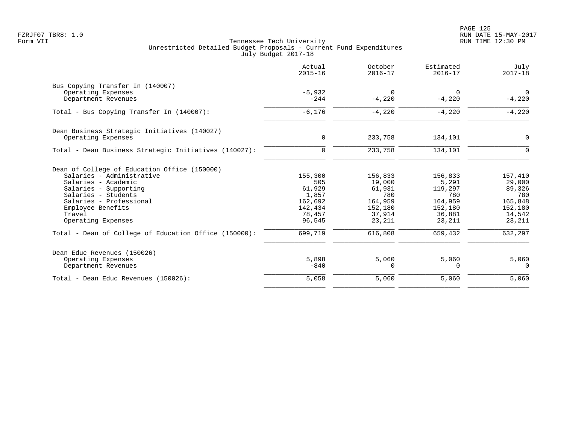|                                                       | Actual<br>$2015 - 16$ | October<br>$2016 - 17$ | Estimated<br>$2016 - 17$ | July<br>$2017 - 18$     |
|-------------------------------------------------------|-----------------------|------------------------|--------------------------|-------------------------|
| Bus Copying Transfer In (140007)                      |                       |                        |                          |                         |
| Operating Expenses<br>Department Revenues             | $-5,932$<br>$-244$    | 0<br>$-4,220$          | 0<br>$-4.220$            | $\mathbf 0$<br>$-4,220$ |
| Total - Bus Copying Transfer In (140007):             | $-6,176$              | $-4,220$               | $-4,220$                 | $-4,220$                |
| Dean Business Strategic Initiatives (140027)          |                       |                        |                          |                         |
| Operating Expenses                                    | 0                     | 233,758                | 134,101                  | $\mathbf 0$             |
| Total - Dean Business Strategic Initiatives (140027): | $\mathbf 0$           | 233,758                | 134,101                  | $\Omega$                |
| Dean of College of Education Office (150000)          |                       |                        |                          |                         |
| Salaries - Administrative                             | 155,300               | 156,833                | 156,833                  | 157,410                 |
| Salaries - Academic                                   | 505                   | 19,000                 | 5,291                    | 29,000                  |
| Salaries - Supporting                                 | 61,929                | 61,931                 | 119,297                  | 89,326                  |
| Salaries - Students                                   | 1,857                 | 780                    | 780                      | 780                     |
| Salaries - Professional<br>Employee Benefits          | 162,692<br>142,434    | 164,959<br>152,180     | 164,959<br>152,180       | 165,848<br>152,180      |
| Travel                                                | 78,457                | 37,914                 | 36,881                   | 14,542                  |
| Operating Expenses                                    | 96,545                | 23,211                 | 23,211                   | 23,211                  |
| Total - Dean of College of Education Office (150000): | 699,719               | 616,808                | 659,432                  | 632,297                 |
| Dean Educ Revenues (150026)                           |                       |                        |                          |                         |
| Operating Expenses                                    | 5,898                 | 5,060                  | 5,060                    | 5,060                   |
| Department Revenues                                   | $-840$                | $\Omega$               | 0                        | $\mathbf 0$             |
| Total - Dean Educ Revenues (150026):                  | 5,058                 | 5,060                  | 5,060                    | 5,060                   |
|                                                       |                       |                        |                          |                         |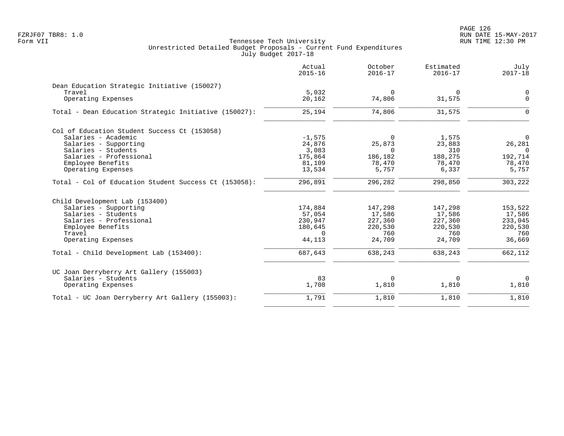PAGE 126 FZRJF07 TBR8: 1.0 RUN DATE 15-MAY-2017

|                                                       | Actual<br>$2015 - 16$ | October<br>$2016 - 17$ | Estimated<br>$2016 - 17$ | July<br>$2017 - 18$ |
|-------------------------------------------------------|-----------------------|------------------------|--------------------------|---------------------|
| Dean Education Strategic Initiative (150027)          |                       |                        |                          |                     |
| Travel                                                | 5,032                 | $\mathbf 0$            | $\Omega$                 | 0                   |
| Operating Expenses                                    | 20,162                | 74,806                 | 31,575                   | $\Omega$            |
| Total - Dean Education Strategic Initiative (150027): | 25,194                | 74,806                 | 31,575                   | $\Omega$            |
| Col of Education Student Success Ct (153058)          |                       |                        |                          |                     |
| Salaries - Academic                                   | $-1,575$              | $\Omega$               | 1,575                    | $\Omega$            |
| Salaries - Supporting                                 | 24,876                | 25,873                 | 23,883                   | 26,281              |
| Salaries - Students                                   | 3,083                 | $\Omega$               | 310                      | $\Omega$            |
| Salaries - Professional                               | 175,864               | 186,182                | 188,275                  | 192,714             |
| Employee Benefits                                     | 81,109                | 78,470                 | 78,470                   | 78,470              |
| Operating Expenses                                    | 13,534                | 5,757                  | 6,337                    | 5,757               |
| Total - Col of Education Student Success Ct (153058): | 296,891               | 296,282                | 298,850                  | 303,222             |
| Child Development Lab (153400)                        |                       |                        |                          |                     |
| Salaries - Supporting                                 | 174,884               | 147,298                | 147,298                  | 153,522             |
| Salaries - Students                                   | 57,054                | 17,586                 | 17,586                   | 17,586              |
| Salaries - Professional                               | 230,947               | 227,360                | 227,360                  | 233,045             |
| Employee Benefits                                     | 180,645               | 220,530                | 220,530                  | 220,530             |
| Travel                                                | $\Omega$              | 760                    | 760                      | 760                 |
| Operating Expenses                                    | 44,113                | 24,709                 | 24,709                   | 36,669              |
| Total - Child Development Lab (153400):               | 687,643               | 638,243                | 638,243                  | 662,112             |
| UC Joan Derryberry Art Gallery (155003)               |                       |                        |                          |                     |
| Salaries - Students                                   | 83                    | 0                      | 0                        | $\mathbf 0$         |
| Operating Expenses                                    | 1,708                 | 1,810                  | 1,810                    | 1,810               |
| Total - UC Joan Derryberry Art Gallery (155003):      | 1,791                 | 1,810                  | 1,810                    | 1,810               |
|                                                       |                       |                        |                          |                     |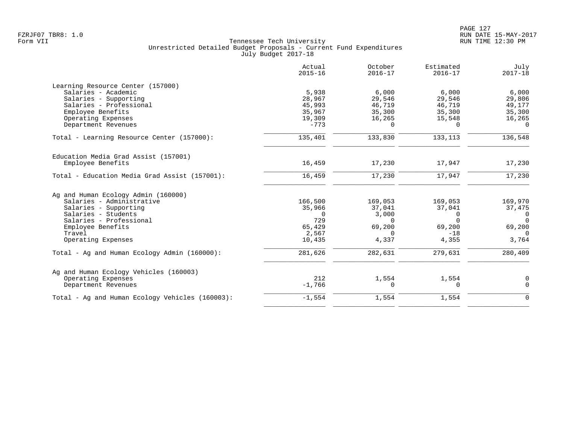|                                                 | Actual<br>$2015 - 16$ | October<br>$2016 - 17$ | Estimated<br>$2016 - 17$ | July<br>$2017 - 18$ |
|-------------------------------------------------|-----------------------|------------------------|--------------------------|---------------------|
| Learning Resource Center (157000)               |                       |                        |                          |                     |
| Salaries - Academic                             | 5,938                 | 6,000                  | 6,000                    | 6,000               |
| Salaries - Supporting                           | 28,967                | 29,546                 | 29,546                   | 29,806              |
| Salaries - Professional                         | 45,993                | 46,719                 | 46,719                   | 49,177              |
| Employee Benefits                               | 35,967                | 35,300                 | 35,300                   | 35,300              |
| Operating Expenses                              | 19,309                | 16,265                 | 15,548                   | 16,265              |
| Department Revenues                             | $-773$                | $\Omega$               | $\cap$                   | $\Omega$            |
| Total - Learning Resource Center (157000):      | 135,401               | 133,830                | 133,113                  | 136,548             |
| Education Media Grad Assist (157001)            |                       |                        |                          |                     |
| Employee Benefits                               | 16,459                | 17,230                 | 17,947                   | 17,230              |
| Total - Education Media Grad Assist (157001):   | 16,459                | 17,230                 | 17,947                   | 17,230              |
| Ag and Human Ecology Admin (160000)             |                       |                        |                          |                     |
| Salaries - Administrative                       | 166,500               | 169,053                | 169,053                  | 169,970             |
| Salaries - Supporting                           | 35,966                | 37,041                 | 37,041                   | 37,475              |
| Salaries - Students                             | $\Omega$              | 3,000                  | $\Omega$                 | $\overline{0}$      |
| Salaries - Professional                         | 729                   | $\Omega$               | $\Omega$                 | $\Omega$            |
| Employee Benefits                               | 65,429                | 69,200                 | 69,200                   | 69,200              |
| Travel                                          | 2,567                 | $\Omega$               | $-18$                    | $\Omega$            |
| Operating Expenses                              | 10,435                | 4,337                  | 4,355                    | 3,764               |
| Total - Ag and Human Ecology Admin (160000):    | 281,626               | 282,631                | 279,631                  | 280,409             |
| Ag and Human Ecology Vehicles (160003)          |                       |                        |                          |                     |
| Operating Expenses                              | 212                   | 1,554                  | 1,554                    | 0                   |
| Department Revenues                             | $-1,766$              | $\mathbf 0$            | $\Omega$                 | $\mathbf 0$         |
| Total - Ag and Human Ecology Vehicles (160003): | $-1,554$              | 1,554                  | 1,554                    | $\Omega$            |
|                                                 |                       |                        |                          |                     |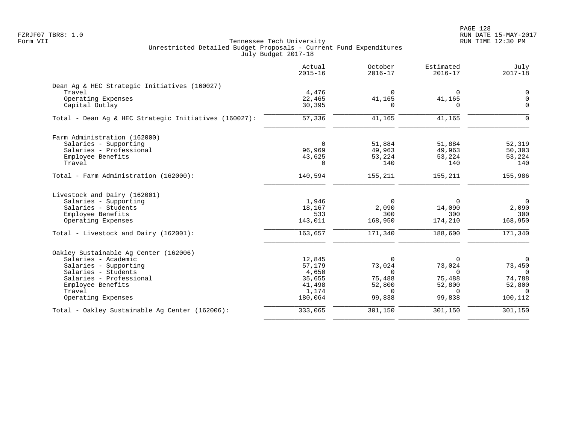PAGE 128 FZRJF07 TBR8: 1.0 RUN DATE 15-MAY-2017

|                                                       | Actual<br>$2015 - 16$ | October<br>$2016 - 17$ | Estimated<br>$2016 - 17$ | July<br>$2017 - 18$ |
|-------------------------------------------------------|-----------------------|------------------------|--------------------------|---------------------|
| Dean Ag & HEC Strategic Initiatives (160027)          |                       |                        |                          |                     |
| Travel                                                | 4,476                 | $\Omega$               | $\Omega$                 | 0                   |
| Operating Expenses                                    | 22,465                | 41,165                 | 41,165                   | $\mathbf 0$         |
| Capital Outlay                                        | 30,395                | $\Omega$               | $\Omega$                 | $\Omega$            |
| Total - Dean Ag & HEC Strategic Initiatives (160027): | 57,336                | 41,165                 | 41,165                   | $\Omega$            |
| Farm Administration (162000)                          |                       |                        |                          |                     |
| Salaries - Supporting                                 | $\Omega$              | 51,884                 | 51,884                   | 52,319              |
| Salaries - Professional                               | 96,969                | 49,963                 | 49,963                   | 50,303              |
| Employee Benefits                                     | 43,625                | 53,224                 | 53,224                   | 53,224              |
| Travel                                                | $\Omega$              | 140                    | 140                      | 140                 |
| Total - Farm Administration (162000):                 | 140,594               | 155,211                | 155,211                  | 155,986             |
| Livestock and Dairy (162001)                          |                       |                        |                          |                     |
| Salaries - Supporting                                 | 1,946                 | $\Omega$               | $\Omega$                 | $\overline{0}$      |
| Salaries - Students                                   | 18,167                | 2,090                  | 14,090                   | 2,090               |
| Employee Benefits                                     | 533                   | 300                    | 300                      | 300                 |
| Operating Expenses                                    | 143,011               | 168,950                | 174,210                  | 168,950             |
| Total - Livestock and Dairy (162001):                 | 163,657               | 171,340                | 188,600                  | 171,340             |
| Oakley Sustainable Aq Center (162006)                 |                       |                        |                          |                     |
| Salaries - Academic                                   | 12,845                | $\Omega$               | O                        | $\mathbf 0$         |
| Salaries - Supporting                                 | 57,179                | 73,024                 | 73,024                   | 73,450              |
| Salaries - Students                                   | 4,650                 | $\Omega$               | $\Omega$                 | $\Omega$            |
| Salaries - Professional                               | 35,655                | 75,488                 | 75,488                   | 74,788              |
| Employee Benefits                                     | 41,498                | 52,800                 | 52,800                   | 52,800              |
| Travel                                                | 1,174                 | $\Omega$               | $\Omega$                 | $\Omega$            |
| Operating Expenses                                    | 180,064               | 99,838                 | 99,838                   | 100,112             |
| Total - Oakley Sustainable Aq Center (162006):        | 333,065               | 301,150                | 301,150                  | 301,150             |
|                                                       |                       |                        |                          |                     |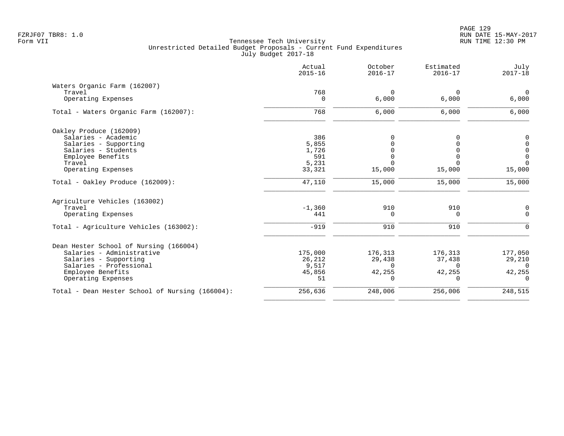PAGE 129 FZRJF07 TBR8: 1.0 RUN DATE 15-MAY-2017

|                                                 | Actual<br>$2015 - 16$ | October<br>$2016 - 17$ | Estimated<br>$2016 - 17$ | July<br>$2017 - 18$ |
|-------------------------------------------------|-----------------------|------------------------|--------------------------|---------------------|
| Waters Organic Farm (162007)                    |                       |                        |                          |                     |
| Travel                                          | 768                   | $\Omega$               | $\mathbf 0$              | $\overline{0}$      |
| Operating Expenses                              | 0                     | 6,000                  | 6,000                    | 6,000               |
| Total - Waters Organic Farm (162007):           | 768                   | 6,000                  | 6,000                    | 6,000               |
| Oakley Produce (162009)                         |                       |                        |                          |                     |
| Salaries - Academic                             | 386                   | 0                      |                          | $\overline{0}$      |
| Salaries - Supporting                           | 5,855                 | $\Omega$               |                          | 0                   |
| Salaries - Students                             | 1,726                 |                        |                          | 0                   |
| Employee Benefits                               | 591                   | $\Omega$               |                          | 0                   |
| Travel                                          | 5,231                 | $\Omega$               |                          | $\Omega$            |
| Operating Expenses                              | 33,321                | 15,000                 | 15,000                   | 15,000              |
| Total - Oakley Produce (162009):                | 47,110                | 15,000                 | 15,000                   | 15,000              |
| Agriculture Vehicles (163002)                   |                       |                        |                          |                     |
| Travel                                          | $-1,360$              | 910                    | 910                      | 0                   |
| Operating Expenses                              | 441                   | 0                      | 0                        | $\mathbf 0$         |
| Total - Agriculture Vehicles (163002):          | $-919$                | 910                    | 910                      | $\mathbf 0$         |
| Dean Hester School of Nursing (166004)          |                       |                        |                          |                     |
| Salaries - Administrative                       | 175,000               | 176,313                | 176,313                  | 177,050             |
| Salaries - Supporting                           | 26,212                | 29,438                 | 37,438                   | 29,210              |
| Salaries - Professional                         | 9,517                 | $\Omega$               | $\Omega$                 | $\Omega$            |
| Employee Benefits                               | 45,856                | 42,255                 | 42,255                   | 42,255              |
| Operating Expenses                              | 51                    | $\Omega$               | $\Omega$                 | $\Omega$            |
| Total - Dean Hester School of Nursing (166004): | 256,636               | 248,006                | 256,006                  | 248,515             |
|                                                 |                       |                        |                          |                     |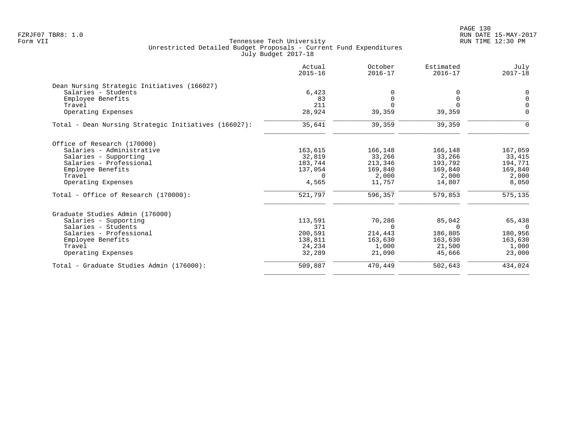PAGE 130 FZRJF07 TBR8: 1.0 RUN DATE 15-MAY-2017

|                                                      | Actual<br>$2015 - 16$ | October<br>$2016 - 17$ | Estimated<br>$2016 - 17$ | July<br>$2017 - 18$ |
|------------------------------------------------------|-----------------------|------------------------|--------------------------|---------------------|
| Dean Nursing Strategic Initiatives (166027)          |                       |                        |                          |                     |
| Salaries - Students                                  | 6,423                 |                        |                          | 0                   |
| Employee Benefits                                    | 83                    | $\Omega$               | $\Omega$                 | $\Omega$            |
| Travel                                               | 211                   | $\Omega$               | $\Omega$                 | $\Omega$            |
| Operating Expenses                                   | 28,924                | 39,359                 | 39,359                   | $\mathbf 0$         |
| Total - Dean Nursing Strategic Initiatives (166027): | 35,641                | 39,359                 | 39,359                   | 0                   |
| Office of Research (170000)                          |                       |                        |                          |                     |
| Salaries - Administrative                            | 163,615               | 166,148                | 166,148                  | 167,059             |
| Salaries - Supporting                                | 32,819                | 33,266                 | 33,266                   | 33,415              |
| Salaries - Professional                              | 183,744               | 213,346                | 193,792                  | 194,771             |
| Employee Benefits                                    | 137,054               | 169,840                | 169,840                  | 169,840             |
| Travel                                               | $\Omega$              | 2,000                  | 2,000                    | 2,000               |
| Operating Expenses                                   | 4,565                 | 11,757                 | 14,807                   | 8,050               |
| Total - Office of Research (170000):                 | 521,797               | 596,357                | 579,853                  | 575,135             |
| Graduate Studies Admin (176000)                      |                       |                        |                          |                     |
| Salaries - Supporting                                | 113,591               | 70,286                 | 85,042                   | 65,438              |
| Salaries - Students                                  | 371                   | $\Omega$               | $\Omega$                 | $\Omega$            |
| Salaries - Professional                              | 200,591               | 214,443                | 186,805                  | 180,956             |
| Employee Benefits                                    | 138,811               | 163,630                | 163,630                  | 163,630             |
| Travel                                               | 24,234                | 1,000                  | 21,500                   | 1,000               |
| Operating Expenses                                   | 32,289                | 21,090                 | 45,666                   | 23,000              |
| Total - Graduate Studies Admin (176000):             | 509,887               | 470,449                | 502,643                  | 434,024             |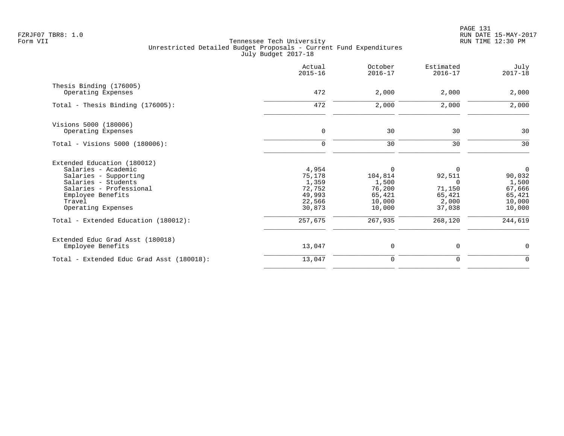PAGE 131 FZRJF07 TBR8: 1.0 RUN DATE 15-MAY-2017

|                                                                                                                                                                                                                            | Actual<br>$2015 - 16$                                                       | October<br>$2016 - 17$                                                          | Estimated<br>$2016 - 17$                                                         | July<br>$2017 - 18$                                                                  |
|----------------------------------------------------------------------------------------------------------------------------------------------------------------------------------------------------------------------------|-----------------------------------------------------------------------------|---------------------------------------------------------------------------------|----------------------------------------------------------------------------------|--------------------------------------------------------------------------------------|
| Thesis Binding (176005)<br>Operating Expenses                                                                                                                                                                              | 472                                                                         | 2,000                                                                           | 2,000                                                                            | 2,000                                                                                |
| Total - Thesis Binding $(176005)$ :                                                                                                                                                                                        | 472                                                                         | 2,000                                                                           | 2,000                                                                            | 2,000                                                                                |
| Visions 5000 (180006)<br>Operating Expenses                                                                                                                                                                                | $\mathbf 0$                                                                 | 30                                                                              | 30                                                                               | 30                                                                                   |
| Total - Visions 5000 (180006):                                                                                                                                                                                             | $\mathbf 0$                                                                 | 30                                                                              | 30                                                                               | 30                                                                                   |
| Extended Education (180012)<br>Salaries - Academic<br>Salaries - Supporting<br>Salaries - Students<br>Salaries - Professional<br>Employee Benefits<br>Travel<br>Operating Expenses<br>Total - Extended Education (180012): | 4,954<br>75,178<br>1,359<br>72,752<br>49,993<br>22,566<br>30,873<br>257,675 | $\Omega$<br>104,814<br>1,500<br>76,200<br>65,421<br>10,000<br>10,000<br>267,935 | $\Omega$<br>92,511<br>$\Omega$<br>71,150<br>65,421<br>2,000<br>37,038<br>268,120 | $\overline{0}$<br>90,032<br>1,500<br>67,666<br>65,421<br>10,000<br>10,000<br>244,619 |
| Extended Educ Grad Asst (180018)<br>Employee Benefits                                                                                                                                                                      | 13,047                                                                      | 0                                                                               | 0                                                                                | 0                                                                                    |
| Total - Extended Educ Grad Asst (180018):                                                                                                                                                                                  | 13,047                                                                      | 0                                                                               | 0                                                                                | $\mathbf 0$                                                                          |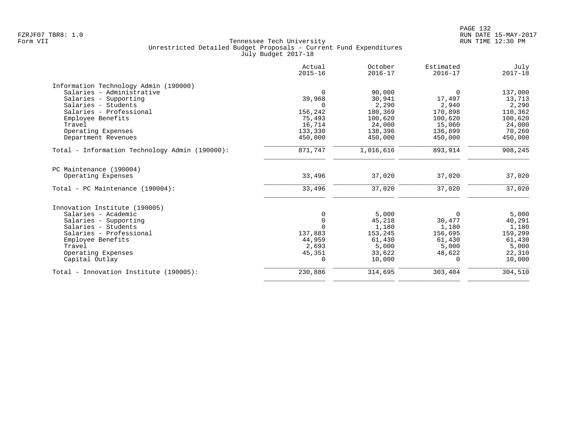|                                                | Actual<br>$2015 - 16$ | October<br>$2016 - 17$ | Estimated<br>$2016 - 17$ | July<br>$2017 - 18$ |
|------------------------------------------------|-----------------------|------------------------|--------------------------|---------------------|
| Information Technology Admin (190000)          |                       |                        |                          |                     |
| Salaries - Administrative                      | $\Omega$              | 90,000                 | $\Omega$                 | 137,000             |
| Salaries - Supporting                          | 39,968                | 30,941                 | 17,497                   | 13,713              |
| Salaries - Students                            | $\Omega$              | 2,290                  | 2,940                    | 2,290               |
| Salaries - Professional                        | 156,242               | 180,369                | 170,898                  | 110,362             |
| Employee Benefits                              | 75,493                | 100,620                | 100,620                  | 100,620             |
| Travel                                         | 16,714                | 24,000                 | 15,060                   | 24,000              |
| Operating Expenses                             | 133,330               | 138,396                | 136,899                  | 70,260              |
| Department Revenues                            | 450,000               | 450,000                | 450,000                  | 450,000             |
| Total - Information Technology Admin (190000): | 871,747               | 1,016,616              | 893,914                  | 908,245             |
| PC Maintenance (190004)                        |                       |                        |                          |                     |
| Operating Expenses                             | 33,496                | 37,020                 | 37,020                   | 37,020              |
| Total - PC Maintenance (190004):               | 33,496                | 37,020                 | 37,020                   | 37,020              |
| Innovation Institute (190005)                  |                       |                        |                          |                     |
| Salaries - Academic                            | $\mathbf 0$           | 5,000                  | $\Omega$                 | 5,000               |
| Salaries - Supporting                          | $\mathbf 0$           | 45,218                 | 30,477                   | 40,291              |
| Salaries - Students                            | $\Omega$              | 1,180                  | 1,180                    | 1,180               |
| Salaries - Professional                        | 137,883               | 153,245                | 156,695                  | 159,299             |
| Employee Benefits                              | 44,959                | 61,430                 | 61,430                   | 61,430              |
| Travel                                         | 2,693                 | 5,000                  | 5,000                    | 5,000               |
| Operating Expenses                             | 45,351                | 33,622                 | 48,622                   | 22,310              |
| Capital Outlay                                 | $\mathbf 0$           | 10,000                 | $\Omega$                 | 10,000              |
| Total - Innovation Institute (190005):         | 230,886               | 314,695                | 303,404                  | 304,510             |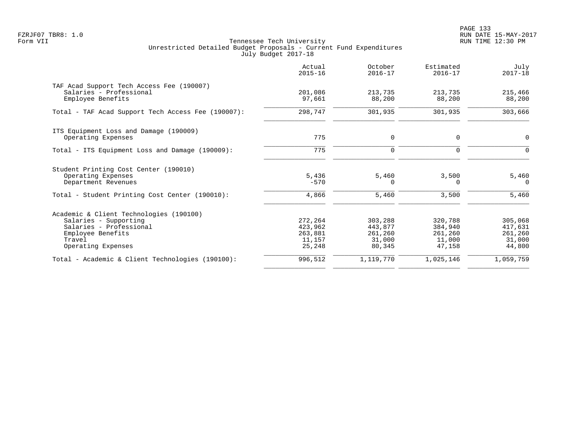PAGE 133 FZRJF07 TBR8: 1.0 RUN DATE 15-MAY-2017

|                                                                                                                                                  | Actual<br>$2015 - 16$                             | October<br>$2016 - 17$                            | Estimated<br>$2016 - 17$                          | July<br>$2017 - 18$                               |
|--------------------------------------------------------------------------------------------------------------------------------------------------|---------------------------------------------------|---------------------------------------------------|---------------------------------------------------|---------------------------------------------------|
| TAF Acad Support Tech Access Fee (190007)<br>Salaries - Professional<br>Employee Benefits                                                        | 201,086<br>97,661                                 | 213,735<br>88,200                                 | 213,735<br>88,200                                 | 215,466<br>88,200                                 |
| Total - TAF Acad Support Tech Access Fee (190007):                                                                                               | 298,747                                           | 301,935                                           | 301,935                                           | 303,666                                           |
| ITS Equipment Loss and Damage (190009)<br>Operating Expenses                                                                                     | 775                                               | $\mathbf 0$                                       | 0                                                 | 0                                                 |
| Total - ITS Equipment Loss and Damage (190009):                                                                                                  | 775                                               | $\mathbf 0$                                       | $\Omega$                                          | $\Omega$                                          |
| Student Printing Cost Center (190010)<br>Operating Expenses<br>Department Revenues                                                               | 5,436<br>$-570$                                   | 5,460<br>0                                        | 3,500<br>$\Omega$                                 | 5,460<br>0                                        |
| Total - Student Printing Cost Center (190010):                                                                                                   | 4,866                                             | 5,460                                             | 3,500                                             | 5,460                                             |
| Academic & Client Technologies (190100)<br>Salaries - Supporting<br>Salaries - Professional<br>Employee Benefits<br>Travel<br>Operating Expenses | 272,264<br>423,962<br>263,881<br>11,157<br>25,248 | 303,288<br>443,877<br>261,260<br>31,000<br>80,345 | 320,788<br>384,940<br>261,260<br>11,000<br>47,158 | 305,068<br>417,631<br>261,260<br>31,000<br>44,800 |
| Total - Academic & Client Technologies (190100):                                                                                                 | 996,512                                           | 1,119,770                                         | 1,025,146                                         | 1,059,759                                         |
|                                                                                                                                                  |                                                   |                                                   |                                                   |                                                   |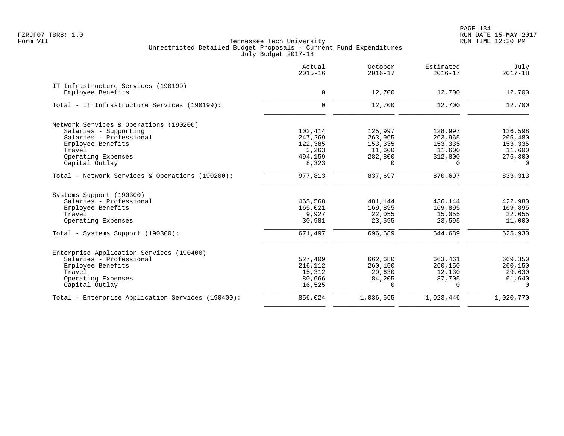PAGE 134 FZRJF07 TBR8: 1.0 RUN DATE 15-MAY-2017

|                                                   | Actual<br>$2015 - 16$ | October<br>$2016 - 17$ | Estimated<br>$2016 - 17$ | July<br>$2017 - 18$ |
|---------------------------------------------------|-----------------------|------------------------|--------------------------|---------------------|
| IT Infrastructure Services (190199)               |                       |                        |                          |                     |
| Employee Benefits                                 | 0                     | 12,700                 | 12,700                   | 12,700              |
| Total - IT Infrastructure Services (190199):      | $\Omega$              | 12,700                 | 12,700                   | 12,700              |
| Network Services & Operations (190200)            |                       |                        |                          |                     |
| Salaries - Supporting                             | 102,414               | 125,997                | 128,997                  | 126,598             |
| Salaries - Professional                           | 247,269               | 263,965                | 263,965                  | 265,480             |
| Employee Benefits                                 | 122,385               | 153,335                | 153,335                  | 153,335             |
| Travel                                            | 3,263                 | 11,600                 | 11,600                   | 11,600              |
| Operating Expenses                                | 494,159               | 282,800                | 312,800                  | 276,300             |
| Capital Outlay                                    | 8,323                 | $\Omega$               | $\Omega$                 | $\Omega$            |
| Total - Network Services & Operations (190200):   | 977,813               | 837,697                | 870,697                  | 833,313             |
| Systems Support (190300)                          |                       |                        |                          |                     |
| Salaries - Professional                           | 465,568               | 481,144                | 436,144                  | 422,980             |
| Employee Benefits                                 | 165,021               | 169,895                | 169,895                  | 169,895             |
| Travel                                            | 9,927                 | 22,055                 | 15,055                   | 22,055              |
| Operating Expenses                                | 30,981                | 23,595                 | 23,595                   | 11,000              |
| Total - Systems Support (190300):                 | 671,497               | 696,689                | 644,689                  | 625,930             |
| Enterprise Application Services (190400)          |                       |                        |                          |                     |
| Salaries - Professional                           | 527,409               | 662,680                | 663,461                  | 669,350             |
| Employee Benefits                                 | 216,112               | 260,150                | 260,150                  | 260,150             |
| Travel                                            | 15,312                | 29,630                 | 12,130                   | 29,630              |
| Operating Expenses                                | 80,666                | 84,205                 | 87,705                   | 61,640              |
| Capital Outlay                                    | 16,525                | $\Omega$               | $\Omega$                 | $\Omega$            |
| Total - Enterprise Application Services (190400): | 856,024               | 1,036,665              | 1,023,446                | 1,020,770           |
|                                                   |                       |                        |                          |                     |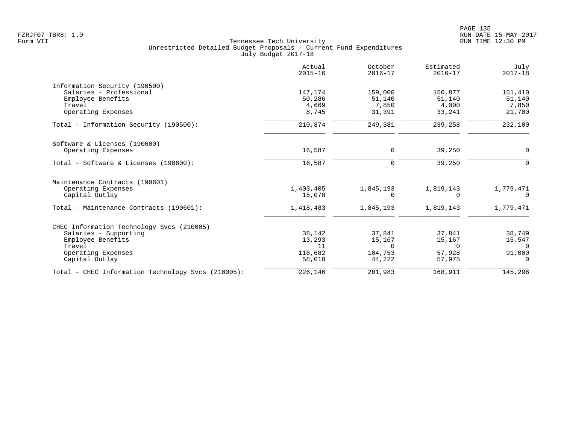|                                                    | Actual<br>$2015 - 16$ | October<br>$2016 - 17$ | Estimated<br>$2016 - 17$ | July<br>$2017 - 18$ |
|----------------------------------------------------|-----------------------|------------------------|--------------------------|---------------------|
| Information Security (190500)                      |                       |                        |                          |                     |
| Salaries - Professional                            | 147,174               | 159,000                | 150,877                  | 151,410             |
| Employee Benefits                                  | 50,286                | 51,140                 | 51,140                   | 51,140              |
| Travel                                             | 4,669                 | 7,850                  | 4,000                    | 7,850               |
| Operating Expenses                                 | 8,745                 | 31,391                 | 33,241                   | 21,700              |
| Total - Information Security (190500):             | 210,874               | 249,381                | 239,258                  | 232,100             |
| Software & Licenses (190600)                       |                       |                        |                          |                     |
| Operating Expenses                                 | 16,587                | $\mathbf 0$            | 39,250                   | $\mathbf 0$         |
| Total - Software & Licenses (190600):              | 16,587                | 0                      | 39,250                   | $\Omega$            |
| Maintenance Contracts (190601)                     |                       |                        |                          |                     |
| Operating Expenses                                 | 1,403,405             | 1,845,193              | 1,819,143                | 1,779,471           |
| Capital Outlay                                     | 15,078                | <sup>0</sup>           | $\Omega$                 | $\Omega$            |
| Total - Maintenance Contracts (190601):            | 1,418,483             | 1,845,193              | 1,819,143                | 1,779,471           |
| CHEC Information Technology Svcs (210005)          |                       |                        |                          |                     |
| Salaries - Supporting                              | 38,142                | 37,841                 | 37,841                   | 38,749              |
| Employee Benefits                                  | 13,293                | 15,167                 | 15,167                   | 15,547              |
| Travel                                             | 11                    | $\Omega$               | $\Omega$                 | $\Omega$            |
| Operating Expenses                                 | 116,682               | 104,753                | 57,928                   | 91,000              |
| Capital Outlay                                     | 58,018                | 44,222                 | 57,975                   | $\Omega$            |
| Total - CHEC Information Technology Svcs (210005): | 226,146               | 201,983                | 168,911                  | 145,296             |
|                                                    |                       |                        |                          |                     |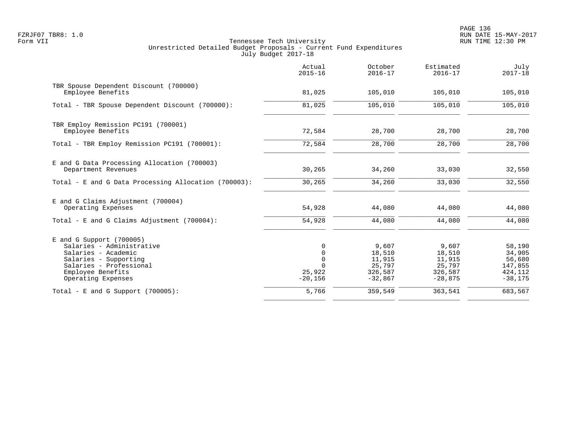PAGE 136 FZRJF07 TBR8: 1.0 RUN DATE 15-MAY-2017

|                                                                                                                                                                               | Actual<br>$2015 - 16$                                                     | October<br>$2016 - 17$                                      | Estimated<br>$2016 - 17$                                    | July<br>$2017 - 18$                                            |
|-------------------------------------------------------------------------------------------------------------------------------------------------------------------------------|---------------------------------------------------------------------------|-------------------------------------------------------------|-------------------------------------------------------------|----------------------------------------------------------------|
| TBR Spouse Dependent Discount (700000)<br>Employee Benefits                                                                                                                   | 81,025                                                                    | 105,010                                                     | 105,010                                                     | 105,010                                                        |
| Total - TBR Spouse Dependent Discount (700000):                                                                                                                               | 81,025                                                                    | 105,010                                                     | 105,010                                                     | 105,010                                                        |
| TBR Employ Remission PC191 (700001)<br>Employee Benefits                                                                                                                      | 72,584                                                                    | 28,700                                                      | 28,700                                                      | 28,700                                                         |
| Total - TBR Employ Remission PC191 (700001):                                                                                                                                  | 72,584                                                                    | 28,700                                                      | 28,700                                                      | 28,700                                                         |
| E and G Data Processing Allocation (700003)<br>Department Revenues                                                                                                            | 30,265                                                                    | 34,260                                                      | 33,030                                                      | 32,550                                                         |
| Total - E and G Data Processing Allocation (700003):                                                                                                                          | 30,265                                                                    | 34,260                                                      | 33,030                                                      | 32,550                                                         |
| E and G Claims Adjustment (700004)<br>Operating Expenses                                                                                                                      | 54,928                                                                    | 44,080                                                      | 44,080                                                      | 44,080                                                         |
| Total - E and G Claims Adjustment (700004):                                                                                                                                   | 54,928                                                                    | 44,080                                                      | 44,080                                                      | 44,080                                                         |
| $E$ and G Support (700005)<br>Salaries - Administrative<br>Salaries - Academic<br>Salaries - Supporting<br>Salaries - Professional<br>Employee Benefits<br>Operating Expenses | $\Omega$<br>$\mathbf 0$<br>$\mathbf 0$<br>$\Omega$<br>25,922<br>$-20,156$ | 9,607<br>18,510<br>11,915<br>25,797<br>326,587<br>$-32,867$ | 9,607<br>18,510<br>11,915<br>25,797<br>326,587<br>$-28,875$ | 58,190<br>34,905<br>56,680<br>147,855<br>424, 112<br>$-38,175$ |
| Total - E and G Support $(700005)$ :                                                                                                                                          | 5,766                                                                     | 359,549                                                     | 363,541                                                     | 683,567                                                        |
|                                                                                                                                                                               |                                                                           |                                                             |                                                             |                                                                |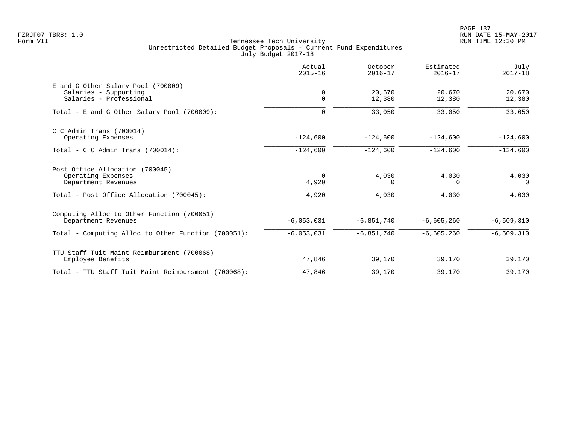|                                                                                        | Actual<br>$2015 - 16$ | October<br>$2016 - 17$ | Estimated<br>$2016 - 17$ | July<br>$2017 - 18$ |
|----------------------------------------------------------------------------------------|-----------------------|------------------------|--------------------------|---------------------|
| E and G Other Salary Pool (700009)<br>Salaries - Supporting<br>Salaries - Professional | 0<br>$\mathbf 0$      | 20,670<br>12,380       | 20,670<br>12,380         | 20,670<br>12,380    |
| Total - E and G Other Salary Pool (700009):                                            | $\Omega$              | 33,050                 | 33,050                   | 33,050              |
| $C$ C Admin Trans (700014)<br>Operating Expenses                                       | $-124,600$            | $-124,600$             | $-124,600$               | $-124,600$          |
| Total - C C Admin Trans $(700014)$ :                                                   | $-124,600$            | $-124,600$             | $-124,600$               | $-124,600$          |
| Post Office Allocation (700045)<br>Operating Expenses<br>Department Revenues           | $\Omega$<br>4,920     | 4,030<br>$\Omega$      | 4,030<br>$\Omega$        | 4,030<br>$\Omega$   |
| Total - Post Office Allocation (700045):                                               | 4,920                 | 4,030                  | 4,030                    | 4,030               |
| Computing Alloc to Other Function (700051)<br>Department Revenues                      | $-6,053,031$          | $-6,851,740$           | $-6,605,260$             | $-6, 509, 310$      |
| Total - Computing Alloc to Other Function (700051):                                    | $-6,053,031$          | $-6,851,740$           | $-6,605,260$             | $-6, 509, 310$      |
| TTU Staff Tuit Maint Reimbursment (700068)<br>Employee Benefits                        | 47,846                | 39,170                 | 39,170                   | 39,170              |
| Total - TTU Staff Tuit Maint Reimbursment (700068):                                    | 47,846                | 39,170                 | 39,170                   | 39,170              |
|                                                                                        |                       |                        |                          |                     |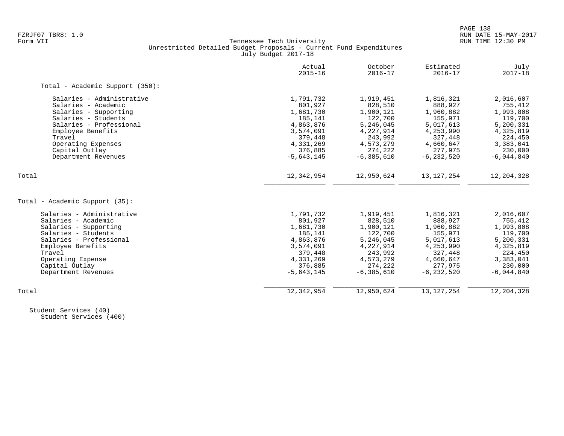# FZRJF07 TBR8: 1.0 RUN DATE 15-MAY-2017 Tennessee Tech University Unrestricted Detailed Budget Proposals - Current Fund Expenditures July Budget 2017-18

|                                 | Actual<br>$2015 - 16$ | October<br>$2016 - 17$ | Estimated<br>$2016 - 17$ | July<br>$2017 - 18$ |
|---------------------------------|-----------------------|------------------------|--------------------------|---------------------|
| Total - Academic Support (350): |                       |                        |                          |                     |
| Salaries - Administrative       | 1,791,732             | 1,919,451              | 1,816,321                | 2,016,607           |
| Salaries - Academic             | 801,927               | 828,510                | 888,927                  | 755,412             |
| Salaries - Supporting           | 1,681,730             | 1,900,121              | 1,960,882                | 1,993,808           |
| Salaries - Students             | 185,141               | 122,700                | 155,971                  | 119,700             |
| Salaries - Professional         | 4,863,876             | 5,246,045              | 5,017,613                | 5,200,331           |
| Employee Benefits               | 3,574,091             | 4,227,914              | 4,253,990                | 4,325,819           |
| Travel                          | 379,448               | 243,992                | 327,448                  | 224,450             |
| Operating Expenses              | 4,331,269             | 4,573,279              | 4,660,647                | 3,383,041           |
| Capital Outlay                  | 376,885               | 274,222                | 277,975                  | 230,000             |
| Department Revenues             | $-5,643,145$          | $-6, 385, 610$         | $-6, 232, 520$           | $-6,044,840$        |
| Total                           | 12,342,954            | 12,950,624             | 13, 127, 254             | 12, 204, 328        |
|                                 |                       |                        |                          |                     |
| Total - Academic Support (35):  |                       |                        |                          |                     |
| Salaries - Administrative       | 1,791,732             | 1,919,451              | 1,816,321                | 2,016,607           |
| Salaries - Academic             | 801,927               | 828,510                | 888,927                  | 755,412             |
| Salaries - Supporting           | 1,681,730             | 1,900,121              | 1,960,882                | 1,993,808           |
| Salaries - Students             | 185,141               | 122,700                | 155,971                  | 119,700             |
| Salaries - Professional         | 4,863,876             | 5,246,045              | 5,017,613                | 5,200,331           |
| Employee Benefits               | 3,574,091             | 4,227,914              | 4,253,990                | 4,325,819           |
| Travel                          | 379,448               | 243,992                | 327,448                  | 224,450             |
| Operating Expense               | 4,331,269             | 4,573,279              | 4,660,647                | 3,383,041           |
| Capital Outlay                  | 376,885               | 274,222                | 277,975                  | 230,000             |
| Department Revenues             | $-5,643,145$          | $-6, 385, 610$         | $-6, 232, 520$           | $-6,044,840$        |
| Total                           | 12,342,954            | 12,950,624             | 13, 127, 254             | 12, 204, 328        |
|                                 |                       |                        |                          |                     |

 Student Services (40) Student Services (400)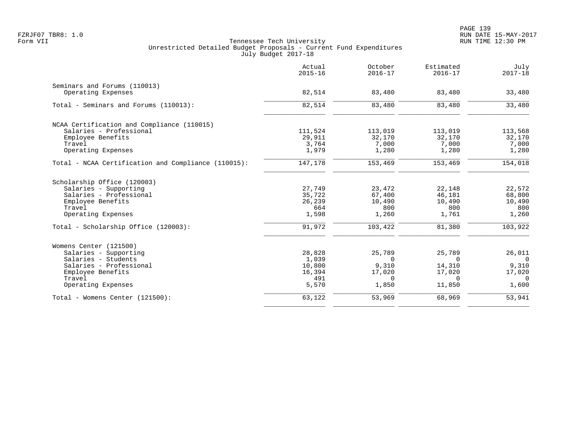|                                                     | Actual<br>$2015 - 16$ | October<br>$2016 - 17$ | Estimated<br>$2016 - 17$ | July<br>$2017 - 18$ |
|-----------------------------------------------------|-----------------------|------------------------|--------------------------|---------------------|
| Seminars and Forums (110013)                        |                       |                        |                          |                     |
| Operating Expenses                                  | 82,514                | 83,480                 | 83,480                   | 33,480              |
| Total - Seminars and Forums (110013):               | 82,514                | 83,480                 | 83,480                   | 33,480              |
| NCAA Certification and Compliance (110015)          |                       |                        |                          |                     |
| Salaries - Professional                             | 111,524               | 113,019                | 113,019                  | 113,568             |
| Employee Benefits                                   | 29,911                | 32,170                 | 32,170                   | 32,170              |
| Travel                                              | 3,764                 | 7,000                  | 7,000                    | 7,000               |
| Operating Expenses                                  | 1,979                 | 1,280                  | 1,280                    | 1,280               |
| Total - NCAA Certification and Compliance (110015): | 147,178               | 153,469                | 153,469                  | 154,018             |
| Scholarship Office (120003)                         |                       |                        |                          |                     |
| Salaries - Supporting                               | 27,749                | 23,472                 | 22,148                   | 22,572              |
| Salaries - Professional                             | 35,722                | 67,400                 | 46,181                   | 68,800              |
| Employee Benefits                                   | 26,239                | 10,490                 | 10,490                   | 10,490              |
| Travel                                              | 664                   | 800                    | 800                      | 800                 |
| Operating Expenses                                  | 1,598                 | 1,260                  | 1,761                    | 1,260               |
| Total - Scholarship Office (120003):                | 91,972                | 103,422                | 81,380                   | 103,922             |
| Womens Center (121500)                              |                       |                        |                          |                     |
| Salaries - Supporting                               | 28,828                | 25,789                 | 25,789                   | 26,011              |
| Salaries - Students                                 | 1,039                 | $\Omega$               | $\Omega$                 | $\overline{0}$      |
| Salaries - Professional                             | 10,800                | 9,310                  | 14,310                   | 9,310               |
| Employee Benefits                                   | 16,394                | 17,020                 | 17,020                   | 17,020              |
| Travel                                              | 491                   | $\Omega$               | $\Omega$                 | $\Omega$            |
| Operating Expenses                                  | 5,570                 | 1,850                  | 11,850                   | 1,600               |
| Total - Womens Center (121500):                     | 63,122                | 53,969                 | 68,969                   | 53,941              |
|                                                     |                       |                        |                          |                     |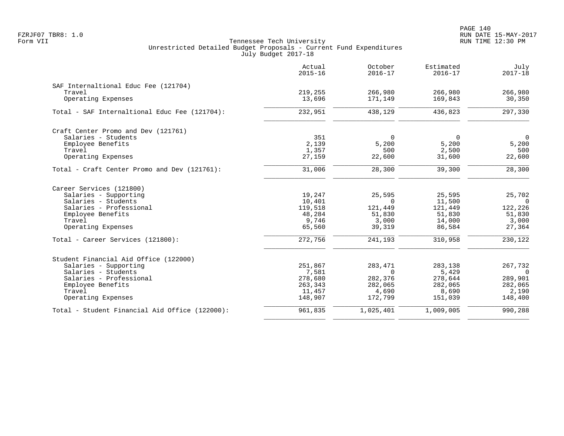|                                                | Actual<br>$2015 - 16$ | October<br>$2016 - 17$ | Estimated<br>$2016 - 17$ | July<br>$2017 - 18$ |
|------------------------------------------------|-----------------------|------------------------|--------------------------|---------------------|
| SAF Internaltional Educ Fee (121704)           |                       |                        |                          |                     |
| Travel                                         | 219,255               | 266,980                | 266,980                  | 266,980             |
| Operating Expenses                             | 13,696                | 171,149                | 169,843                  | 30, 350             |
| Total - SAF Internaltional Educ Fee (121704):  | 232,951               | 438,129                | 436,823                  | 297,330             |
| Craft Center Promo and Dev (121761)            |                       |                        |                          |                     |
| Salaries - Students                            | 351                   | $\Omega$               | 0                        | $\overline{0}$      |
| Employee Benefits                              | 2,139                 | 5,200                  | 5,200                    | 5,200               |
| Travel                                         | 1,357                 | 500                    | 2,500                    | 500                 |
| Operating Expenses                             | 27,159                | 22,600                 | 31,600                   | 22,600              |
| Total - Craft Center Promo and Dev (121761):   | 31,006                | 28,300                 | 39,300                   | 28,300              |
| Career Services (121800)                       |                       |                        |                          |                     |
| Salaries - Supporting                          | 19,247                | 25,595                 | 25,595                   | 25,702              |
| Salaries - Students                            | 10,401                | $\Omega$               | 11,500                   | $\Omega$            |
| Salaries - Professional                        | 119,518               | 121,449                | 121,449                  | 122,226             |
| Employee Benefits                              | 48,284                | 51,830                 | 51,830                   | 51,830              |
| Travel                                         | 9,746                 | 3,000                  | 14,000                   | 3,000               |
| Operating Expenses                             | 65,560                | 39,319                 | 86,584                   | 27,364              |
| Total - Career Services (121800):              | 272,756               | 241,193                | 310,958                  | 230,122             |
| Student Financial Aid Office (122000)          |                       |                        |                          |                     |
| Salaries - Supporting                          | 251,867               | 283,471                | 283,138                  | 267,732             |
| Salaries - Students                            | 7,581                 | $\Omega$               | 5,429                    | $\Omega$            |
| Salaries - Professional                        | 278,680               | 282,376                | 278,644                  | 289,901             |
| Employee Benefits                              | 263,343               | 282,065                | 282,065                  | 282,065             |
| Travel                                         | 11,457                | 4,690                  | 8,690                    | 2,190               |
| Operating Expenses                             | 148,907               | 172,799                | 151,039                  | 148,400             |
| Total - Student Financial Aid Office (122000): | 961,835               | 1,025,401              | 1,009,005                | 990,288             |
|                                                |                       |                        |                          |                     |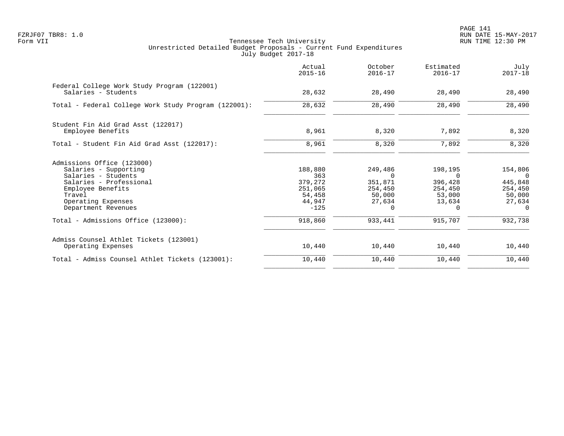|                                                                                                                                                                                                                          | Actual<br>$2015 - 16$                                                         | October<br>$2016 - 17$                                                               | Estimated<br>$2016 - 17$                                                           | July<br>$2017 - 18$                                                                  |
|--------------------------------------------------------------------------------------------------------------------------------------------------------------------------------------------------------------------------|-------------------------------------------------------------------------------|--------------------------------------------------------------------------------------|------------------------------------------------------------------------------------|--------------------------------------------------------------------------------------|
| Federal College Work Study Program (122001)<br>Salaries - Students                                                                                                                                                       | 28,632                                                                        | 28,490                                                                               | 28,490                                                                             | 28,490                                                                               |
| Total - Federal College Work Study Program (122001):                                                                                                                                                                     | 28,632                                                                        | 28,490                                                                               | 28,490                                                                             | 28,490                                                                               |
| Student Fin Aid Grad Asst (122017)<br>Employee Benefits                                                                                                                                                                  | 8,961                                                                         | 8,320                                                                                | 7,892                                                                              | 8,320                                                                                |
| Total - Student Fin Aid Grad Asst (122017):                                                                                                                                                                              | 8,961                                                                         | 8,320                                                                                | 7,892                                                                              | 8,320                                                                                |
| Admissions Office (123000)<br>Salaries - Supporting<br>Salaries - Students<br>Salaries - Professional<br>Employee Benefits<br>Travel<br>Operating Expenses<br>Department Revenues<br>Total - Admissions Office (123000): | 188,880<br>363<br>379,272<br>251,065<br>54,458<br>44,947<br>$-125$<br>918,860 | 249,486<br>$\Omega$<br>351,871<br>254,450<br>50,000<br>27,634<br>$\Omega$<br>933,441 | 198,195<br>$\cap$<br>396,428<br>254,450<br>53,000<br>13,634<br>$\Omega$<br>915,707 | 154,806<br>$\Omega$<br>445,848<br>254,450<br>50,000<br>27,634<br>$\Omega$<br>932,738 |
| Admiss Counsel Athlet Tickets (123001)<br>Operating Expenses                                                                                                                                                             | 10,440                                                                        | 10,440                                                                               | 10,440                                                                             | 10,440                                                                               |
| Total - Admiss Counsel Athlet Tickets (123001):                                                                                                                                                                          | 10,440                                                                        | 10,440                                                                               | 10,440                                                                             | 10,440                                                                               |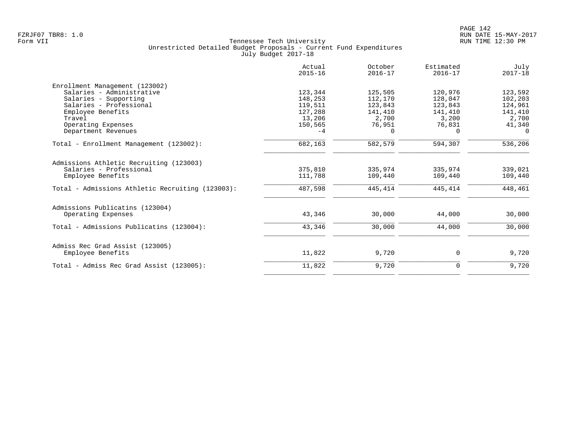|                                                  | Actual<br>$2015 - 16$ | October<br>$2016 - 17$ | Estimated<br>$2016 - 17$ | July<br>$2017 - 18$ |
|--------------------------------------------------|-----------------------|------------------------|--------------------------|---------------------|
| Enrollment Management (123002)                   |                       |                        |                          |                     |
| Salaries - Administrative                        | 123,344               | 125,505                | 120,976                  | 123,592             |
| Salaries - Supporting                            | 148,253               | 112,170                | 128,047                  | 102,203             |
| Salaries - Professional                          | 119,511               | 123,843                | 123,843                  | 124,961             |
| Employee Benefits                                | 127,288               | 141,410                | 141,410                  | 141,410             |
| Travel                                           | 13,206                | 2,700                  | 3,200                    | 2,700               |
| Operating Expenses                               | 150,565               | 76,951                 | 76,831                   | 41,340              |
| Department Revenues                              | $-4$                  | $\Omega$               | $\Omega$                 | $\Omega$            |
| Total - Enrollment Management (123002):          | 682,163               | 582,579                | 594,307                  | 536,206             |
| Admissions Athletic Recruiting (123003)          |                       |                        |                          |                     |
| Salaries - Professional                          | 375,810               | 335,974                | 335,974                  | 339,021             |
| Employee Benefits                                | 111,788               | 109,440                | 109,440                  | 109,440             |
| Total - Admissions Athletic Recruiting (123003): | 487,598               | 445,414                | 445,414                  | 448,461             |
| Admissions Publicatins (123004)                  |                       |                        |                          |                     |
| Operating Expenses                               | 43,346                | 30,000                 | 44,000                   | 30,000              |
| Total - Admissions Publicatins (123004):         | 43,346                | 30,000                 | 44,000                   | 30,000              |
| Admiss Rec Grad Assist (123005)                  |                       |                        |                          |                     |
| Employee Benefits                                | 11,822                | 9,720                  | 0                        | 9,720               |
| Total - Admiss Rec Grad Assist (123005):         | 11,822                | 9,720                  | $\mathbf 0$              | 9,720               |
|                                                  |                       |                        |                          |                     |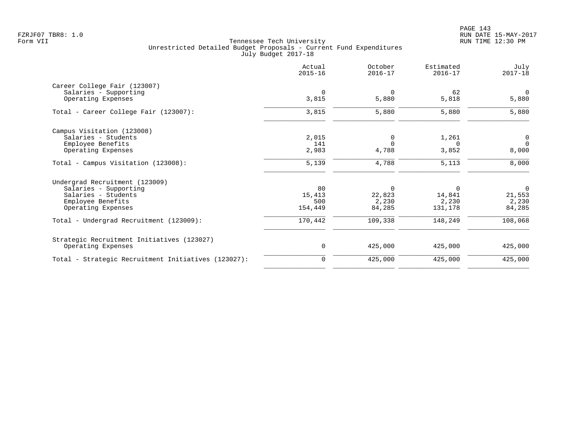PAGE 143 FZRJF07 TBR8: 1.0 RUN DATE 15-MAY-2017

|                                                     | Actual<br>$2015 - 16$ | October<br>$2016 - 17$ | Estimated<br>$2016 - 17$ | July<br>$2017 - 18$ |
|-----------------------------------------------------|-----------------------|------------------------|--------------------------|---------------------|
| Career College Fair (123007)                        |                       |                        |                          |                     |
| Salaries - Supporting                               | $\Omega$              | $\Omega$               | 62                       | $\Omega$            |
| Operating Expenses                                  | 3,815                 | 5,880                  | 5,818                    | 5,880               |
| Total - Career College Fair (123007):               | 3,815                 | 5,880                  | 5,880                    | 5,880               |
| Campus Visitation (123008)                          |                       |                        |                          |                     |
| Salaries - Students                                 | 2,015                 | 0                      | 1,261                    | 0                   |
| Employee Benefits                                   | 141                   | $\Omega$               | 0                        | $\mathbf 0$         |
| Operating Expenses                                  | 2,983                 | 4,788                  | 3,852                    | 8,000               |
| Total - Campus Visitation (123008):                 | 5,139                 | 4,788                  | 5,113                    | 8,000               |
| Undergrad Recruitment (123009)                      |                       |                        |                          |                     |
| Salaries - Supporting                               | 80                    | $\mathbf 0$            | 0                        | $\mathbf 0$         |
| Salaries - Students                                 | 15,413                | 22,823                 | 14,841                   | 21,553              |
| Employee Benefits                                   | 500                   | 2,230                  | 2,230                    | 2,230               |
| Operating Expenses                                  | 154,449               | 84,285                 | 131,178                  | 84,285              |
| Total - Undergrad Recruitment (123009):             | 170,442               | 109,338                | 148,249                  | 108,068             |
| Strategic Recruitment Initiatives (123027)          |                       |                        |                          |                     |
| Operating Expenses                                  | 0                     | 425,000                | 425,000                  | 425,000             |
| Total - Strategic Recruitment Initiatives (123027): | 0                     | 425,000                | 425,000                  | 425,000             |
|                                                     |                       |                        |                          |                     |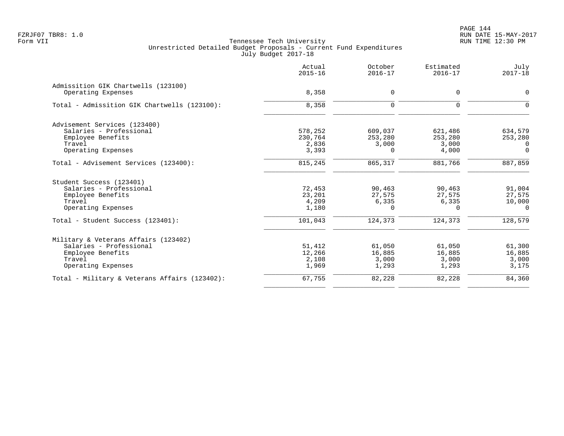PAGE 144 FZRJF07 TBR8: 1.0 RUN DATE 15-MAY-2017

| Actual<br>$2015 - 16$ | October<br>$2016 - 17$                               | Estimated<br>$2016 - 17$                     | July<br>$2017 - 18$                                        |
|-----------------------|------------------------------------------------------|----------------------------------------------|------------------------------------------------------------|
|                       |                                                      |                                              | 0                                                          |
|                       |                                                      |                                              |                                                            |
| 8,358                 | $\mathbf 0$                                          | $\Omega$                                     | $\Omega$                                                   |
|                       |                                                      |                                              |                                                            |
| 578,252               | 609,037                                              | 621,486                                      | 634,579                                                    |
|                       | 253,280                                              |                                              | 253,280                                                    |
|                       |                                                      |                                              | $\Omega$                                                   |
|                       |                                                      |                                              | $\Omega$                                                   |
| 815,245               | 865,317                                              | 881,766                                      | 887,859                                                    |
|                       |                                                      |                                              |                                                            |
| 72,453                | 90,463                                               | 90,463                                       | 91,004                                                     |
| 23,201                | 27,575                                               | 27,575                                       | 27,575                                                     |
|                       | 6,335                                                |                                              | 10,000                                                     |
|                       |                                                      |                                              | $\Omega$                                                   |
| 101,043               | 124,373                                              | 124,373                                      | 128,579                                                    |
|                       |                                                      |                                              |                                                            |
| 51,412                | 61,050                                               | 61,050                                       | 61,300                                                     |
| 12,266                | 16,885                                               | 16,885                                       | 16,885                                                     |
| 2,108                 | 3,000                                                | 3,000                                        | 3,000                                                      |
| 1,969                 | 1,293                                                | 1,293                                        | 3,175                                                      |
| 67,755                | 82,228                                               | 82,228                                       | 84,360                                                     |
|                       | 8,358<br>230,764<br>2,836<br>3,393<br>4,209<br>1,180 | $\mathbf 0$<br>3,000<br>$\Omega$<br>$\Omega$ | $\Omega$<br>253,280<br>3,000<br>4,000<br>6,335<br>$\Omega$ |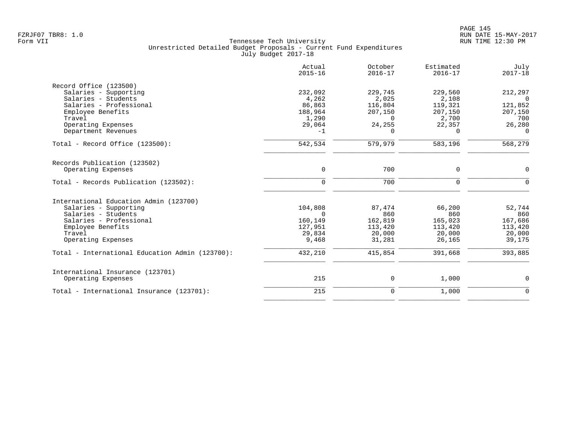|                                                 | Actual<br>$2015 - 16$ | October<br>$2016 - 17$ | Estimated<br>$2016 - 17$ | July<br>$2017 - 18$ |
|-------------------------------------------------|-----------------------|------------------------|--------------------------|---------------------|
| Record Office (123500)                          |                       |                        |                          |                     |
| Salaries - Supporting                           | 232,092               | 229,745                | 229,560                  | 212,297             |
| Salaries - Students                             | 4,262                 | 2,025                  | 2,108                    | $\Omega$            |
| Salaries - Professional                         | 86,863                | 116,804                | 119,321                  | 121,852             |
| Employee Benefits                               | 188,964               | 207,150                | 207,150                  | 207,150             |
| Travel                                          | 1,290                 | $\Omega$               | 2,700                    | 700                 |
| Operating Expenses                              | 29,064                | 24,255                 | 22,357                   | 26,280              |
| Department Revenues                             | $-1$                  | $\Omega$               | $\Omega$                 | $\Omega$            |
| Total - Record Office (123500):                 | 542,534               | 579,979                | 583,196                  | 568,279             |
| Records Publication (123502)                    |                       |                        |                          |                     |
| Operating Expenses                              | $\mathbf 0$           | 700                    | $\mathbf 0$              | $\mathbf 0$         |
|                                                 |                       |                        |                          |                     |
| Total - Records Publication (123502):           | $\mathbf 0$           | 700                    | $\mathbf 0$              | $\Omega$            |
| International Education Admin (123700)          |                       |                        |                          |                     |
| Salaries - Supporting                           | 104,808               | 87,474                 | 66,200                   | 52,744              |
| Salaries - Students                             | $\Omega$              | 860                    | 860                      | 860                 |
| Salaries - Professional                         | 160,149               | 162,819                | 165,023                  | 167,686             |
| Employee Benefits                               | 127,951               | 113,420                | 113,420                  | 113,420             |
| Travel                                          | 29,834                | 20,000                 | 20,000                   | 20,000              |
| Operating Expenses                              | 9,468                 | 31,281                 | 26,165                   | 39,175              |
| Total - International Education Admin (123700): | 432,210               | 415,854                | 391,668                  | 393,885             |
|                                                 |                       |                        |                          |                     |
| International Insurance (123701)                |                       |                        |                          |                     |
| Operating Expenses                              | 215                   | 0                      | 1,000                    | 0                   |
| Total - International Insurance (123701):       | 215                   | $\mathbf 0$            | 1,000                    | $\mathbf 0$         |
|                                                 |                       |                        |                          |                     |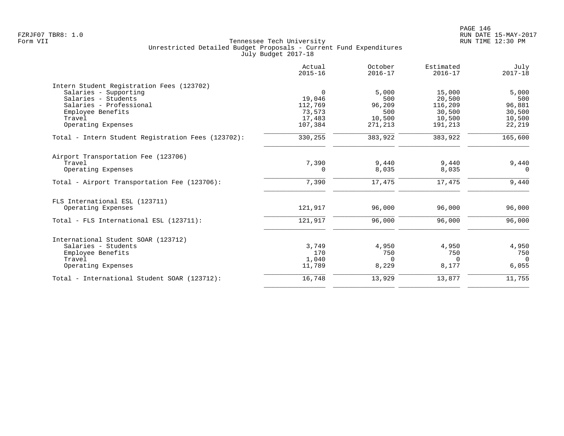| Actual<br>$2015 - 16$ | October<br>$2016 - 17$                    | Estimated<br>$2016 - 17$          | July<br>$2017 - 18$                         |
|-----------------------|-------------------------------------------|-----------------------------------|---------------------------------------------|
|                       |                                           |                                   |                                             |
| $\mathbf 0$           | 5,000                                     |                                   | 5,000                                       |
| 19,046                | 500                                       | 20,500                            | 500                                         |
| 112,769               | 96,209                                    | 116,209                           | 96,881                                      |
| 73,573                | 500                                       | 30,500                            | 30,500                                      |
| 17,483                | 10,500                                    | 10,500                            | 10,500                                      |
|                       | 271,213                                   | 191,213                           | 22,219                                      |
| 330,255               | 383,922                                   | 383,922                           | 165,600                                     |
|                       |                                           |                                   |                                             |
|                       |                                           |                                   | 9,440                                       |
| 0                     | 8,035                                     | 8,035                             | $\Omega$                                    |
| 7,390                 | 17,475                                    | 17,475                            | 9,440                                       |
|                       |                                           |                                   |                                             |
| 121,917               | 96,000                                    | 96,000                            | 96,000                                      |
| 121,917               | 96,000                                    | 96,000                            | 96,000                                      |
|                       |                                           |                                   |                                             |
|                       |                                           |                                   | 4,950                                       |
|                       |                                           |                                   | 750                                         |
|                       |                                           |                                   | $\Omega$                                    |
| 11,789                | 8,229                                     | 8,177                             | 6,055                                       |
| 16,748                | 13,929                                    | 13,877                            | 11,755                                      |
|                       | 107,384<br>7,390<br>3,749<br>170<br>1,040 | 9,440<br>4,950<br>750<br>$\Omega$ | 15,000<br>9,440<br>4,950<br>750<br>$\Omega$ |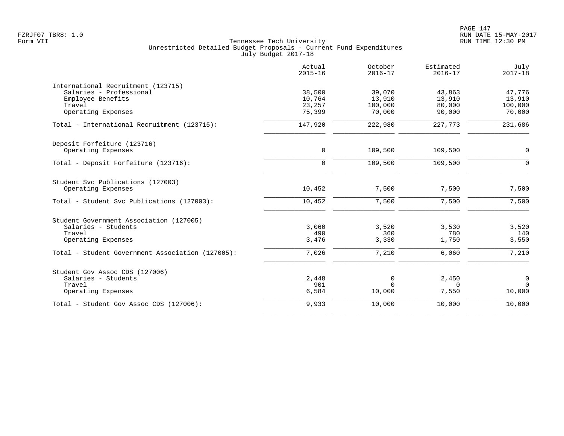|                                                  | Actual<br>$2015 - 16$ | October<br>$2016 - 17$ | Estimated<br>$2016 - 17$ | July<br>$2017 - 18$ |
|--------------------------------------------------|-----------------------|------------------------|--------------------------|---------------------|
| International Recruitment (123715)               |                       |                        |                          |                     |
| Salaries - Professional                          | 38,500                | 39,070                 | 43,863                   | 47,776              |
| Employee Benefits                                | 10,764                | 13,910                 | 13,910                   | 13,910              |
| Travel<br>Operating Expenses                     | 23,257<br>75,399      | 100,000<br>70,000      | 80,000<br>90,000         | 100,000<br>70,000   |
|                                                  |                       |                        |                          |                     |
| Total - International Recruitment (123715):      | 147,920               | 222,980                | 227,773                  | 231,686             |
| Deposit Forfeiture (123716)                      |                       |                        |                          |                     |
| Operating Expenses                               | $\mathbf 0$           | 109,500                | 109,500                  | 0                   |
| Total - Deposit Forfeiture (123716):             | $\mathbf 0$           | 109,500                | 109,500                  | $\Omega$            |
| Student Svc Publications (127003)                |                       |                        |                          |                     |
| Operating Expenses                               | 10,452                | 7,500                  | 7,500                    | 7,500               |
| Total - Student Svc Publications (127003):       | 10,452                | 7,500                  | 7,500                    | 7,500               |
| Student Government Association (127005)          |                       |                        |                          |                     |
| Salaries - Students                              | 3,060                 | 3,520                  | 3,530                    | 3,520               |
| Travel                                           | 490                   | 360                    | 780                      | 140                 |
| Operating Expenses                               | 3,476                 | 3,330                  | 1,750                    | 3,550               |
| Total - Student Government Association (127005): | 7,026                 | 7,210                  | 6,060                    | 7,210               |
| Student Gov Assoc CDS (127006)                   |                       |                        |                          |                     |
| Salaries - Students                              | 2,448                 | 0                      | 2,450                    | 0                   |
| Travel                                           | 901                   | $\Omega$               | $\Omega$                 | $\Omega$            |
| Operating Expenses                               | 6,584                 | 10,000                 | 7,550                    | 10,000              |
| Total - Student Gov Assoc CDS (127006):          | 9,933                 | 10,000                 | 10,000                   | 10,000              |
|                                                  |                       |                        |                          |                     |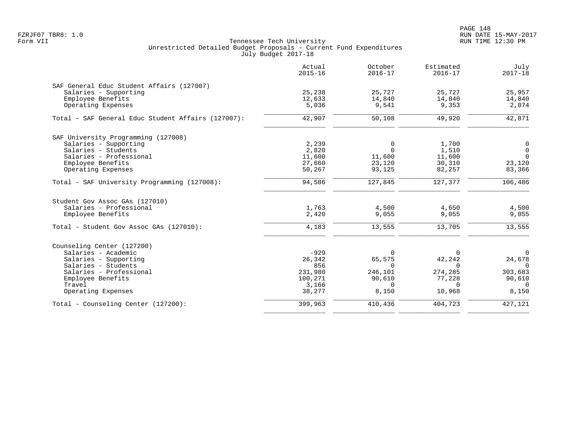PAGE 148 FZRJF07 TBR8: 1.0 RUN DATE 15-MAY-2017

|                                                    | Actual<br>$2015 - 16$ | October<br>$2016 - 17$ | Estimated<br>$2016 - 17$ | July<br>$2017 - 18$ |
|----------------------------------------------------|-----------------------|------------------------|--------------------------|---------------------|
| SAF General Educ Student Affairs (127007)          |                       |                        |                          |                     |
| Salaries - Supporting                              | 25,238                | 25,727                 | 25,727                   | 25,957              |
| Employee Benefits                                  | 12,633                | 14,840                 | 14,840                   | 14,840              |
| Operating Expenses                                 | 5,036                 | 9,541                  | 9,353                    | 2,074               |
| Total - SAF General Educ Student Affairs (127007): | 42,907                | 50,108                 | 49,920                   | 42,871              |
| SAF University Programming (127008)                |                       |                        |                          |                     |
| Salaries - Supporting                              | 2,239                 | 0                      | 1,700                    | 0                   |
| Salaries - Students                                | 2,820                 | $\Omega$               | 1,510                    | $\mathsf{O}$        |
| Salaries - Professional                            | 11,600                | 11,600                 | 11,600                   | $\mathbf 0$         |
| Employee Benefits                                  | 27,660                | 23,120                 | 30,310                   | 23,120              |
| Operating Expenses                                 | 50,267                | 93,125                 | 82,257                   | 83,366              |
| Total - SAF University Programming (127008):       | 94,586                | 127,845                | 127,377                  | 106,486             |
| Student Gov Assoc GAs (127010)                     |                       |                        |                          |                     |
| Salaries - Professional                            | 1,763                 | 4,500                  | 4,650                    | 4,500               |
| Employee Benefits                                  | 2,420                 | 9,055                  | 9,055                    | 9,055               |
| Total - Student Gov Assoc GAs (127010):            | 4,183                 | 13,555                 | 13,705                   | 13,555              |
| Counseling Center (127200)                         |                       |                        |                          |                     |
| Salaries - Academic                                | $-929$                | $\Omega$               | $\Omega$                 | $\overline{0}$      |
| Salaries - Supporting                              | 26,342                | 65,575                 | 42,242                   | 24,678              |
| Salaries - Students                                | 856                   | $\Omega$               | $\Omega$                 | $\Omega$            |
| Salaries - Professional                            | 231,980               | 246,101                | 274,285                  | 303,683             |
| Employee Benefits                                  | 100,271               | 90,610                 | 77,228                   | 90,610              |
| Travel                                             | 3,166                 | $\Omega$               | $\Omega$                 | $\Omega$            |
| Operating Expenses                                 | 38,277                | 8,150                  | 10,968                   | 8,150               |
| Total - Counseling Center (127200):                | 399,963               | 410,436                | 404,723                  | 427,121             |
|                                                    |                       |                        |                          |                     |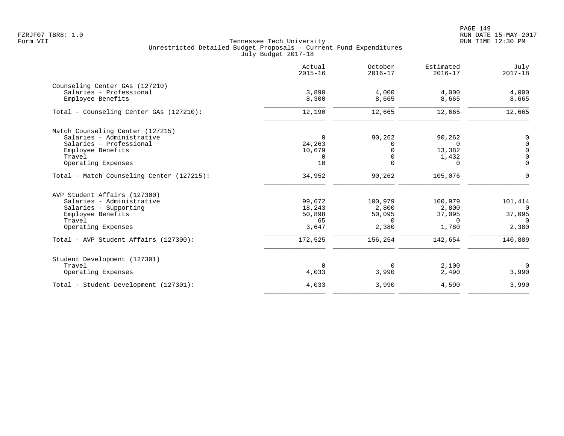PAGE 149 FZRJF07 TBR8: 1.0 RUN DATE 15-MAY-2017

|                                              | Actual<br>$2015 - 16$ | October<br>$2016 - 17$  | Estimated<br>$2016 - 17$ | July<br>$2017 - 18$        |
|----------------------------------------------|-----------------------|-------------------------|--------------------------|----------------------------|
| Counseling Center GAs (127210)               |                       |                         |                          |                            |
| Salaries - Professional<br>Employee Benefits | 3,890<br>8,300        | 4,000<br>8,665          | 4,000<br>8,665           | 4,000<br>8,665             |
| Total - Counseling Center GAs (127210):      | 12,190                | 12,665                  | 12,665                   | 12,665                     |
| Match Counseling Center (127215)             |                       |                         |                          |                            |
| Salaries - Administrative                    | 0                     | 90,262                  | 90,262                   | 0                          |
| Salaries - Professional                      | 24,263                | <sup>0</sup>            | $\Omega$                 | $\mathbf 0$                |
| Employee Benefits                            | 10,679                | $\Omega$                | 13,382                   | $\mathbf 0$                |
| Travel<br>Operating Expenses                 | 0<br>10               | $\mathbf 0$<br>$\Omega$ | 1,432<br>$\Omega$        | $\mathbf 0$<br>$\mathbf 0$ |
| Total - Match Counseling Center (127215):    | 34,952                | 90,262                  | 105,076                  | $\Omega$                   |
| AVP Student Affairs (127300)                 |                       |                         |                          |                            |
| Salaries - Administrative                    | 99,672                | 100,979                 | 100,979                  | 101,414                    |
| Salaries - Supporting                        | 18,243                | 2,800                   | 2,800                    | $\cap$                     |
| Employee Benefits                            | 50,898                | 50,095                  | 37,095                   | 37,095                     |
| Travel                                       | 65                    | $\Omega$                | $\Omega$                 | $\Omega$                   |
| Operating Expenses                           | 3,647                 | 2,380                   | 1,780                    | 2,380                      |
| Total - AVP Student Affairs (127300):        | 172,525               | 156,254                 | 142,654                  | 140,889                    |
| Student Development (127301)                 |                       |                         |                          |                            |
| Travel                                       | $\Omega$              | 0                       | 2,100                    | $\overline{0}$             |
| Operating Expenses                           | 4,033                 | 3,990                   | 2,490                    | 3,990                      |
| Total - Student Development (127301):        | 4,033                 | 3,990                   | 4,590                    | 3,990                      |
|                                              |                       |                         |                          |                            |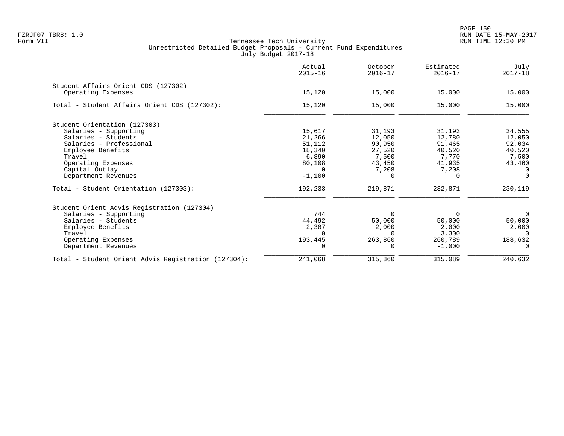|                                                     | Actual<br>$2015 - 16$ | October<br>$2016 - 17$ | Estimated<br>$2016 - 17$ | July<br>$2017 - 18$ |
|-----------------------------------------------------|-----------------------|------------------------|--------------------------|---------------------|
| Student Affairs Orient CDS (127302)                 |                       |                        |                          |                     |
| Operating Expenses                                  | 15,120                | 15,000                 | 15,000                   | 15,000              |
| Total - Student Affairs Orient CDS (127302):        | 15,120                | 15,000                 | 15,000                   | 15,000              |
| Student Orientation (127303)                        |                       |                        |                          |                     |
| Salaries - Supporting                               | 15,617                | 31,193                 | 31,193                   | 34,555              |
| Salaries - Students                                 | 21,266                | 12,050                 | 12,780                   | 12,050              |
| Salaries - Professional                             | 51,112                | 90,950                 | 91,465                   | 92,034              |
| Employee Benefits                                   | 18,340                | 27,520                 | 40,520                   | 40,520              |
| Travel                                              | 6,890                 | 7,500                  | 7,770                    | 7,500               |
| Operating Expenses                                  | 80,108                | 43,450                 | 41,935                   | 43,460              |
| Capital Outlay                                      | $\Omega$              | 7,208                  | 7,208                    | $\Omega$            |
| Department Revenues                                 | $-1,100$              | $\Omega$               | $\Omega$                 | $\Omega$            |
| Total - Student Orientation (127303):               | 192,233               | 219,871                | 232,871                  | 230,119             |
| Student Orient Advis Registration (127304)          |                       |                        |                          |                     |
| Salaries - Supporting                               | 744                   | $\Omega$               | 0                        | $\Omega$            |
| Salaries - Students                                 | 44,492                | 50,000                 | 50,000                   | 50,000              |
| Employee Benefits                                   | 2,387                 | 2,000                  | 2,000                    | 2,000               |
| Travel                                              | $\Omega$              | $\Omega$               | 3,300                    | $\Omega$            |
| Operating Expenses                                  | 193,445               | 263,860                | 260,789                  | 188,632             |
| Department Revenues                                 |                       | $\Omega$               | $-1,000$                 | $\Omega$            |
| Total - Student Orient Advis Registration (127304): | 241,068               | 315,860                | 315,089                  | 240,632             |
|                                                     |                       |                        |                          |                     |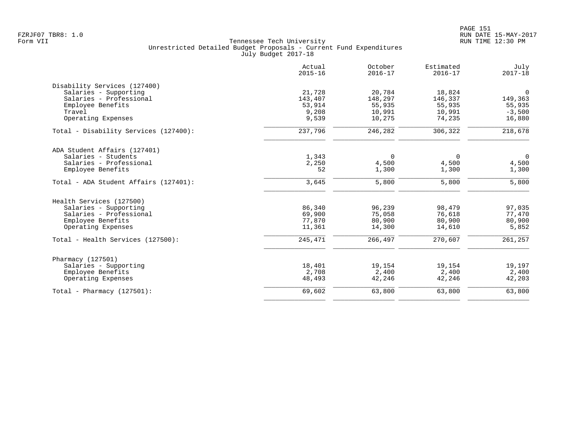|                                       | Actual<br>$2015 - 16$ | October<br>$2016 - 17$ | Estimated<br>$2016 - 17$ | July<br>$2017 - 18$ |
|---------------------------------------|-----------------------|------------------------|--------------------------|---------------------|
| Disability Services (127400)          |                       |                        |                          |                     |
| Salaries - Supporting                 | 21,728                | 20,784                 | 18,824                   | $\Omega$            |
| Salaries - Professional               | 143,407               | 148,297                | 146,337                  | 149,363             |
| Employee Benefits                     | 53,914                | 55,935                 | 55,935                   | 55,935              |
| Travel                                | 9,208                 | 10,991                 | 10,991                   | $-3,500$            |
| Operating Expenses                    | 9,539                 | 10,275                 | 74,235                   | 16,880              |
| Total - Disability Services (127400): | 237,796               | 246,282                | 306,322                  | 218,678             |
| ADA Student Affairs (127401)          |                       |                        |                          |                     |
| Salaries - Students                   | 1,343                 | 0                      | 0                        | $\overline{0}$      |
| Salaries - Professional               | 2,250                 | 4,500                  | 4,500                    | 4,500               |
| Employee Benefits                     | 52                    | 1,300                  | 1,300                    | 1,300               |
| Total - ADA Student Affairs (127401): | 3,645                 | 5,800                  | 5,800                    | 5,800               |
| Health Services (127500)              |                       |                        |                          |                     |
| Salaries - Supporting                 | 86,340                | 96,239                 | 98,479                   | 97,035              |
| Salaries - Professional               | 69,900                | 75,058                 | 76,618                   | 77,470              |
| Employee Benefits                     | 77,870                | 80,900                 | 80,900                   | 80,900              |
| Operating Expenses                    | 11,361                | 14,300                 | 14,610                   | 5,852               |
| Total - Health Services (127500):     | 245,471               | 266,497                | 270,607                  | 261,257             |
| Pharmacy (127501)                     |                       |                        |                          |                     |
| Salaries - Supporting                 | 18,401                | 19,154                 | 19,154                   | 19,197              |
| Employee Benefits                     | 2,708                 | 2,400                  | 2,400                    | 2,400               |
| Operating Expenses                    | 48,493                | 42,246                 | 42,246                   | 42,203              |
| Total - Pharmacy $(127501)$ :         | 69,602                | 63,800                 | 63,800                   | 63,800              |
|                                       |                       |                        |                          |                     |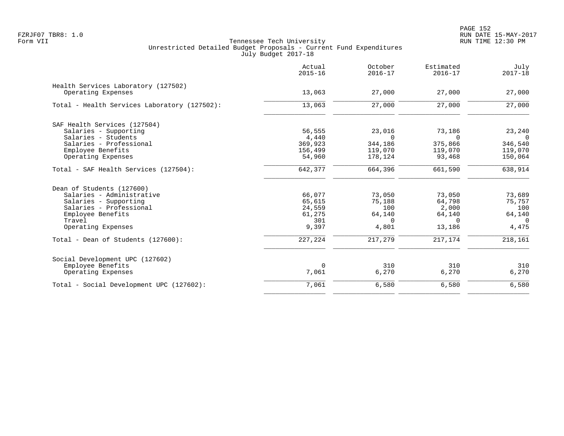|                                                           | Actual<br>$2015 - 16$ | October<br>$2016 - 17$ | Estimated<br>$2016 - 17$ | July<br>$2017 - 18$ |
|-----------------------------------------------------------|-----------------------|------------------------|--------------------------|---------------------|
| Health Services Laboratory (127502)<br>Operating Expenses | 13,063                | 27,000                 | 27,000                   | 27,000              |
| Total - Health Services Laboratory (127502):              | 13,063                | 27,000                 | 27,000                   | 27,000              |
| SAF Health Services (127504)                              |                       |                        |                          |                     |
| Salaries - Supporting                                     | 56,555                | 23,016                 | 73,186                   | 23,240              |
| Salaries - Students                                       | 4,440                 | $\Omega$               | $\Omega$                 | $\Omega$            |
| Salaries - Professional                                   | 369,923               | 344,186                | 375,866                  | 346,540             |
| Employee Benefits<br>Operating Expenses                   | 156,499<br>54,960     | 119,070<br>178,124     | 119,070<br>93,468        | 119,070<br>150,064  |
| Total - SAF Health Services (127504):                     | 642,377               | 664,396                | 661,590                  | 638,914             |
| Dean of Students (127600)                                 |                       |                        |                          |                     |
| Salaries - Administrative                                 | 66,077                | 73,050                 | 73,050                   | 73,689              |
| Salaries - Supporting                                     | 65,615                | 75,188                 | 64,798                   | 75,757              |
| Salaries - Professional                                   | 24,559                | 100                    | 2,000                    | 100                 |
| Employee Benefits                                         | 61,275                | 64,140                 | 64,140                   | 64,140              |
| Travel                                                    | 301                   | $\Omega$               | $\cap$                   | $\Omega$            |
| Operating Expenses                                        | 9,397                 | 4,801                  | 13,186                   | 4,475               |
| Total - Dean of Students (127600):                        | 227,224               | 217,279                | 217,174                  | 218,161             |
| Social Development UPC (127602)                           |                       |                        |                          |                     |
| Employee Benefits                                         | $\Omega$              | 310                    | 310                      | 310                 |
| Operating Expenses                                        | 7,061                 | 6,270                  | 6,270                    | 6,270               |
| Total - Social Development UPC (127602):                  | 7,061                 | 6,580                  | 6,580                    | 6,580               |
|                                                           |                       |                        |                          |                     |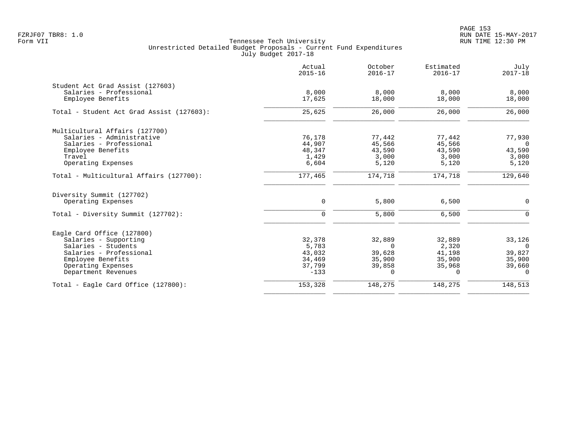PAGE 153 FZRJF07 TBR8: 1.0 RUN DATE 15-MAY-2017

|                                                             | Actual<br>$2015 - 16$ | October<br>$2016 - 17$ | Estimated<br>$2016 - 17$ | July<br>$2017 - 18$      |
|-------------------------------------------------------------|-----------------------|------------------------|--------------------------|--------------------------|
| Student Act Grad Assist (127603)<br>Salaries - Professional |                       |                        |                          |                          |
| Employee Benefits                                           | 8,000<br>17,625       | 8,000<br>18,000        | 8,000<br>18,000          | 8,000<br>18,000          |
| Total - Student Act Grad Assist (127603):                   | 25,625                | 26,000                 | 26,000                   | 26,000                   |
| Multicultural Affairs (127700)                              |                       |                        |                          |                          |
| Salaries - Administrative                                   | 76,178                | 77,442                 | 77,442                   | 77,930                   |
| Salaries - Professional<br>Employee Benefits                | 44,907<br>48,347      | 45,566<br>43,590       | 45,566<br>43,590         | $\overline{0}$<br>43,590 |
| Travel                                                      | 1,429                 | 3,000                  | 3,000                    | 3,000                    |
| Operating Expenses                                          | 6,604                 | 5,120                  | 5,120                    | 5,120                    |
| Total - Multicultural Affairs (127700):                     | 177,465               | 174,718                | 174,718                  | 129,640                  |
| Diversity Summit (127702)                                   |                       |                        |                          |                          |
| Operating Expenses                                          | $\mathbf 0$           | 5,800                  | 6,500                    | $\mathbf 0$              |
| Total - Diversity Summit (127702):                          | $\mathbf 0$           | 5,800                  | 6,500                    | $\Omega$                 |
| Eagle Card Office (127800)                                  |                       |                        |                          |                          |
| Salaries - Supporting                                       | 32,378                | 32,889                 | 32,889                   | 33,126                   |
| Salaries - Students                                         | 5,783                 | $\Omega$               | 2,320                    | $\Omega$                 |
| Salaries - Professional                                     | 43,032                | 39,628                 | 41,198                   | 39,827                   |
| Employee Benefits                                           | 34,469                | 35,900                 | 35,900                   | 35,900                   |
| Operating Expenses<br>Department Revenues                   | 37,799<br>$-133$      | 39,858<br>$\Omega$     | 35,968<br>$\Omega$       | 39,660<br>$\Omega$       |
|                                                             |                       |                        |                          |                          |
| Total - Eagle Card Office (127800):                         | 153,328               | 148,275                | 148,275                  | 148,513                  |
|                                                             |                       |                        |                          |                          |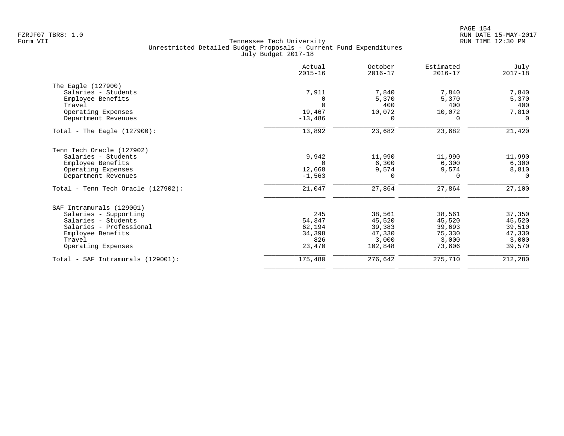|                                    | Actual<br>$2015 - 16$ | October<br>$2016 - 17$ | Estimated<br>$2016 - 17$ | July<br>$2017 - 18$ |
|------------------------------------|-----------------------|------------------------|--------------------------|---------------------|
| The Eagle (127900)                 |                       |                        |                          |                     |
| Salaries - Students                | 7,911                 | 7,840                  | 7,840                    | 7,840               |
| Employee Benefits                  |                       | 5,370                  | 5,370                    | 5,370               |
| Travel                             | $\Omega$              | 400                    | 400                      | 400                 |
| Operating Expenses                 | 19,467                | 10,072                 | 10,072                   | 7,810               |
| Department Revenues                | $-13,486$             | $\Omega$               | $\Omega$                 | $\Omega$            |
| Total - The Eagle $(127900)$ :     | 13,892                | 23,682                 | 23,682                   | 21,420              |
| Tenn Tech Oracle (127902)          |                       |                        |                          |                     |
| Salaries - Students                | 9,942                 | 11,990                 | 11,990                   | 11,990              |
| Employee Benefits                  | $\Omega$              | 6,300                  | 6,300                    | 6,300               |
| Operating Expenses                 | 12,668                | 9,574                  | 9,574                    | 8,810               |
| Department Revenues                | $-1,563$              | $\Omega$               | $\Omega$                 | $\Omega$            |
| Total - Tenn Tech Oracle (127902): | 21,047                | 27,864                 | 27,864                   | 27,100              |
| SAF Intramurals (129001)           |                       |                        |                          |                     |
| Salaries - Supporting              | 245                   | 38,561                 | 38,561                   | 37,350              |
| Salaries - Students                | 54,347                | 45,520                 | 45,520                   | 45,520              |
| Salaries - Professional            | 62,194                | 39,383                 | 39,693                   | 39,510              |
| Employee Benefits                  | 34,398                | 47,330                 | 75,330                   | 47,330              |
| Travel                             | 826                   | 3,000                  | 3,000                    | 3,000               |
| Operating Expenses                 | 23,470                | 102,848                | 73,606                   | 39,570              |
| Total - SAF Intramurals (129001):  | 175,480               | 276,642                | 275,710                  | 212,280             |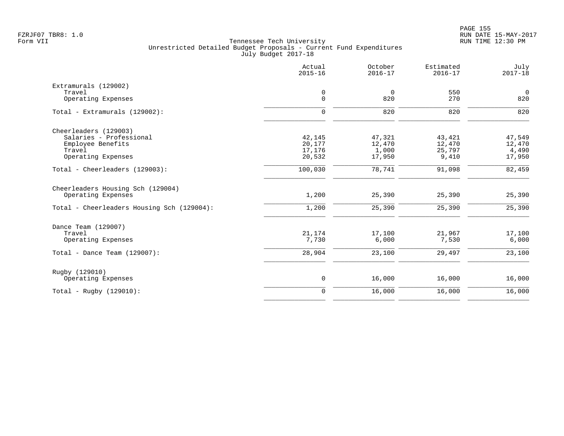|                                                         | Actual<br>$2015 - 16$ | October<br>$2016 - 17$ | Estimated<br>$2016 - 17$ | July<br>$2017 - 18$ |
|---------------------------------------------------------|-----------------------|------------------------|--------------------------|---------------------|
| Extramurals (129002)                                    |                       |                        |                          |                     |
| Travel                                                  | 0                     | $\overline{0}$         | 550                      | $\overline{0}$      |
| Operating Expenses                                      | $\mathbf 0$           | 820                    | 270                      | 820                 |
| Total - Extramurals (129002):                           | $\mathbf 0$           | 820                    | 820                      | 820                 |
| Cheerleaders (129003)                                   |                       |                        |                          |                     |
| Salaries - Professional                                 | 42,145                | 47,321                 | 43,421                   | 47,549              |
| Employee Benefits                                       | 20,177                | 12,470                 | 12,470                   | 12,470              |
| Travel                                                  | 17,176                | 1,000                  | 25,797                   | 4,490               |
| Operating Expenses                                      | 20,532                | 17,950                 | 9,410                    | 17,950              |
| Total - Cheerleaders (129003):                          | 100,030               | 78,741                 | 91,098                   | 82,459              |
| Cheerleaders Housing Sch (129004)<br>Operating Expenses | 1,200                 | 25,390                 | 25,390                   | 25,390              |
| Total - Cheerleaders Housing Sch (129004):              | 1,200                 | 25,390                 | 25,390                   | 25,390              |
| Dance Team (129007)                                     |                       |                        |                          |                     |
| Travel                                                  | 21,174                | 17,100                 | 21,967                   | 17,100              |
| Operating Expenses                                      | 7,730                 | 6,000                  | 7,530                    | 6,000               |
| Total - Dance Team $(129007)$ :                         | 28,904                | 23,100                 | 29,497                   | 23,100              |
| Rugby (129010)                                          |                       |                        |                          |                     |
| Operating Expenses                                      | $\mathsf 0$           | 16,000                 | 16,000                   | 16,000              |
| Total - Rugby $(129010)$ :                              | $\mathbf 0$           | 16,000                 | 16,000                   | 16,000              |
|                                                         |                       |                        |                          |                     |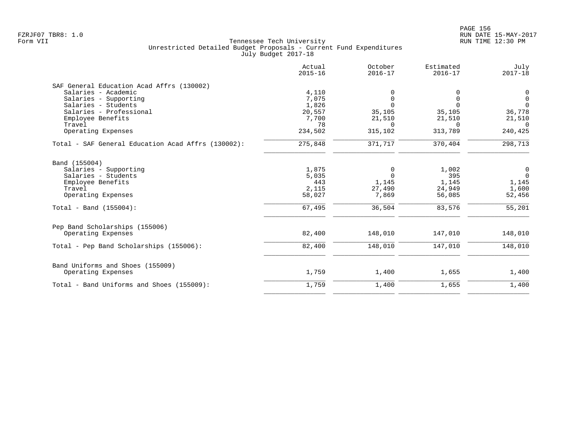|                                                    | Actual<br>$2015 - 16$ | October<br>$2016 - 17$ | Estimated<br>$2016 - 17$ | July<br>$2017 - 18$ |
|----------------------------------------------------|-----------------------|------------------------|--------------------------|---------------------|
| SAF General Education Acad Affrs (130002)          |                       |                        |                          |                     |
| Salaries - Academic                                | 4,110                 |                        | 0                        | 0                   |
| Salaries - Supporting                              | 7,075                 | 0                      | $\mathbf 0$              | $\mathsf{O}$        |
| Salaries - Students                                | 1,826                 | $\Omega$               | $\Omega$                 | $\Omega$            |
| Salaries - Professional                            | 20,557                | 35,105                 | 35,105                   | 36,778              |
| Employee Benefits                                  | 7,700                 | 21,510                 | 21,510                   | 21,510              |
| Travel                                             | 78                    | $\Omega$               | $\Omega$                 | $\Omega$            |
| Operating Expenses                                 | 234,502               | 315,102                | 313,789                  | 240,425             |
| Total - SAF General Education Acad Affrs (130002): | 275,848               | 371,717                | 370,404                  | 298,713             |
| Band (155004)                                      |                       |                        |                          |                     |
| Salaries - Supporting                              | 1,875                 | 0                      | 1,002                    | 0                   |
| Salaries - Students                                | 5,035                 | $\Omega$               | 395                      | $\overline{0}$      |
| Employee Benefits                                  | 443                   | 1,145                  | 1,145                    | 1,145               |
| Travel                                             | 2,115                 | 27,490                 | 24,949                   | 1,600               |
| Operating Expenses                                 | 58,027                | 7,869                  | 56,085                   | 52,456              |
| Total - Band $(155004)$ :                          | 67,495                | 36,504                 | 83,576                   | 55,201              |
| Pep Band Scholarships (155006)                     |                       |                        |                          |                     |
| Operating Expenses                                 | 82,400                | 148,010                | 147,010                  | 148,010             |
| Total - Pep Band Scholarships (155006):            | 82,400                | 148,010                | 147,010                  | 148,010             |
| Band Uniforms and Shoes (155009)                   |                       |                        |                          |                     |
| Operating Expenses                                 | 1,759                 | 1,400                  | 1,655                    | 1,400               |
| Total - Band Uniforms and Shoes (155009):          | 1,759                 | 1,400                  | 1,655                    | 1,400               |
|                                                    |                       |                        |                          |                     |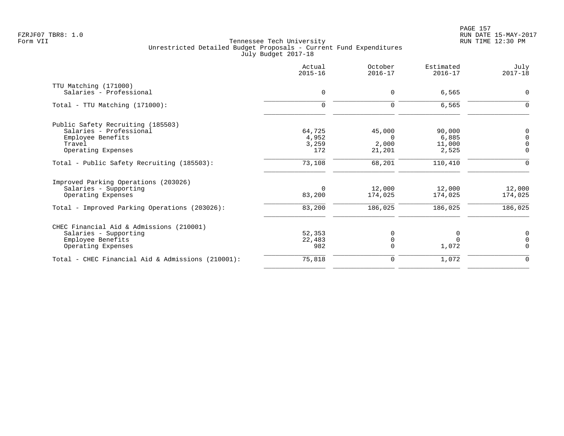|                                                   | Actual<br>$2015 - 16$ | October<br>$2016 - 17$ | Estimated<br>$2016 - 17$ | July<br>$2017 - 18$ |
|---------------------------------------------------|-----------------------|------------------------|--------------------------|---------------------|
| TTU Matching (171000)                             |                       |                        |                          |                     |
| Salaries - Professional                           | $\mathbf 0$           | 0                      | 6,565                    | $\mathbf 0$         |
| Total - TTU Matching (171000):                    | $\mathbf 0$           | 0                      | 6,565                    | $\mathbf 0$         |
| Public Safety Recruiting (185503)                 |                       |                        |                          |                     |
| Salaries - Professional                           | 64,725                | 45,000                 | 90,000                   | 0                   |
| Employee Benefits                                 | 4,952                 | $\Omega$               | 6,885                    | $\overline{0}$      |
| Travel                                            | 3,259                 | 2,000                  | 11,000                   | $\overline{0}$      |
| Operating Expenses                                | 172                   | 21,201                 | 2,525                    | $\overline{0}$      |
| Total - Public Safety Recruiting (185503):        | 73,108                | 68,201                 | 110,410                  | $\Omega$            |
| Improved Parking Operations (203026)              |                       |                        |                          |                     |
| Salaries - Supporting                             | $\Omega$              | 12,000                 | 12,000                   | 12,000              |
| Operating Expenses                                | 83,200                | 174,025                | 174,025                  | 174,025             |
| Total - Improved Parking Operations (203026):     | 83,200                | 186,025                | 186,025                  | 186,025             |
| CHEC Financial Aid & Admissions (210001)          |                       |                        |                          |                     |
| Salaries - Supporting                             | 52,353                | 0                      | 0                        | 0                   |
| Employee Benefits                                 | 22,483                |                        | $\Omega$                 | $\Omega$            |
| Operating Expenses                                | 982                   | $\Omega$               | 1,072                    | $\Omega$            |
| Total - CHEC Financial Aid & Admissions (210001): | 75,818                | 0                      | 1,072                    | $\Omega$            |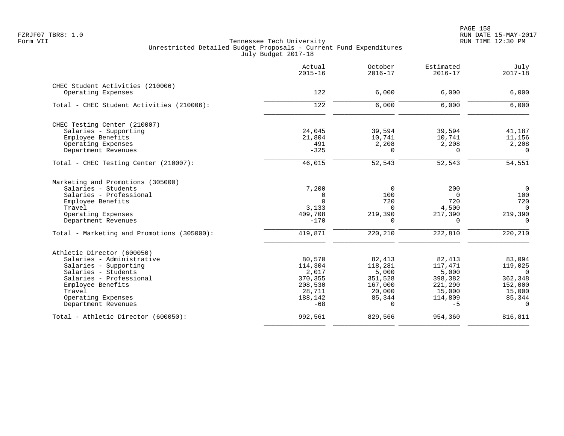|                                            | Actual<br>$2015 - 16$ | October<br>$2016 - 17$ | Estimated<br>$2016 - 17$ | July<br>$2017 - 18$ |
|--------------------------------------------|-----------------------|------------------------|--------------------------|---------------------|
| CHEC Student Activities (210006)           |                       |                        |                          |                     |
| Operating Expenses                         | 122                   | 6,000                  | 6,000                    | 6,000               |
| Total - CHEC Student Activities (210006):  | 122                   | 6,000                  | 6,000                    | 6,000               |
| CHEC Testing Center (210007)               |                       |                        |                          |                     |
| Salaries - Supporting                      | 24,045                | 39,594                 | 39,594                   | 41,187              |
| Employee Benefits                          | 21,804                | 10,741                 | 10,741                   | 11,156              |
| Operating Expenses                         | 491                   | 2,208                  | 2,208                    | 2,208               |
| Department Revenues                        | $-325$                | $\Omega$               | $\Omega$                 | $\Omega$            |
| Total - CHEC Testing Center (210007):      | 46,015                | 52,543                 | 52,543                   | 54,551              |
| Marketing and Promotions (305000)          |                       |                        |                          |                     |
| Salaries - Students                        | 7,200                 | $\Omega$               | 200                      | $\overline{0}$      |
| Salaries - Professional                    | 0                     | 100                    | $\Omega$                 | 100                 |
| Employee Benefits                          | $\Omega$              | 720                    | 720                      | 720                 |
| Travel                                     | 3,133                 | $\Omega$               | 4,500                    | $\Omega$            |
| Operating Expenses                         | 409,708               | 219,390                | 217,390                  | 219,390             |
| Department Revenues                        | $-170$                | $\Omega$               | $\Omega$                 | $\Omega$            |
| Total - Marketing and Promotions (305000): | 419,871               | 220,210                | 222,810                  | 220,210             |
| Athletic Director (600050)                 |                       |                        |                          |                     |
| Salaries - Administrative                  | 80,570                | 82,413                 | 82,413                   | 83,094              |
| Salaries - Supporting                      | 114,304               | 118,281                | 117,471                  | 119,025             |
| Salaries - Students                        | 2,017                 | 5,000                  | 5,000                    | $\Omega$            |
| Salaries - Professional                    | 370,355               | 351,528                | 398,382                  | 362,348             |
| Employee Benefits                          | 208,530               | 167,000                | 221,290                  | 152,000             |
| Travel                                     | 28,711                | 20,000                 | 15,000                   | 15,000              |
| Operating Expenses                         | 188,142               | 85,344                 | 114,809                  | 85,344              |
| Department Revenues                        | $-68$                 | $\Omega$               | $-5$                     | $\Omega$            |
| Total - Athletic Director (600050):        | 992,561               | 829,566                | 954,360                  | 816,811             |
|                                            |                       |                        |                          |                     |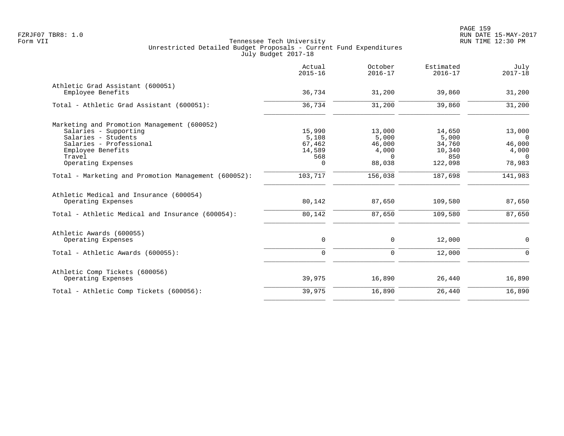|                                                      | Actual<br>$2015 - 16$ | October<br>$2016 - 17$ | Estimated<br>$2016 - 17$ | July<br>$2017 - 18$ |
|------------------------------------------------------|-----------------------|------------------------|--------------------------|---------------------|
| Athletic Grad Assistant (600051)                     |                       |                        |                          |                     |
| Employee Benefits                                    | 36,734                | 31,200                 | 39,860                   | 31,200              |
| Total - Athletic Grad Assistant (600051):            | 36,734                | 31,200                 | 39,860                   | 31,200              |
| Marketing and Promotion Management (600052)          |                       |                        |                          |                     |
| Salaries - Supporting                                | 15,990                | 13,000                 | 14,650                   | 13,000              |
| Salaries - Students                                  | 5,108                 | 5,000                  | 5,000                    | $\overline{0}$      |
| Salaries - Professional                              | 67,462                | 46,000                 | 34,760                   | 46,000              |
| Employee Benefits                                    | 14,589                | 4,000                  | 10,340                   | 4,000               |
| Travel                                               | 568                   | $\Omega$               | 850                      | $\Omega$            |
| Operating Expenses                                   | 0                     | 88,038                 | 122,098                  | 78,983              |
| Total - Marketing and Promotion Management (600052): | 103,717               | 156,038                | 187,698                  | 141,983             |
| Athletic Medical and Insurance (600054)              |                       |                        |                          |                     |
| Operating Expenses                                   | 80,142                | 87,650                 | 109,580                  | 87,650              |
| Total - Athletic Medical and Insurance (600054):     | 80,142                | 87,650                 | 109,580                  | 87,650              |
| Athletic Awards (600055)                             |                       |                        |                          |                     |
| Operating Expenses                                   | $\mathbf 0$           | 0                      | 12,000                   | 0                   |
| Total - Athletic Awards (600055):                    | $\mathbf 0$           | $\mathbf 0$            | 12,000                   | $\mathbf 0$         |
|                                                      |                       |                        |                          |                     |
| Athletic Comp Tickets (600056)<br>Operating Expenses | 39,975                | 16,890                 | 26,440                   | 16,890              |
| Total - Athletic Comp Tickets (600056):              | 39,975                | 16,890                 | 26,440                   | 16,890              |
|                                                      |                       |                        |                          |                     |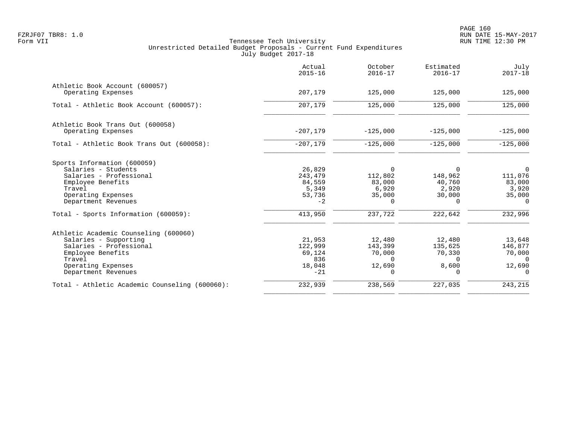|                                                                                                                                                                       | Actual<br>$2015 - 16$                                  | October<br>$2016 - 17$                                       | Estimated<br>$2016 - 17$                                     | July<br>$2017 - 18$                                                |
|-----------------------------------------------------------------------------------------------------------------------------------------------------------------------|--------------------------------------------------------|--------------------------------------------------------------|--------------------------------------------------------------|--------------------------------------------------------------------|
| Athletic Book Account (600057)<br>Operating Expenses                                                                                                                  | 207,179                                                | 125,000                                                      | 125,000                                                      | 125,000                                                            |
| Total - Athletic Book Account (600057):                                                                                                                               | 207,179                                                | 125,000                                                      | 125,000                                                      | 125,000                                                            |
| Athletic Book Trans Out (600058)<br>Operating Expenses                                                                                                                | $-207,179$                                             | $-125,000$                                                   | $-125,000$                                                   | $-125,000$                                                         |
| Total - Athletic Book Trans Out (600058):                                                                                                                             | $-207,179$                                             | $-125,000$                                                   | $-125,000$                                                   | $-125,000$                                                         |
| Sports Information (600059)<br>Salaries - Students<br>Salaries - Professional<br>Employee Benefits<br>Travel<br>Operating Expenses<br>Department Revenues             | 26,829<br>243,479<br>84,559<br>5,349<br>53,736<br>$-2$ | $\Omega$<br>112,802<br>83,000<br>6,920<br>35,000<br>$\Omega$ | $\Omega$<br>148,962<br>40,760<br>2,920<br>30,000<br>$\Omega$ | $\overline{0}$<br>111,076<br>83,000<br>3,920<br>35,000<br>$\Omega$ |
| Total - Sports Information (600059):                                                                                                                                  | 413,950                                                | 237,722                                                      | 222,642                                                      | 232,996                                                            |
| Athletic Academic Counseling (600060)<br>Salaries - Supporting<br>Salaries - Professional<br>Employee Benefits<br>Travel<br>Operating Expenses<br>Department Revenues | 21,953<br>122,999<br>69,124<br>836<br>18,048<br>$-21$  | 12,480<br>143,399<br>70,000<br>$\Omega$<br>12,690<br>0       | 12,480<br>135,625<br>70,330<br>$\Omega$<br>8,600<br>$\Omega$ | 13,648<br>146,877<br>70,000<br>$\Omega$<br>12,690<br>$\Omega$      |
| Total - Athletic Academic Counseling (600060):                                                                                                                        | 232,939                                                | 238,569                                                      | 227,035                                                      | 243,215                                                            |
|                                                                                                                                                                       |                                                        |                                                              |                                                              |                                                                    |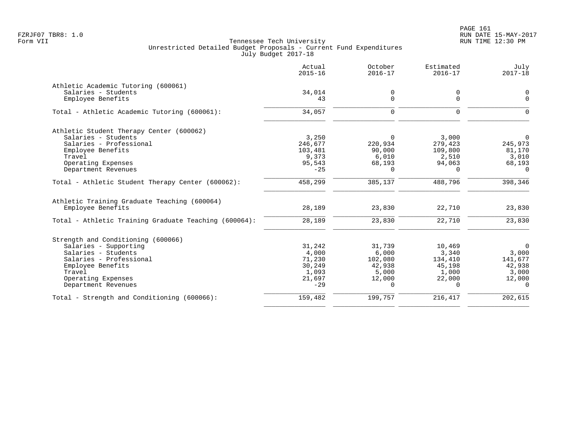|                                                       | Actual<br>$2015 - 16$ | October<br>$2016 - 17$ | Estimated<br>$2016 - 17$ | July<br>$2017 - 18$ |
|-------------------------------------------------------|-----------------------|------------------------|--------------------------|---------------------|
| Athletic Academic Tutoring (600061)                   |                       |                        |                          |                     |
| Salaries - Students                                   | 34,014                | 0                      | 0                        | 0                   |
| Employee Benefits                                     | 43                    | $\Omega$               | $\Omega$                 | $\mathbf{0}$        |
| Total - Athletic Academic Tutoring (600061):          | 34,057                | $\Omega$               | $\Omega$                 | $\Omega$            |
| Athletic Student Therapy Center (600062)              |                       |                        |                          |                     |
| Salaries - Students                                   | 3,250                 | $\Omega$               | 3,000                    | 0                   |
| Salaries - Professional                               | 246,677               | 220,934                | 279,423                  | 245,973             |
| Employee Benefits                                     | 103,481               | 90,000                 | 109,800                  | 81,170              |
| Travel                                                | 9,373                 | 6,010                  | 2,510                    | 3,010               |
| Operating Expenses                                    | 95,543                | 68,193                 | 94,063                   | 68,193              |
| Department Revenues                                   | $-25$                 | $\Omega$               | $\Omega$                 | $\Omega$            |
| Total - Athletic Student Therapy Center (600062):     | 458,299               | 385,137                | 488,796                  | 398,346             |
| Athletic Training Graduate Teaching (600064)          |                       |                        |                          |                     |
| Employee Benefits                                     | 28,189                | 23,830                 | 22,710                   | 23,830              |
| Total - Athletic Training Graduate Teaching (600064): | 28,189                | 23,830                 | 22,710                   | 23,830              |
| Strength and Conditioning (600066)                    |                       |                        |                          |                     |
| Salaries - Supporting                                 | 31,242                | 31,739                 | 10,469                   | $\overline{0}$      |
| Salaries - Students                                   | 4,000                 | 6,000                  | 3,340                    | 3,000               |
| Salaries - Professional                               | 71,230                | 102,080                | 134,410                  | 141,677             |
| Employee Benefits                                     | 30,249                | 42,938                 | 45,198                   | 42,938              |
| Travel                                                | 1,093                 | 5,000                  | 1,000                    | 3,000               |
| Operating Expenses                                    | 21,697                | 12,000                 | 22,000                   | 12,000              |
| Department Revenues                                   | $-29$                 | $\Omega$               | $\Omega$                 | $\Omega$            |
| Total - Strength and Conditioning (600066):           | 159,482               | 199,757                | 216,417                  | 202,615             |
|                                                       |                       |                        |                          |                     |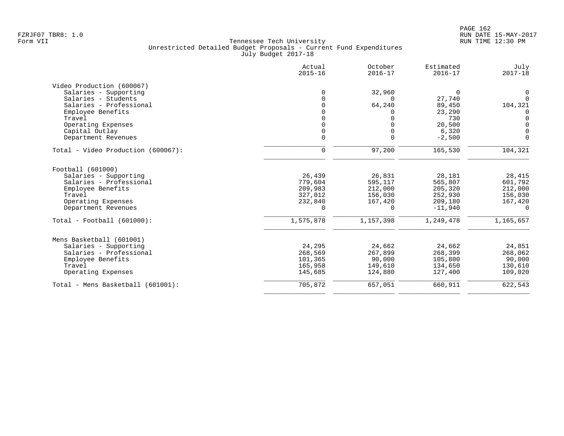|                                    | Actual<br>$2015 - 16$ | October<br>$2016 - 17$ | Estimated<br>$2016 - 17$ | July<br>$2017 - 18$ |
|------------------------------------|-----------------------|------------------------|--------------------------|---------------------|
| Video Production (600067)          |                       |                        |                          |                     |
| Salaries - Supporting              | $\Omega$              | 32,960                 | $\Omega$                 | $\mathbf 0$         |
| Salaries - Students                | $\Omega$              | $\Omega$               | 27,740                   | $\Omega$            |
| Salaries - Professional            |                       | 64,240                 | 89,450                   | 104,321             |
| Employee Benefits                  |                       | 0                      | 23,290                   | 0                   |
| Travel                             |                       |                        | 730                      | $\Omega$            |
| Operating Expenses                 |                       |                        | 20,500                   | $\Omega$            |
| Capital Outlay                     |                       | $\Omega$               | 6,320                    | $\Omega$            |
| Department Revenues                | $\Omega$              | $\Omega$               | $-2,500$                 | $\Omega$            |
|                                    |                       |                        |                          |                     |
| Total - Video Production (600067): | $\mathbf 0$           | 97,200                 | 165,530                  | 104,321             |
| Football (601000)                  |                       |                        |                          |                     |
| Salaries - Supporting              | 26,439                | 26,831                 | 28,181                   | 28,415              |
| Salaries - Professional            | 779,604               | 595,117                | 565,807                  | 601,792             |
| Employee Benefits                  | 209,983               | 212,000                | 205,320                  | 212,000             |
| Travel                             | 327,012               | 156,030                | 252,930                  | 156,030             |
| Operating Expenses                 | 232,840               | 167,420                | 209,180                  | 167,420             |
| Department Revenues                | $\Omega$              | $\Omega$               | $-11,940$                | $\Omega$            |
| $Total - Football (601000):$       | 1,575,878             | 1,157,398              | 1,249,478                | 1,165,657           |
| Mens Basketball (601001)           |                       |                        |                          |                     |
| Salaries - Supporting              | 24,295                | 24,662                 | 24,662                   | 24,851              |
| Salaries - Professional            | 268,569               | 267,899                | 268,399                  | 268,062             |
| Employee Benefits                  | 101,365               | 90,000                 | 105,800                  | 90,000              |
| Travel                             | 165,958               | 149,610                | 134,650                  | 130,610             |
| Operating Expenses                 | 145,685               | 124,880                | 127,400                  | 109,020             |
| Total - Mens Basketball (601001):  | 705,872               | 657,051                | 660,911                  | 622,543             |
|                                    |                       |                        |                          |                     |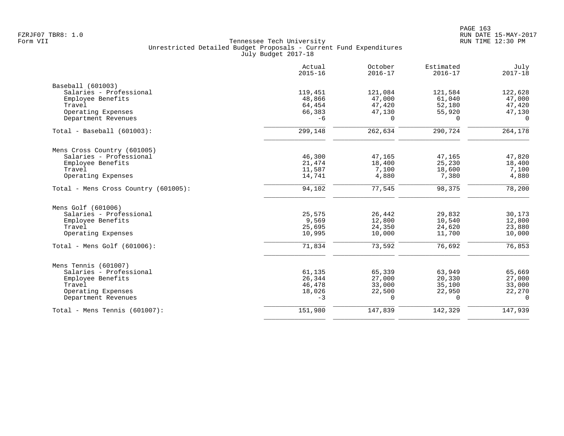|                                      | Actual<br>$2015 - 16$ | October<br>$2016 - 17$ | Estimated<br>$2016 - 17$ | July<br>$2017 - 18$ |
|--------------------------------------|-----------------------|------------------------|--------------------------|---------------------|
| Baseball (601003)                    |                       |                        |                          |                     |
| Salaries - Professional              | 119,451               | 121,084                | 121,584                  | 122,628             |
| Employee Benefits                    | 48,866                | 47,000                 | 61,040                   | 47,000              |
| Travel                               | 64,454                | 47,420                 | 52,180                   | 47,420              |
| Operating Expenses                   | 66,383                | 47,130                 | 55,920                   | 47,130              |
| Department Revenues                  | $-6$                  | $\Omega$               | $\Omega$                 | $\Omega$            |
| $Total - Baseball (601003):$         | 299,148               | 262,634                | 290,724                  | 264,178             |
| Mens Cross Country (601005)          |                       |                        |                          |                     |
| Salaries - Professional              | 46,300                | 47,165                 | 47,165                   | 47,820              |
| Employee Benefits                    | 21,474                | 18,400                 | 25,230                   | 18,400              |
| Travel                               | 11,587                | 7,100                  | 18,600                   | 7,100               |
| Operating Expenses                   | 14,741                | 4,880                  | 7,380                    | 4,880               |
| Total - Mens Cross Country (601005): | 94,102                | 77,545                 | 98,375                   | 78,200              |
| Mens Golf (601006)                   |                       |                        |                          |                     |
| Salaries - Professional              | 25,575                | 26,442                 | 29,832                   | 30,173              |
| Employee Benefits                    | 9,569                 | 12,800                 | 10,540                   | 12,800              |
| Travel                               | 25,695                | 24,350                 | 24,620                   | 23,880              |
| Operating Expenses                   | 10,995                | 10,000                 | 11,700                   | 10,000              |
| Total - Mens Golf $(601006)$ :       | 71,834                | 73,592                 | 76,692                   | 76,853              |
| Mens Tennis (601007)                 |                       |                        |                          |                     |
| Salaries - Professional              | 61,135                | 65,339                 | 63,949                   | 65,669              |
| Employee Benefits                    | 26,344                | 27,000                 | 20,330                   | 27,000              |
| Travel                               | 46,478                | 33,000                 | 35,100                   | 33,000              |
| Operating Expenses                   | 18,026                | 22,500                 | 22,950                   | 22,270              |
| Department Revenues                  | $-3$                  | $\Omega$               | $\cap$                   | $\Omega$            |
| Total - Mens Tennis $(601007)$ :     | 151,980               | 147,839                | 142,329                  | 147,939             |
|                                      |                       |                        |                          |                     |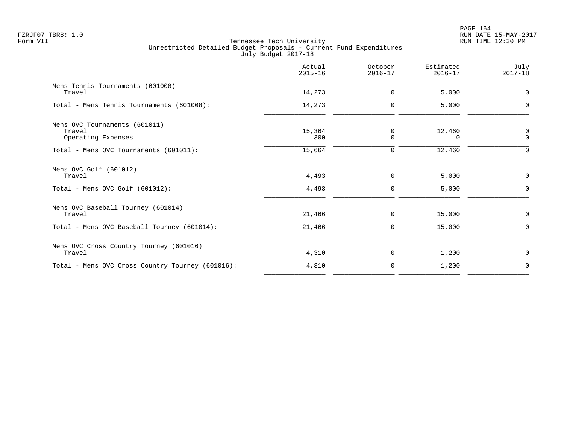|                                                  | Actual<br>$2015 - 16$ | October<br>$2016 - 17$ | Estimated<br>$2016 - 17$ | July<br>$2017 - 18$ |
|--------------------------------------------------|-----------------------|------------------------|--------------------------|---------------------|
| Mens Tennis Tournaments (601008)<br>Travel       | 14,273                | $\mathbf 0$            | 5,000                    | $\mathbf 0$         |
| Total - Mens Tennis Tournaments (601008):        | 14,273                | 0                      | 5,000                    | ∩                   |
| Mens OVC Tournaments (601011)                    |                       |                        |                          |                     |
| Travel<br>Operating Expenses                     | 15,364<br>300         | 0<br>$\Omega$          | 12,460<br>$\Omega$       | 0<br>$\mathbf 0$    |
| Total - Mens OVC Tournaments (601011):           | 15,664                | 0                      | 12,460                   | $\Omega$            |
| Mens OVC Golf (601012)                           |                       |                        |                          |                     |
| Travel                                           | 4,493                 | 0                      | 5,000                    | 0                   |
| Total - Mens OVC Golf $(601012)$ :               | 4,493                 | $\mathbf 0$            | 5,000                    | $\Omega$            |
| Mens OVC Baseball Tourney (601014)               |                       |                        |                          |                     |
| Travel                                           | 21,466                | 0                      | 15,000                   | 0                   |
| Total - Mens OVC Baseball Tourney (601014):      | 21,466                | 0                      | 15,000                   | $\Omega$            |
| Mens OVC Cross Country Tourney (601016)          |                       |                        |                          |                     |
| Travel                                           | 4,310                 | 0                      | 1,200                    | $\mathbf 0$         |
| Total - Mens OVC Cross Country Tourney (601016): | 4,310                 | 0                      | 1,200                    | 0                   |
|                                                  |                       |                        |                          |                     |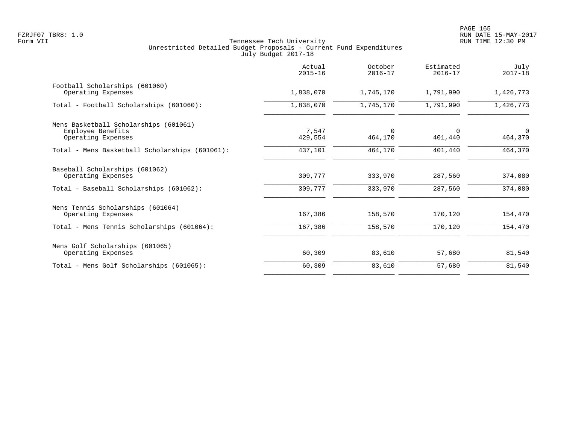|                                                | Actual<br>$2015 - 16$ | October<br>$2016 - 17$ | Estimated<br>$2016 - 17$ | July<br>$2017 - 18$ |
|------------------------------------------------|-----------------------|------------------------|--------------------------|---------------------|
| Football Scholarships (601060)                 |                       |                        |                          |                     |
| Operating Expenses                             | 1,838,070             | 1,745,170              | 1,791,990                | 1,426,773           |
| Total - Football Scholarships (601060):        | 1,838,070             | 1,745,170              | 1,791,990                | 1,426,773           |
| Mens Basketball Scholarships (601061)          |                       |                        |                          |                     |
| Employee Benefits                              | 7,547                 | $\Omega$               | $\Omega$                 | $\Omega$            |
| Operating Expenses                             | 429,554               | 464,170                | 401,440                  | 464,370             |
| Total - Mens Basketball Scholarships (601061): | 437,101               | 464,170                | 401,440                  | 464,370             |
| Baseball Scholarships (601062)                 |                       |                        |                          |                     |
| Operating Expenses                             | 309,777               | 333,970                | 287,560                  | 374,080             |
| Total - Baseball Scholarships (601062):        | 309,777               | 333,970                | 287,560                  | 374,080             |
| Mens Tennis Scholarships (601064)              |                       |                        |                          |                     |
| Operating Expenses                             | 167,386               | 158,570                | 170,120                  | 154,470             |
| Total - Mens Tennis Scholarships (601064):     | 167,386               | 158,570                | 170,120                  | 154,470             |
| Mens Golf Scholarships (601065)                |                       |                        |                          |                     |
| Operating Expenses                             | 60,309                | 83,610                 | 57,680                   | 81,540              |
| Total - Mens Golf Scholarships (601065):       | 60,309                | 83,610                 | 57,680                   | 81,540              |
|                                                |                       |                        |                          |                     |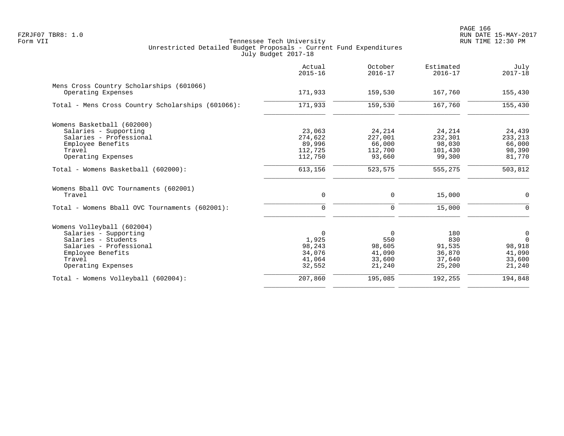|                                                                | Actual<br>$2015 - 16$ | October<br>$2016 - 17$ | Estimated<br>$2016 - 17$ | July<br>$2017 - 18$ |
|----------------------------------------------------------------|-----------------------|------------------------|--------------------------|---------------------|
| Mens Cross Country Scholarships (601066)<br>Operating Expenses | 171,933               | 159,530                | 167,760                  | 155,430             |
| Total - Mens Cross Country Scholarships (601066):              | 171,933               | 159,530                | 167,760                  | 155,430             |
|                                                                |                       |                        |                          |                     |
| Womens Basketball (602000)<br>Salaries - Supporting            | 23,063                | 24,214                 | 24,214                   | 24,439              |
| Salaries - Professional                                        | 274,622               | 227,001                | 232,301                  | 233, 213            |
| Employee Benefits                                              | 89,996                | 66,000                 | 98,030                   | 66,000              |
| Travel                                                         | 112,725               | 112,700                | 101,430                  | 98,390              |
| Operating Expenses                                             | 112,750               | 93,660                 | 99,300                   | 81,770              |
| Total - Womens Basketball (602000):                            | 613,156               | 523,575                | 555,275                  | 503,812             |
| Womens Bball OVC Tournaments (602001)                          |                       |                        |                          |                     |
| Travel                                                         | 0                     | 0                      | 15,000                   | 0                   |
| Total - Womens Bball OVC Tournaments (602001):                 | $\mathbf 0$           | 0                      | 15,000                   | $\Omega$            |
| Womens Volleyball (602004)                                     |                       |                        |                          |                     |
| Salaries - Supporting                                          | $\Omega$              | $\Omega$               | 180                      | $\mathbf 0$         |
| Salaries - Students                                            | 1,925                 | 550                    | 830                      | $\Omega$            |
| Salaries - Professional                                        | 98,243                | 98,605                 | 91,535                   | 98,918              |
| Employee Benefits                                              | 34,076                | 41,090                 | 36,870                   | 41,090              |
| Travel                                                         | 41,064                | 33,600                 | 37,640                   | 33,600              |
| Operating Expenses                                             | 32,552                | 21,240                 | 25,200                   | 21,240              |
| Total - Womens Volleyball (602004):                            | 207,860               | 195,085                | 192,255                  | 194,848             |
|                                                                |                       |                        |                          |                     |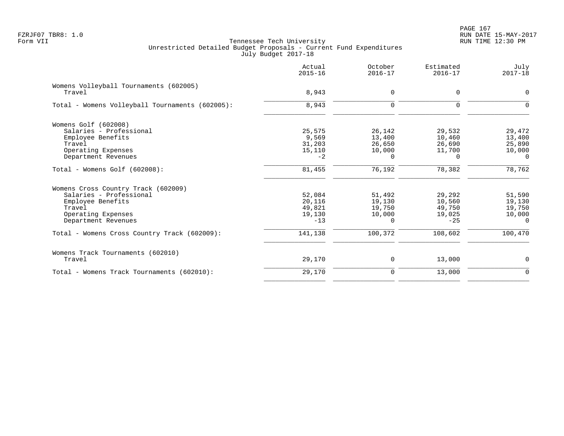PAGE 167 FZRJF07 TBR8: 1.0 RUN DATE 15-MAY-2017

|                                                  | Actual<br>$2015 - 16$ | October<br>$2016 - 17$ | Estimated<br>$2016 - 17$ | July<br>$2017 - 18$ |
|--------------------------------------------------|-----------------------|------------------------|--------------------------|---------------------|
| Womens Volleyball Tournaments (602005)<br>Travel | 8,943                 | 0                      | $\Omega$                 | 0                   |
| Total - Womens Volleyball Tournaments (602005):  | 8,943                 | $\mathbf 0$            | $\Omega$                 | $\Omega$            |
| Womens Golf (602008)                             |                       |                        |                          |                     |
| Salaries - Professional                          | 25,575                | 26,142                 | 29,532                   | 29,472              |
| Employee Benefits                                | 9,569                 | 13,400                 | 10,460                   | 13,400              |
| Travel                                           | 31,203                | 26,650                 | 26,690                   | 25,890              |
| Operating Expenses                               | 15,110                | 10,000                 | 11,700                   | 10,000              |
| Department Revenues                              | $-2$                  | $\Omega$               | $\Omega$                 | $\Omega$            |
| $Total - Womens Golf (602008):$                  | 81,455                | 76,192                 | 78,382                   | 78,762              |
| Womens Cross Country Track (602009)              |                       |                        |                          |                     |
| Salaries - Professional                          | 52,084                | 51,492                 | 29,292                   | 51,590              |
| Employee Benefits                                | 20,116                | 19,130                 | 10,560                   | 19,130              |
| Travel                                           | 49,821                | 19,750                 | 49,750                   | 19,750              |
| Operating Expenses                               | 19,130                | 10,000                 | 19,025                   | 10,000              |
| Department Revenues                              | $-13$                 | $\Omega$               | $-25$                    | $\Omega$            |
| Total - Womens Cross Country Track (602009):     | 141,138               | 100,372                | 108,602                  | 100,470             |
| Womens Track Tournaments (602010)                |                       |                        |                          |                     |
| Travel                                           | 29,170                | 0                      | 13,000                   | 0                   |
| Total - Womens Track Tournaments (602010):       | 29,170                | $\mathbf 0$            | 13,000                   | $\mathbf 0$         |
|                                                  |                       |                        |                          |                     |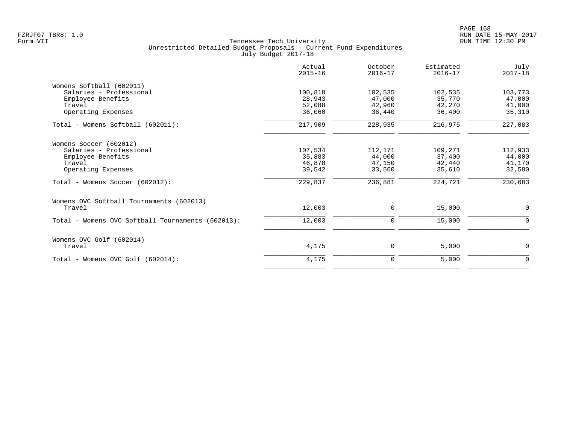PAGE 168 FZRJF07 TBR8: 1.0 RUN DATE 15-MAY-2017

|                                                   | Actual<br>$2015 - 16$ | October<br>$2016 - 17$ | Estimated<br>$2016 - 17$ | July<br>$2017 - 18$ |
|---------------------------------------------------|-----------------------|------------------------|--------------------------|---------------------|
| Womens Softball (602011)                          |                       |                        |                          |                     |
| Salaries - Professional                           | 100,818               | 102,535                | 102,535                  | 103,773             |
| Employee Benefits                                 | 28,943                | 47,000                 | 35,770                   | 47,000              |
| Travel                                            | 52,088                | 42,960                 | 42,270                   | 41,000              |
| Operating Expenses                                | 36,060                | 36,440                 | 36,400                   | 35,310              |
| Total - Womens Softball (602011):                 | 217,909               | 228,935                | 216,975                  | 227,083             |
| Womens Soccer (602012)                            |                       |                        |                          |                     |
| Salaries - Professional                           | 107,534               | 112,171                | 109,271                  | 112,933             |
| Employee Benefits                                 | 35,883                | 44,000                 | 37,400                   | 44,000              |
| Travel                                            | 46,878                | 47,150                 | 42,440                   | 41,170              |
| Operating Expenses                                | 39,542                | 33,560                 | 35,610                   | 32,580              |
| Total - Womens Soccer (602012):                   | 229,837               | 236,881                | 224,721                  | 230,683             |
| Womens OVC Softball Tournaments (602013)          |                       |                        |                          |                     |
| Travel                                            | 12,003                | 0                      | 15,000                   | $\mathbf 0$         |
| Total - Womens OVC Softball Tournaments (602013): | 12,003                | 0                      | 15,000                   | 0                   |
| Womens OVC Golf (602014)                          |                       |                        |                          |                     |
| Travel                                            | 4,175                 | 0                      | 5,000                    | 0                   |
| Total - Womens OVC Golf (602014):                 | 4,175                 | $\mathbf 0$            | 5,000                    | $\mathbf 0$         |
|                                                   |                       |                        |                          |                     |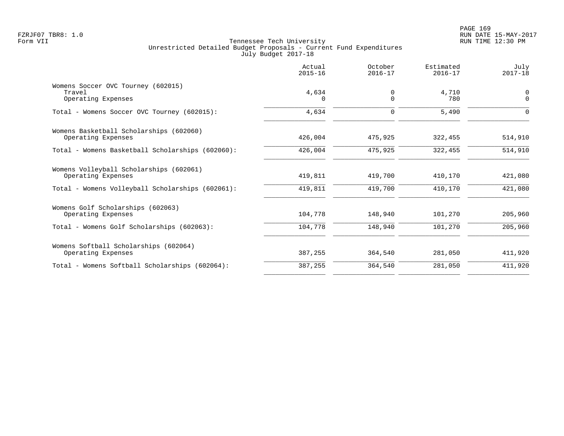|                                                                    | Actual<br>$2015 - 16$ | October<br>$2016 - 17$  | Estimated<br>$2016 - 17$ | July<br>$2017 - 18$        |
|--------------------------------------------------------------------|-----------------------|-------------------------|--------------------------|----------------------------|
| Womens Soccer OVC Tourney (602015)<br>Travel<br>Operating Expenses | 4,634<br>$\Omega$     | $\mathbf 0$<br>$\Omega$ | 4,710<br>780             | $\mathbf 0$<br>$\mathbf 0$ |
| Total - Womens Soccer OVC Tourney (602015):                        | 4,634                 | $\mathbf 0$             | 5,490                    | $\Omega$                   |
| Womens Basketball Scholarships (602060)<br>Operating Expenses      | 426,004               | 475,925                 | 322,455                  | 514,910                    |
| Total - Womens Basketball Scholarships (602060):                   | 426,004               | 475,925                 | 322,455                  | 514,910                    |
| Womens Volleyball Scholarships (602061)<br>Operating Expenses      | 419,811               | 419,700                 | 410,170                  | 421,080                    |
| Total - Womens Volleyball Scholarships (602061):                   | 419,811               | 419,700                 | 410,170                  | 421,080                    |
| Womens Golf Scholarships (602063)<br>Operating Expenses            | 104,778               | 148,940                 | 101,270                  | 205,960                    |
| Total - Womens Golf Scholarships (602063):                         | 104,778               | 148,940                 | 101,270                  | 205,960                    |
| Womens Softball Scholarships (602064)<br>Operating Expenses        | 387,255               | 364,540                 | 281,050                  | 411,920                    |
| Total - Womens Softball Scholarships (602064):                     | 387,255               | 364,540                 | 281,050                  | 411,920                    |
|                                                                    |                       |                         |                          |                            |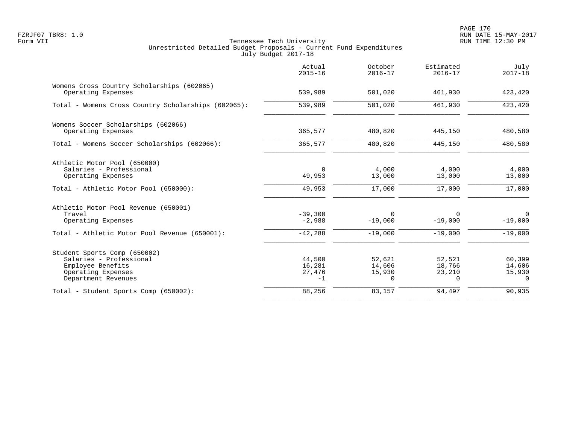|                                                                  | Actual<br>$2015 - 16$ | October<br>$2016 - 17$ | Estimated<br>$2016 - 17$ | July<br>$2017 - 18$   |
|------------------------------------------------------------------|-----------------------|------------------------|--------------------------|-----------------------|
| Womens Cross Country Scholarships (602065)<br>Operating Expenses | 539,989               | 501,020                | 461,930                  | 423,420               |
| Total - Womens Cross Country Scholarships (602065):              | 539,989               | 501,020                | 461,930                  | 423,420               |
| Womens Soccer Scholarships (602066)                              |                       |                        |                          |                       |
| Operating Expenses                                               | 365,577               | 480,820                | 445,150                  | 480,580               |
| Total - Womens Soccer Scholarships (602066):                     | 365,577               | 480,820                | 445,150                  | 480,580               |
| Athletic Motor Pool (650000)                                     |                       |                        |                          |                       |
| Salaries - Professional                                          | $\Omega$              | 4,000                  | 4,000                    | 4,000                 |
| Operating Expenses                                               | 49,953                | 13,000                 | 13,000                   | 13,000                |
| Total - Athletic Motor Pool (650000):                            | 49,953                | 17,000                 | 17,000                   | 17,000                |
| Athletic Motor Pool Revenue (650001)                             |                       |                        |                          |                       |
| Travel                                                           | $-39,300$<br>$-2,988$ | $\Omega$               | 0<br>$-19,000$           | $\Omega$<br>$-19,000$ |
| Operating Expenses                                               |                       | $-19,000$              |                          |                       |
| Total - Athletic Motor Pool Revenue (650001):                    | $-42,288$             | $-19,000$              | $-19,000$                | $-19,000$             |
| Student Sports Comp (650002)                                     |                       |                        |                          |                       |
| Salaries - Professional                                          | 44,500                | 52,621                 | 52,521                   | 60,399                |
| Employee Benefits<br>Operating Expenses                          | 16,281<br>27,476      | 14,606<br>15,930       | 18,766<br>23,210         | 14,606<br>15,930      |
| Department Revenues                                              | $-1$                  | $\Omega$               | 0                        | $\Omega$              |
| Total - Student Sports Comp (650002):                            | 88,256                | 83,157                 | 94,497                   | 90,935                |
|                                                                  |                       |                        |                          |                       |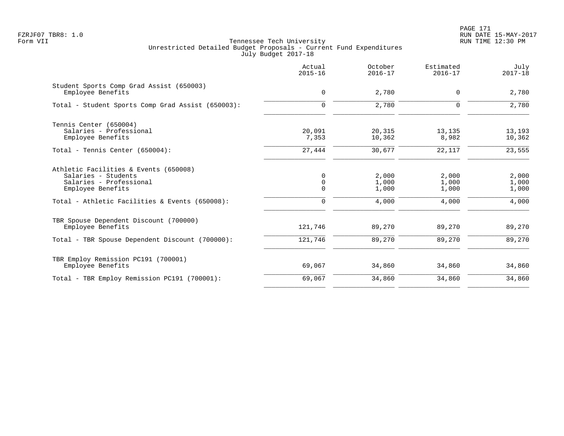PAGE 171 FZRJF07 TBR8: 1.0 RUN DATE 15-MAY-2017

|                                                                                                              | Actual<br>$2015 - 16$ | October<br>$2016 - 17$  | Estimated<br>$2016 - 17$ | July<br>$2017 - 18$     |
|--------------------------------------------------------------------------------------------------------------|-----------------------|-------------------------|--------------------------|-------------------------|
| Student Sports Comp Grad Assist (650003)<br>Employee Benefits                                                | $\mathbf 0$           | 2,780                   | $\Omega$                 | 2,780                   |
| Total - Student Sports Comp Grad Assist (650003):                                                            | $\mathbf 0$           | 2,780                   | $\mathbf 0$              | 2,780                   |
| Tennis Center (650004)<br>Salaries - Professional<br>Employee Benefits                                       | 20,091<br>7,353       | 20,315<br>10,362        | 13,135<br>8,982          | 13,193<br>10,362        |
| Total - Tennis Center (650004):                                                                              | 27,444                | 30,677                  | 22,117                   | 23,555                  |
| Athletic Facilities & Events (650008)<br>Salaries - Students<br>Salaries - Professional<br>Employee Benefits | 0<br>0<br>$\mathbf 0$ | 2,000<br>1,000<br>1,000 | 2,000<br>1,000<br>1,000  | 2,000<br>1,000<br>1,000 |
| Total - Athletic Facilities & Events (650008):                                                               | $\mathbf 0$           | 4,000                   | 4,000                    | 4,000                   |
| TBR Spouse Dependent Discount (700000)<br>Employee Benefits                                                  | 121,746               | 89,270                  | 89,270                   | 89,270                  |
| Total - TBR Spouse Dependent Discount (700000):                                                              | 121,746               | 89,270                  | 89,270                   | 89,270                  |
| TBR Employ Remission PC191 (700001)<br>Employee Benefits                                                     | 69,067                | 34,860                  | 34,860                   | 34,860                  |
| Total - TBR Employ Remission PC191 (700001):                                                                 | 69,067                | 34,860                  | 34,860                   | 34,860                  |
|                                                                                                              |                       |                         |                          |                         |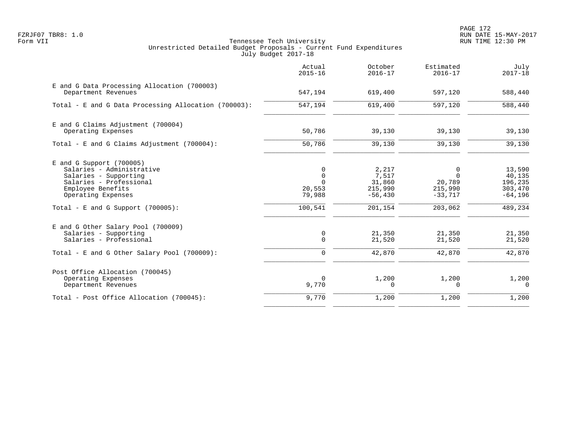PAGE 172 FZRJF07 TBR8: 1.0 RUN DATE 15-MAY-2017

|                                                                                                                                                        | Actual<br>$2015 - 16$                                      | October<br>$2016 - 17$                            | Estimated<br>$2016 - 17$                               | July<br>$2017 - 18$                                  |
|--------------------------------------------------------------------------------------------------------------------------------------------------------|------------------------------------------------------------|---------------------------------------------------|--------------------------------------------------------|------------------------------------------------------|
| E and G Data Processing Allocation (700003)<br>Department Revenues                                                                                     | 547,194                                                    | 619,400                                           | 597,120                                                | 588,440                                              |
| Total - E and G Data Processing Allocation (700003):                                                                                                   | 547,194                                                    | 619,400                                           | 597,120                                                | 588,440                                              |
| E and G Claims Adjustment (700004)<br>Operating Expenses                                                                                               | 50,786                                                     | 39,130                                            | 39,130                                                 | 39,130                                               |
| Total - E and G Claims Adjustment (700004):                                                                                                            | 50,786                                                     | 39,130                                            | 39,130                                                 | 39,130                                               |
| $E$ and G Support (700005)<br>Salaries - Administrative<br>Salaries - Supporting<br>Salaries - Professional<br>Employee Benefits<br>Operating Expenses | $\mathbf 0$<br>$\mathbf 0$<br>$\Omega$<br>20,553<br>79,988 | 2,217<br>7,517<br>31,860<br>215,990<br>$-56, 430$ | $\Omega$<br>$\Omega$<br>20,789<br>215,990<br>$-33,717$ | 13,590<br>40,135<br>196,235<br>303,470<br>$-64, 196$ |
| Total - E and G Support $(700005)$ :                                                                                                                   | 100,541                                                    | 201,154                                           | 203,062                                                | 489,234                                              |
| E and G Other Salary Pool (700009)<br>Salaries - Supporting<br>Salaries - Professional<br>Total - E and G Other Salary Pool (700009):                  | $\mathbf 0$<br>$\Omega$<br>$\mathbf 0$                     | 21,350<br>21,520<br>42,870                        | 21,350<br>21,520<br>42,870                             | 21,350<br>21,520<br>42,870                           |
| Post Office Allocation (700045)<br>Operating Expenses<br>Department Revenues                                                                           | $\Omega$<br>9,770                                          | 1,200<br>0                                        | 1,200<br>$\Omega$                                      | 1,200<br>$\Omega$                                    |
| Total - Post Office Allocation (700045):                                                                                                               | 9,770                                                      | 1,200                                             | 1,200                                                  | 1,200                                                |
|                                                                                                                                                        |                                                            |                                                   |                                                        |                                                      |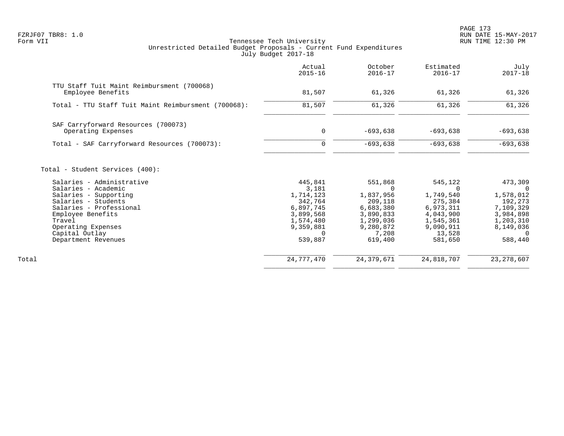PAGE 173 FZRJF07 TBR8: 1.0 RUN DATE 15-MAY-2017

|                                                                                                                                                                                                                                                              | Actual<br>$2015 - 16$                                                                                               | October<br>$2016 - 17$                                                                                       | Estimated<br>$2016 - 17$                                                                                 | July<br>$2017 - 18$                                                                                               |
|--------------------------------------------------------------------------------------------------------------------------------------------------------------------------------------------------------------------------------------------------------------|---------------------------------------------------------------------------------------------------------------------|--------------------------------------------------------------------------------------------------------------|----------------------------------------------------------------------------------------------------------|-------------------------------------------------------------------------------------------------------------------|
| TTU Staff Tuit Maint Reimbursment (700068)<br>Employee Benefits                                                                                                                                                                                              | 81,507                                                                                                              | 61,326                                                                                                       | 61,326                                                                                                   | 61,326                                                                                                            |
| Total - TTU Staff Tuit Maint Reimbursment (700068):                                                                                                                                                                                                          | 81,507                                                                                                              | 61,326                                                                                                       | 61,326                                                                                                   | 61,326                                                                                                            |
| SAF Carryforward Resources (700073)<br>Operating Expenses                                                                                                                                                                                                    | 0                                                                                                                   | $-693,638$                                                                                                   | $-693,638$                                                                                               | $-693,638$                                                                                                        |
| Total - SAF Carryforward Resources (700073):                                                                                                                                                                                                                 | $\mathbf 0$                                                                                                         | $-693,638$                                                                                                   | $-693,638$                                                                                               | $-693,638$                                                                                                        |
| Total - Student Services (400):<br>Salaries - Administrative<br>Salaries - Academic<br>Salaries - Supporting<br>Salaries - Students<br>Salaries - Professional<br>Employee Benefits<br>Travel<br>Operating Expenses<br>Capital Outlay<br>Department Revenues | 445,841<br>3,181<br>1,714,123<br>342,764<br>6,897,745<br>3,899,568<br>1,574,480<br>9,359,881<br>$\Omega$<br>539,887 | 551,868<br>0<br>1,837,956<br>209,118<br>6,683,380<br>3,890,833<br>1,299,036<br>9,280,872<br>7,208<br>619,400 | 545,122<br>1,749,540<br>275,384<br>6,973,311<br>4,043,900<br>1,545,361<br>9,090,911<br>13,528<br>581,650 | 473,309<br>- 0<br>1,578,012<br>192,273<br>7,109,329<br>3,984,898<br>1,203,310<br>8,149,036<br>$\Omega$<br>588,440 |
| Total                                                                                                                                                                                                                                                        | 24,777,470                                                                                                          | 24, 379, 671                                                                                                 | 24,818,707                                                                                               | 23, 278, 607                                                                                                      |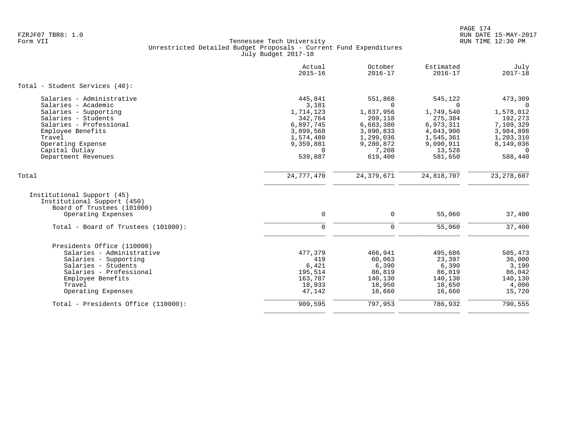|                                                                                                                                                                                         | Actual<br>$2015 - 16$                                             | October<br>$2016 - 17$                                              | Estimated<br>$2016 - 17$                                            | July<br>$2017 - 18$                                                |
|-----------------------------------------------------------------------------------------------------------------------------------------------------------------------------------------|-------------------------------------------------------------------|---------------------------------------------------------------------|---------------------------------------------------------------------|--------------------------------------------------------------------|
| Total - Student Services (40):                                                                                                                                                          |                                                                   |                                                                     |                                                                     |                                                                    |
| Salaries - Administrative                                                                                                                                                               | 445,841                                                           | 551,868                                                             | 545,122                                                             | 473,309                                                            |
| Salaries - Academic                                                                                                                                                                     | 3,181                                                             | $\Omega$                                                            | $\Omega$                                                            | $\Omega$                                                           |
| Salaries - Supporting                                                                                                                                                                   | 1,714,123                                                         | 1,837,956                                                           | 1,749,540                                                           | 1,578,012                                                          |
| Salaries - Students                                                                                                                                                                     | 342,764                                                           | 209,118                                                             | 275,384                                                             | 192,273                                                            |
| Salaries - Professional                                                                                                                                                                 | 6,897,745                                                         | 6,683,380                                                           | 6,973,311                                                           | 7,109,329                                                          |
| Employee Benefits                                                                                                                                                                       | 3,899,568                                                         | 3,890,833                                                           | 4,043,900                                                           | 3,984,898                                                          |
| Travel                                                                                                                                                                                  | 1,574,480                                                         | 1,299,036                                                           | 1,545,361                                                           | 1,203,310                                                          |
| Operating Expense                                                                                                                                                                       | 9,359,881                                                         | 9,280,872                                                           | 9,090,911                                                           | 8,149,036                                                          |
| Capital Outlay                                                                                                                                                                          | $\Omega$                                                          | 7,208                                                               | 13,528                                                              | $\Omega$                                                           |
| Department Revenues                                                                                                                                                                     | 539,887                                                           | 619,400                                                             | 581,650                                                             | 588,440                                                            |
| Total                                                                                                                                                                                   | 24,777,470                                                        | 24, 379, 671                                                        | 24,818,707                                                          | 23, 278, 607                                                       |
| Institutional Support (45)<br>Institutional Support (450)<br>Board of Trustees (101000)<br>Operating Expenses                                                                           | $\mathbf 0$                                                       | $\mathbf 0$                                                         | 55,060                                                              | 37,400                                                             |
| Total - Board of Trustees (101000):                                                                                                                                                     | $\Omega$                                                          | $\Omega$                                                            | 55,060                                                              | 37,400                                                             |
| Presidents Office (110000)<br>Salaries - Administrative<br>Salaries - Supporting<br>Salaries - Students<br>Salaries - Professional<br>Employee Benefits<br>Travel<br>Operating Expenses | 477,379<br>419<br>6,421<br>195,514<br>163,787<br>18,933<br>47,142 | 466,941<br>60,063<br>6,390<br>88,819<br>140,130<br>18,950<br>16,660 | 495,686<br>23,397<br>6,390<br>86,019<br>140,130<br>18,650<br>16,660 | 505,473<br>36,000<br>3,190<br>86,042<br>140,130<br>4,000<br>15,720 |
| Total - Presidents Office (110000):                                                                                                                                                     | 909,595                                                           | 797,953                                                             | 786,932                                                             | 790,555                                                            |
|                                                                                                                                                                                         |                                                                   |                                                                     |                                                                     |                                                                    |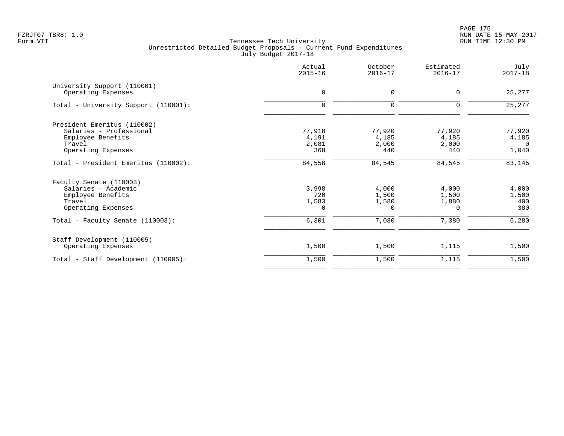PAGE 175 FZRJF07 TBR8: 1.0 RUN DATE 15-MAY-2017

|                                                                                                                                         | Actual<br>$2015 - 16$               | October<br>$2016 - 17$                | Estimated<br>$2016 - 17$                     | July<br>$2017 - 18$                        |
|-----------------------------------------------------------------------------------------------------------------------------------------|-------------------------------------|---------------------------------------|----------------------------------------------|--------------------------------------------|
| University Support (110001)<br>Operating Expenses                                                                                       | $\mathbf 0$                         | $\mathbf 0$                           | $\mathbf 0$                                  | 25,277                                     |
| Total - University Support (110001):                                                                                                    | $\mathbf 0$                         | $\mathbf 0$                           | $\Omega$                                     | 25,277                                     |
| President Emeritus (110002)<br>Salaries - Professional<br>Employee Benefits<br>Travel<br>Operating Expenses                             | 77,918<br>4,191<br>2,081<br>368     | 77,920<br>4,185<br>2,000<br>440       | 77,920<br>4,185<br>2,000<br>440              | 77,920<br>4,185<br>$\overline{0}$<br>1,040 |
| Total - President Emeritus (110002):                                                                                                    | 84,558                              | 84,545                                | 84,545                                       | 83,145                                     |
| Faculty Senate (110003)<br>Salaries - Academic<br>Employee Benefits<br>Travel<br>Operating Expenses<br>Total - Faculty Senate (110003): | 3,998<br>720<br>1,583<br>0<br>6,301 | 4,000<br>1,500<br>1,580<br>0<br>7,080 | 4,000<br>1,500<br>1,880<br>$\Omega$<br>7,380 | 4,000<br>1,500<br>400<br>380<br>6,280      |
|                                                                                                                                         |                                     |                                       |                                              |                                            |
| Staff Development (110005)<br>Operating Expenses                                                                                        | 1,500                               | 1,500                                 | 1,115                                        | 1,500                                      |
| Total - Staff Development (110005):                                                                                                     | 1,500                               | 1,500                                 | 1,115                                        | 1,500                                      |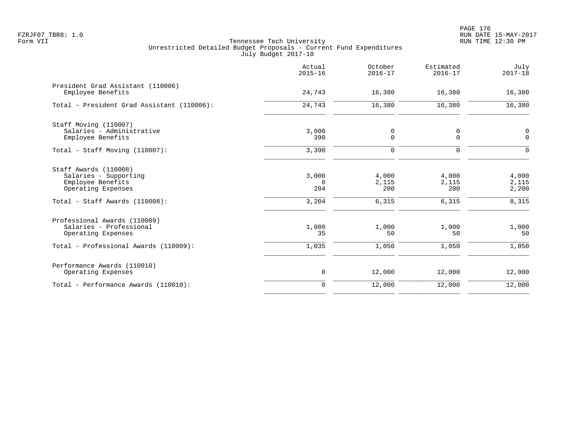|                                                                                                                             | Actual<br>$2015 - 16$             | October<br>$2016 - 17$         | Estimated<br>$2016 - 17$       | July<br>$2017 - 18$              |
|-----------------------------------------------------------------------------------------------------------------------------|-----------------------------------|--------------------------------|--------------------------------|----------------------------------|
| President Grad Assistant (110006)<br>Employee Benefits                                                                      | 24,743                            | 16,380                         | 16,380                         | 16,380                           |
| Total - President Grad Assistant (110006):                                                                                  | 24,743                            | 16,380                         | 16,380                         | 16,380                           |
| Staff Moving (110007)<br>Salaries - Administrative<br>Employee Benefits                                                     | 3,000<br>390                      | 0<br>$\mathbf 0$               | 0<br>0                         | $\mathbf 0$<br>$\mathbf 0$       |
| Total - Staff Moving (110007):                                                                                              | 3,390                             | 0                              | $\mathbf 0$                    | $\Omega$                         |
| Staff Awards (110008)<br>Salaries - Supporting<br>Employee Benefits<br>Operating Expenses<br>Total - Staff Awards (110008): | 3,000<br>$\Omega$<br>204<br>3,204 | 4,000<br>2,115<br>200<br>6,315 | 4,000<br>2,115<br>200<br>6,315 | 4,000<br>2,115<br>2,200<br>8,315 |
| Professional Awards (110009)<br>Salaries - Professional<br>Operating Expenses                                               | 1,000<br>35                       | 1,000<br>50                    | 1,000<br>50                    | 1,000<br>50                      |
| Total - Professional Awards (110009):                                                                                       | 1,035                             | 1,050                          | 1,050                          | 1,050                            |
| Performance Awards (110010)<br>Operating Expenses                                                                           | 0                                 | 12,000                         | 12,000                         | 12,000                           |
| Total - Performance Awards (110010):                                                                                        | $\mathbf 0$                       | 12,000                         | 12,000                         | 12,000                           |
|                                                                                                                             |                                   |                                |                                |                                  |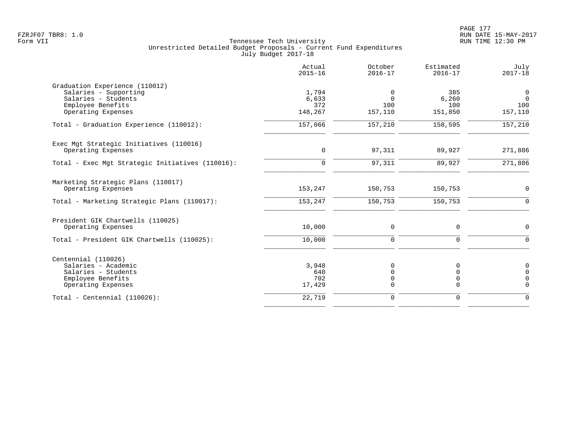|                                                                                                              | Actual<br>$2015 - 16$         | October<br>$2016 - 17$                                   | Estimated<br>$2016 - 17$                              | July<br>$2017 - 18$                                   |
|--------------------------------------------------------------------------------------------------------------|-------------------------------|----------------------------------------------------------|-------------------------------------------------------|-------------------------------------------------------|
| Graduation Experience (110012)<br>Salaries - Supporting<br>Salaries - Students<br>Employee Benefits          | 1,794<br>6,633<br>372         | 0<br>$\Omega$<br>100                                     | 385<br>6,260<br>100                                   | $\mathsf{O}$<br>$\overline{0}$<br>100                 |
| Operating Expenses                                                                                           | 148,267                       | 157,110                                                  | 151,850                                               | 157,110                                               |
| Total - Graduation Experience (110012):                                                                      | 157,066                       | 157,210                                                  | 158,595                                               | 157,210                                               |
| Exec Mgt Strategic Initiatives (110016)<br>Operating Expenses                                                | 0                             | 97,311                                                   | 89,927                                                | 271,886                                               |
| Total - Exec Mgt Strategic Initiatives (110016):                                                             | $\mathbf 0$                   | 97,311                                                   | 89,927                                                | 271,886                                               |
| Marketing Strategic Plans (110017)<br>Operating Expenses                                                     | 153,247                       | 150,753                                                  | 150,753                                               | $\mathbf 0$                                           |
| Total - Marketing Strategic Plans (110017):                                                                  | 153,247                       | 150,753                                                  | 150,753                                               | $\Omega$                                              |
| President GIK Chartwells (110025)<br>Operating Expenses                                                      | 10,000                        | $\Omega$                                                 | $\Omega$                                              | 0                                                     |
| Total - President GIK Chartwells (110025):                                                                   | 10,000                        | $\mathbf 0$                                              | $\mathbf 0$                                           | $\Omega$                                              |
| Centennial (110026)<br>Salaries - Academic<br>Salaries - Students<br>Employee Benefits<br>Operating Expenses | 3,948<br>640<br>702<br>17,429 | $\mathbf 0$<br>$\mathbf 0$<br>$\mathbf 0$<br>$\mathbf 0$ | $\Omega$<br>$\mathbf 0$<br>$\mathbf 0$<br>$\mathbf 0$ | $\mathbf 0$<br>$\Omega$<br>$\mathbf 0$<br>$\mathbf 0$ |
| Total - Centennial $(110026)$ :                                                                              | 22,719                        | $\mathsf 0$                                              | $\mathbf 0$                                           | $\Omega$                                              |
|                                                                                                              |                               |                                                          |                                                       |                                                       |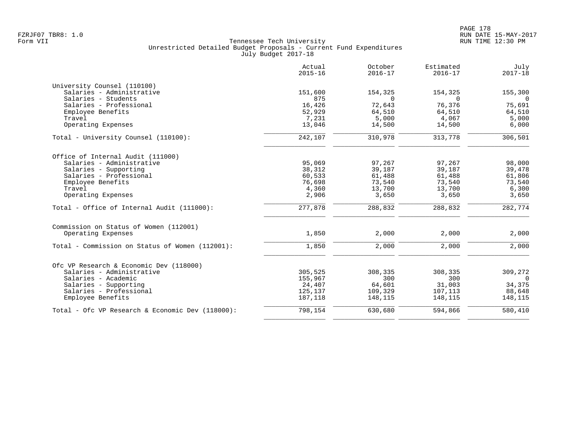|                                                  | Actual<br>$2015 - 16$ | October<br>$2016 - 17$ | Estimated<br>$2016 - 17$ | July<br>$2017 - 18$ |
|--------------------------------------------------|-----------------------|------------------------|--------------------------|---------------------|
| University Counsel (110100)                      |                       |                        |                          |                     |
| Salaries - Administrative                        | 151,600               | 154,325                | 154,325                  | 155,300             |
| Salaries - Students                              | 875                   | $\Omega$               | $\Omega$                 | $\overline{0}$      |
| Salaries - Professional                          | 16,426                | 72,643                 | 76,376                   | 75,691              |
| Employee Benefits                                | 52,929                | 64,510                 | 64,510                   | 64,510              |
| Travel                                           | 7,231                 | 5,000                  | 4,067                    | 5,000               |
| Operating Expenses                               | 13,046                | 14,500                 | 14,500                   | 6,000               |
| Total - University Counsel (110100):             | 242,107               | 310,978                | 313,778                  | 306,501             |
| Office of Internal Audit (111000)                |                       |                        |                          |                     |
| Salaries - Administrative                        | 95,069                | 97,267                 | 97,267                   | 98,000              |
| Salaries - Supporting                            | 38,312                | 39,187                 | 39,187                   | 39,478              |
| Salaries - Professional                          | 60,533                | 61,488                 | 61,488                   | 61,806              |
| Employee Benefits                                | 76,698                | 73,540                 | 73,540                   | 73,540              |
| Travel                                           | 4,360                 | 13,700                 | 13,700                   | 6,300               |
| Operating Expenses                               | 2,906                 | 3,650                  | 3,650                    | 3,650               |
| Total - Office of Internal Audit (111000):       | 277,878               | 288,832                | 288,832                  | 282,774             |
| Commission on Status of Women (112001)           |                       |                        |                          |                     |
| Operating Expenses                               | 1,850                 | 2,000                  | 2,000                    | 2,000               |
| Total - Commission on Status of Women (112001):  | 1,850                 | 2,000                  | 2,000                    | 2,000               |
|                                                  |                       |                        |                          |                     |
| Ofc VP Research & Economic Dev (118000)          |                       |                        |                          |                     |
| Salaries - Administrative                        | 305,525               | 308,335                | 308,335                  | 309,272             |
| Salaries - Academic                              | 155,967               | 300                    | 300                      | $\Omega$            |
| Salaries - Supporting                            | 24,407                | 64,601                 | 31,003                   | 34,375              |
| Salaries - Professional                          | 125,137               | 109,329                | 107,113                  | 88,648              |
| Employee Benefits                                | 187,118               | 148,115                | 148,115                  | 148,115             |
| Total - Ofc VP Research & Economic Dev (118000): | 798,154               | 630,680                | 594,866                  | 580,410             |
|                                                  |                       |                        |                          |                     |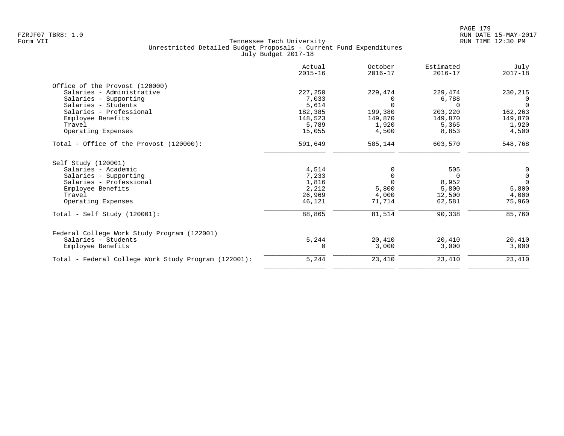|                                                      | Actual<br>$2015 - 16$ | October<br>$2016 - 17$ | Estimated<br>$2016 - 17$ | July<br>$2017 - 18$ |
|------------------------------------------------------|-----------------------|------------------------|--------------------------|---------------------|
| Office of the Provost (120000)                       |                       |                        |                          |                     |
| Salaries - Administrative                            | 227,250               | 229,474                | 229,474                  | 230,215             |
| Salaries - Supporting                                | 7,033                 | $\Omega$               | 6,788                    | - 0                 |
| Salaries - Students                                  | 5,614                 | $\Omega$               | $\Omega$                 | $\Omega$            |
| Salaries - Professional                              | 182,385               | 199,380                | 203,220                  | 162,263             |
| Employee Benefits                                    | 148,523               | 149,870                | 149,870                  | 149,870             |
| Travel                                               | 5,789                 | 1,920                  | 5,365                    | 1,920               |
| Operating Expenses                                   | 15,055                | 4,500                  | 8,853                    | 4,500               |
| Total - Office of the Provost (120000):              | 591,649               | 585,144                | 603,570                  | 548,768             |
| Self Study (120001)                                  |                       |                        |                          |                     |
| Salaries - Academic                                  | 4,514                 | $\Omega$               | 505                      | 0                   |
| Salaries - Supporting                                | 7,233                 | $\Omega$               | 0                        | $\mathbb O$         |
| Salaries - Professional                              | 1,816                 | $\Omega$               | 8,952                    | $\Omega$            |
| Employee Benefits                                    | 2,212                 | 5,800                  | 5,800                    | 5,800               |
| Travel                                               | 26,969                | 4,000                  | 12,500                   | 4,000               |
| Operating Expenses                                   | 46,121                | 71,714                 | 62,581                   | 75,960              |
| $Total - Self Study (120001):$                       | 88,865                | 81,514                 | 90,338                   | 85,760              |
| Federal College Work Study Program (122001)          |                       |                        |                          |                     |
| Salaries - Students                                  | 5,244                 | 20,410                 | 20,410                   | 20,410              |
| Employee Benefits                                    | $\Omega$              | 3,000                  | 3,000                    | 3,000               |
| Total - Federal College Work Study Program (122001): | 5,244                 | 23,410                 | 23,410                   | 23,410              |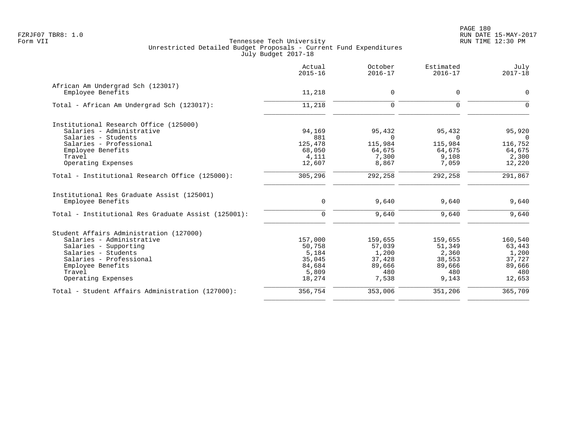|                                                     | Actual<br>$2015 - 16$ | October<br>$2016 - 17$ | Estimated<br>$2016 - 17$ | July<br>$2017 - 18$ |
|-----------------------------------------------------|-----------------------|------------------------|--------------------------|---------------------|
| African Am Undergrad Sch (123017)                   |                       |                        |                          |                     |
| Employee Benefits                                   | 11,218                | 0                      | 0                        | $\mathbf 0$         |
| Total - African Am Undergrad Sch (123017):          | 11,218                | 0                      | 0                        | $\mathbf 0$         |
| Institutional Research Office (125000)              |                       |                        |                          |                     |
| Salaries - Administrative                           | 94,169                | 95,432                 | 95,432                   | 95,920              |
| Salaries - Students                                 | 881                   | $\Omega$               | $\Omega$                 | $\overline{0}$      |
| Salaries - Professional                             | 125,478               | 115,984                | 115,984                  | 116,752             |
| Employee Benefits                                   | 68,050                | 64,675                 | 64,675                   | 64,675              |
| Travel                                              | 4,111                 | 7,300                  | 9,108                    | 2,300               |
| Operating Expenses                                  | 12,607                | 8,867                  | 7,059                    | 12,220              |
| Total - Institutional Research Office (125000):     | 305,296               | 292,258                | 292,258                  | 291,867             |
| Institutional Res Graduate Assist (125001)          |                       |                        |                          |                     |
| Employee Benefits                                   | $\mathbf 0$           | 9,640                  | 9,640                    | 9,640               |
| Total - Institutional Res Graduate Assist (125001): | $\mathbf 0$           | 9,640                  | 9,640                    | 9,640               |
| Student Affairs Administration (127000)             |                       |                        |                          |                     |
| Salaries - Administrative                           | 157,000               | 159,655                | 159,655                  | 160,540             |
| Salaries - Supporting                               | 50,758                | 57,039                 | 51,349                   | 63,443              |
| Salaries - Students                                 | 5,184                 | 1,200                  | 2,360                    | 1,200               |
| Salaries - Professional                             | 35,045                | 37,428                 | 38,553                   | 37,727              |
| Employee Benefits                                   | 84,684                | 89,666                 | 89,666                   | 89,666              |
| Travel                                              | 5,809                 | 480                    | 480                      | 480                 |
| Operating Expenses                                  | 18,274                | 7,538                  | 9,143                    | 12,653              |
| Total - Student Affairs Administration (127000):    | 356,754               | 353,006                | 351,206                  | 365,709             |
|                                                     |                       |                        |                          |                     |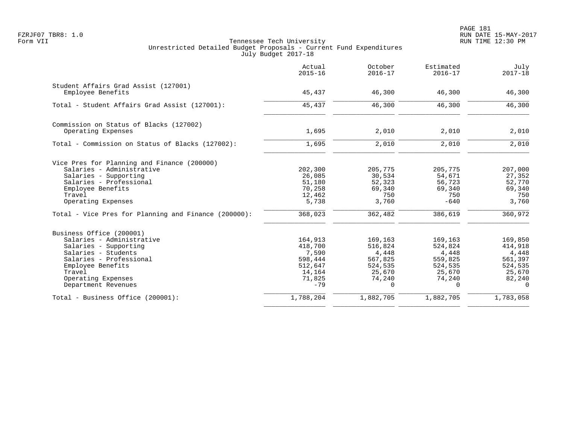PAGE 181 FZRJF07 TBR8: 1.0 RUN DATE 15-MAY-2017

|                                                                                                                                                                                                              | Actual<br>$2015 - 16$                                                          | October<br>$2016 - 17$                                                               | Estimated<br>$2016 - 17$                                                          | July<br>$2017 - 18$                                                               |
|--------------------------------------------------------------------------------------------------------------------------------------------------------------------------------------------------------------|--------------------------------------------------------------------------------|--------------------------------------------------------------------------------------|-----------------------------------------------------------------------------------|-----------------------------------------------------------------------------------|
| Student Affairs Grad Assist (127001)<br>Employee Benefits                                                                                                                                                    | 45,437                                                                         | 46,300                                                                               | 46,300                                                                            | 46,300                                                                            |
| Total - Student Affairs Grad Assist (127001):                                                                                                                                                                | 45,437                                                                         | 46,300                                                                               | 46,300                                                                            | 46,300                                                                            |
| Commission on Status of Blacks (127002)<br>Operating Expenses                                                                                                                                                | 1,695                                                                          | 2,010                                                                                | 2,010                                                                             | 2,010                                                                             |
| Total - Commission on Status of Blacks (127002):                                                                                                                                                             | 1,695                                                                          | 2,010                                                                                | 2,010                                                                             | 2,010                                                                             |
| Vice Pres for Planning and Finance (200000)<br>Salaries - Administrative<br>Salaries - Supporting<br>Salaries - Professional<br>Employee Benefits<br>Travel<br>Operating Expenses                            | 202,300<br>26,085<br>51,180<br>70,258<br>12,462<br>5,738                       | 205,775<br>30,534<br>52,323<br>69,340<br>750<br>3,760                                | 205,775<br>54,671<br>56,723<br>69,340<br>750<br>$-640$                            | 207,000<br>27,352<br>52,770<br>69,340<br>750<br>3,760                             |
| Total - Vice Pres for Planning and Finance (200000):                                                                                                                                                         | 368,023                                                                        | 362,482                                                                              | 386,619                                                                           | 360,972                                                                           |
| Business Office (200001)<br>Salaries - Administrative<br>Salaries - Supporting<br>Salaries - Students<br>Salaries - Professional<br>Employee Benefits<br>Travel<br>Operating Expenses<br>Department Revenues | 164,913<br>418,700<br>7,590<br>598,444<br>512,647<br>14,164<br>71,825<br>$-79$ | 169,163<br>516,824<br>4,448<br>567,825<br>524,535<br>25,670<br>74,240<br>$\mathbf 0$ | 169,163<br>524,824<br>4,448<br>559,825<br>524,535<br>25,670<br>74,240<br>$\Omega$ | 169,850<br>414,918<br>4,448<br>561,397<br>524,535<br>25,670<br>82,240<br>$\Omega$ |
| Total - Business Office (200001):                                                                                                                                                                            | 1,788,204                                                                      | 1,882,705                                                                            | 1,882,705                                                                         | 1,783,058                                                                         |
|                                                                                                                                                                                                              |                                                                                |                                                                                      |                                                                                   |                                                                                   |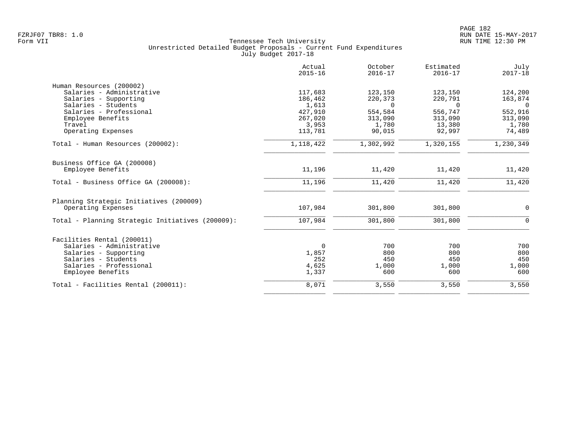|                                                  | Actual<br>$2015 - 16$ | October<br>$2016 - 17$ | Estimated<br>$2016 - 17$ | July<br>$2017 - 18$ |
|--------------------------------------------------|-----------------------|------------------------|--------------------------|---------------------|
| Human Resources (200002)                         |                       |                        |                          |                     |
| Salaries - Administrative                        | 117,683               | 123,150                | 123,150                  | 124,200             |
| Salaries - Supporting                            | 186,462               | 220,373                | 220,791                  | 163,874             |
| Salaries - Students                              | 1,613                 | $\Omega$               | $\Omega$                 | $\Omega$            |
| Salaries - Professional                          | 427,910               | 554,584                | 556,747                  | 552,916             |
| Employee Benefits                                | 267,020               | 313,090                | 313,090                  | 313,090             |
| Travel                                           | 3,953                 | 1,780                  | 13,380                   | 1,780               |
| Operating Expenses                               | 113,781               | 90,015                 | 92,997                   | 74,489              |
| Total - Human Resources (200002):                | 1,118,422             | 1,302,992              | 1,320,155                | 1,230,349           |
| Business Office GA (200008)                      |                       |                        |                          |                     |
| Employee Benefits                                | 11,196                | 11,420                 | 11,420                   | 11,420              |
| Total - Business Office GA (200008):             | 11,196                | 11,420                 | 11,420                   | 11,420              |
| Planning Strategic Initiatives (200009)          |                       |                        |                          |                     |
| Operating Expenses                               | 107,984               | 301,800                | 301,800                  | $\mathbf 0$         |
| Total - Planning Strategic Initiatives (200009): | 107,984               | 301,800                | 301,800                  | $\Omega$            |
| Facilities Rental (200011)                       |                       |                        |                          |                     |
| Salaries - Administrative                        | 0                     | 700                    | 700                      | 700                 |
| Salaries - Supporting                            | 1,857                 | 800                    | 800                      | 800                 |
| Salaries - Students                              | 252                   | 450                    | 450                      | 450                 |
| Salaries - Professional                          | 4,625                 | 1,000                  | 1,000                    | 1,000               |
| Employee Benefits                                | 1,337                 | 600                    | 600                      | 600                 |
| Total - Facilities Rental (200011):              | 8,071                 | 3,550                  | 3,550                    | 3,550               |
|                                                  |                       |                        |                          |                     |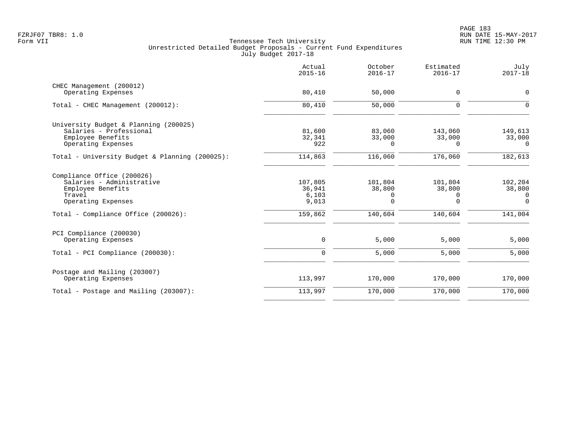|                                                                                                                                                     | Actual<br>$2015 - 16$                          | October<br>$2016 - 17$                 | Estimated<br>$2016 - 17$               | July<br>$2017 - 18$                              |
|-----------------------------------------------------------------------------------------------------------------------------------------------------|------------------------------------------------|----------------------------------------|----------------------------------------|--------------------------------------------------|
| CHEC Management (200012)<br>Operating Expenses                                                                                                      | 80,410                                         | 50,000                                 | 0                                      | 0                                                |
| Total - CHEC Management (200012):                                                                                                                   | 80,410                                         | 50,000                                 | 0                                      | $\mathbf 0$                                      |
| University Budget & Planning (200025)<br>Salaries - Professional<br>Employee Benefits<br>Operating Expenses                                         | 81,600<br>32,341<br>922                        | 83,060<br>33,000<br>0                  | 143,060<br>33,000<br>0                 | 149,613<br>33,000<br>0                           |
| Total - University Budget & Planning (200025):                                                                                                      | 114,863                                        | 116,060                                | 176,060                                | 182,613                                          |
| Compliance Office (200026)<br>Salaries - Administrative<br>Employee Benefits<br>Travel<br>Operating Expenses<br>Total - Compliance Office (200026): | 107,805<br>36,941<br>6,103<br>9,013<br>159,862 | 101,804<br>38,800<br>0<br>0<br>140,604 | 101,804<br>38,800<br>0<br>0<br>140,604 | 102,204<br>38,800<br>0<br>$\mathbf 0$<br>141,004 |
| PCI Compliance (200030)<br>Operating Expenses<br>Total - PCI Compliance (200030):                                                                   | $\mathsf{O}$<br>$\mathbf 0$                    | 5,000<br>5,000                         | 5,000<br>5,000                         | 5,000<br>5,000                                   |
| Postage and Mailing (203007)<br>Operating Expenses                                                                                                  | 113,997                                        | 170,000                                | 170,000                                | 170,000                                          |
| Total - Postage and Mailing $(203007)$ :                                                                                                            | 113,997                                        | 170,000                                | 170,000                                | 170,000                                          |
|                                                                                                                                                     |                                                |                                        |                                        |                                                  |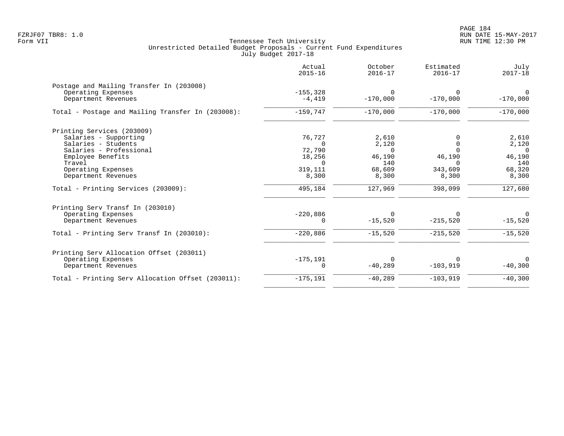|                                                   | Actual<br>$2015 - 16$ | October<br>$2016 - 17$ | Estimated<br>$2016 - 17$ | July<br>$2017 - 18$ |
|---------------------------------------------------|-----------------------|------------------------|--------------------------|---------------------|
| Postage and Mailing Transfer In (203008)          |                       |                        |                          |                     |
| Operating Expenses                                | $-155, 328$           | $\Omega$               |                          | $\Omega$            |
| Department Revenues                               | $-4,419$              | $-170,000$             | $-170,000$               | $-170,000$          |
| Total - Postage and Mailing Transfer In (203008): | $-159,747$            | $-170,000$             | $-170,000$               | $-170,000$          |
| Printing Services (203009)                        |                       |                        |                          |                     |
| Salaries - Supporting                             | 76,727                | 2,610                  |                          | 2,610               |
| Salaries - Students                               | $\Omega$              | 2,120                  | $\Omega$                 | 2,120               |
| Salaries - Professional                           | 72,790                | $\Omega$               |                          | $\Omega$            |
| Employee Benefits<br>Travel                       | 18,256<br>$\Omega$    | 46,190<br>140          | 46,190<br>$\Omega$       | 46,190<br>140       |
| Operating Expenses                                | 319,111               | 68,609                 | 343,609                  | 68,320              |
| Department Revenues                               | 8,300                 | 8,300                  | 8,300                    | 8,300               |
| Total - Printing Services (203009):               | 495,184               | 127,969                | 398,099                  | 127,680             |
| Printing Serv Transf In (203010)                  |                       |                        |                          |                     |
| Operating Expenses                                | $-220,886$            | $\Omega$               |                          | $\Omega$            |
| Department Revenues                               | $\Omega$              | $-15,520$              | $-215,520$               | $-15,520$           |
| Total - Printing Serv Transf In (203010):         | $-220,886$            | $-15,520$              | $-215,520$               | $-15,520$           |
| Printing Serv Allocation Offset (203011)          |                       |                        |                          |                     |
| Operating Expenses                                | $-175, 191$           | $\mathbf 0$            |                          | $\Omega$            |
| Department Revenues                               | 0                     | $-40,289$              | $-103,919$               | $-40,300$           |
| Total - Printing Serv Allocation Offset (203011): | $-175, 191$           | $-40,289$              | $-103,919$               | $-40,300$           |
|                                                   |                       |                        |                          |                     |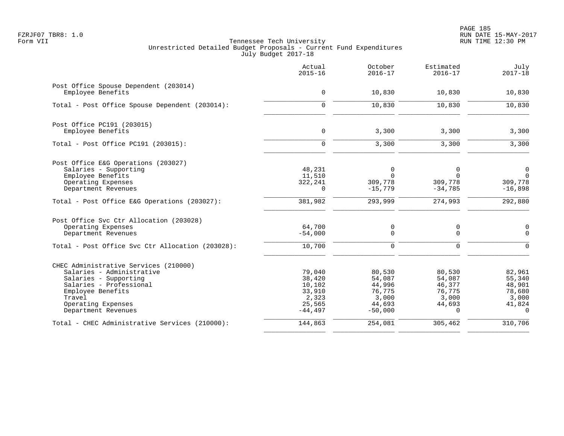PAGE 185 FZRJF07 TBR8: 1.0 RUN DATE 15-MAY-2017

|                                                                                                                                                                                                    | Actual<br>$2015 - 16$                                                | October<br>$2016 - 17$                                               | Estimated<br>$2016 - 17$                                          | July<br>$2017 - 18$                                                 |
|----------------------------------------------------------------------------------------------------------------------------------------------------------------------------------------------------|----------------------------------------------------------------------|----------------------------------------------------------------------|-------------------------------------------------------------------|---------------------------------------------------------------------|
| Post Office Spouse Dependent (203014)<br>Employee Benefits                                                                                                                                         | $\mathbf 0$                                                          | 10,830                                                               | 10,830                                                            | 10,830                                                              |
| Total - Post Office Spouse Dependent (203014):                                                                                                                                                     | $\mathbf 0$                                                          | 10,830                                                               | 10,830                                                            | 10,830                                                              |
| Post Office PC191 (203015)<br>Employee Benefits                                                                                                                                                    | $\mathsf{O}$                                                         | 3,300                                                                | 3,300                                                             | 3,300                                                               |
| Total - Post Office PC191 (203015):                                                                                                                                                                | $\Omega$                                                             | 3,300                                                                | 3,300                                                             | 3,300                                                               |
| Post Office E&G Operations (203027)<br>Salaries - Supporting<br>Employee Benefits<br>Operating Expenses<br>Department Revenues                                                                     | 48,231<br>11,510<br>322,241<br>$\Omega$                              | $\mathbf 0$<br>$\Omega$<br>309,778<br>$-15,779$                      | $\mathbf 0$<br>$\Omega$<br>309,778<br>$-34,785$                   | $\mathbf 0$<br>$\mathbf 0$<br>309,778<br>$-16,898$                  |
| Total - Post Office E&G Operations (203027):                                                                                                                                                       | 381,982                                                              | 293,999                                                              | 274,993                                                           | 292,880                                                             |
| Post Office Svc Ctr Allocation (203028)<br>Operating Expenses<br>Department Revenues<br>Total - Post Office Svc Ctr Allocation (203028):                                                           | 64,700<br>$-54,000$<br>10,700                                        | 0<br>$\Omega$<br>$\mathbf 0$                                         | 0<br>$\Omega$<br>$\mathbf 0$                                      | 0<br>$\Omega$<br>$\Omega$                                           |
| CHEC Administrative Services (210000)<br>Salaries - Administrative<br>Salaries - Supporting<br>Salaries - Professional<br>Employee Benefits<br>Travel<br>Operating Expenses<br>Department Revenues | 79,040<br>38,420<br>10,102<br>33,910<br>2,323<br>25,565<br>$-44,497$ | 80,530<br>54,087<br>44,996<br>76,775<br>3,000<br>44,693<br>$-50,000$ | 80,530<br>54,087<br>46,377<br>76,775<br>3,000<br>44,693<br>$\cap$ | 82,961<br>55,340<br>48,901<br>78,680<br>3,000<br>41,824<br>$\Omega$ |
| Total - CHEC Administrative Services (210000):                                                                                                                                                     | 144,863                                                              | 254,081                                                              | 305,462                                                           | 310,706                                                             |
|                                                                                                                                                                                                    |                                                                      |                                                                      |                                                                   |                                                                     |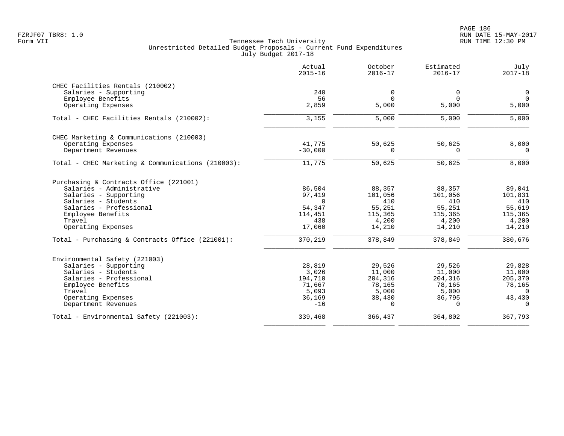|                                                   | Actual<br>$2015 - 16$ | October<br>$2016 - 17$ | Estimated<br>$2016 - 17$ | July<br>$2017 - 18$ |
|---------------------------------------------------|-----------------------|------------------------|--------------------------|---------------------|
| CHEC Facilities Rentals (210002)                  |                       |                        |                          |                     |
| Salaries - Supporting                             | 240                   | 0                      | $\mathbf 0$              | $\mathbf 0$         |
| Employee Benefits                                 | 56                    | $\Omega$               | $\Omega$                 | $\overline{0}$      |
| Operating Expenses                                | 2,859                 | 5,000                  | 5,000                    | 5,000               |
| Total - CHEC Facilities Rentals (210002):         | 3,155                 | 5,000                  | 5,000                    | 5,000               |
| CHEC Marketing & Communications (210003)          |                       |                        |                          |                     |
| Operating Expenses                                | 41,775                | 50,625                 | 50,625                   | 8,000               |
| Department Revenues                               | $-30,000$             | $\Omega$               | $\Omega$                 | $\Omega$            |
| Total - CHEC Marketing & Communications (210003): | 11,775                | 50,625                 | 50,625                   | 8,000               |
| Purchasing & Contracts Office (221001)            |                       |                        |                          |                     |
| Salaries - Administrative                         | 86,504                | 88,357                 | 88,357                   | 89,041              |
| Salaries - Supporting                             | 97,419                | 101,056                | 101,056                  | 101,831             |
| Salaries - Students                               | $\Omega$              | 410                    | 410                      | 410                 |
| Salaries - Professional                           | 54,347                | 55,251                 | 55,251                   | 55,619              |
| Employee Benefits                                 | 114,451               | 115,365                | 115,365                  | 115,365             |
| Travel                                            | 438                   | 4,200                  | 4,200                    | 4,200               |
| Operating Expenses                                | 17,060                | 14,210                 | 14,210                   | 14,210              |
| Total - Purchasing & Contracts Office (221001):   | 370,219               | 378,849                | 378,849                  | 380,676             |
| Environmental Safety (221003)                     |                       |                        |                          |                     |
| Salaries - Supporting                             | 28,819                | 29,526                 | 29,526                   | 29,828              |
| Salaries - Students                               | 3,026                 | 11,000                 | 11,000                   | 11,000              |
| Salaries - Professional                           | 194,710               | 204,316                | 204,316                  | 205,370             |
| Employee Benefits                                 | 71,667                | 78,165                 | 78,165                   | 78,165              |
| Travel                                            | 5,093                 | 5,000                  | 5,000                    | $\Omega$            |
| Operating Expenses                                | 36,169                | 38,430                 | 36,795                   | 43,430              |
| Department Revenues                               | $-16$                 | $\Omega$               | $\Omega$                 | $\Omega$            |
| Total - Environmental Safety (221003):            | 339,468               | 366,437                | 364,802                  | 367,793             |
|                                                   |                       |                        |                          |                     |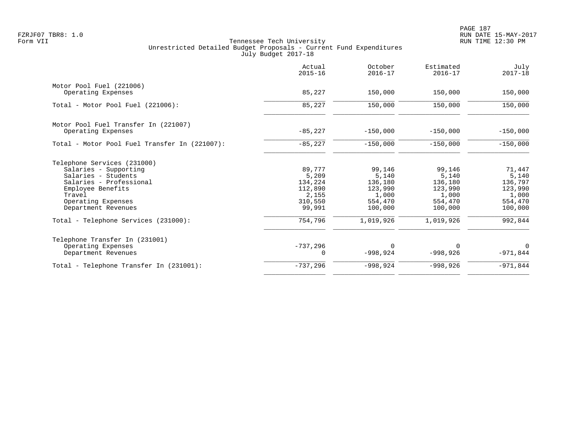|                                               | Actual<br>$2015 - 16$ | October<br>$2016 - 17$ | Estimated<br>$2016 - 17$ | July<br>$2017 - 18$ |
|-----------------------------------------------|-----------------------|------------------------|--------------------------|---------------------|
| Motor Pool Fuel (221006)                      |                       |                        |                          |                     |
| Operating Expenses                            | 85,227                | 150,000                | 150,000                  | 150,000             |
| Total - Motor Pool Fuel (221006):             | 85,227                | 150,000                | 150,000                  | 150,000             |
| Motor Pool Fuel Transfer In (221007)          |                       |                        |                          |                     |
| Operating Expenses                            | $-85,227$             | $-150,000$             | $-150,000$               | $-150,000$          |
| Total - Motor Pool Fuel Transfer In (221007): | $-85,227$             | $-150,000$             | $-150,000$               | $-150,000$          |
| Telephone Services (231000)                   |                       |                        |                          |                     |
| Salaries - Supporting                         | 89,777                | 99,146                 | 99,146                   | 71,447              |
| Salaries - Students                           | 5,209                 | 5,140                  | 5,140                    | 5,140               |
| Salaries - Professional                       | 134,224               | 136,180                | 136,180                  | 136,797             |
| Employee Benefits                             | 112,890               | 123,990                | 123,990                  | 123,990             |
| Travel                                        | 2,155                 | 1,000                  | 1,000                    | 1,000               |
| Operating Expenses<br>Department Revenues     | 310,550<br>99,991     | 554,470<br>100,000     | 554,470<br>100,000       | 554,470<br>100,000  |
| Total - Telephone Services (231000):          | 754,796               | 1,019,926              | 1,019,926                | 992,844             |
| Telephone Transfer In (231001)                |                       |                        |                          |                     |
| Operating Expenses                            | $-737,296$            | $\Omega$               | $\Omega$                 | $\Omega$            |
| Department Revenues                           | 0                     | $-998,924$             | $-998,926$               | $-971,844$          |
| Total - Telephone Transfer In (231001):       | $-737,296$            | $-998,924$             | $-998,926$               | $-971,844$          |
|                                               |                       |                        |                          |                     |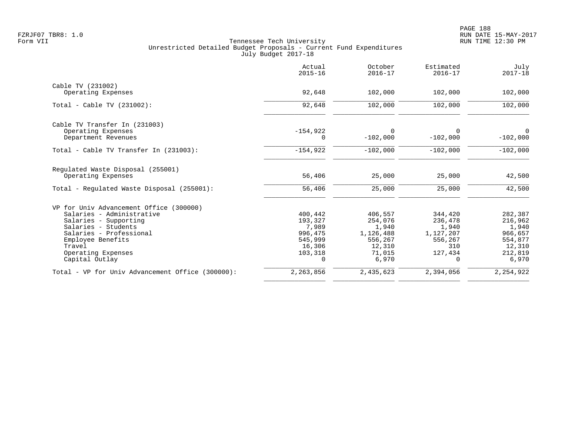|                                                         | Actual<br>$2015 - 16$ | October<br>$2016 - 17$ | Estimated<br>$2016 - 17$ | July<br>$2017 - 18$       |
|---------------------------------------------------------|-----------------------|------------------------|--------------------------|---------------------------|
| Cable TV (231002)                                       |                       |                        |                          |                           |
| Operating Expenses                                      | 92,648                | 102,000                | 102,000                  | 102,000                   |
| Total - Cable TV (231002):                              | 92,648                | 102,000                | 102,000                  | 102,000                   |
| Cable TV Transfer In (231003)                           |                       |                        |                          |                           |
| Operating Expenses<br>Department Revenues               | $-154,922$<br>0       | $\Omega$<br>$-102,000$ | $\Omega$<br>$-102,000$   | $\mathbf 0$<br>$-102,000$ |
| Total - Cable TV Transfer In (231003):                  | $-154,922$            | $-102,000$             | $-102,000$               | $-102,000$                |
| Regulated Waste Disposal (255001)<br>Operating Expenses | 56,406                | 25,000                 | 25,000                   | 42,500                    |
| Total - Regulated Waste Disposal (255001):              | 56,406                | 25,000                 | 25,000                   | 42,500                    |
| VP for Univ Advancement Office (300000)                 |                       |                        |                          |                           |
| Salaries - Administrative                               | 400,442               | 406,557                | 344,420                  | 282,387                   |
| Salaries - Supporting                                   | 193,327               | 254,076                | 236,478                  | 216,962                   |
| Salaries - Students                                     | 7,989                 | 1,940                  | 1,940                    | 1,940                     |
| Salaries - Professional                                 | 996,475               | 1,126,488              | 1,127,207                | 966,657                   |
| Employee Benefits                                       | 545,999               | 556,267                | 556,267                  | 554,877                   |
| Travel                                                  | 16,306                | 12,310                 | 310                      | 12,310                    |
| Operating Expenses<br>Capital Outlay                    | 103,318<br>$\Omega$   | 71,015<br>6,970        | 127,434<br>$\Omega$      | 212,819<br>6,970          |
| Total - VP for Univ Advancement Office (300000):        | 2,263,856             | 2,435,623              | 2,394,056                | 2,254,922                 |
|                                                         |                       |                        |                          |                           |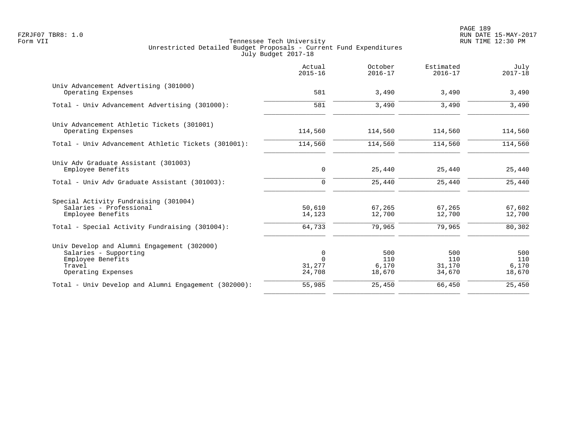PAGE 189 FZRJF07 TBR8: 1.0 RUN DATE 15-MAY-2017

|                                                                                                                           | Actual<br>$2015 - 16$             | October<br>$2016 - 17$        | Estimated<br>$2016 - 17$       | July<br>$2017 - 18$           |
|---------------------------------------------------------------------------------------------------------------------------|-----------------------------------|-------------------------------|--------------------------------|-------------------------------|
| Univ Advancement Advertising (301000)<br>Operating Expenses                                                               | 581                               | 3,490                         | 3,490                          | 3,490                         |
| Total - Univ Advancement Advertising (301000):                                                                            | 581                               | 3,490                         | 3,490                          | 3,490                         |
| Univ Advancement Athletic Tickets (301001)<br>Operating Expenses                                                          | 114,560                           | 114,560                       | 114,560                        | 114,560                       |
| Total - Univ Advancement Athletic Tickets (301001):                                                                       | 114,560                           | 114,560                       | 114,560                        | 114,560                       |
| Univ Adv Graduate Assistant (301003)<br>Employee Benefits                                                                 | 0                                 | 25,440                        | 25,440                         | 25,440                        |
| Total - Univ Adv Graduate Assistant (301003):                                                                             | $\Omega$                          | 25,440                        | 25,440                         | 25,440                        |
| Special Activity Fundraising (301004)<br>Salaries - Professional<br>Employee Benefits                                     | 50,610<br>14,123                  | 67,265<br>12,700              | 67,265<br>12,700               | 67,602<br>12,700              |
| Total - Special Activity Fundraising (301004):                                                                            | 64,733                            | 79,965                        | 79,965                         | 80,302                        |
| Univ Develop and Alumni Engagement (302000)<br>Salaries - Supporting<br>Employee Benefits<br>Travel<br>Operating Expenses | 0<br>$\Omega$<br>31,277<br>24,708 | 500<br>110<br>6,170<br>18,670 | 500<br>110<br>31,170<br>34,670 | 500<br>110<br>6,170<br>18,670 |
| Total - Univ Develop and Alumni Engagement (302000):                                                                      | 55,985                            | 25,450                        | 66,450                         | 25,450                        |
|                                                                                                                           |                                   |                               |                                |                               |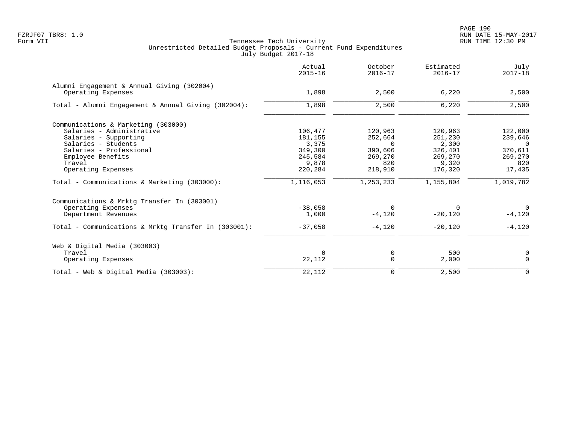| Actual<br>$2015 - 16$ | October<br>$2016 - 17$ | Estimated<br>$2016 - 17$ | July<br>$2017 - 18$ |
|-----------------------|------------------------|--------------------------|---------------------|
|                       |                        |                          |                     |
|                       |                        |                          | 2,500               |
| 1,898                 | 2,500                  | 6,220                    | 2,500               |
|                       |                        |                          |                     |
| 106,477               | 120,963                | 120,963                  | 122,000             |
| 181,155               | 252,664                | 251,230                  | 239,646             |
| 3,375                 | $\Omega$               | 2,300                    | $\Omega$            |
| 349,300               | 390,606                | 326,401                  | 370,611             |
| 245,584               | 269,270                | 269,270                  | 269,270             |
| 9,878                 | 820                    | 9,320                    | 820                 |
| 220,284               | 218,910                | 176,320                  | 17,435              |
| 1,116,053             | 1,253,233              | 1,155,804                | 1,019,782           |
|                       |                        |                          |                     |
| $-38,058$             | $\Omega$               | $\Omega$                 | $\mathbf 0$         |
| 1,000                 | $-4,120$               | $-20,120$                | $-4,120$            |
| $-37,058$             | $-4,120$               | $-20,120$                | $-4,120$            |
|                       |                        |                          |                     |
| $\Omega$              |                        |                          | 0                   |
| 22,112                | $\Omega$               | 2,000                    | $\Omega$            |
| 22,112                | 0                      | 2,500                    | $\mathbf 0$         |
|                       | 1,898                  | 2,500<br>0               | 6,220<br>500        |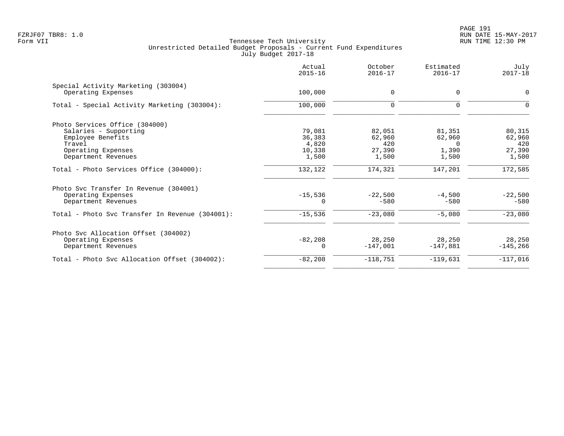PAGE 191 FZRJF07 TBR8: 1.0 RUN DATE 15-MAY-2017

|                                                           | Actual<br>$2015 - 16$ | October<br>$2016 - 17$ | Estimated<br>$2016 - 17$ | July<br>$2017 - 18$ |
|-----------------------------------------------------------|-----------------------|------------------------|--------------------------|---------------------|
| Special Activity Marketing (303004)<br>Operating Expenses | 100,000               | 0                      | $\Omega$                 | $\Omega$            |
| Total - Special Activity Marketing (303004):              | 100,000               | $\mathbf 0$            | 0                        | $\Omega$            |
| Photo Services Office (304000)                            |                       |                        |                          |                     |
| Salaries - Supporting                                     | 79,081                | 82,051                 | 81,351                   | 80,315              |
| Employee Benefits                                         | 36,383                | 62,960                 | 62,960                   | 62,960              |
| Travel                                                    | 4,820                 | 420                    | $\Omega$                 | 420                 |
| Operating Expenses                                        | 10,338                | 27,390                 | 1,390                    | 27,390              |
| Department Revenues                                       | 1,500                 | 1,500                  | 1,500                    | 1,500               |
| Total - Photo Services Office (304000):                   | 132,122               | 174,321                | 147,201                  | 172,585             |
| Photo Syc Transfer In Revenue (304001)                    |                       |                        |                          |                     |
| Operating Expenses                                        | $-15,536$             | $-22.500$              | $-4,500$                 | $-22,500$           |
| Department Revenues                                       |                       | $-580$                 | $-580$                   | $-580$              |
| Total - Photo Svc Transfer In Revenue (304001):           | $-15,536$             | $-23,080$              | $-5,080$                 | $-23,080$           |
| Photo Svc Allocation Offset (304002)                      |                       |                        |                          |                     |
| Operating Expenses                                        | $-82, 208$            | 28,250                 | 28,250                   | 28,250              |
| Department Revenues                                       | $\Omega$              | $-147,001$             | $-147,881$               | $-145, 266$         |
| Total - Photo Svc Allocation Offset (304002):             | $-82,208$             | $-118,751$             | $-119,631$               | $-117,016$          |
|                                                           |                       |                        |                          |                     |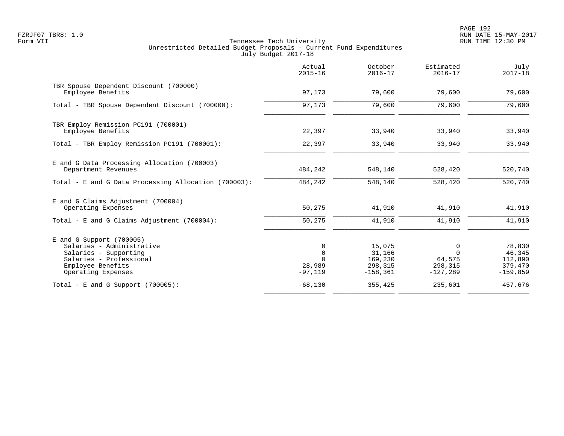PAGE 192 FZRJF07 TBR8: 1.0 RUN DATE 15-MAY-2017

|                                                                                                                                                        | Actual<br>$2015 - 16$                          | October<br>$2016 - 17$                                | Estimated<br>$2016 - 17$                         | July<br>$2017 - 18$                                  |
|--------------------------------------------------------------------------------------------------------------------------------------------------------|------------------------------------------------|-------------------------------------------------------|--------------------------------------------------|------------------------------------------------------|
| TBR Spouse Dependent Discount (700000)<br>Employee Benefits                                                                                            | 97,173                                         | 79,600                                                | 79,600                                           | 79,600                                               |
| Total - TBR Spouse Dependent Discount (700000):                                                                                                        | 97,173                                         | 79,600                                                | 79,600                                           | 79,600                                               |
| TBR Employ Remission PC191 (700001)<br>Employee Benefits                                                                                               | 22,397                                         | 33,940                                                | 33,940                                           | 33,940                                               |
| Total - TBR Employ Remission PC191 (700001):                                                                                                           | 22,397                                         | 33,940                                                | 33,940                                           | 33,940                                               |
| E and G Data Processing Allocation (700003)<br>Department Revenues                                                                                     | 484,242                                        | 548,140                                               | 528,420                                          | 520,740                                              |
| Total - E and G Data Processing Allocation (700003):                                                                                                   | 484,242                                        | 548,140                                               | 528,420                                          | 520,740                                              |
| E and G Claims Adjustment (700004)<br>Operating Expenses                                                                                               | 50,275                                         | 41,910                                                | 41,910                                           | 41,910                                               |
| Total - E and G Claims Adjustment $(700004)$ :                                                                                                         | 50,275                                         | 41,910                                                | 41,910                                           | 41,910                                               |
| $E$ and G Support (700005)<br>Salaries - Administrative<br>Salaries - Supporting<br>Salaries - Professional<br>Employee Benefits<br>Operating Expenses | $\Omega$<br>$\mathbf 0$<br>28,989<br>$-97,119$ | 15,075<br>31,166<br>169,230<br>298,315<br>$-158, 361$ | 0<br>$\Omega$<br>64,575<br>298,315<br>$-127,289$ | 78,830<br>46,345<br>112,890<br>379,470<br>$-159,859$ |
| Total - E and G Support $(700005)$ :                                                                                                                   | $-68,130$                                      | 355,425                                               | 235,601                                          | 457,676                                              |
|                                                                                                                                                        |                                                |                                                       |                                                  |                                                      |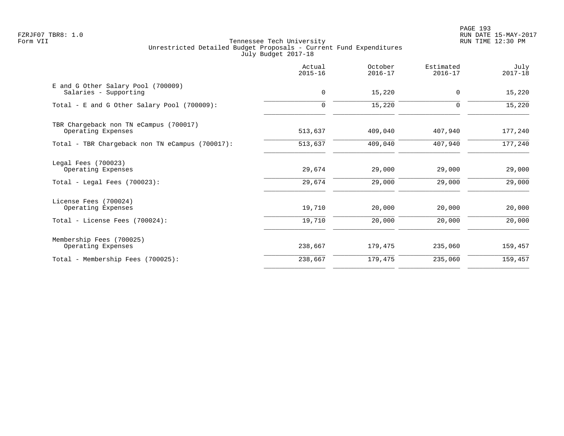PAGE 193 FZRJF07 TBR8: 1.0 RUN DATE 15-MAY-2017

| $2015 - 16$ | $2016 - 17$ | Estimated<br>$2016 - 17$ | July<br>$2017 - 18$ |
|-------------|-------------|--------------------------|---------------------|
| $\mathbf 0$ | 15,220      | 0                        | 15,220              |
| $\mathbf 0$ | 15,220      | 0                        | 15,220              |
| 513,637     | 409,040     | 407,940                  | 177,240             |
| 513,637     | 409,040     | 407,940                  | 177,240             |
| 29,674      | 29,000      | 29,000                   | 29,000<br>29,000    |
| 19,710      | 20,000      | 20,000                   | 20,000              |
| 19,710      | 20,000      | 20,000                   | 20,000              |
| 238,667     | 179,475     | 235,060                  | 159,457             |
| 238,667     | 179,475     | 235,060                  | 159,457             |
|             | 29,674      | 29,000                   | 29,000              |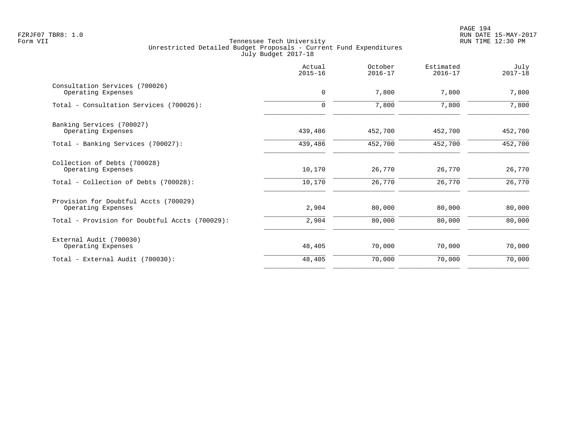PAGE 194 FZRJF07 TBR8: 1.0 RUN DATE 15-MAY-2017

|                                                             | Actual<br>$2015 - 16$ | October<br>$2016 - 17$ | Estimated<br>$2016 - 17$ | July<br>$2017 - 18$ |
|-------------------------------------------------------------|-----------------------|------------------------|--------------------------|---------------------|
| Consultation Services (700026)<br>Operating Expenses        | $\mathbf 0$           | 7,800                  | 7,800                    | 7,800               |
| Total - Consultation Services (700026):                     | $\mathbf 0$           | 7,800                  | 7,800                    | 7,800               |
| Banking Services (700027)<br>Operating Expenses             | 439,486               | 452,700                | 452,700                  | 452,700             |
| Total - Banking Services (700027):                          | 439,486               | 452,700                | 452,700                  | 452,700             |
| Collection of Debts (700028)<br>Operating Expenses          | 10,170                | 26,770                 | 26,770                   | 26,770              |
| Total - Collection of Debts (700028):                       | 10,170                | 26,770                 | 26,770                   | 26,770              |
| Provision for Doubtful Accts (700029)<br>Operating Expenses | 2,904                 | 80,000                 | 80,000                   | 80,000              |
| Total - Provision for Doubtful Accts (700029):              | 2,904                 | 80,000                 | 80,000                   | 80,000              |
| External Audit (700030)<br>Operating Expenses               | 48,405                | 70,000                 | 70,000                   | 70,000              |
| Total - External Audit (700030):                            | 48,405                | 70,000                 | 70,000                   | 70,000              |
|                                                             |                       |                        |                          |                     |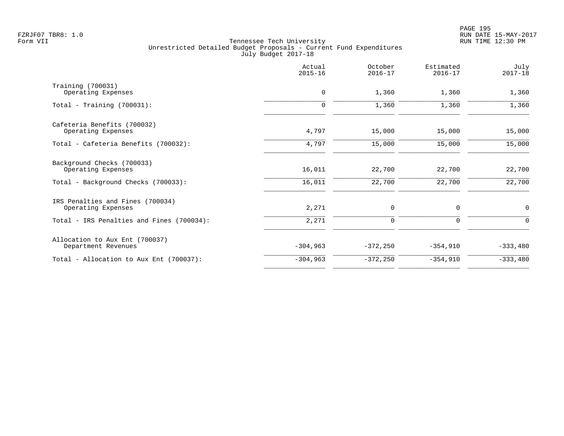|                                           | Actual<br>$2015 - 16$ | October<br>$2016 - 17$ | Estimated<br>$2016 - 17$ | July<br>$2017 - 18$ |
|-------------------------------------------|-----------------------|------------------------|--------------------------|---------------------|
| Training (700031)                         |                       |                        |                          |                     |
| Operating Expenses                        | $\mathbf 0$           | 1,360                  | 1,360                    | 1,360               |
| Total - Training $(700031)$ :             | $\mathbf 0$           | 1,360                  | 1,360                    | 1,360               |
| Cafeteria Benefits (700032)               |                       |                        |                          |                     |
| Operating Expenses                        | 4,797                 | 15,000                 | 15,000                   | 15,000              |
| Total - Cafeteria Benefits (700032):      | 4,797                 | 15,000                 | 15,000                   | 15,000              |
| Background Checks (700033)                |                       |                        |                          |                     |
| Operating Expenses                        | 16,011                | 22,700                 | 22,700                   | 22,700              |
| Total - Background Checks (700033):       | 16,011                | 22,700                 | 22,700                   | 22,700              |
| IRS Penalties and Fines (700034)          |                       |                        |                          |                     |
| Operating Expenses                        | 2,271                 | 0                      | 0                        | $\mathbf 0$         |
| Total - IRS Penalties and Fines (700034): | 2,271                 | $\mathbf 0$            | 0                        | $\Omega$            |
| Allocation to Aux Ent (700037)            |                       |                        |                          |                     |
| Department Revenues                       | $-304,963$            | $-372, 250$            | $-354,910$               | $-333,480$          |
| Total - Allocation to Aux Ent (700037):   | $-304,963$            | $-372,250$             | $-354,910$               | $-333,480$          |
|                                           |                       |                        |                          |                     |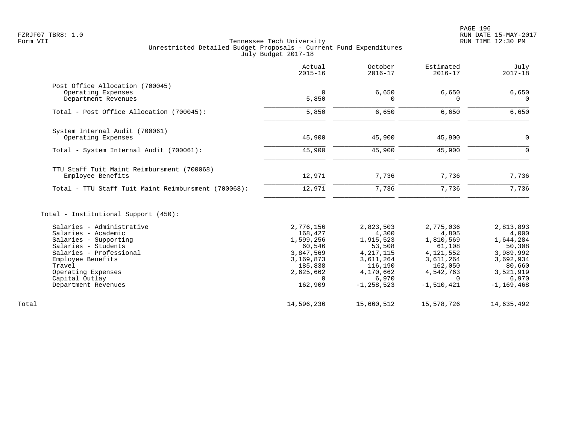|                                                       | Actual<br>$2015 - 16$ | October<br>$2016 - 17$ | Estimated<br>$2016 - 17$ | July<br>$2017 - 18$ |
|-------------------------------------------------------|-----------------------|------------------------|--------------------------|---------------------|
| Post Office Allocation (700045)<br>Operating Expenses | $\mathbf 0$           | 6,650                  | 6,650                    | 6,650               |
| Department Revenues                                   | 5,850                 | $\Omega$               | $\Omega$                 | $\Omega$            |
| Total - Post Office Allocation (700045):              | 5,850                 | 6,650                  | 6,650                    | 6,650               |
| System Internal Audit (700061)                        |                       |                        |                          |                     |
| Operating Expenses                                    | 45,900                | 45,900                 | 45,900                   | 0                   |
| Total - System Internal Audit (700061):               | 45,900                | 45,900                 | 45,900                   | $\mathbf 0$         |
| TTU Staff Tuit Maint Reimbursment (700068)            |                       |                        |                          |                     |
| Employee Benefits                                     | 12,971                | 7,736                  | 7,736                    | 7,736               |
| Total - TTU Staff Tuit Maint Reimbursment (700068):   | 12,971                | 7,736                  | 7,736                    | 7,736               |
| Total - Institutional Support (450):                  |                       |                        |                          |                     |
| Salaries - Administrative                             | 2,776,156             | 2,823,503              | 2,775,036                | 2,813,893           |
| Salaries - Academic                                   | 168,427               | 4,300                  | 4,805                    | 4,000               |
| Salaries - Supporting                                 | 1,599,256             | 1,915,523              | 1,810,569                | 1,644,284           |
| Salaries - Students<br>Salaries - Professional        | 60,546<br>3,847,569   | 53,508<br>4, 217, 115  | 61,108<br>4, 121, 552    | 50,308<br>3,989,992 |
| Employee Benefits                                     | 3,169,873             | 3,611,264              | 3,611,264                | 3,692,934           |
| Travel                                                | 185,838               | 116,190                | 162,050                  | 80,660              |
| Operating Expenses                                    | 2,625,662             | 4,170,662              | 4,542,763                | 3,521,919           |
| Capital Outlay                                        | $\Omega$              | 6,970                  | $\Omega$                 | 6,970               |
| Department Revenues                                   | 162,909               | $-1, 258, 523$         | $-1,510,421$             | $-1, 169, 468$      |
| Total                                                 | 14,596,236            | 15,660,512             | 15,578,726               | 14,635,492          |
|                                                       |                       |                        |                          |                     |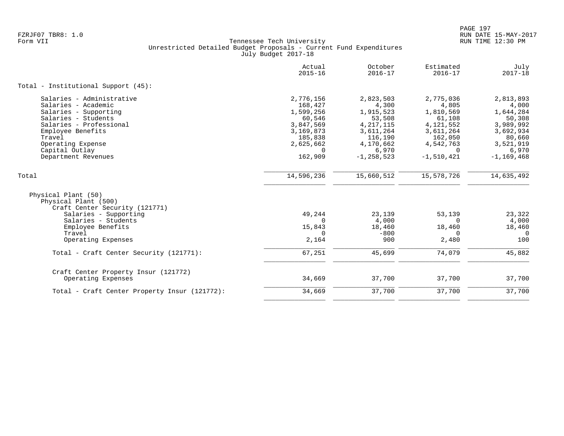|                                                                               | Actual<br>$2015 - 16$ | October<br>$2016 - 17$ | Estimated<br>$2016 - 17$ | July<br>$2017 - 18$ |
|-------------------------------------------------------------------------------|-----------------------|------------------------|--------------------------|---------------------|
| Total - Institutional Support (45):                                           |                       |                        |                          |                     |
| Salaries - Administrative                                                     | 2,776,156             | 2,823,503              | 2,775,036                | 2,813,893           |
| Salaries - Academic                                                           | 168,427               | 4,300                  | 4,805                    | 4,000               |
| Salaries - Supporting                                                         | 1,599,256             | 1,915,523              | 1,810,569                | 1,644,284           |
| Salaries - Students                                                           | 60,546                | 53,508                 | 61,108                   | 50,308              |
| Salaries - Professional                                                       | 3,847,569             | 4, 217, 115            | 4, 121, 552              | 3,989,992           |
| Employee Benefits                                                             | 3,169,873             | 3,611,264              | 3,611,264                | 3,692,934           |
| Travel                                                                        | 185,838               | 116,190                | 162,050                  | 80,660              |
| Operating Expense                                                             | 2,625,662             | 4,170,662              | 4,542,763                | 3,521,919           |
| Capital Outlay                                                                | $\Omega$              | 6,970                  | $\Omega$                 | 6,970               |
| Department Revenues                                                           | 162,909               | $-1, 258, 523$         | $-1,510,421$             | $-1, 169, 468$      |
| Total                                                                         | 14,596,236            | 15,660,512             | 15,578,726               | 14,635,492          |
| Physical Plant (50)<br>Physical Plant (500)<br>Craft Center Security (121771) |                       |                        |                          |                     |
| Salaries - Supporting                                                         | 49,244                | 23,139                 | 53,139                   | 23,322              |
| Salaries - Students                                                           | $\Omega$              | 4,000                  | $\Omega$                 | 4,000               |
| Employee Benefits                                                             | 15,843                | 18,460                 | 18,460                   | 18,460              |
| Travel                                                                        | 0                     | $-800$                 | $\Omega$                 | 0                   |
| Operating Expenses                                                            | 2,164                 | 900                    | 2,480                    | 100                 |
| Total - Craft Center Security (121771):                                       | 67,251                | 45,699                 | 74,079                   | 45,882              |
| Craft Center Property Insur (121772)<br>Operating Expenses                    | 34,669                | 37,700                 | 37,700                   | 37,700              |
| Total - Craft Center Property Insur (121772):                                 | 34,669                | 37,700                 | 37,700                   | 37,700              |
|                                                                               |                       |                        |                          |                     |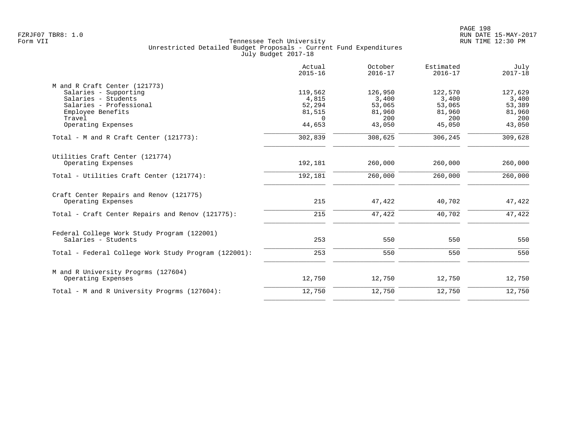|                                                                               | Actual<br>$2015 - 16$        | October<br>$2016 - 17$  | Estimated<br>$2016 - 17$ | July<br>$2017 - 18$     |
|-------------------------------------------------------------------------------|------------------------------|-------------------------|--------------------------|-------------------------|
| M and R Craft Center (121773)<br>Salaries - Supporting<br>Salaries - Students | 119,562<br>4,815             | 126,950<br>3,400        | 122,570<br>3,400         | 127,629<br>3,400        |
| Salaries - Professional<br>Employee Benefits<br>Travel                        | 52,294<br>81,515<br>$\Omega$ | 53,065<br>81,960<br>200 | 53,065<br>81,960<br>200  | 53,389<br>81,960<br>200 |
| Operating Expenses                                                            | 44,653                       | 43,050                  | 45,050                   | 43,050                  |
| Total - M and R Craft Center (121773):                                        | 302,839                      | 308,625                 | 306,245                  | 309,628                 |
| Utilities Craft Center (121774)<br>Operating Expenses                         | 192,181                      | 260,000                 | 260,000                  | 260,000                 |
| Total - Utilities Craft Center (121774):                                      | 192,181                      | 260,000                 | 260,000                  | 260,000                 |
| Craft Center Repairs and Renov (121775)<br>Operating Expenses                 | 215                          | 47,422                  | 40,702                   | 47,422                  |
| Total - Craft Center Repairs and Renov (121775):                              | 215                          | 47,422                  | 40,702                   | 47,422                  |
| Federal College Work Study Program (122001)<br>Salaries - Students            | 253                          | 550                     | 550                      | 550                     |
| Total - Federal College Work Study Program (122001):                          | 253                          | 550                     | 550                      | 550                     |
| M and R University Progrms (127604)<br>Operating Expenses                     | 12,750                       | 12,750                  | 12,750                   | 12,750                  |
| Total - M and R University Progrms (127604):                                  | 12,750                       | 12,750                  | 12,750                   | 12,750                  |
|                                                                               |                              |                         |                          |                         |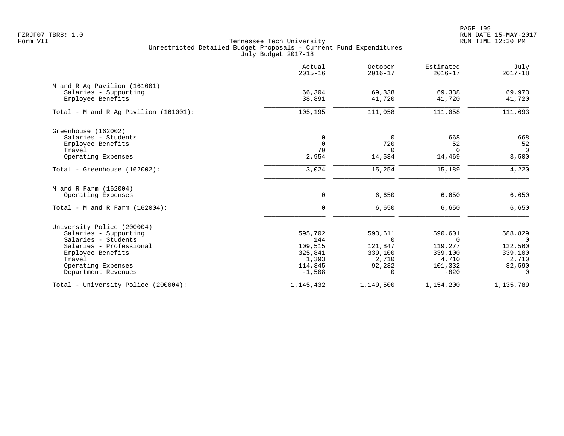PAGE 199 FZRJF07 TBR8: 1.0 RUN DATE 15-MAY-2017

|                                            | Actual<br>$2015 - 16$ | October<br>$2016 - 17$ | Estimated<br>$2016 - 17$ | July<br>$2017 - 18$ |
|--------------------------------------------|-----------------------|------------------------|--------------------------|---------------------|
| M and R Ag Pavilion (161001)               |                       |                        |                          |                     |
| Salaries - Supporting<br>Employee Benefits | 66,304<br>38,891      | 69,338<br>41,720       | 69,338<br>41,720         | 69,973<br>41,720    |
|                                            |                       |                        |                          |                     |
| Total - M and R Aq Pavilion $(161001)$ :   | 105,195               | 111,058                | 111,058                  | 111,693             |
| Greenhouse (162002)                        |                       |                        |                          |                     |
| Salaries - Students                        | 0                     | 0                      | 668                      | 668                 |
| Employee Benefits                          | $\mathbf 0$           | 720                    | 52                       | 52                  |
| Travel                                     | 70                    | $\Omega$<br>14,534     | $\Omega$                 | $\Omega$            |
| Operating Expenses                         | 2,954                 |                        | 14,469                   | 3,500               |
| Total - Greenhouse (162002):               | 3,024                 | 15,254                 | 15,189                   | 4,220               |
| M and R Farm (162004)                      |                       |                        |                          |                     |
| Operating Expenses                         | $\mathbf 0$           | 6,650                  | 6,650                    | 6,650               |
| Total - M and R Farm $(162004)$ :          | $\mathbf 0$           | 6,650                  | 6,650                    | 6,650               |
| University Police (200004)                 |                       |                        |                          |                     |
| Salaries - Supporting                      | 595,702               | 593,611                | 590,601                  | 588,829             |
| Salaries - Students                        | 144                   | $\Omega$               | $\Omega$                 | $\Omega$            |
| Salaries - Professional                    | 109,515               | 121,847                | 119,277                  | 122,560             |
| Employee Benefits                          | 325,841               | 339,100                | 339,100                  | 339,100             |
| Travel                                     | 1,393<br>114,345      | 2,710<br>92,232        | 4,710<br>101,332         | 2,710<br>82,590     |
| Operating Expenses<br>Department Revenues  | $-1,508$              | $\Omega$               | $-820$                   | $\mathbf 0$         |
| Total - University Police (200004):        | 1,145,432             | 1,149,500              | 1,154,200                | 1,135,789           |
|                                            |                       |                        |                          |                     |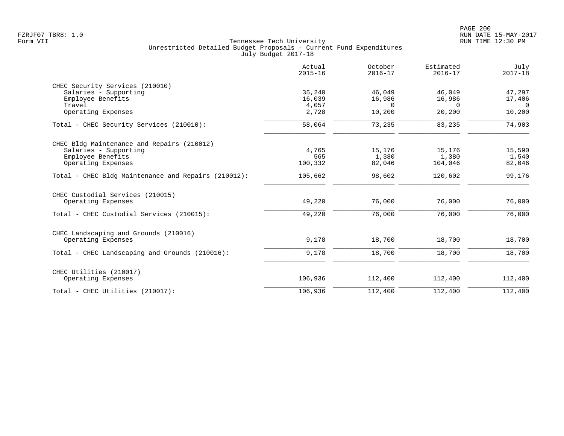|                                                     | Actual<br>$2015 - 16$ | October<br>$2016 - 17$ | Estimated<br>$2016 - 17$ | July<br>$2017 - 18$ |
|-----------------------------------------------------|-----------------------|------------------------|--------------------------|---------------------|
| CHEC Security Services (210010)                     |                       |                        |                          |                     |
| Salaries - Supporting                               | 35,240                | 46,049                 | 46,049                   | 47,297              |
| Employee Benefits                                   | 16,039                | 16,986                 | 16,986                   | 17,406              |
| Travel                                              | 4,057                 | $\Omega$               | $\Omega$                 | $\Omega$            |
| Operating Expenses                                  | 2,728                 | 10,200                 | 20,200                   | 10,200              |
| Total - CHEC Security Services (210010):            | 58,064                | 73,235                 | 83,235                   | 74,903              |
| CHEC Bldg Maintenance and Repairs (210012)          |                       |                        |                          |                     |
| Salaries - Supporting                               | 4,765                 | 15,176                 | 15,176                   | 15,590              |
| Employee Benefits                                   | 565                   | 1,380                  | 1,380                    | 1,540               |
| Operating Expenses                                  | 100,332               | 82,046                 | 104,046                  | 82,046              |
| Total - CHEC Bldg Maintenance and Repairs (210012): | 105,662               | 98,602                 | 120,602                  | 99,176              |
| CHEC Custodial Services (210015)                    |                       |                        |                          |                     |
| Operating Expenses                                  | 49,220                | 76,000                 | 76,000                   | 76,000              |
| Total - CHEC Custodial Services (210015):           | 49,220                | 76,000                 | 76,000                   | 76,000              |
| CHEC Landscaping and Grounds (210016)               |                       |                        |                          |                     |
| Operating Expenses                                  | 9,178                 | 18,700                 | 18,700                   | 18,700              |
| Total - CHEC Landscaping and Grounds (210016):      | 9,178                 | 18,700                 | 18,700                   | 18,700              |
| CHEC Utilities (210017)                             |                       |                        |                          |                     |
| Operating Expenses                                  | 106,936               | 112,400                | 112,400                  | 112,400             |
| Total - CHEC Utilities (210017):                    | 106,936               | 112,400                | 112,400                  | 112,400             |
|                                                     |                       |                        |                          |                     |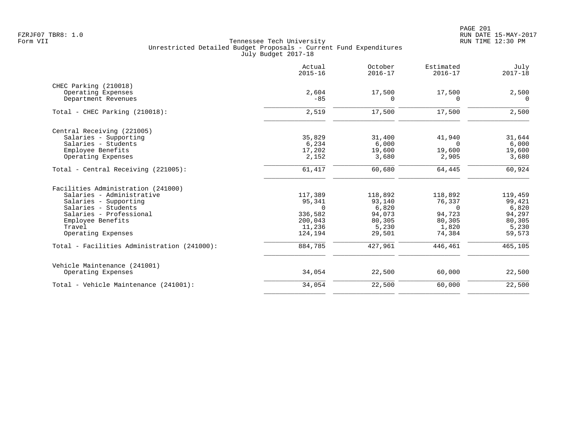PAGE 201 FZRJF07 TBR8: 1.0 RUN DATE 15-MAY-2017

|                                                    | Actual<br>$2015 - 16$ | October<br>$2016 - 17$ | Estimated<br>$2016 - 17$ | July<br>$2017 - 18$ |
|----------------------------------------------------|-----------------------|------------------------|--------------------------|---------------------|
| CHEC Parking (210018)                              |                       |                        |                          |                     |
| Operating Expenses                                 | 2,604                 | 17,500                 | 17,500                   | 2,500               |
| Department Revenues                                | $-85$                 | 0                      | $\Omega$                 | $\Omega$            |
| Total - CHEC Parking (210018):                     | 2,519                 | 17,500                 | 17,500                   | 2,500               |
| Central Receiving (221005)                         |                       |                        |                          |                     |
| Salaries - Supporting                              | 35,829                | 31,400                 | 41,940                   | 31,644              |
| Salaries - Students                                | 6,234                 | 6,000                  | $\Omega$                 | 6,000               |
| Employee Benefits                                  | 17,202                | 19,600                 | 19,600                   | 19,600              |
| Operating Expenses                                 | 2,152                 | 3,680                  | 2,905                    | 3,680               |
| Total - Central Receiving (221005):                | 61,417                | 60,680                 | 64,445                   | 60,924              |
| Facilities Administration (241000)                 |                       |                        |                          |                     |
| Salaries - Administrative                          | 117,389               | 118,892                | 118,892                  | 119,459             |
| Salaries - Supporting                              | 95,341                | 93,140                 | 76,337                   | 99,421              |
| Salaries - Students                                | $\Omega$              | 6,820                  | $\Omega$                 | 6,820               |
| Salaries - Professional                            | 336,582               | 94,073                 | 94,723                   | 94,297              |
| Employee Benefits                                  | 200,043               | 80,305                 | 80,305                   | 80,305              |
| Travel                                             | 11,236                | 5,230                  | 1,820                    | 5,230               |
| Operating Expenses                                 | 124,194               | 29,501                 | 74,384                   | 59,573              |
| Total - Facilities Administration (241000):        | 884,785               | 427,961                | 446,461                  | 465,105             |
|                                                    |                       |                        |                          |                     |
| Vehicle Maintenance (241001)<br>Operating Expenses | 34,054                | 22,500                 | 60,000                   | 22,500              |
| Total - Vehicle Maintenance (241001):              | 34,054                | 22,500                 | 60,000                   | 22,500              |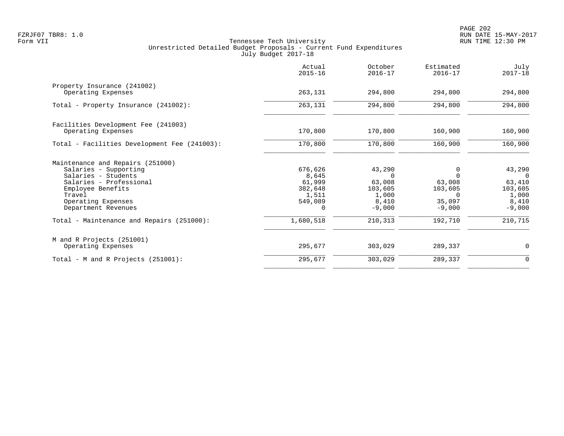|                                                                                                                                                                                                                                      | Actual<br>$2015 - 16$                                                       | October<br>$2016 - 17$                                                           | Estimated<br>$2016 - 17$                                                               | July<br>$2017 - 18$                                                              |
|--------------------------------------------------------------------------------------------------------------------------------------------------------------------------------------------------------------------------------------|-----------------------------------------------------------------------------|----------------------------------------------------------------------------------|----------------------------------------------------------------------------------------|----------------------------------------------------------------------------------|
| Property Insurance (241002)<br>Operating Expenses                                                                                                                                                                                    | 263,131                                                                     | 294,800                                                                          | 294,800                                                                                | 294,800                                                                          |
| Total - Property Insurance (241002):                                                                                                                                                                                                 | 263,131                                                                     | 294,800                                                                          | 294,800                                                                                | 294,800                                                                          |
| Facilities Development Fee (241003)<br>Operating Expenses                                                                                                                                                                            | 170,800                                                                     | 170,800                                                                          | 160,900                                                                                | 160,900                                                                          |
| Total - Facilities Development Fee (241003):                                                                                                                                                                                         | 170,800                                                                     | 170,800                                                                          | 160,900                                                                                | 160,900                                                                          |
| Maintenance and Repairs (251000)<br>Salaries - Supporting<br>Salaries - Students<br>Salaries - Professional<br>Employee Benefits<br>Travel<br>Operating Expenses<br>Department Revenues<br>Total - Maintenance and Repairs (251000): | 676,626<br>8,645<br>61,999<br>382,648<br>1,511<br>549,089<br>0<br>1,680,518 | 43,290<br>$\Omega$<br>63,008<br>103,605<br>1,000<br>8,410<br>$-9,000$<br>210,313 | $\Omega$<br>$\Omega$<br>63,008<br>103,605<br>$\Omega$<br>35,097<br>$-9,000$<br>192,710 | 43,290<br>$\Omega$<br>63,410<br>103,605<br>1,000<br>8,410<br>$-9,000$<br>210,715 |
| M and R Projects (251001)<br>Operating Expenses                                                                                                                                                                                      | 295,677                                                                     | 303,029                                                                          | 289,337                                                                                | 0                                                                                |
| Total - M and R Projects $(251001)$ :                                                                                                                                                                                                | 295,677                                                                     | 303,029                                                                          | 289,337                                                                                | 0                                                                                |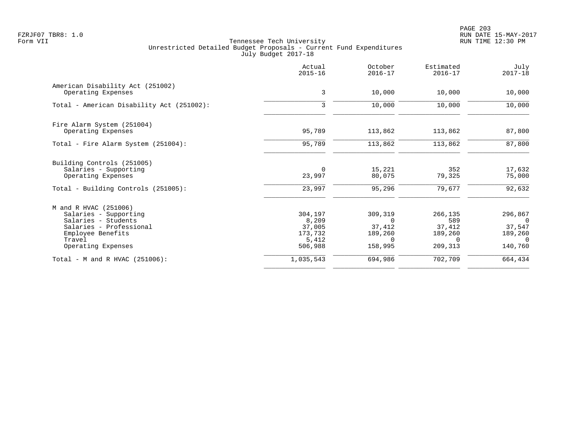PAGE 203 FZRJF07 TBR8: 1.0 RUN DATE 15-MAY-2017

|                                           | Actual<br>$2015 - 16$ | October<br>$2016 - 17$ | Estimated<br>$2016 - 17$ | July<br>$2017 - 18$ |
|-------------------------------------------|-----------------------|------------------------|--------------------------|---------------------|
| American Disability Act (251002)          |                       |                        |                          |                     |
| Operating Expenses                        | 3                     | 10,000                 | 10,000                   | 10,000              |
| Total - American Disability Act (251002): | 3                     | 10,000                 | 10,000                   | 10,000              |
| Fire Alarm System (251004)                |                       |                        |                          |                     |
| Operating Expenses                        | 95,789                | 113,862                | 113,862                  | 87,800              |
| Total - Fire Alarm System (251004):       | 95,789                | 113,862                | 113,862                  | 87,800              |
| Building Controls (251005)                |                       |                        |                          |                     |
| Salaries - Supporting                     | $\Omega$              | 15,221                 | 352                      | 17,632              |
| Operating Expenses                        | 23,997                | 80,075                 | 79,325                   | 75,000              |
| Total - Building Controls (251005):       | 23,997                | 95,296                 | 79,677                   | 92,632              |
| M and R HVAC (251006)                     |                       |                        |                          |                     |
| Salaries - Supporting                     | 304,197               | 309,319                | 266,135                  | 296,867             |
| Salaries - Students                       | 8,209                 | $\Omega$               | 589                      | - 0                 |
| Salaries - Professional                   | 37,005                | 37,412                 | 37,412                   | 37,547              |
| Employee Benefits                         | 173,732               | 189,260                | 189,260                  | 189,260             |
| Travel                                    | 5,412                 | $\Omega$               | $\Omega$                 | $\Omega$            |
| Operating Expenses                        | 506,988               | 158,995                | 209,313                  | 140,760             |
| Total - M and R HVAC (251006):            | 1,035,543             | 694,986                | 702,709                  | 664,434             |
|                                           |                       |                        |                          |                     |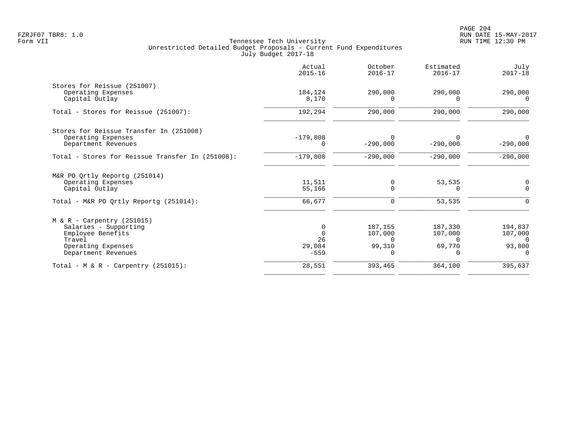|                                                                                                                                   | Actual<br>$2015 - 16$                   | October<br>$2016 - 17$                        | Estimated<br>$2016 - 17$                             | July<br>$2017 - 18$                      |
|-----------------------------------------------------------------------------------------------------------------------------------|-----------------------------------------|-----------------------------------------------|------------------------------------------------------|------------------------------------------|
| Stores for Reissue (251007)<br>Operating Expenses<br>Capital Outlay                                                               | 184,124<br>8,170                        | 290,000<br><sup>n</sup>                       | 290,000                                              | 290,000<br>$\Omega$                      |
| Total - Stores for Reissue (251007):                                                                                              | 192,294                                 | 290,000                                       | 290,000                                              | 290,000                                  |
| Stores for Reissue Transfer In (251008)<br>Operating Expenses<br>Department Revenues                                              | $-179,808$<br>$\Omega$                  | <sup>n</sup><br>$-290,000$                    | $-290,000$                                           | $\Omega$<br>$-290,000$                   |
| Total - Stores for Reissue Transfer In (251008):                                                                                  | $-179,808$                              | $-290,000$                                    | $-290,000$                                           | $-290,000$                               |
| M&R PO Qrtly Reportg (251014)<br>Operating Expenses<br>Capital Outlay<br>Total - M&R PO Ortly Reportq (251014):                   | 11,511<br>55,166<br>66,677              | 0<br>$\Omega$<br>0                            | 53,535<br>$\Omega$<br>53,535                         | $\Omega$                                 |
|                                                                                                                                   |                                         |                                               |                                                      |                                          |
| $M & R - Carpentry (251015)$<br>Salaries - Supporting<br>Employee Benefits<br>Travel<br>Operating Expenses<br>Department Revenues | 0<br>$\Omega$<br>26<br>29,084<br>$-559$ | 187,155<br>107,000<br>$\Omega$<br>99,310<br>0 | 187,330<br>107,000<br>$\Omega$<br>69,770<br>$\Omega$ | 194,837<br>107,000<br>$\Omega$<br>93,800 |
| Total - M & R - Carpentry $(251015)$ :                                                                                            | 28,551                                  | 393,465                                       | 364,100                                              | 395,637                                  |
|                                                                                                                                   |                                         |                                               |                                                      |                                          |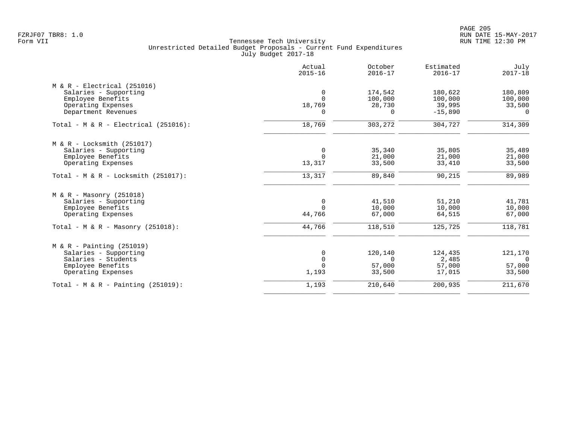|                                         | Actual<br>$2015 - 16$ | October<br>$2016 - 17$ | Estimated<br>$2016 - 17$ | July<br>$2017 - 18$ |
|-----------------------------------------|-----------------------|------------------------|--------------------------|---------------------|
| $M & R - Electrical (251016)$           |                       |                        |                          |                     |
| Salaries - Supporting                   | $\mathbf 0$           | 174,542                | 180,622                  | 180,809             |
| Employee Benefits                       | $\Omega$              | 100,000                | 100,000                  | 100,000             |
| Operating Expenses                      | 18,769                | 28,730                 | 39,995                   | 33,500              |
| Department Revenues                     | $\Omega$              | $\Omega$               | $-15,890$                | $\Omega$            |
| Total - $M & R - Electrical (251016)$ : | 18,769                | 303,272                | 304,727                  | 314,309             |
| $M & R - Locksmith (251017)$            |                       |                        |                          |                     |
| Salaries - Supporting                   | 0                     | 35,340                 | 35,805                   | 35,489              |
| Employee Benefits                       | $\Omega$              | 21,000                 | 21,000                   | 21,000              |
| Operating Expenses                      | 13,317                | 33,500                 | 33,410                   | 33,500              |
| Total - M & R - Locksmith $(251017)$ :  | 13,317                | 89,840                 | 90,215                   | 89,989              |
| $M & R - Massonry (251018)$             |                       |                        |                          |                     |
| Salaries - Supporting                   | $\mathbf 0$           | 41,510                 | 51,210                   | 41,781              |
| Employee Benefits                       | $\mathbf 0$           | 10,000                 | 10,000                   | 10,000              |
| Operating Expenses                      | 44,766                | 67,000                 | 64,515                   | 67,000              |
| Total - M & R - Masonry $(251018)$ :    | 44,766                | 118,510                | 125,725                  | 118,781             |
| $M & R - \text{Pairting} (251019)$      |                       |                        |                          |                     |
| Salaries - Supporting                   | 0                     | 120,140                | 124,435                  | 121,170             |
| Salaries - Students                     | $\mathbf 0$           | $\Omega$               | 2,485                    | $\overline{0}$      |
| Employee Benefits                       | $\Omega$              | 57,000                 | 57,000                   | 57,000              |
| Operating Expenses                      | 1,193                 | 33,500                 | 17,015                   | 33,500              |
| Total - M & R - Painting $(251019)$ :   | 1,193                 | 210,640                | 200,935                  | 211,670             |
|                                         |                       |                        |                          |                     |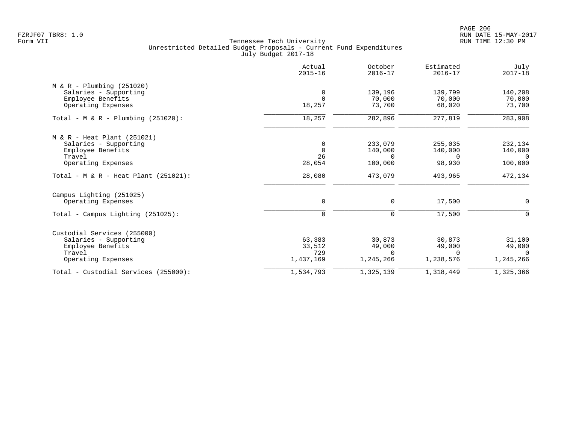PAGE 206 FZRJF07 TBR8: 1.0 RUN DATE 15-MAY-2017

|                                         | Actual<br>$2015 - 16$ | October<br>$2016 - 17$ | Estimated<br>$2016 - 17$ | July<br>$2017 - 18$ |
|-----------------------------------------|-----------------------|------------------------|--------------------------|---------------------|
| $M & R - Plumbing (251020)$             |                       |                        |                          |                     |
| Salaries - Supporting                   | $\overline{0}$        | 139,196                | 139,799                  | 140,208             |
| Employee Benefits                       | $\Omega$              | 70,000                 | 70,000                   | 70,000              |
| Operating Expenses                      | 18,257                | 73,700                 | 68,020                   | 73,700              |
| Total - M & R - Plumbing $(251020)$ :   | 18,257                | 282,896                | 277,819                  | 283,908             |
| M & R - Heat Plant (251021)             |                       |                        |                          |                     |
| Salaries - Supporting                   | $\mathbf 0$           | 233,079                | 255,035                  | 232,134             |
| Employee Benefits                       | $\Omega$              | 140,000                | 140,000                  | 140,000             |
| Travel                                  | 26                    | $\Omega$               | $\Omega$                 | $\bigcirc$          |
| Operating Expenses                      | 28,054                | 100,000                | 98,930                   | 100,000             |
| Total - M & R - Heat Plant $(251021)$ : | 28,080                | 473,079                | 493,965                  | 472,134             |
| Campus Lighting (251025)                |                       |                        |                          |                     |
| Operating Expenses                      | $\mathsf{O}$          | 0                      | 17,500                   | $\overline{0}$      |
| Total - Campus Lighting $(251025)$ :    | $\mathbf 0$           | 0                      | 17,500                   | $\mathbf 0$         |
| Custodial Services (255000)             |                       |                        |                          |                     |
| Salaries - Supporting                   | 63,383                | 30,873                 | 30,873                   | 31,100              |
| Employee Benefits                       | 33,512                | 49,000                 | 49,000                   | 49,000              |
| Travel                                  | 729                   | $\Omega$               | $\Omega$                 | $\Omega$            |
| Operating Expenses                      | 1,437,169             | 1,245,266              | 1,238,576                | 1,245,266           |
| Total - Custodial Services (255000):    | 1,534,793             | 1,325,139              | 1,318,449                | 1,325,366           |
|                                         |                       |                        |                          |                     |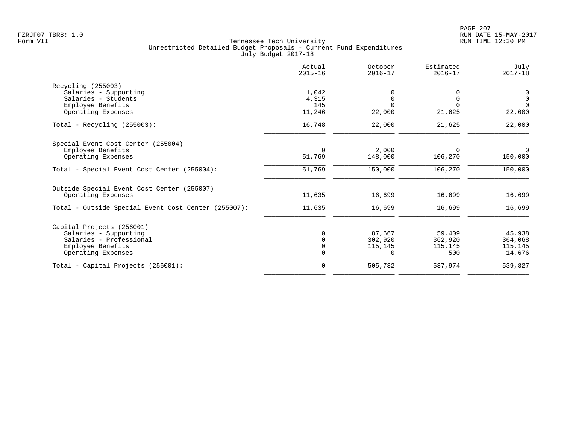| Actual<br>$2015 - 16$ | October<br>$2016 - 17$ | Estimated<br>$2016 - 17$ | July<br>$2017 - 18$ |
|-----------------------|------------------------|--------------------------|---------------------|
|                       |                        |                          |                     |
|                       |                        |                          | 0                   |
| 4,315                 | $\Omega$               | $\Omega$                 | $\overline{0}$      |
| 145                   | $\Omega$               |                          | $\Omega$            |
| 11,246                | 22,000                 | 21,625                   | 22,000              |
| 16,748                | 22,000                 | 21,625                   | 22,000              |
|                       |                        |                          |                     |
| $\Omega$              | 2,000                  | $\Omega$                 | $\Omega$            |
| 51,769                | 148,000                | 106,270                  | 150,000             |
| 51,769                | 150,000                | 106,270                  | 150,000             |
|                       |                        |                          |                     |
| 11,635                | 16,699                 | 16,699                   | 16,699              |
| 11,635                | 16,699                 | 16,699                   | 16,699              |
|                       |                        |                          |                     |
|                       | 87,667                 | 59,409                   | 45,938              |
|                       | 302,920                | 362,920                  | 364,068             |
| $\Omega$              | 115,145                | 115,145                  | 115,145             |
|                       | $\Omega$               | 500                      | 14,676              |
| $\mathbf 0$           | 505,732                | 537,974                  | 539,827             |
|                       | 1,042                  |                          |                     |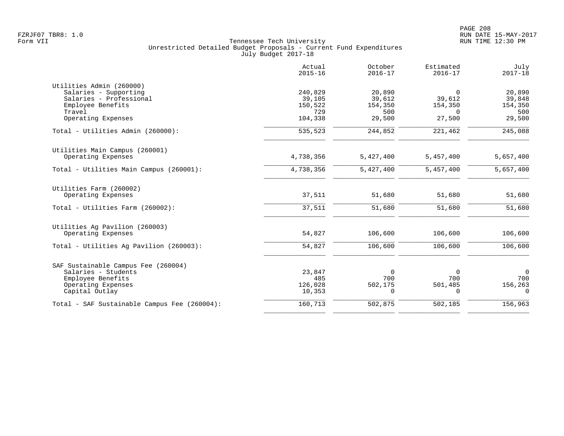|                                              | Actual<br>$2015 - 16$ | October<br>$2016 - 17$ | Estimated<br>$2016 - 17$ | July<br>$2017 - 18$ |
|----------------------------------------------|-----------------------|------------------------|--------------------------|---------------------|
| Utilities Admin (260000)                     |                       |                        |                          |                     |
| Salaries - Supporting                        | 240,829               | 20,890                 | $\Omega$                 | 20,890              |
| Salaries - Professional                      | 39,105                | 39,612                 | 39,612                   | 39,848              |
| Employee Benefits                            | 150,522               | 154,350                | 154,350                  | 154,350             |
| Travel                                       | 729                   | 500                    | $\Omega$                 | 500                 |
| Operating Expenses                           | 104,338               | 29,500                 | 27,500                   | 29,500              |
| Total - Utilities Admin (260000):            | 535,523               | 244,852                | 221,462                  | 245,088             |
| Utilities Main Campus (260001)               |                       |                        |                          |                     |
| Operating Expenses                           | 4,738,356             | 5,427,400              | 5,457,400                | 5,657,400           |
| Total - Utilities Main Campus (260001):      | 4,738,356             | 5,427,400              | 5,457,400                | 5,657,400           |
| Utilities Farm (260002)                      |                       |                        |                          |                     |
| Operating Expenses                           | 37,511                | 51,680                 | 51,680                   | 51,680              |
| Total - Utilities Farm (260002):             | 37,511                | 51,680                 | 51,680                   | 51,680              |
| Utilities Ag Pavilion (260003)               |                       |                        |                          |                     |
| Operating Expenses                           | 54,827                | 106,600                | 106,600                  | 106,600             |
| Total - Utilities Ag Pavilion (260003):      | 54,827                | 106,600                | 106,600                  | 106,600             |
| SAF Sustainable Campus Fee (260004)          |                       |                        |                          |                     |
| Salaries - Students                          | 23,847                | $\Omega$               | $\Omega$                 | $\Omega$            |
| Employee Benefits                            | 485                   | 700                    | 700                      | 700                 |
| Operating Expenses                           | 126,028               | 502,175                | 501,485                  | 156,263             |
| Capital Outlay                               | 10,353                | $\Omega$               | $\Omega$                 | $\Omega$            |
| Total - SAF Sustainable Campus Fee (260004): | 160,713               | 502,875                | 502, 185                 | 156,963             |
|                                              |                       |                        |                          |                     |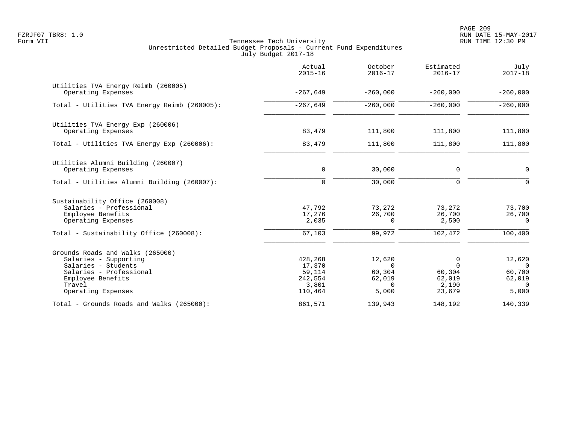PAGE 209 FZRJF07 TBR8: 1.0 RUN DATE 15-MAY-2017

| $-260,000$<br>$-260,000$                                    | $-260,000$                                                  |                                                             |                                                            |                                                                                                                                                                  |
|-------------------------------------------------------------|-------------------------------------------------------------|-------------------------------------------------------------|------------------------------------------------------------|------------------------------------------------------------------------------------------------------------------------------------------------------------------|
|                                                             |                                                             | $-260,000$                                                  | $-267,649$                                                 | Utilities TVA Energy Reimb (260005)<br>Operating Expenses                                                                                                        |
|                                                             | $-260,000$                                                  | $-260,000$                                                  | $-267,649$                                                 | Total - Utilities TVA Energy Reimb (260005):                                                                                                                     |
| 111,800                                                     | 111,800                                                     | 111,800                                                     | 83,479                                                     | Utilities TVA Energy Exp (260006)<br>Operating Expenses                                                                                                          |
| 111,800                                                     | 111,800                                                     | 111,800                                                     | 83,479                                                     | Total - Utilities TVA Energy Exp (260006):                                                                                                                       |
| 0                                                           | 0                                                           | 30,000                                                      | $\mathbf 0$                                                | Utilities Alumni Building (260007)<br>Operating Expenses                                                                                                         |
| $\Omega$                                                    | $\mathbf 0$                                                 | 30,000                                                      | $\mathbf 0$                                                | Total - Utilities Alumni Building (260007):                                                                                                                      |
| 73,700<br>26,700<br>$\Omega$<br>100,400                     | 73,272<br>26,700<br>2,500<br>102,472                        | 73,272<br>26,700<br>$\Omega$<br>99,972                      | 47,792<br>17,276<br>2,035<br>67,103                        | Sustainability Office (260008)<br>Salaries - Professional<br>Employee Benefits<br>Operating Expenses<br>Total - Sustainability Office (260008):                  |
| 12,620<br>$\Omega$<br>60,700<br>62,019<br>$\Omega$<br>5,000 | $\Omega$<br>$\Omega$<br>60,304<br>62,019<br>2,190<br>23,679 | 12,620<br>$\Omega$<br>60,304<br>62,019<br>$\Omega$<br>5,000 | 428,268<br>17,370<br>59,114<br>242,554<br>3,801<br>110,464 | Grounds Roads and Walks (265000)<br>Salaries - Supporting<br>Salaries - Students<br>Salaries - Professional<br>Employee Benefits<br>Travel<br>Operating Expenses |
| 140,339                                                     | 148,192                                                     | 139,943                                                     | 861,571                                                    | Total - Grounds Roads and Walks (265000):                                                                                                                        |
|                                                             |                                                             |                                                             |                                                            |                                                                                                                                                                  |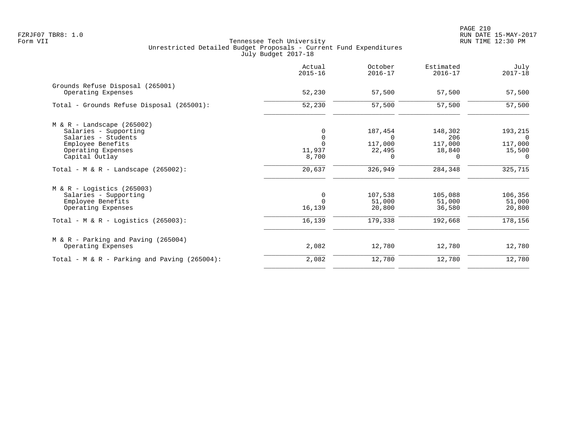PAGE 210 FZRJF07 TBR8: 1.0 RUN DATE 15-MAY-2017

|                                                        | Actual<br>$2015 - 16$ | October<br>$2016 - 17$ | Estimated<br>$2016 - 17$ | July<br>$2017 - 18$ |
|--------------------------------------------------------|-----------------------|------------------------|--------------------------|---------------------|
| Grounds Refuse Disposal (265001)<br>Operating Expenses | 52,230                | 57,500                 | 57,500                   | 57,500              |
| Total - Grounds Refuse Disposal (265001):              | 52,230                | 57,500                 | 57,500                   | 57,500              |
| $M & R -$ Landscape (265002)                           |                       |                        |                          |                     |
| Salaries - Supporting                                  | 0                     | 187,454                | 148,302                  | 193,215             |
| Salaries - Students                                    | 0<br>$\Omega$         | $\Omega$               | 206                      |                     |
| Employee Benefits<br>Operating Expenses                | 11,937                | 117,000<br>22,495      | 117,000<br>18,840        | 117,000<br>15,500   |
| Capital Outlay                                         | 8,700                 | $\Omega$               | $\Omega$                 | $\Omega$            |
| Total - M & R - Landscape $(265002)$ :                 | 20,637                | 326,949                | 284,348                  | 325,715             |
| $M & R - Logistics (265003)$                           |                       |                        |                          |                     |
| Salaries - Supporting                                  | 0                     | 107,538                | 105,088                  | 106,356             |
| Employee Benefits                                      | $\Omega$              | 51,000                 | 51,000                   | 51,000              |
| Operating Expenses                                     | 16,139                | 20,800                 | 36,580                   | 20,800              |
| Total - M & R - Logistics $(265003)$ :                 | 16,139                | 179,338                | 192,668                  | 178,156             |
| M & R - Parking and Paving (265004)                    |                       |                        |                          |                     |
| Operating Expenses                                     | 2,082                 | 12,780                 | 12,780                   | 12,780              |
| Total - M & R - Parking and Paving (265004):           | 2,082                 | 12,780                 | 12,780                   | 12,780              |
|                                                        |                       |                        |                          |                     |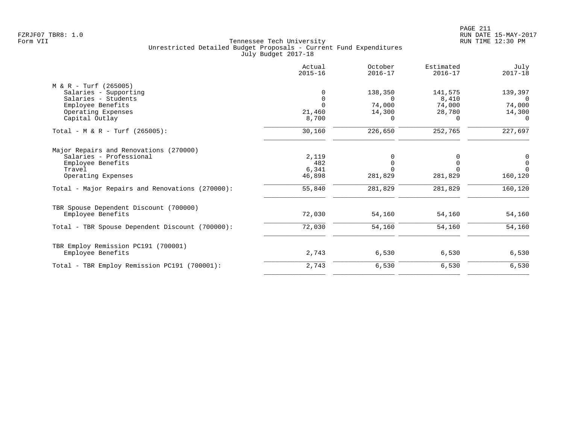|                                                                                                                                                                           | Actual<br>$2015 - 16$                     | October<br>$2016 - 17$                       | Estimated<br>$2016 - 17$                  | July<br>$2017 - 18$                                |
|---------------------------------------------------------------------------------------------------------------------------------------------------------------------------|-------------------------------------------|----------------------------------------------|-------------------------------------------|----------------------------------------------------|
| $M & R - Turf (265005)$<br>Salaries - Supporting<br>Salaries - Students<br>Employee Benefits<br>Operating Expenses<br>Capital Outlay                                      | $\Omega$<br>$\Omega$<br>21,460<br>8,700   | 138,350<br>$\Omega$<br>74,000<br>14,300<br>0 | 141,575<br>8,410<br>74,000<br>28,780<br>0 | 139,397<br>$\Omega$<br>74,000<br>14,300<br>0       |
| Total - M & R - Turf $(265005)$ :                                                                                                                                         | 30,160                                    | 226,650                                      | 252,765                                   | 227,697                                            |
| Major Repairs and Renovations (270000)<br>Salaries - Professional<br>Employee Benefits<br>Travel<br>Operating Expenses<br>Total - Major Repairs and Renovations (270000): | 2,119<br>482<br>6,341<br>46,898<br>55,840 | 281,829<br>281,829                           | 281,829<br>281,829                        | 0<br>$\mathbf 0$<br>$\Omega$<br>160,120<br>160,120 |
| TBR Spouse Dependent Discount (700000)<br>Employee Benefits                                                                                                               | 72,030                                    | 54,160                                       | 54,160                                    | 54,160                                             |
| Total - TBR Spouse Dependent Discount (700000):                                                                                                                           | 72,030                                    | 54,160                                       | 54,160                                    | 54,160                                             |
| TBR Employ Remission PC191 (700001)<br>Employee Benefits                                                                                                                  | 2,743                                     | 6,530                                        | 6,530                                     | 6,530                                              |
| Total - TBR Employ Remission PC191 (700001):                                                                                                                              | 2,743                                     | 6,530                                        | 6,530                                     | 6,530                                              |
|                                                                                                                                                                           |                                           |                                              |                                           |                                                    |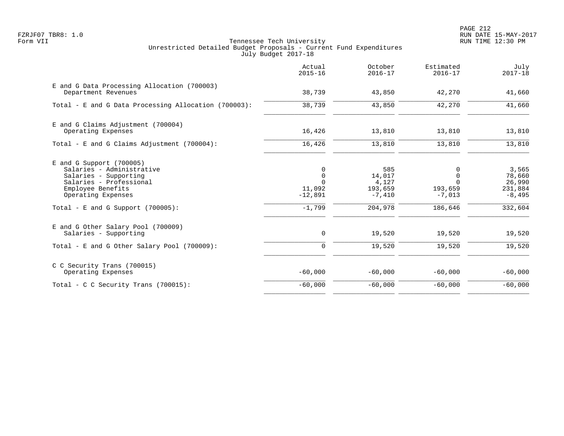PAGE 212 FZRJF07 TBR8: 1.0 RUN DATE 15-MAY-2017

|                                                                                                                                                                                                | Actual<br>$2015 - 16$                                           | October<br>$2016 - 17$                                   | Estimated<br>$2016 - 17$                                    | July<br>$2017 - 18$                                         |
|------------------------------------------------------------------------------------------------------------------------------------------------------------------------------------------------|-----------------------------------------------------------------|----------------------------------------------------------|-------------------------------------------------------------|-------------------------------------------------------------|
| E and G Data Processing Allocation (700003)<br>Department Revenues                                                                                                                             | 38,739                                                          | 43,850                                                   | 42,270                                                      | 41,660                                                      |
| Total - E and G Data Processing Allocation (700003):                                                                                                                                           | 38,739                                                          | 43,850                                                   | 42,270                                                      | 41,660                                                      |
| E and G Claims Adjustment (700004)<br>Operating Expenses                                                                                                                                       | 16,426                                                          | 13,810                                                   | 13,810                                                      | 13,810                                                      |
| Total - E and G Claims Adjustment (700004):                                                                                                                                                    | 16,426                                                          | 13,810                                                   | 13,810                                                      | 13,810                                                      |
| $E$ and G Support (700005)<br>Salaries - Administrative<br>Salaries - Supporting<br>Salaries - Professional<br>Employee Benefits<br>Operating Expenses<br>Total - E and G Support $(700005)$ : | 0<br>$\mathbf 0$<br>$\Omega$<br>11,092<br>$-12,891$<br>$-1,799$ | 585<br>14,017<br>4,127<br>193,659<br>$-7,410$<br>204,978 | 0<br>$\Omega$<br>$\Omega$<br>193,659<br>$-7,013$<br>186,646 | 3,565<br>78,660<br>26,990<br>231,884<br>$-8,495$<br>332,604 |
| E and G Other Salary Pool (700009)<br>Salaries - Supporting                                                                                                                                    | 0                                                               | 19,520                                                   | 19,520                                                      | 19,520                                                      |
| Total - E and G Other Salary Pool (700009):                                                                                                                                                    | $\Omega$                                                        | 19,520                                                   | 19,520                                                      | 19,520                                                      |
| C C Security Trans (700015)<br>Operating Expenses                                                                                                                                              | $-60,000$                                                       | $-60,000$                                                | $-60,000$                                                   | $-60,000$                                                   |
| Total - C C Security Trans $(700015)$ :                                                                                                                                                        | $-60,000$                                                       | $-60,000$                                                | $-60,000$                                                   | $-60,000$                                                   |
|                                                                                                                                                                                                |                                                                 |                                                          |                                                             |                                                             |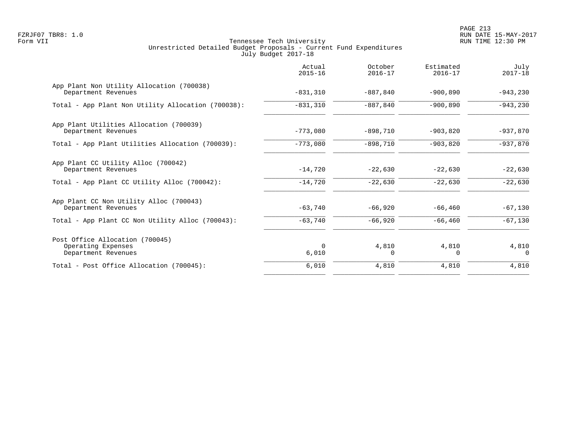PAGE 213 FZRJF07 TBR8: 1.0 RUN DATE 15-MAY-2017

|                                                                              | Actual<br>$2015 - 16$ | October<br>$2016 - 17$ | Estimated<br>$2016 - 17$ | July<br>$2017 - 18$ |
|------------------------------------------------------------------------------|-----------------------|------------------------|--------------------------|---------------------|
| App Plant Non Utility Allocation (700038)<br>Department Revenues             | $-831,310$            | $-887, 840$            | $-900.890$               | $-943, 230$         |
| Total - App Plant Non Utility Allocation (700038):                           | $-831,310$            | $-887, 840$            | $-900, 890$              | $-943,230$          |
| App Plant Utilities Allocation (700039)<br>Department Revenues               | $-773,080$            | $-898,710$             | $-903,820$               | $-937,870$          |
| Total - App Plant Utilities Allocation (700039):                             | $-773,080$            | $-898,710$             | $-903,820$               | $-937,870$          |
| App Plant CC Utility Alloc (700042)<br>Department Revenues                   | $-14,720$             | $-22,630$              | $-22,630$                | $-22,630$           |
| Total - App Plant CC Utility Alloc (700042):                                 | $-14,720$             | $-22,630$              | $-22,630$                | $-22,630$           |
| App Plant CC Non Utility Alloc (700043)<br>Department Revenues               | $-63,740$             | $-66,920$              | $-66, 460$               | $-67,130$           |
| Total - App Plant CC Non Utility Alloc (700043):                             | $-63,740$             | $-66,920$              | $-66, 460$               | $-67,130$           |
| Post Office Allocation (700045)<br>Operating Expenses<br>Department Revenues | $\Omega$<br>6,010     | 4,810<br>0             | 4,810<br>$\Omega$        | 4,810<br>$\Omega$   |
| Total - Post Office Allocation (700045):                                     | 6,010                 | 4,810                  | 4,810                    | 4,810               |
|                                                                              |                       |                        |                          |                     |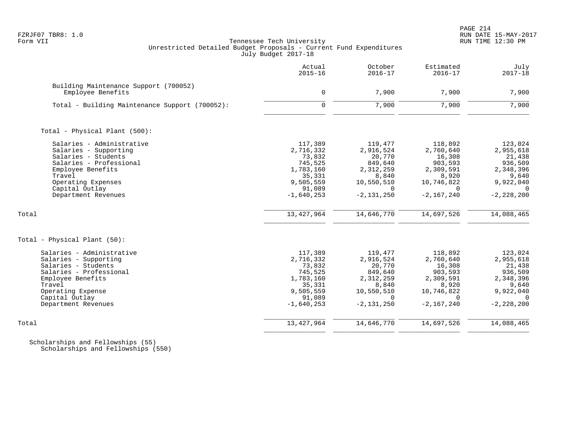# FZRJF07 TBR8: 1.0 RUN DATE 15-MAY-2017 Tennessee Tech University Unrestricted Detailed Budget Proposals - Current Fund Expenditures July Budget 2017-18

|                                                                                                                                                                                                    | Actual<br>$2015 - 16$                                                                                   | October<br>$2016 - 17$                                                                                      | Estimated<br>$2016 - 17$                                                                                  | July<br>$2017 - 18$                                                                                        |
|----------------------------------------------------------------------------------------------------------------------------------------------------------------------------------------------------|---------------------------------------------------------------------------------------------------------|-------------------------------------------------------------------------------------------------------------|-----------------------------------------------------------------------------------------------------------|------------------------------------------------------------------------------------------------------------|
| Building Maintenance Support (700052)<br>Employee Benefits                                                                                                                                         | $\mathbf 0$                                                                                             | 7,900                                                                                                       | 7,900                                                                                                     | 7,900                                                                                                      |
| Total - Building Maintenance Support (700052):                                                                                                                                                     | $\mathbf 0$                                                                                             | 7,900                                                                                                       | 7,900                                                                                                     | 7,900                                                                                                      |
| Total - Physical Plant (500):                                                                                                                                                                      |                                                                                                         |                                                                                                             |                                                                                                           |                                                                                                            |
| Salaries - Administrative<br>Salaries - Supporting<br>Salaries - Students<br>Salaries - Professional<br>Employee Benefits<br>Travel<br>Operating Expenses<br>Capital Outlay<br>Department Revenues | 117,389<br>2,716,332<br>73,832<br>745,525<br>1,783,160<br>35,331<br>9,505,559<br>91,089<br>$-1,640,253$ | 119,477<br>2,916,524<br>20,770<br>849,640<br>2,312,259<br>8,840<br>10,550,510<br>$\Omega$<br>$-2, 131, 250$ | 118,892<br>2,760,640<br>16,308<br>903,593<br>2,309,591<br>8,920<br>10,746,822<br>$\Omega$<br>$-2,167,240$ | 123,024<br>2,955,618<br>21,438<br>936,509<br>2,348,396<br>9,640<br>9,922,040<br>$\Omega$<br>$-2, 228, 200$ |
| Total                                                                                                                                                                                              | 13, 427, 964                                                                                            | 14,646,770                                                                                                  | 14,697,526                                                                                                | 14,088,465                                                                                                 |
| Total - Physical Plant (50):                                                                                                                                                                       |                                                                                                         |                                                                                                             |                                                                                                           |                                                                                                            |
| Salaries - Administrative<br>Salaries - Supporting<br>Salaries - Students<br>Salaries - Professional<br>Employee Benefits<br>Travel<br>Operating Expense<br>Capital Outlay<br>Department Revenues  | 117,389<br>2,716,332<br>73,832<br>745,525<br>1,783,160<br>35,331<br>9,505,559<br>91,089<br>$-1,640,253$ | 119,477<br>2,916,524<br>20,770<br>849,640<br>2,312,259<br>8,840<br>10,550,510<br>$\Omega$<br>$-2, 131, 250$ | 118,892<br>2,760,640<br>16,308<br>903,593<br>2,309,591<br>8,920<br>10,746,822<br>$\Omega$<br>$-2,167,240$ | 123,024<br>2,955,618<br>21,438<br>936,509<br>2,348,396<br>9,640<br>9,922,040<br>$\Omega$<br>$-2, 228, 200$ |
| Total                                                                                                                                                                                              | 13, 427, 964                                                                                            | 14,646,770                                                                                                  | 14,697,526                                                                                                | 14,088,465                                                                                                 |

 Scholarships and Fellowships (55) Scholarships and Fellowships (550)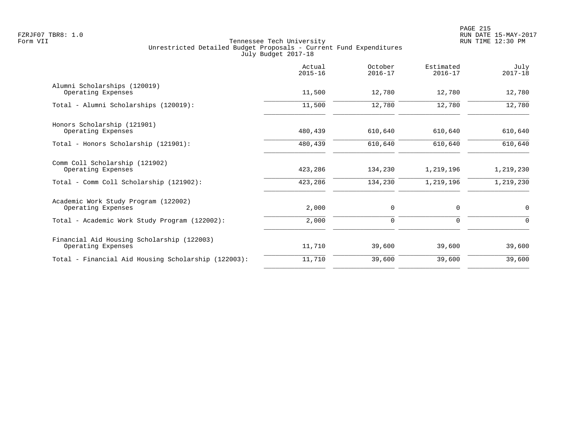|                                                                  | Actual<br>$2015 - 16$ | October<br>$2016 - 17$ | Estimated<br>$2016 - 17$ | July<br>$2017 - 18$ |
|------------------------------------------------------------------|-----------------------|------------------------|--------------------------|---------------------|
| Alumni Scholarships (120019)<br>Operating Expenses               | 11,500                | 12,780                 | 12,780                   | 12,780              |
| Total - Alumni Scholarships (120019):                            | 11,500                | 12,780                 | 12,780                   | 12,780              |
| Honors Scholarship (121901)<br>Operating Expenses                | 480,439               | 610,640                | 610,640                  | 610,640             |
| Total - Honors Scholarship (121901):                             | 480,439               | 610,640                | 610,640                  | 610,640             |
| Comm Coll Scholarship (121902)<br>Operating Expenses             | 423,286               | 134,230                | 1,219,196                | 1,219,230           |
| Total - Comm Coll Scholarship (121902):                          | 423,286               | 134,230                | 1,219,196                | 1,219,230           |
| Academic Work Study Program (122002)<br>Operating Expenses       | 2,000                 | 0                      | 0                        | $\mathbf 0$         |
| Total - Academic Work Study Program (122002):                    | 2,000                 | 0                      | 0                        | 0                   |
| Financial Aid Housing Scholarship (122003)<br>Operating Expenses | 11,710                | 39,600                 | 39,600                   | 39,600              |
| Total - Financial Aid Housing Scholarship (122003):              | 11,710                | 39,600                 | 39,600                   | 39,600              |
|                                                                  |                       |                        |                          |                     |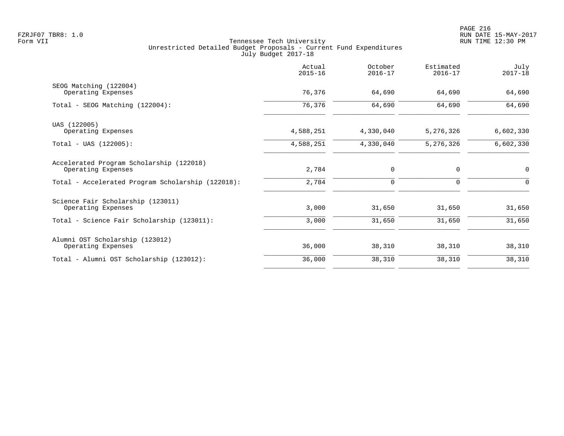|                                                                | Actual<br>$2015 - 16$ | October<br>$2016 - 17$ | Estimated<br>$2016 - 17$ | July<br>$2017 - 18$ |
|----------------------------------------------------------------|-----------------------|------------------------|--------------------------|---------------------|
| SEOG Matching (122004)<br>Operating Expenses                   | 76,376                | 64,690                 | 64,690                   | 64,690              |
| Total - SEOG Matching (122004):                                | 76,376                | 64,690                 | 64,690                   | 64,690              |
| UAS (122005)<br>Operating Expenses                             | 4,588,251             | 4,330,040              | 5,276,326                | 6,602,330           |
| $Total - UAS (122005):$                                        | 4,588,251             | 4,330,040              | 5,276,326                | 6,602,330           |
| Accelerated Program Scholarship (122018)<br>Operating Expenses | 2,784                 | 0                      | 0                        | $\mathbf 0$         |
| Total - Accelerated Program Scholarship (122018):              | 2,784                 | 0                      | 0                        | $\Omega$            |
| Science Fair Scholarship (123011)<br>Operating Expenses        | 3,000                 | 31,650                 | 31,650                   | 31,650              |
| Total - Science Fair Scholarship (123011):                     | 3,000                 | 31,650                 | 31,650                   | 31,650              |
| Alumni OST Scholarship (123012)<br>Operating Expenses          | 36,000                | 38,310                 | 38,310                   | 38,310              |
| Total - Alumni OST Scholarship (123012):                       | 36,000                | 38,310                 | 38,310                   | 38,310              |
|                                                                |                       |                        |                          |                     |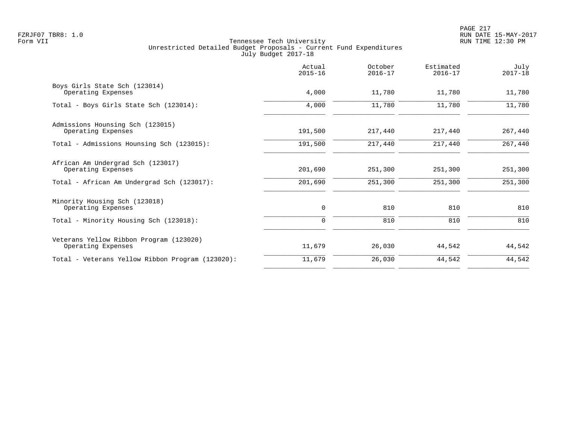|                                                               | Actual<br>$2015 - 16$ | October<br>$2016 - 17$ | Estimated<br>$2016 - 17$ | July<br>$2017 - 18$ |
|---------------------------------------------------------------|-----------------------|------------------------|--------------------------|---------------------|
| Boys Girls State Sch (123014)<br>Operating Expenses           | 4,000                 | 11,780                 | 11,780                   | 11,780              |
| Total - Boys Girls State Sch (123014):                        | 4,000                 | 11,780                 | 11,780                   | 11,780              |
| Admissions Hounsing Sch (123015)<br>Operating Expenses        | 191,500               | 217,440                | 217,440                  | 267,440             |
| Total - Admissions Hounsing Sch (123015):                     | 191,500               | 217,440                | 217,440                  | 267,440             |
| African Am Undergrad Sch (123017)<br>Operating Expenses       | 201,690               | 251,300                | 251,300                  | 251,300             |
| Total - African Am Undergrad Sch (123017):                    | 201,690               | 251,300                | 251,300                  | 251,300             |
| Minority Housing Sch (123018)<br>Operating Expenses           | 0                     | 810                    | 810                      | 810                 |
| Total - Minority Housing Sch (123018):                        | $\Omega$              | 810                    | 810                      | 810                 |
| Veterans Yellow Ribbon Program (123020)<br>Operating Expenses | 11,679                | 26,030                 | 44,542                   | 44,542              |
| Total - Veterans Yellow Ribbon Program (123020):              | 11,679                | 26,030                 | 44,542                   | 44,542              |
|                                                               |                       |                        |                          |                     |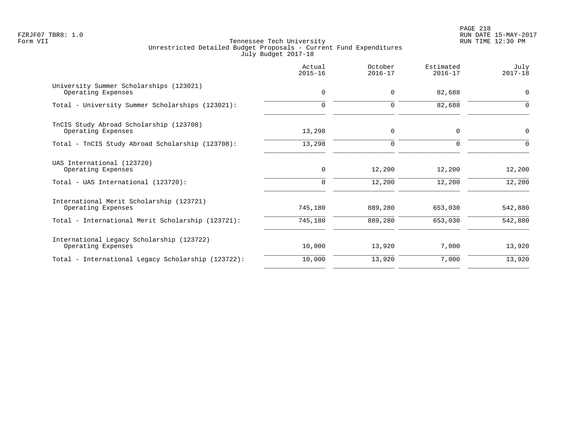PAGE 218 FZRJF07 TBR8: 1.0 RUN DATE 15-MAY-2017

|                                                                 | Actual<br>$2015 - 16$ | October<br>$2016 - 17$ | Estimated<br>$2016 - 17$ | July<br>$2017 - 18$ |
|-----------------------------------------------------------------|-----------------------|------------------------|--------------------------|---------------------|
| University Summer Scholarships (123021)<br>Operating Expenses   | $\mathbf 0$           | 0                      | 82,688                   | $\overline{0}$      |
| Total - University Summer Scholarships (123021):                | $\Omega$              | $\Omega$               | 82,688                   | ∩                   |
| TnCIS Study Abroad Scholarship (123708)<br>Operating Expenses   | 13,298                | 0                      | $\mathbf 0$              | $\mathbf 0$         |
| Total - TnCIS Study Abroad Scholarship (123708):                | 13,298                | $\Omega$               | $\Omega$                 |                     |
| UAS International (123720)<br>Operating Expenses                | $\mathbf 0$           | 12,200                 | 12,200                   | 12,200              |
| Total - UAS International (123720):                             | $\Omega$              | 12,200                 | 12,200                   | 12,200              |
| International Merit Scholarship (123721)<br>Operating Expenses  | 745,180               | 889,280                | 653,030                  | 542,880             |
| Total - International Merit Scholarship (123721):               | 745,180               | 889,280                | 653,030                  | 542,880             |
| International Legacy Scholarship (123722)<br>Operating Expenses | 10,000                | 13,920                 | 7,000                    | 13,920              |
| Total - International Legacy Scholarship (123722):              | 10,000                | 13,920                 | 7,000                    | 13,920              |
|                                                                 |                       |                        |                          |                     |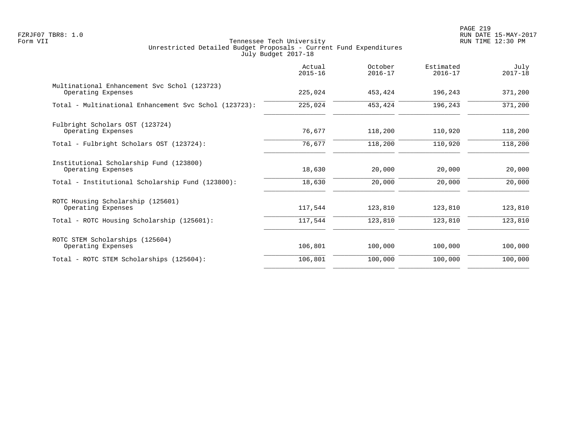PAGE 219 FZRJF07 TBR8: 1.0 RUN DATE 15-MAY-2017

| Actual<br>$2015 - 16$ | October<br>$2016 - 17$ | Estimated<br>$2016 - 17$ | July<br>$2017 - 18$ |
|-----------------------|------------------------|--------------------------|---------------------|
| 225,024               | 453,424                | 196,243                  | 371,200             |
| 225,024               | 453,424                | 196,243                  | 371,200             |
| 76,677                | 118,200                | 110,920                  | 118,200             |
| 76,677                | 118,200                | 110,920                  | 118,200             |
| 18,630                | 20,000                 | 20,000                   | 20,000              |
| 18,630                | 20,000                 | 20,000                   | 20,000              |
| 117,544               | 123,810                | 123,810                  | 123,810             |
| 117,544               | 123,810                | 123,810                  | 123,810             |
| 106,801               | 100,000                | 100,000                  | 100,000             |
| 106,801               | 100,000                | 100,000                  | 100,000             |
|                       |                        |                          |                     |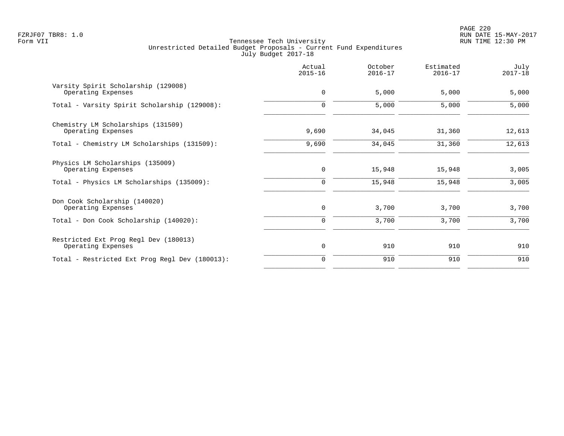PAGE 220 FZRJF07 TBR8: 1.0 RUN DATE 15-MAY-2017

|                                                             | Actual<br>$2015 - 16$ | October<br>$2016 - 17$ | Estimated<br>$2016 - 17$ | July<br>$2017 - 18$ |
|-------------------------------------------------------------|-----------------------|------------------------|--------------------------|---------------------|
| Varsity Spirit Scholarship (129008)<br>Operating Expenses   | $\mathbf 0$           | 5,000                  | 5,000                    | 5,000               |
| Total - Varsity Spirit Scholarship (129008):                | $\Omega$              | 5,000                  | 5,000                    | 5,000               |
| Chemistry LM Scholarships (131509)<br>Operating Expenses    | 9,690                 | 34,045                 | 31,360                   | 12,613              |
| Total - Chemistry LM Scholarships (131509):                 | 9,690                 | 34,045                 | 31,360                   | 12,613              |
| Physics LM Scholarships (135009)<br>Operating Expenses      | $\mathbf 0$           | 15,948                 | 15,948                   | 3,005               |
| Total - Physics LM Scholarships (135009):                   | 0                     | 15,948                 | 15,948                   | 3,005               |
| Don Cook Scholarship (140020)<br>Operating Expenses         | $\mathbf 0$           | 3,700                  | 3,700                    | 3,700               |
| Total - Don Cook Scholarship (140020):                      | 0                     | 3,700                  | 3,700                    | 3,700               |
| Restricted Ext Prog Regl Dev (180013)<br>Operating Expenses | 0                     | 910                    | 910                      | 910                 |
| Total - Restricted Ext Prog Regl Dev (180013):              | $\Omega$              | 910                    | 910                      | 910                 |
|                                                             |                       |                        |                          |                     |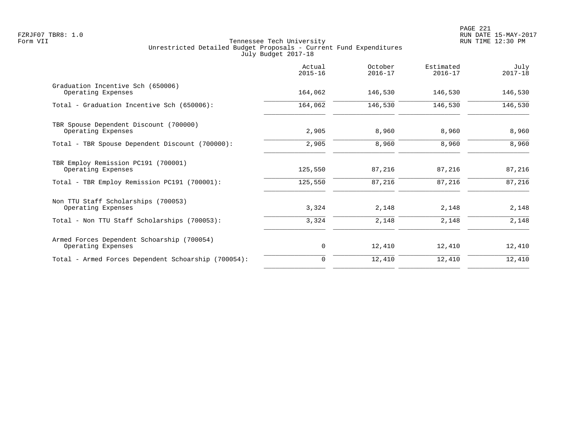| Actual<br>$2015 - 16$ | October<br>$2016 - 17$ | Estimated<br>$2016 - 17$ | July<br>$2017 - 18$ |
|-----------------------|------------------------|--------------------------|---------------------|
| 164,062               | 146,530                | 146,530                  | 146,530             |
| 164,062               | 146,530                | 146,530                  | 146,530             |
| 2,905                 | 8,960                  | 8,960                    | 8,960               |
| 2,905                 | 8,960                  | 8,960                    | 8,960               |
| 125,550               | 87,216                 | 87,216                   | 87,216              |
| 125,550               | 87,216                 | 87,216                   | 87,216              |
| 3,324                 | 2,148                  | 2,148                    | 2,148               |
| 3,324                 | 2,148                  | 2,148                    | 2,148               |
| 0                     | 12,410                 | 12,410                   | 12,410              |
| $\Omega$              | 12,410                 | 12,410                   | 12,410              |
|                       |                        |                          |                     |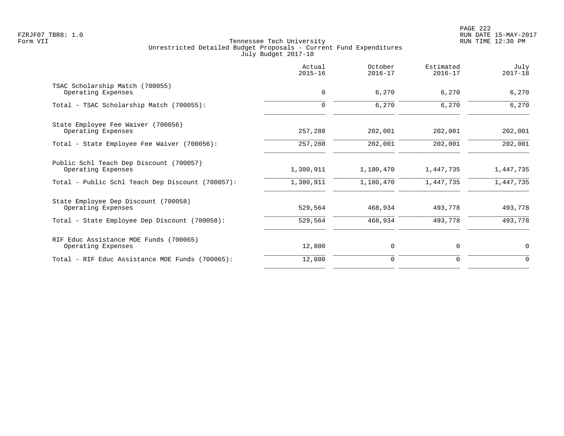|                                                               | Actual<br>$2015 - 16$ | October<br>$2016 - 17$ | Estimated<br>$2016 - 17$ | July<br>$2017 - 18$ |
|---------------------------------------------------------------|-----------------------|------------------------|--------------------------|---------------------|
| TSAC Scholarship Match (700055)<br>Operating Expenses         | 0                     | 6,270                  | 6,270                    | 6,270               |
| Total - TSAC Scholarship Match (700055):                      | 0                     | 6,270                  | 6,270                    | 6,270               |
| State Employee Fee Waiver (700056)<br>Operating Expenses      | 257,288               | 202,001                | 202,001                  | 202,001             |
| Total - State Employee Fee Waiver (700056):                   | 257,288               | 202,001                | 202,001                  | 202,001             |
| Public Schl Teach Dep Discount (700057)<br>Operating Expenses | 1,380,911             | 1,180,470              | 1,447,735                | 1,447,735           |
| Total - Public Schl Teach Dep Discount (700057):              | 1,380,911             | 1,180,470              | 1,447,735                | 1,447,735           |
| State Employee Dep Discount (700058)<br>Operating Expenses    | 529,564               | 468,934                | 493,778                  | 493,778             |
| Total - State Employee Dep Discount (700058):                 | 529,564               | 468,934                | 493,778                  | 493,778             |
| RIF Educ Assistance MOE Funds (700065)<br>Operating Expenses  | 12,800                | 0                      | 0                        | $\mathbf 0$         |
| Total - RIF Educ Assistance MOE Funds (700065):               | 12,800                | $\mathbf 0$            | 0                        | $\Omega$            |
|                                                               |                       |                        |                          |                     |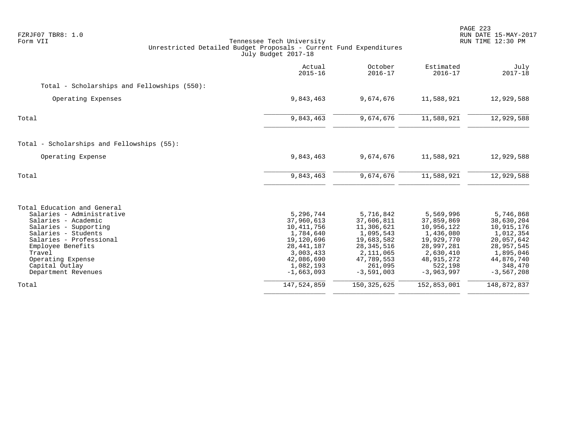| FZRJF07 TBR8: 1.0<br>Form VII                                                                                                                                                                                                                           | Tennessee Tech University<br>Unrestricted Detailed Budget Proposals - Current Fund Expenditures<br>July Budget 2017-18                   |                                                                                                                                        |                                                                                                                                        | PAGE 223<br>RUN DATE 15-MAY-2017<br>RUN TIME 12:30 PM                                                                                |
|---------------------------------------------------------------------------------------------------------------------------------------------------------------------------------------------------------------------------------------------------------|------------------------------------------------------------------------------------------------------------------------------------------|----------------------------------------------------------------------------------------------------------------------------------------|----------------------------------------------------------------------------------------------------------------------------------------|--------------------------------------------------------------------------------------------------------------------------------------|
|                                                                                                                                                                                                                                                         | Actual<br>$2015 - 16$                                                                                                                    | October<br>$2016 - 17$                                                                                                                 | Estimated<br>$2016 - 17$                                                                                                               | July<br>$2017 - 18$                                                                                                                  |
| Total - Scholarships and Fellowships (550):                                                                                                                                                                                                             |                                                                                                                                          |                                                                                                                                        |                                                                                                                                        |                                                                                                                                      |
| Operating Expenses                                                                                                                                                                                                                                      | 9,843,463                                                                                                                                | 9,674,676                                                                                                                              | 11,588,921                                                                                                                             | 12,929,588                                                                                                                           |
| Total                                                                                                                                                                                                                                                   | 9,843,463                                                                                                                                | 9,674,676                                                                                                                              | 11,588,921                                                                                                                             | 12,929,588                                                                                                                           |
| Total - Scholarships and Fellowships (55):                                                                                                                                                                                                              |                                                                                                                                          |                                                                                                                                        |                                                                                                                                        |                                                                                                                                      |
| Operating Expense                                                                                                                                                                                                                                       | 9,843,463                                                                                                                                | 9,674,676                                                                                                                              | 11,588,921                                                                                                                             | 12,929,588                                                                                                                           |
| Total                                                                                                                                                                                                                                                   | 9,843,463                                                                                                                                | 9,674,676                                                                                                                              | 11,588,921                                                                                                                             | 12,929,588                                                                                                                           |
| Total Education and General<br>Salaries - Administrative<br>Salaries - Academic<br>Salaries - Supporting<br>Salaries - Students<br>Salaries - Professional<br>Employee Benefits<br>Travel<br>Operating Expense<br>Capital Outlay<br>Department Revenues | 5,296,744<br>37,960,613<br>10, 411, 756<br>1,784,640<br>19,120,696<br>28,441,187<br>3,003,433<br>42,086,690<br>1,082,193<br>$-1,663,093$ | 5,716,842<br>37,606,811<br>11,306,621<br>1,095,543<br>19,683,582<br>28, 345, 516<br>2,111,065<br>47,789,553<br>261,095<br>$-3,591,003$ | 5,569,996<br>37,859,869<br>10,956,122<br>1,436,080<br>19,929,770<br>28,997,281<br>2,630,410<br>48, 915, 272<br>522,198<br>$-3,963,997$ | 5,746,868<br>38,630,204<br>10,915,176<br>1,012,354<br>20,057,642<br>28,957,545<br>1,895,046<br>44,876,740<br>348,470<br>$-3,567,208$ |
| Total                                                                                                                                                                                                                                                   | 147,524,859                                                                                                                              | 150, 325, 625                                                                                                                          | 152,853,001                                                                                                                            | 148,872,837                                                                                                                          |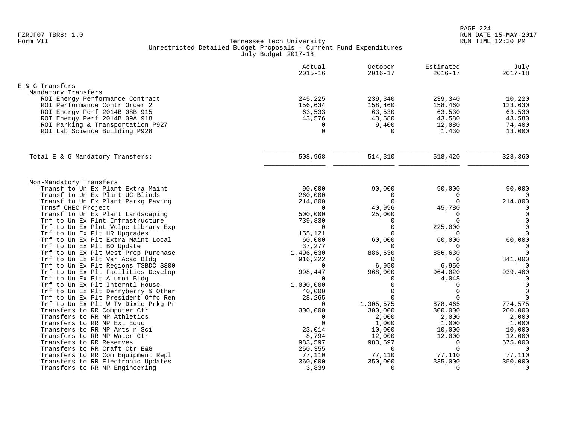|                                                             | Actual<br>$2015 - 16$ | October<br>$2016 - 17$  | Estimated<br>$2016 - 17$ | July<br>$2017 - 18$ |
|-------------------------------------------------------------|-----------------------|-------------------------|--------------------------|---------------------|
| E & G Transfers                                             |                       |                         |                          |                     |
| Mandatory Transfers                                         |                       |                         |                          |                     |
| ROI Energy Performance Contract                             | 245,225               | 239,340                 | 239,340                  | 10,220              |
| ROI Performance Contr Order 2                               | 156,634               | 158,460                 | 158,460                  | 123,630             |
| ROI Energy Perf 2014B 08B 915                               | 63,533                | 63,530                  | 63,530                   | 63,530              |
| ROI Energy Perf 2014B 09A 918                               | 43,576                | 43,580                  | 43,580                   | 43,580              |
| ROI Parking & Transportation P927                           | 0                     | 9,400                   | 12,080                   | 74,400              |
| ROI Lab Science Building P928                               | $\Omega$              | $\Omega$                | 1,430                    | 13,000              |
|                                                             |                       |                         |                          |                     |
| Total E & G Mandatory Transfers:                            | 508,968               | 514,310                 | 518,420                  | 328,360             |
|                                                             |                       |                         |                          |                     |
| Non-Mandatory Transfers                                     |                       |                         |                          |                     |
| Transf to Un Ex Plant Extra Maint                           | 90,000                | 90,000                  | 90,000                   | 90,000              |
| Transf to Un Ex Plant UC Blinds                             | 260,000               | $\mathbf 0$<br>$\Omega$ | 0<br>$\Omega$            | $\Omega$            |
| Transf to Un Ex Plant Parkg Paving<br>Trnsf CHEC Project    | 214,800<br>$\Omega$   | 40,996                  | 45,780                   | 214,800<br>$\Omega$ |
| Transf to Un Ex Plant Landscaping                           | 500,000               | 25,000                  | $\Omega$                 | $\mathbf 0$         |
| Trf to Un Ex Plnt Infrastructure                            | 739,830               | $\Omega$                | $\Omega$                 | $\Omega$            |
| Trf to Un Ex Plnt Volpe Library Exp                         | $\Omega$              | $\Omega$                | 225,000                  | $\Omega$            |
| Trf to Un Ex Plt HR Upgrades                                | 155,121               |                         | $\Omega$                 | $\Omega$            |
| Trf to Un Ex Plt Extra Maint Local                          | 60,000                | 60,000                  | 60,000                   | 60,000              |
| Trf to Un Ex Plt BO Update                                  | 37,277                | $\Omega$                | $\Omega$                 | $\mathbf 0$         |
| Trf to Un Ex Plt West Prop Purchase                         | 1,496,630             | 886,630                 | 886,630                  | $\Omega$            |
| Trf to Un Ex Plt Var Acad Bldg                              | 916,222               | $\Omega$                | $\Omega$                 | 841,000             |
| Trf to Un Ex Plt Regions TSBDC S300                         | $\cap$                | 6,950                   | 6,950                    | $\Omega$            |
| Trf to Un Ex Plt Facilities Develop                         | 998,447               | 968,000                 | 964,020                  | 939,400             |
| Trf to Un Ex Plt Alumni Bldg                                | $\cap$                | $\Omega$                | 4,048                    | $\Omega$            |
| Trf to Un Ex Plt Interntl House                             | 1,000,000             | $\Omega$                | $\Omega$                 | $\Omega$            |
| Trf to Un Ex Plt Derryberry & Other                         | 40,000                | $\Omega$                | $\Omega$                 | $\Omega$            |
| Trf to Un Ex Plt President Offc Ren                         | 28,265                | $\Omega$                | $\Omega$                 | $\Omega$            |
| Trf to Un Ex Plt W TV Dixie Prkg Pr                         | $\Omega$              | 1,305,575               | 878,465                  | 774,575             |
| Transfers to RR Computer Ctr                                | 300,000               | 300,000                 | 300,000                  | 200,000             |
| Transfers to RR MP Athletics<br>Transfers to RR MP Ext Educ | $\Omega$<br>$\Omega$  | 2,000                   | 2,000                    | 2,000               |
| Transfers to RR MP Arts n Sci                               | 23,014                | 1,000<br>10,000         | 1,000<br>10,000          | 1,000<br>10,000     |
| Transfers to RR MP Water Ctr                                | 8,794                 | 12,000                  | 12,000                   | 12,000              |
| Transfers to RR Reserves                                    | 983,597               | 983,597                 | $\mathbf 0$              | 675,000             |
| Transfers to RR Craft Ctr E&G                               | 250,355               | $\Omega$                | $\Omega$                 | $\overline{0}$      |
| Transfers to RR Com Equipment Repl                          | 77,110                | 77,110                  | 77,110                   | 77,110              |
| Transfers to RR Electronic Updates                          | 360,000               | 350,000                 | 335,000                  | 350,000             |
| Transfers to RR MP Engineering                              | 3,839                 | $\Omega$                | $\Omega$                 | $\mathbf 0$         |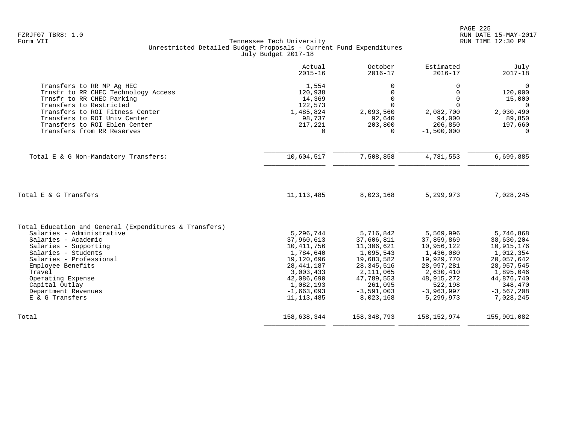|                                                                                                                                | Actual<br>$2015 - 16$                      | October<br>$2016 - 17$                     | Estimated<br>$2016 - 17$                       | July<br>$2017 - 18$                          |
|--------------------------------------------------------------------------------------------------------------------------------|--------------------------------------------|--------------------------------------------|------------------------------------------------|----------------------------------------------|
| Transfers to RR MP Ag HEC<br>Trnsfr to RR CHEC Technology Access<br>Trnsfr to RR CHEC Parking<br>Transfers to Restricted       | 1,554<br>120,938<br>14,369<br>122,573      | 0<br>0<br>$\mathbf 0$<br>$\Omega$          | 0<br>$\Omega$<br>$\Omega$<br>$\Omega$          | $\mathbf 0$<br>120,000<br>15,000<br>$\Omega$ |
| Transfers to ROI Fitness Center<br>Transfers to ROI Univ Center<br>Transfers to ROI Eblen Center<br>Transfers from RR Reserves | 1,485,824<br>98,737<br>217,221<br>$\Omega$ | 2,093,560<br>92,640<br>203,800<br>$\Omega$ | 2,082,700<br>94,000<br>206,850<br>$-1,500,000$ | 2,030,490<br>89,850<br>197,660<br>$\Omega$   |
| Total E & G Non-Mandatory Transfers:                                                                                           | 10,604,517                                 | 7,508,858                                  | 4,781,553                                      | 6,699,885                                    |
| Total E & G Transfers                                                                                                          | 11, 113, 485                               | 8,023,168                                  | 5,299,973                                      | 7,028,245                                    |
|                                                                                                                                |                                            |                                            |                                                |                                              |
| Total Education and General (Expenditures & Transfers)<br>Salaries - Administrative                                            | 5,296,744                                  | 5,716,842                                  | 5,569,996                                      | 5,746,868                                    |
| Salaries - Academic                                                                                                            | 37,960,613                                 | 37,606,811                                 | 37,859,869                                     | 38,630,204                                   |
| Salaries - Supporting                                                                                                          | 10,411,756                                 | 11,306,621                                 | 10,956,122                                     | 10,915,176                                   |
| Salaries - Students                                                                                                            | 1,784,640                                  | 1,095,543                                  | 1,436,080                                      | 1,012,354                                    |
| Salaries - Professional                                                                                                        | 19,120,696                                 | 19,683,582                                 | 19,929,770                                     | 20,057,642                                   |
| Employee Benefits                                                                                                              | 28, 441, 187                               | 28, 345, 516                               | 28,997,281                                     | 28,957,545                                   |
| Travel                                                                                                                         | 3,003,433                                  | 2,111,065                                  | 2,630,410                                      | 1,895,046                                    |
| Operating Expense                                                                                                              | 42,086,690                                 | 47,789,553                                 | 48,915,272                                     | 44,876,740                                   |
| Capital Outlay                                                                                                                 | 1,082,193                                  | 261,095                                    | 522,198                                        | 348,470                                      |
| Department Revenues<br>E & G Transfers                                                                                         | $-1,663,093$<br>11, 113, 485               | $-3,591,003$<br>8,023,168                  | $-3,963,997$<br>5,299,973                      | $-3,567,208$<br>7,028,245                    |
| Total                                                                                                                          | 158,638,344                                | 158, 348, 793                              | 158, 152, 974                                  | 155,901,082                                  |
|                                                                                                                                |                                            |                                            |                                                |                                              |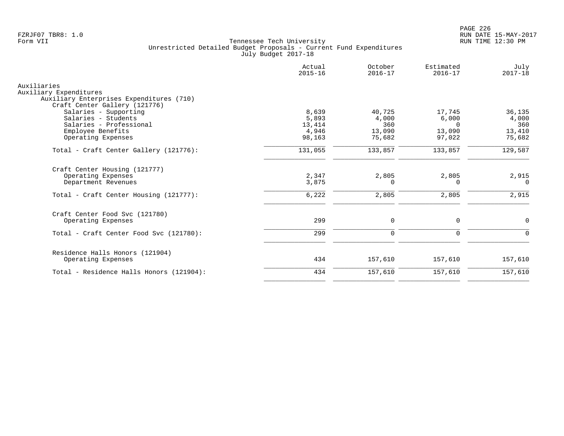|                                                        | Actual<br>$2015 - 16$ | October<br>$2016 - 17$ | Estimated<br>$2016 - 17$ | July<br>$2017 - 18$ |
|--------------------------------------------------------|-----------------------|------------------------|--------------------------|---------------------|
| Auxiliaries                                            |                       |                        |                          |                     |
| Auxiliary Expenditures                                 |                       |                        |                          |                     |
| Auxiliary Enterprises Expenditures (710)               |                       |                        |                          |                     |
| Craft Center Gallery (121776)<br>Salaries - Supporting | 8,639                 | 40,725                 | 17,745                   | 36,135              |
| Salaries - Students                                    | 5,893                 | 4,000                  | 6,000                    | 4,000               |
| Salaries - Professional                                | 13,414                | 360                    | $\cap$                   | 360                 |
| Employee Benefits                                      | 4,946                 | 13,090                 | 13,090                   | 13,410              |
| Operating Expenses                                     | 98,163                | 75,682                 | 97,022                   | 75,682              |
| Total - Craft Center Gallery (121776):                 | 131,055               | 133,857                | 133,857                  | 129,587             |
| Craft Center Housing (121777)                          |                       |                        |                          |                     |
| Operating Expenses                                     | 2,347                 | 2,805                  | 2,805                    | 2,915               |
| Department Revenues                                    | 3,875                 | $\Omega$               | $\Omega$                 | $\Omega$            |
| Total - Craft Center Housing (121777):                 | 6,222                 | 2,805                  | 2,805                    | 2,915               |
| Craft Center Food Svc (121780)                         |                       |                        |                          |                     |
| Operating Expenses                                     | 299                   | $\mathbf 0$            | $\mathbf 0$              | $\mathbf 0$         |
| Total - Craft Center Food Svc (121780):                | 299                   | $\Omega$               | $\mathbf 0$              | $\Omega$            |
| Residence Halls Honors (121904)                        |                       |                        |                          |                     |
| Operating Expenses                                     | 434                   | 157,610                | 157,610                  | 157,610             |
| Total - Residence Halls Honors (121904):               | 434                   | 157,610                | 157,610                  | 157,610             |
|                                                        |                       |                        |                          |                     |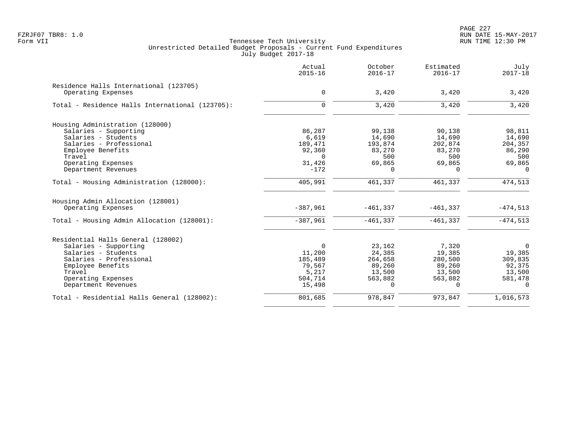PAGE 227 FZRJF07 TBR8: 1.0 RUN DATE 15-MAY-2017

|                                                 | Actual<br>$2015 - 16$ | October<br>$2016 - 17$ | Estimated<br>$2016 - 17$ | July<br>$2017 - 18$ |
|-------------------------------------------------|-----------------------|------------------------|--------------------------|---------------------|
| Residence Halls International (123705)          |                       |                        |                          |                     |
| Operating Expenses                              | 0                     | 3,420                  | 3,420                    | 3,420               |
| Total - Residence Halls International (123705): | $\Omega$              | 3,420                  | 3,420                    | 3,420               |
| Housing Administration (128000)                 |                       |                        |                          |                     |
| Salaries - Supporting                           | 86,287                | 99,138                 | 90,138                   | 98,811              |
| Salaries - Students                             | 6,619                 | 14,690                 | 14,690                   | 14,690              |
| Salaries - Professional                         | 189,471               | 193,874                | 202,874                  | 204,357             |
| Employee Benefits                               | 92,360                | 83,270                 | 83,270                   | 86,290              |
| Travel                                          | $\Omega$              | 500                    | 500                      | 500                 |
| Operating Expenses                              | 31,426                | 69,865                 | 69,865                   | 69,865              |
| Department Revenues                             | $-172$                | $\Omega$               | $\Omega$                 | $\Omega$            |
| Total - Housing Administration (128000):        | 405,991               | 461,337                | 461,337                  | 474,513             |
| Housing Admin Allocation (128001)               |                       |                        |                          |                     |
| Operating Expenses                              | $-387,961$            | $-461, 337$            | $-461,337$               | $-474,513$          |
| Total - Housing Admin Allocation (128001):      | $-387,961$            | $-461, 337$            | $-461,337$               | $-474,513$          |
| Residential Halls General (128002)              |                       |                        |                          |                     |
| Salaries - Supporting                           | $\Omega$              | 23,162                 | 7,320                    | 0                   |
| Salaries - Students                             | 11,200                | 24,385                 | 19,385                   | 19,385              |
| Salaries - Professional                         | 185,489               | 264,658                | 280,500                  | 309,835             |
| Employee Benefits                               | 79,567                | 89,260                 | 89,260                   | 92,375              |
| Travel                                          | 5,217                 | 13,500                 | 13,500                   | 13,500              |
| Operating Expenses                              | 504,714               | 563,882                | 563,882                  | 581,478             |
| Department Revenues                             | 15,498                | $\Omega$               | $\Omega$                 | $\Omega$            |
| Total - Residential Halls General (128002):     | 801,685               | 978,847                | 973,847                  | 1,016,573           |
|                                                 |                       |                        |                          |                     |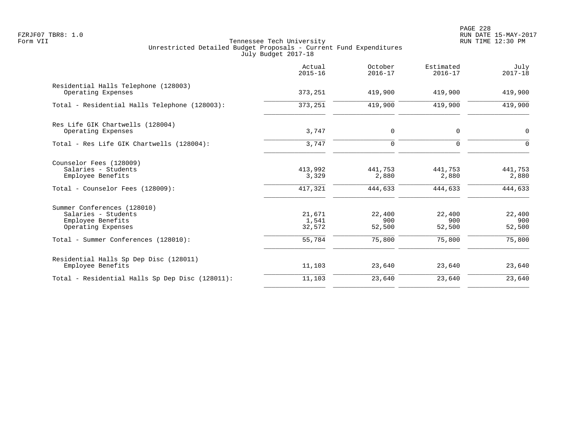PAGE 228 FZRJF07 TBR8: 1.0 RUN DATE 15-MAY-2017

|                                                                                               | Actual<br>$2015 - 16$     | October<br>$2016 - 17$  | Estimated<br>$2016 - 17$ | July<br>$2017 - 18$     |
|-----------------------------------------------------------------------------------------------|---------------------------|-------------------------|--------------------------|-------------------------|
| Residential Halls Telephone (128003)<br>Operating Expenses                                    | 373,251                   | 419,900                 | 419,900                  | 419,900                 |
| Total - Residential Halls Telephone (128003):                                                 | 373,251                   | 419,900                 | 419,900                  | 419,900                 |
| Res Life GIK Chartwells (128004)<br>Operating Expenses                                        | 3,747                     | $\mathbf 0$             | $\mathbf 0$              | $\mathbf 0$             |
| Total - Res Life GIK Chartwells (128004):                                                     | 3,747                     | $\mathbf 0$             | $\Omega$                 | $\Omega$                |
| Counselor Fees (128009)<br>Salaries - Students<br>Employee Benefits                           | 413,992<br>3,329          | 441,753<br>2,880        | 441,753<br>2,880         | 441,753<br>2,880        |
| Total - Counselor Fees (128009):                                                              | 417,321                   | 444,633                 | 444,633                  | 444,633                 |
| Summer Conferences (128010)<br>Salaries - Students<br>Employee Benefits<br>Operating Expenses | 21,671<br>1,541<br>32,572 | 22,400<br>900<br>52,500 | 22,400<br>900<br>52,500  | 22,400<br>900<br>52,500 |
| Total - Summer Conferences (128010):                                                          | 55,784                    | 75,800                  | 75,800                   | 75,800                  |
| Residential Halls Sp Dep Disc (128011)<br>Employee Benefits                                   | 11,103                    | 23,640                  | 23,640                   | 23,640                  |
| Total - Residential Halls Sp Dep Disc (128011):                                               | 11,103                    | 23,640                  | 23,640                   | 23,640                  |
|                                                                                               |                           |                         |                          |                         |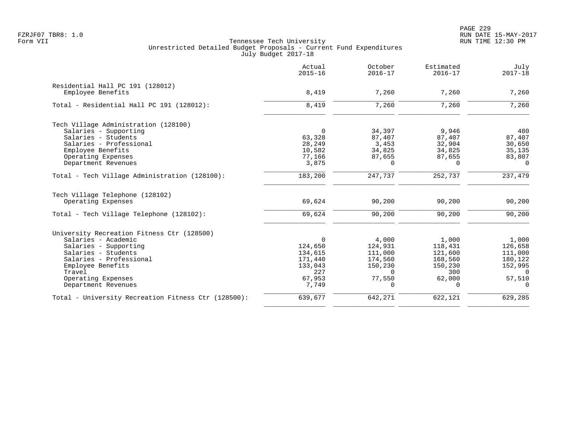PAGE 229 FZRJF07 TBR8: 1.0 RUN DATE 15-MAY-2017

| Actual<br>$2015 - 16$ | October<br>$2016 - 17$                                                                                              | Estimated<br>$2016 - 17$                                                                                       | July<br>$2017 - 18$                                                                                        |
|-----------------------|---------------------------------------------------------------------------------------------------------------------|----------------------------------------------------------------------------------------------------------------|------------------------------------------------------------------------------------------------------------|
|                       |                                                                                                                     |                                                                                                                |                                                                                                            |
|                       |                                                                                                                     |                                                                                                                | 7,260                                                                                                      |
| 8,419                 | 7,260                                                                                                               | 7,260                                                                                                          | 7,260                                                                                                      |
|                       |                                                                                                                     |                                                                                                                |                                                                                                            |
| $\Omega$              | 34,397                                                                                                              | 9,946                                                                                                          | 480                                                                                                        |
|                       |                                                                                                                     |                                                                                                                | 87,407                                                                                                     |
|                       |                                                                                                                     |                                                                                                                | 30,650                                                                                                     |
|                       |                                                                                                                     |                                                                                                                | 35,135                                                                                                     |
|                       | $\Omega$                                                                                                            | $\Omega$                                                                                                       | 83,807<br>$\Omega$                                                                                         |
|                       |                                                                                                                     |                                                                                                                |                                                                                                            |
|                       |                                                                                                                     |                                                                                                                | 237,479                                                                                                    |
|                       |                                                                                                                     |                                                                                                                |                                                                                                            |
| 69,624                | 90,200                                                                                                              | 90,200                                                                                                         | 90,200                                                                                                     |
| 69,624                | 90,200                                                                                                              | 90,200                                                                                                         | 90,200                                                                                                     |
|                       |                                                                                                                     |                                                                                                                |                                                                                                            |
| $\Omega$              | 4,000                                                                                                               | 1,000                                                                                                          | 1,000                                                                                                      |
| 124,650               | 124,931                                                                                                             | 118,431                                                                                                        | 126,658                                                                                                    |
| 134,615               | 111,000                                                                                                             | 121,600                                                                                                        | 111,000                                                                                                    |
|                       |                                                                                                                     |                                                                                                                | 180,122                                                                                                    |
|                       |                                                                                                                     |                                                                                                                | 152,995                                                                                                    |
|                       |                                                                                                                     |                                                                                                                | $\Omega$                                                                                                   |
| 7,749                 | $\Omega$                                                                                                            | $\Omega$                                                                                                       | 57,510<br>$\Omega$                                                                                         |
|                       |                                                                                                                     |                                                                                                                | 629,285                                                                                                    |
|                       | 8,419<br>63,328<br>28,249<br>10,582<br>77,166<br>3,875<br>183,200<br>171,440<br>133,043<br>227<br>67,953<br>639,677 | 7,260<br>87,407<br>3,453<br>34,825<br>87,655<br>247,737<br>174,560<br>150,230<br>$\Omega$<br>77,550<br>642,271 | 7,260<br>87,407<br>32,904<br>34,825<br>87,655<br>252,737<br>168,560<br>150,230<br>300<br>62,000<br>622,121 |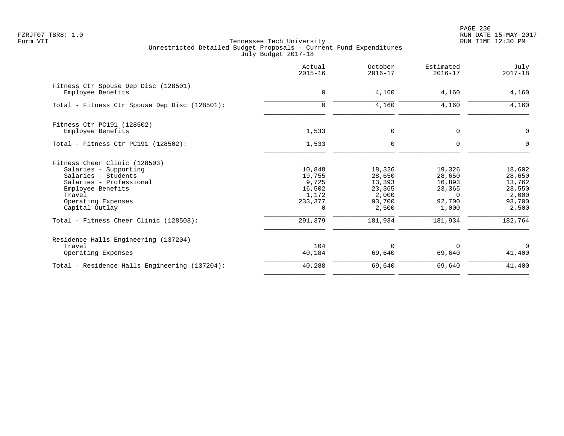PAGE 230 FZRJF07 TBR8: 1.0 RUN DATE 15-MAY-2017

|                                                           | Actual<br>$2015 - 16$ | October<br>$2016 - 17$ | Estimated<br>$2016 - 17$ | July<br>$2017 - 18$ |
|-----------------------------------------------------------|-----------------------|------------------------|--------------------------|---------------------|
| Fitness Ctr Spouse Dep Disc (128501)<br>Employee Benefits | $\mathbf 0$           | 4,160                  | 4,160                    | 4,160               |
| Total - Fitness Ctr Spouse Dep Disc (128501):             | $\Omega$              | 4,160                  | 4,160                    | 4,160               |
| Fitness Ctr PC191 (128502)                                |                       |                        |                          |                     |
| Employee Benefits                                         | 1,533                 | $\mathbf 0$            | $\mathbf 0$              | $\mathbf 0$         |
| Total - Fitness Ctr PC191 (128502):                       | 1,533                 | $\mathbf 0$            | $\Omega$                 | $\Omega$            |
| Fitness Cheer Clinic (128503)                             |                       |                        |                          |                     |
| Salaries - Supporting                                     | 10,848                | 18,326                 | 19,326                   | 18,602              |
| Salaries - Students<br>Salaries - Professional            | 19,755<br>9,725       | 28,650<br>13,393       | 28,650<br>16,893         | 28,650<br>13,762    |
| Employee Benefits                                         | 16,502                | 23,365                 | 23,365                   | 23,550              |
| Travel                                                    | 1,172                 | 2,000                  | $\Omega$                 | 2,000               |
| Operating Expenses                                        | 233,377               | 93,700                 | 92,700                   | 93,700              |
| Capital Outlay                                            | $\Omega$              | 2,500                  | 1,000                    | 2,500               |
| Total - Fitness Cheer Clinic (128503):                    | 291,379               | 181,934                | 181,934                  | 182,764             |
| Residence Halls Engineering (137204)                      |                       |                        |                          |                     |
| Travel                                                    | 104                   | $\Omega$               | $\Omega$                 | $\Omega$            |
| Operating Expenses                                        | 40,184                | 69,640                 | 69,640                   | 41,400              |
| Total - Residence Halls Engineering (137204):             | 40,288                | 69,640                 | 69,640                   | 41,400              |
|                                                           |                       |                        |                          |                     |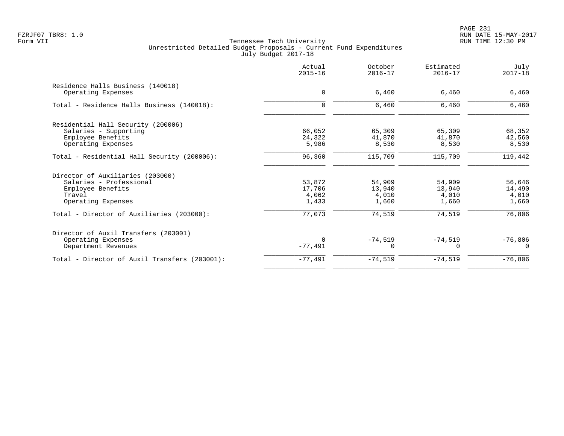| $2015 - 16$ | $2016 - 17$ | Estimated<br>$2016 - 17$ | July<br>$2017 - 18$ |
|-------------|-------------|--------------------------|---------------------|
|             |             |                          |                     |
|             |             |                          | 6,460               |
| $\mathbf 0$ | 6,460       | 6,460                    | 6,460               |
|             |             |                          |                     |
| 66,052      | 65,309      | 65,309                   | 68,352              |
| 24,322      | 41,870      | 41,870                   | 42,560              |
| 5,986       | 8,530       | 8,530                    | 8,530               |
| 96,360      | 115,709     | 115,709                  | 119,442             |
|             |             |                          |                     |
| 53,872      | 54,909      | 54,909                   | 56,646              |
| 17,706      | 13,940      | 13,940                   | 14,490              |
| 4,062       | 4,010       | 4,010                    | 4,010               |
| 1,433       | 1,660       | 1,660                    | 1,660               |
| 77,073      | 74,519      | 74,519                   | 76,806              |
|             |             |                          |                     |
| $\Omega$    |             |                          | $-76,806$           |
| $-77,491$   | U           | $\Omega$                 | $\Omega$            |
| $-77,491$   | $-74,519$   | $-74,519$                | $-76,806$           |
|             | $\mathbf 0$ | 6,460<br>$-74,519$       | 6,460<br>$-74,519$  |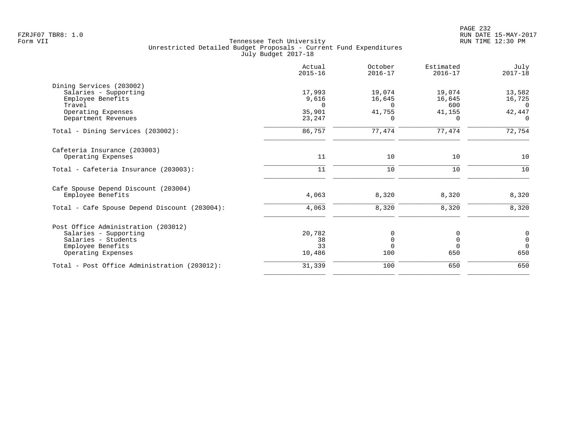|                                               | Actual<br>$2015 - 16$ | October<br>$2016 - 17$ | Estimated<br>$2016 - 17$ | July<br>$2017 - 18$ |
|-----------------------------------------------|-----------------------|------------------------|--------------------------|---------------------|
| Dining Services (203002)                      |                       |                        |                          |                     |
| Salaries - Supporting                         | 17,993                | 19,074                 | 19,074                   | 13,582              |
| Employee Benefits                             | 9,616                 | 16,645                 | 16,645                   | 16,725              |
| Travel                                        | $\Omega$              | $\Omega$               | 600                      | $\Omega$            |
| Operating Expenses<br>Department Revenues     | 35,901<br>23,247      | 41,755<br>0            | 41,155<br>$\Omega$       | 42,447<br>0         |
|                                               |                       |                        |                          |                     |
| Total - Dining Services (203002):             | 86,757                | 77,474                 | 77,474                   | 72,754              |
| Cafeteria Insurance (203003)                  |                       |                        |                          |                     |
| Operating Expenses                            | 11                    | 10                     | 10                       | 10                  |
| Total - Cafeteria Insurance (203003):         | 11                    | 10                     | 10                       | 10                  |
| Cafe Spouse Depend Discount (203004)          |                       |                        |                          |                     |
| Employee Benefits                             | 4,063                 | 8,320                  | 8,320                    | 8,320               |
| Total - Cafe Spouse Depend Discount (203004): | 4,063                 | 8,320                  | 8,320                    | 8,320               |
| Post Office Administration (203012)           |                       |                        |                          |                     |
| Salaries - Supporting                         | 20,782                | 0                      | 0                        | $\boldsymbol{0}$    |
| Salaries - Students                           | 38                    | $\mathbf 0$            | $\mathbf 0$              | $\mathsf 0$         |
| Employee Benefits                             | 33                    | $\Omega$               | $\Omega$                 | $\Omega$            |
| Operating Expenses                            | 10,486                | 100                    | 650                      | 650                 |
| Total - Post Office Administration (203012):  | 31,339                | 100                    | 650                      | 650                 |
|                                               |                       |                        |                          |                     |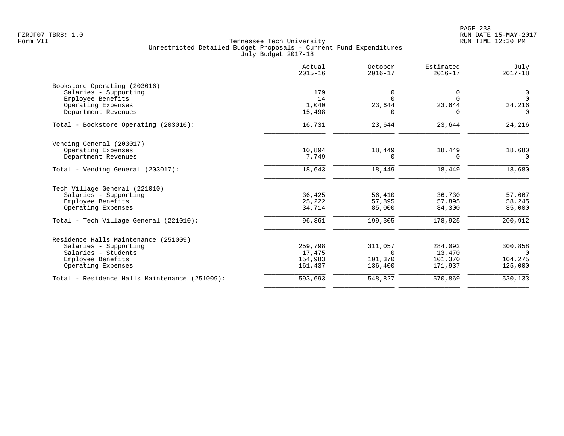|                                               | Actual<br>$2015 - 16$ | October<br>$2016 - 17$ | Estimated<br>$2016 - 17$ | July<br>$2017 - 18$ |
|-----------------------------------------------|-----------------------|------------------------|--------------------------|---------------------|
| Bookstore Operating (203016)                  |                       |                        |                          |                     |
| Salaries - Supporting                         | 179                   | 0                      | 0                        | 0                   |
| Employee Benefits                             | 14                    | $\Omega$               | $\Omega$                 | $\Omega$            |
| Operating Expenses                            | 1,040                 | 23,644                 | 23,644                   | 24,216              |
| Department Revenues                           | 15,498                | <sup>n</sup>           | <sup>n</sup>             | $\Omega$            |
| Total - Bookstore Operating (203016):         | 16,731                | 23,644                 | 23,644                   | 24,216              |
| Vending General (203017)                      |                       |                        |                          |                     |
| Operating Expenses                            | 10,894                | 18,449                 | 18,449                   | 18,680              |
| Department Revenues                           | 7,749                 |                        | $\Omega$                 | $\Omega$            |
| Total - Vending General (203017):             | 18,643                | 18,449                 | 18,449                   | 18,680              |
| Tech Village General (221010)                 |                       |                        |                          |                     |
| Salaries - Supporting                         | 36,425                | 56,410                 | 36,730                   | 57,667              |
| Employee Benefits                             | 25,222                | 57,895                 | 57,895                   | 58,245              |
| Operating Expenses                            | 34,714                | 85,000                 | 84,300                   | 85,000              |
| Total - Tech Village General (221010):        | 96,361                | 199,305                | 178,925                  | 200,912             |
| Residence Halls Maintenance (251009)          |                       |                        |                          |                     |
| Salaries - Supporting                         | 259,798               | 311,057                | 284,092                  | 300,858             |
| Salaries - Students                           | 17,475                | $\Omega$               | 13,470                   | $\Omega$            |
| Employee Benefits                             | 154,983               | 101,370                | 101,370                  | 104,275             |
| Operating Expenses                            | 161,437               | 136,400                | 171,937                  | 125,000             |
| Total - Residence Halls Maintenance (251009): | 593,693               | 548,827                | 570,869                  | 530,133             |
|                                               |                       |                        |                          |                     |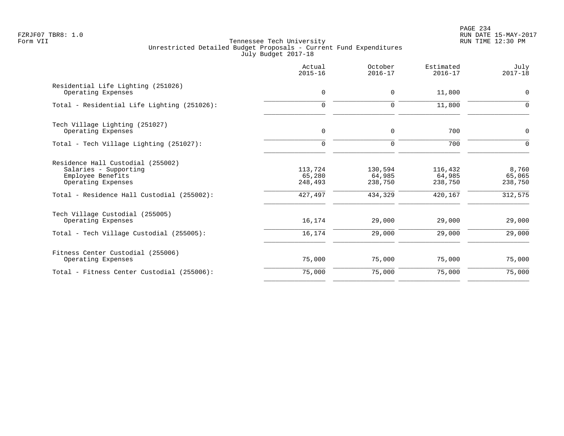PAGE 234 FZRJF07 TBR8: 1.0 RUN DATE 15-MAY-2017

| Actual<br>$2015 - 16$                   | October<br>$2016 - 17$                  | Estimated<br>$2016 - 17$                | July<br>$2017 - 18$                   |
|-----------------------------------------|-----------------------------------------|-----------------------------------------|---------------------------------------|
| 0                                       | $\mathbf 0$                             | 11,800                                  | 0                                     |
| $\mathbf 0$                             | $\mathbf 0$                             | 11,800                                  | $\Omega$                              |
| 0                                       | 0                                       | 700                                     | 0                                     |
| $\mathbf 0$                             | $\mathbf 0$                             | 700                                     | $\mathbf 0$                           |
| 113,724<br>65,280<br>248,493<br>427,497 | 130,594<br>64,985<br>238,750<br>434,329 | 116,432<br>64,985<br>238,750<br>420,167 | 8,760<br>65,065<br>238,750<br>312,575 |
| 16,174                                  | 29,000                                  | 29,000                                  | 29,000                                |
| 16,174                                  | 29,000                                  | 29,000                                  | 29,000                                |
| 75,000                                  | 75,000                                  | 75,000                                  | 75,000                                |
| 75,000                                  | 75,000                                  | 75,000                                  | 75,000                                |
|                                         |                                         |                                         |                                       |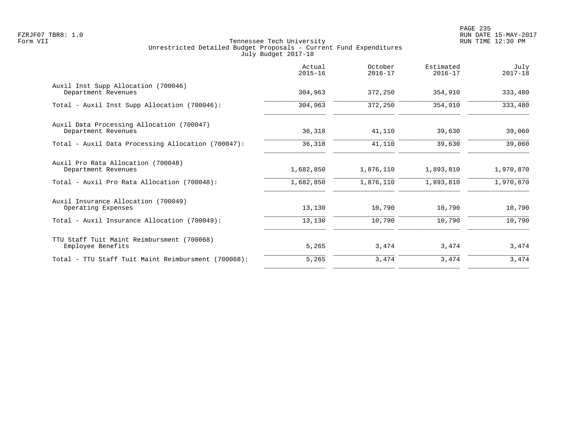|                                                                  | Actual<br>$2015 - 16$ | October<br>$2016 - 17$ | Estimated<br>$2016 - 17$ | July<br>$2017 - 18$ |
|------------------------------------------------------------------|-----------------------|------------------------|--------------------------|---------------------|
| Auxil Inst Supp Allocation (700046)<br>Department Revenues       | 304,963               | 372,250                | 354,910                  | 333,480             |
| Total - Auxil Inst Supp Allocation (700046):                     | 304,963               | 372,250                | 354,910                  | 333,480             |
| Auxil Data Processing Allocation (700047)<br>Department Revenues | 36,318                | 41,110                 | 39,630                   | 39,060              |
| Total - Auxil Data Processing Allocation (700047):               | 36,318                | 41,110                 | 39,630                   | 39,060              |
| Auxil Pro Rata Allocation (700048)<br>Department Revenues        | 1,682,850             | 1,876,110              | 1,893,810                | 1,970,870           |
| Total - Auxil Pro Rata Allocation (700048):                      | 1,682,850             | 1,876,110              | 1,893,810                | 1,970,870           |
| Auxil Insurance Allocation (700049)<br>Operating Expenses        | 13,130                | 10,790                 | 10,790                   | 10,790              |
| Total - Auxil Insurance Allocation (700049):                     | 13,130                | 10,790                 | 10,790                   | 10,790              |
| TTU Staff Tuit Maint Reimbursment (700068)<br>Employee Benefits  | 5,265                 | 3,474                  | 3,474                    | 3,474               |
| Total - TTU Staff Tuit Maint Reimbursment (700068):              | 5,265                 | 3,474                  | 3,474                    | 3,474               |
|                                                                  |                       |                        |                          |                     |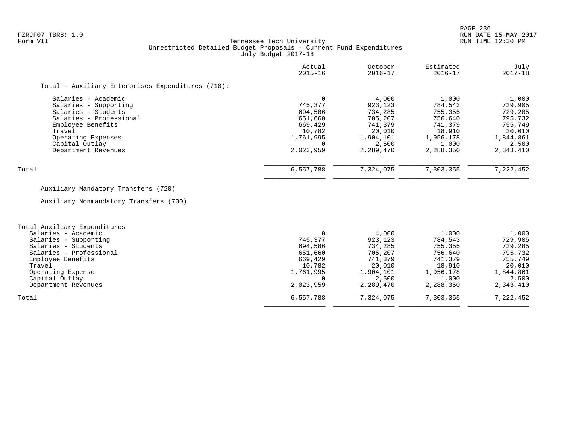### FZRJF07 TBR8: 1.0 RUN DATE 15-MAY-2017 Tennessee Tech University Unrestricted Detailed Budget Proposals - Current Fund Expenditures July Budget 2017-18

|                                                   | Actual<br>$2015 - 16$ | October<br>$2016 - 17$ | Estimated<br>$2016 - 17$ | July<br>$2017 - 18$ |
|---------------------------------------------------|-----------------------|------------------------|--------------------------|---------------------|
| Total - Auxiliary Enterprises Expenditures (710): |                       |                        |                          |                     |
| Salaries - Academic                               |                       | 4,000                  | 1,000                    | 1,000               |
| Salaries - Supporting                             | 745,377               | 923,123                | 784,543                  | 729,905             |
| Salaries - Students                               | 694,586               | 734,285                | 755,355                  | 729,285             |
| Salaries - Professional                           | 651,660               | 705,207                | 756,640                  | 795,732             |
| Employee Benefits                                 | 669,429               | 741,379                | 741,379                  | 755,749             |
| Travel                                            | 10,782                | 20,010                 | 18,910                   | 20,010              |
| Operating Expenses                                | 1,761,995             | 1,904,101              | 1,956,178                | 1,844,861           |
| Capital Outlay                                    | $\Omega$              | 2,500                  | 1,000                    | 2,500               |
| Department Revenues                               | 2,023,959             | 2,289,470              | 2,288,350                | 2,343,410           |
| Total                                             | 6,557,788             | 7,324,075              | 7,303,355                | 7,222,452           |

# Auxiliary Mandatory Transfers (720)

Auxiliary Nonmandatory Transfers (730)

| Total Auxiliary Expenditures |           |           |           |           |
|------------------------------|-----------|-----------|-----------|-----------|
| Salaries - Academic          |           | 4,000     | 1,000     | 1,000     |
| Salaries - Supporting        | 745,377   | 923,123   | 784,543   | 729,905   |
| Salaries - Students          | 694,586   | 734,285   | 755,355   | 729,285   |
| Salaries - Professional      | 651,660   | 705,207   | 756,640   | 795,732   |
| Employee Benefits            | 669,429   | 741,379   | 741,379   | 755,749   |
| Travel                       | 10,782    | 20,010    | 18,910    | 20,010    |
| Operating Expense            | 1,761,995 | 1,904,101 | 1,956,178 | 1,844,861 |
| Capital Outlay               |           | 2,500     | 1,000     | 2,500     |
| Department Revenues          | 2,023,959 | 2,289,470 | 2,288,350 | 2,343,410 |
| Total                        | 6,557,788 | 7,324,075 | 7,303,355 | 7,222,452 |
|                              |           |           |           |           |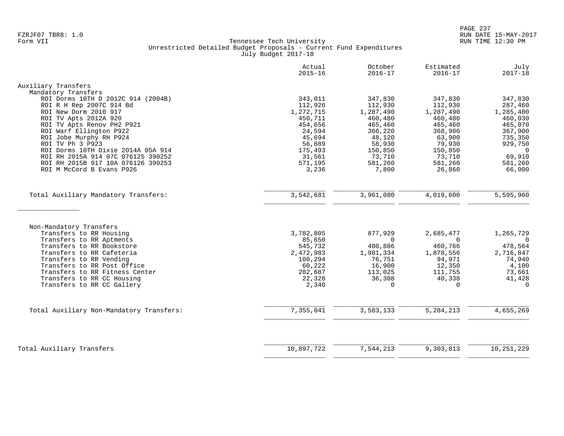|                                          | Actual<br>$2015 - 16$ | October<br>$2016 - 17$ | Estimated<br>$2016 - 17$ | July<br>$2017 - 18$ |
|------------------------------------------|-----------------------|------------------------|--------------------------|---------------------|
| Auxiliary Transfers                      |                       |                        |                          |                     |
| Mandatory Transfers                      |                       |                        |                          |                     |
| ROI Dorms 10TH D 2012C 914 (2004B)       | 343,011               | 347,830                | 347,830                  | 347,830             |
| ROI R H Rep 2007C 914 Bd                 | 112,926               | 112,930                | 112,930                  | 287,460             |
| ROI New Dorm 2010 917                    | 1,272,715             | 1,287,490              | 1,287,490                | 1,285,400           |
| ROI TV Apts 2012A 920                    | 450,711               | 460,480                | 460,480                  | 460,030             |
| ROI TV Apts Renov PH2 P921               | 454,656               | 465,460                | 465,460                  | 465,070             |
| ROI Warf Ellington P922                  | 24,594                | 366,220                | 368,900                  | 367,900             |
| ROI Jobe Murphy RH P924                  | 45,694                | 48,120                 | 63,900                   | 735,350             |
| ROI TV Ph 3 P923                         | 56,889                | 58,930                 | 79,930                   | 929,750             |
| ROI Dorms 10TH Dixie 2014A 05A 914       | 175,493               | 150,850                | 150,850                  | 0                   |
| ROI RH 2015A 914 07C 076125 390252       | 31,561                | 73,710                 | 73,710                   | 69,910              |
| ROI RH 2015B 917 10A 076126 390253       | 571,195               | 581,260                | 581,260                  | 581,260             |
| ROI M McCord B Evans P926                |                       |                        |                          | 66,000              |
|                                          | 3,236                 | 7,800                  | 26,860                   |                     |
| Total Auxiliary Mandatory Transfers:     | 3,542,681             | 3,961,080              | 4,019,600                | 5,595,960           |
|                                          |                       |                        |                          |                     |
| Non-Mandatory Transfers                  |                       |                        |                          |                     |
| Transfers to RR Housing                  | 3,782,805             | 877,929                | 2,685,477                | 1,265,729           |
| Transfers to RR Aptments                 | 85,650                | $\Omega$               | $\Omega$                 | $\Omega$            |
| Transfers to RR Bookstore                | 545,732               | 480,886                | 460,766                  | 478,564             |
| Transfers to RR Cafeteria                | 2,472,983             | 1,981,334              | 1,878,556                | 2,716,847           |
| Transfers to RR Vending                  | 100,294               | 76,751                 | 94,971                   | 74,940              |
| Transfers to RR Post Office              | 60,222                | 16,900                 | 12,350                   | 4,100               |
| Transfers to RR Fitness Center           | 282,687               | 113,025                | 111,755                  | 73,661              |
| Transfers to RR CC Housing               | 22,328                | 36,308                 | 40,338                   | 41,428              |
| Transfers to RR CC Gallery               | 2,340                 | $\Omega$               | $\Omega$                 | $\Omega$            |
|                                          |                       |                        |                          |                     |
| Total Auxiliary Non-Mandatory Transfers: | 7,355,041             | 3,583,133              | 5,284,213                | 4,655,269           |
|                                          |                       |                        |                          |                     |
| Total Auxiliary Transfers                | 10,897,722            | 7,544,213              | 9,303,813                | 10,251,229          |
|                                          |                       |                        |                          |                     |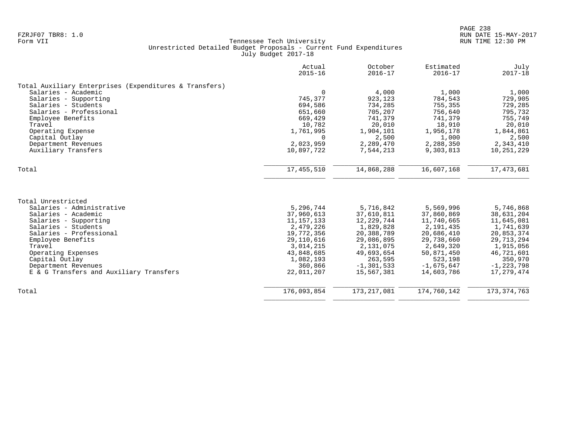|                                                        | Actual<br>$2015 - 16$ | October<br>$2016 - 17$ | Estimated<br>$2016 - 17$ | July<br>$2017 - 18$ |
|--------------------------------------------------------|-----------------------|------------------------|--------------------------|---------------------|
| Total Auxiliary Enterprises (Expenditures & Transfers) |                       |                        |                          |                     |
| Salaries - Academic                                    | $\Omega$              | 4,000                  | 1,000                    | 1,000               |
| Salaries - Supporting                                  | 745,377               | 923,123                | 784,543                  | 729,905             |
| Salaries - Students                                    | 694,586               | 734,285                | 755,355                  | 729,285             |
| Salaries - Professional                                | 651,660               | 705,207                | 756,640                  | 795,732             |
| Employee Benefits                                      | 669,429               | 741,379                | 741,379                  | 755,749             |
| Travel                                                 | 10,782                | 20,010                 | 18,910                   | 20,010              |
| Operating Expense                                      | 1,761,995             | 1,904,101              | 1,956,178                | 1,844,861           |
| Capital Outlay                                         | 0                     | 2,500                  | 1,000                    | 2,500               |
| Department Revenues                                    | 2,023,959             | 2,289,470              | 2,288,350                | 2,343,410           |
| Auxiliary Transfers                                    | 10,897,722            | 7,544,213              | 9,303,813                | 10,251,229          |
| Total                                                  | 17,455,510            | 14,868,288             | 16,607,168               | 17, 473, 681        |
|                                                        |                       |                        |                          |                     |
| Total Unrestricted                                     |                       |                        |                          |                     |
| Salaries - Administrative                              | 5,296,744             | 5,716,842              | 5,569,996                | 5,746,868           |
| Salaries - Academic                                    | 37,960,613            | 37,610,811             | 37,860,869               | 38,631,204          |
| Salaries - Supporting                                  | 11, 157, 133          | 12, 229, 744           | 11,740,665               | 11,645,081          |
| Salaries - Students                                    | 2,479,226             | 1,829,828              | 2,191,435                | 1,741,639           |
| Salaries - Professional                                | 19,772,356            | 20,388,789             | 20,686,410               | 20,853,374          |
| Employee Benefits                                      | 29, 110, 616          | 29,086,895             | 29,738,660               | 29, 713, 294        |
| Travel                                                 | 3,014,215             | 2,131,075              | 2,649,320                | 1,915,056           |
| Operating Expenses                                     | 43,848,685            | 49,693,654             | 50,871,450               | 46,721,601          |
| Capital Outlay                                         | 1,082,193             | 263,595                | 523,198                  | 350,970             |
| Department Revenues                                    | 360,866               | $-1, 301, 533$         | $-1,675,647$             | $-1, 223, 798$      |
| E & G Transfers and Auxiliary Transfers                | 22,011,207            | 15,567,381             | 14,603,786               | 17,279,474          |
| Total                                                  | 176,093,854           | 173, 217, 081          | 174,760,142              | 173, 374, 763       |
|                                                        |                       |                        |                          |                     |